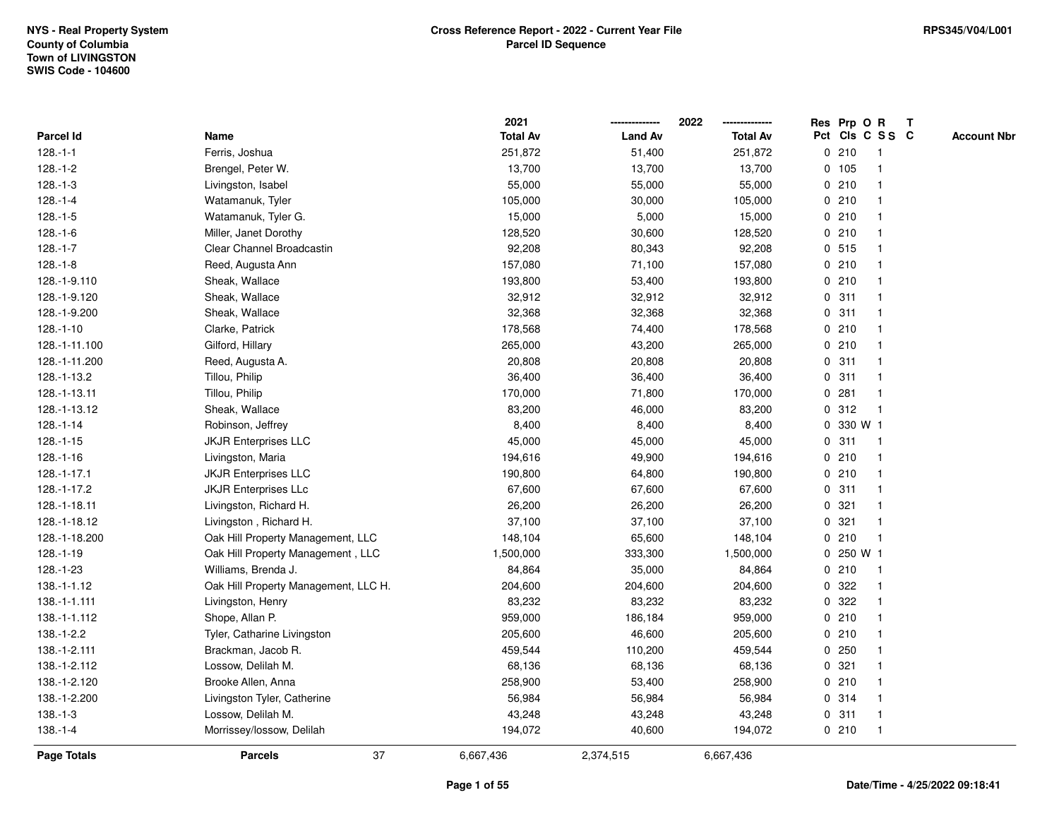|                  |                                      | 2021            |                | 2022            | Res Prp O R |           |                 | $\mathbf{T}$ |                    |
|------------------|--------------------------------------|-----------------|----------------|-----------------|-------------|-----------|-----------------|--------------|--------------------|
| <b>Parcel Id</b> | Name                                 | <b>Total Av</b> | <b>Land Av</b> | <b>Total Av</b> |             |           | Pct Cls C S S C |              | <b>Account Nbr</b> |
| $128.-1-1$       | Ferris, Joshua                       | 251,872         | 51,400         | 251,872         |             | 0210      |                 |              |                    |
| 128.-1-2         | Brengel, Peter W.                    | 13,700          | 13,700         | 13,700          |             | 0, 105    |                 |              |                    |
| $128.-1-3$       | Livingston, Isabel                   | 55,000          | 55,000         | 55,000          |             | 0210      |                 |              |                    |
| $128.-1-4$       | Watamanuk, Tyler                     | 105,000         | 30,000         | 105,000         |             | 0210      | -1              |              |                    |
| $128.-1-5$       | Watamanuk, Tyler G.                  | 15,000          | 5,000          | 15,000          |             | 0210      | $\mathbf 1$     |              |                    |
| $128.-1-6$       | Miller, Janet Dorothy                | 128,520         | 30,600         | 128,520         |             | 0210      |                 |              |                    |
| $128.-1-7$       | Clear Channel Broadcastin            | 92,208          | 80,343         | 92,208          |             | 0.515     |                 |              |                    |
| $128.-1-8$       | Reed, Augusta Ann                    | 157,080         | 71,100         | 157,080         |             | 0210      |                 |              |                    |
| 128.-1-9.110     | Sheak, Wallace                       | 193,800         | 53,400         | 193,800         |             | 0210      |                 |              |                    |
| 128.-1-9.120     | Sheak, Wallace                       | 32,912          | 32,912         | 32,912          | $\mathbf 0$ | 311       | -1              |              |                    |
| 128.-1-9.200     | Sheak, Wallace                       | 32,368          | 32,368         | 32,368          | $\mathbf 0$ | 311       |                 |              |                    |
| $128.-1-10$      | Clarke, Patrick                      | 178,568         | 74,400         | 178,568         |             | 0210      | $\mathbf 1$     |              |                    |
| 128.-1-11.100    | Gilford, Hillary                     | 265,000         | 43,200         | 265,000         |             | 0210      |                 |              |                    |
| 128.-1-11.200    | Reed, Augusta A.                     | 20,808          | 20,808         | 20,808          |             | 0.311     |                 |              |                    |
| 128.-1-13.2      | Tillou, Philip                       | 36,400          | 36,400         | 36,400          |             | 0.311     |                 |              |                    |
| 128.-1-13.11     | Tillou, Philip                       | 170,000         | 71,800         | 170,000         | 0           | 281       | -1              |              |                    |
| 128.-1-13.12     | Sheak, Wallace                       | 83,200          | 46,000         | 83,200          | 0           | 312       | $\mathbf{1}$    |              |                    |
| 128.-1-14        | Robinson, Jeffrey                    | 8,400           | 8,400          | 8,400           | 0           | 330 W 1   |                 |              |                    |
| $128.-1-15$      | <b>JKJR Enterprises LLC</b>          | 45,000          | 45,000         | 45,000          |             | 0.311     | $\mathbf 1$     |              |                    |
| $128.-1-16$      | Livingston, Maria                    | 194,616         | 49,900         | 194,616         |             | 0210      |                 |              |                    |
| 128.-1-17.1      | <b>JKJR Enterprises LLC</b>          | 190,800         | 64,800         | 190,800         |             | 0210      |                 |              |                    |
| 128.-1-17.2      | <b>JKJR Enterprises LLc</b>          | 67,600          | 67,600         | 67,600          |             | 0.311     |                 |              |                    |
| 128.-1-18.11     | Livingston, Richard H.               | 26,200          | 26,200         | 26,200          | 0           | 321       |                 |              |                    |
| 128.-1-18.12     | Livingston, Richard H.               | 37,100          | 37,100         | 37,100          | 0           | 321       | $\mathbf{1}$    |              |                    |
| 128.-1-18.200    | Oak Hill Property Management, LLC    | 148,104         | 65,600         | 148,104         |             | 0210      | $\mathbf{1}$    |              |                    |
| $128.-1-19$      | Oak Hill Property Management, LLC    | 1,500,000       | 333,300        | 1,500,000       |             | 0 250 W 1 |                 |              |                    |
| 128.-1-23        | Williams, Brenda J.                  | 84,864          | 35,000         | 84,864          |             | 0210      |                 |              |                    |
| 138.-1-1.12      | Oak Hill Property Management, LLC H. | 204,600         | 204,600        | 204,600         |             | 0 322     |                 |              |                    |
| 138.-1-1.111     | Livingston, Henry                    | 83,232          | 83,232         | 83,232          | 0           | 322       |                 |              |                    |
| 138.-1-1.112     | Shope, Allan P.                      | 959,000         | 186,184        | 959,000         |             | 0210      |                 |              |                    |
| 138.-1-2.2       | Tyler, Catharine Livingston          | 205,600         | 46,600         | 205,600         |             | 0210      | -1              |              |                    |
| 138.-1-2.111     | Brackman, Jacob R.                   | 459,544         | 110,200        | 459,544         |             | 0.250     | $\mathbf 1$     |              |                    |
| 138.-1-2.112     | Lossow, Delilah M.                   | 68,136          | 68,136         | 68,136          |             | 0.321     |                 |              |                    |
| 138.-1-2.120     | Brooke Allen, Anna                   | 258,900         | 53,400         | 258,900         |             | 0210      |                 |              |                    |
| 138.-1-2.200     | Livingston Tyler, Catherine          | 56,984          | 56,984         | 56,984          |             | 0 314     |                 |              |                    |
| $138.-1-3$       | Lossow, Delilah M.                   | 43,248          | 43,248         | 43,248          |             | 0.311     | $\mathbf{1}$    |              |                    |
| $138.-1-4$       | Morrissey/lossow, Delilah            | 194,072         | 40,600         | 194,072         |             | 0210      | $\mathbf 1$     |              |                    |
| Page Totals      | 37<br><b>Parcels</b>                 | 6,667,436       | 2,374,515      | 6,667,436       |             |           |                 |              |                    |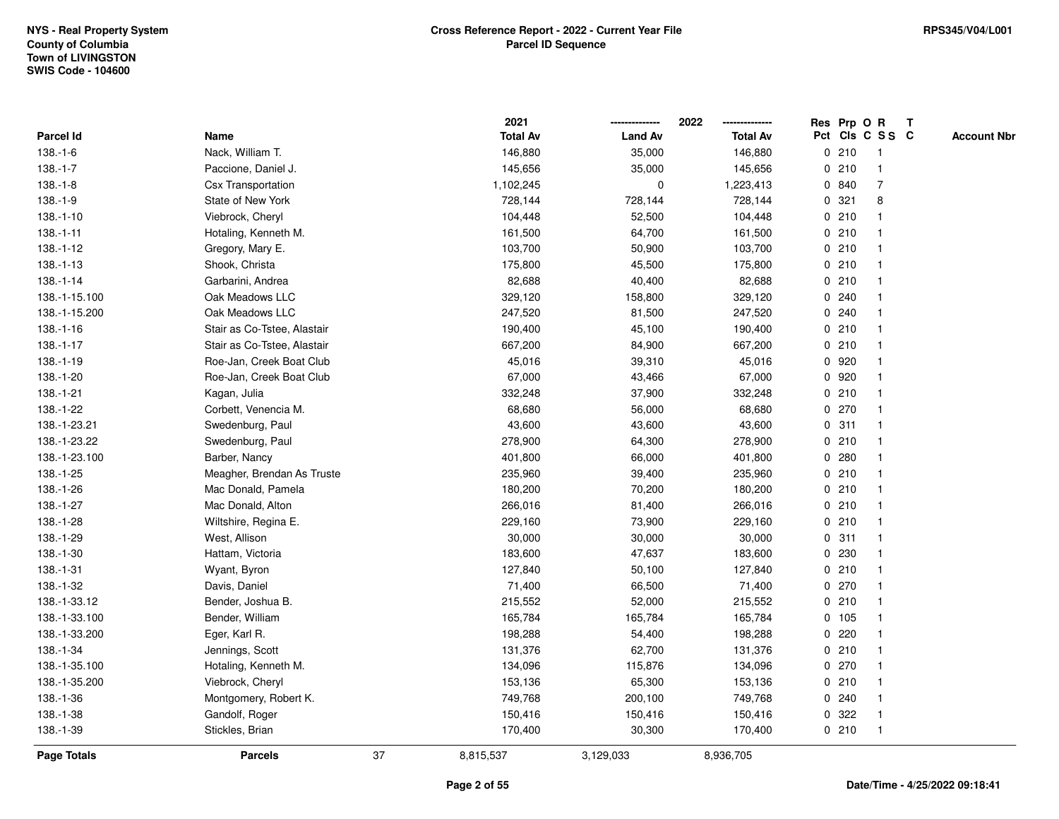|                    |                             |    | 2021            |                | 2022            | Res Prp O R |       |                 | T |                    |
|--------------------|-----------------------------|----|-----------------|----------------|-----------------|-------------|-------|-----------------|---|--------------------|
| Parcel Id          | Name                        |    | <b>Total Av</b> | <b>Land Av</b> | <b>Total Av</b> |             |       | Pct Cls C S S C |   | <b>Account Nbr</b> |
| $138.-1-6$         | Nack, William T.            |    | 146,880         | 35,000         | 146,880         |             | 0210  | $\mathbf{1}$    |   |                    |
| $138.-1-7$         | Paccione, Daniel J.         |    | 145,656         | 35,000         | 145,656         | 0           | 210   | $\overline{1}$  |   |                    |
| $138.-1-8$         | <b>Csx Transportation</b>   |    | 1,102,245       | 0              | 1,223,413       |             | 0 840 | $\overline{7}$  |   |                    |
| $138.-1-9$         | State of New York           |    | 728,144         | 728,144        | 728,144         |             | 0.321 | 8               |   |                    |
| $138.-1-10$        | Viebrock, Cheryl            |    | 104,448         | 52,500         | 104,448         |             | 0210  |                 |   |                    |
| $138.-1-11$        | Hotaling, Kenneth M.        |    | 161,500         | 64,700         | 161,500         |             | 0210  |                 |   |                    |
| 138.-1-12          | Gregory, Mary E.            |    | 103,700         | 50,900         | 103,700         |             | 0210  |                 |   |                    |
| $138.-1-13$        | Shook, Christa              |    | 175,800         | 45,500         | 175,800         | 0           | 210   | $\mathbf{1}$    |   |                    |
| $138.-1-14$        | Garbarini, Andrea           |    | 82,688          | 40,400         | 82,688          |             | 0210  | -1              |   |                    |
| 138.-1-15.100      | Oak Meadows LLC             |    | 329,120         | 158,800        | 329,120         |             | 0.240 |                 |   |                    |
| 138.-1-15.200      | Oak Meadows LLC             |    | 247,520         | 81,500         | 247,520         |             | 0.240 |                 |   |                    |
| $138.-1-16$        | Stair as Co-Tstee, Alastair |    | 190,400         | 45,100         | 190,400         |             | 0210  |                 |   |                    |
| $138.-1-17$        | Stair as Co-Tstee, Alastair |    | 667,200         | 84,900         | 667,200         |             | 0210  |                 |   |                    |
| 138.-1-19          | Roe-Jan, Creek Boat Club    |    | 45,016          | 39,310         | 45,016          |             | 0 920 |                 |   |                    |
| 138.-1-20          | Roe-Jan, Creek Boat Club    |    | 67,000          | 43,466         | 67,000          | $\mathbf 0$ | 920   |                 |   |                    |
| 138.-1-21          | Kagan, Julia                |    | 332,248         | 37,900         | 332,248         | 0           | 210   | $\overline{1}$  |   |                    |
| 138.-1-22          | Corbett, Venencia M.        |    | 68,680          | 56,000         | 68,680          |             | 0 270 | $\overline{1}$  |   |                    |
| 138.-1-23.21       | Swedenburg, Paul            |    | 43,600          | 43,600         | 43,600          |             | 0.311 |                 |   |                    |
| 138.-1-23.22       | Swedenburg, Paul            |    | 278,900         | 64,300         | 278,900         |             | 0210  |                 |   |                    |
| 138.-1-23.100      | Barber, Nancy               |    | 401,800         | 66,000         | 401,800         |             | 0.280 |                 |   |                    |
| 138.-1-25          | Meagher, Brendan As Truste  |    | 235,960         | 39,400         | 235,960         |             | 0210  |                 |   |                    |
| 138.-1-26          | Mac Donald, Pamela          |    | 180,200         | 70,200         | 180,200         |             | 0210  |                 |   |                    |
| 138.-1-27          | Mac Donald, Alton           |    | 266,016         | 81,400         | 266,016         |             | 0210  | -1              |   |                    |
| 138.-1-28          | Wiltshire, Regina E.        |    | 229,160         | 73,900         | 229,160         | $\mathbf 0$ | 210   | $\overline{1}$  |   |                    |
| 138.-1-29          | West, Allison               |    | 30,000          | 30,000         | 30,000          |             | 0.311 |                 |   |                    |
| 138.-1-30          | Hattam, Victoria            |    | 183,600         | 47,637         | 183,600         |             | 0 230 |                 |   |                    |
| 138.-1-31          | Wyant, Byron                |    | 127,840         | 50,100         | 127,840         |             | 0210  |                 |   |                    |
| 138.-1-32          | Davis, Daniel               |    | 71,400          | 66,500         | 71,400          |             | 0 270 |                 |   |                    |
| 138.-1-33.12       | Bender, Joshua B.           |    | 215,552         | 52,000         | 215,552         |             | 0210  |                 |   |                    |
| 138.-1-33.100      | Bender, William             |    | 165,784         | 165,784        | 165,784         |             | 0 105 |                 |   |                    |
| 138.-1-33.200      | Eger, Karl R.               |    | 198,288         | 54,400         | 198,288         | 0           | 220   | -1              |   |                    |
| 138.-1-34          | Jennings, Scott             |    | 131,376         | 62,700         | 131,376         |             | 0210  | -1              |   |                    |
| 138.-1-35.100      | Hotaling, Kenneth M.        |    | 134,096         | 115,876        | 134,096         |             | 0270  |                 |   |                    |
| 138.-1-35.200      | Viebrock, Cheryl            |    | 153,136         | 65,300         | 153,136         |             | 0210  |                 |   |                    |
| 138.-1-36          | Montgomery, Robert K.       |    | 749,768         | 200,100        | 749,768         |             | 0.240 |                 |   |                    |
| 138.-1-38          | Gandolf, Roger              |    | 150,416         | 150,416        | 150,416         | 0           | 322   |                 |   |                    |
| 138.-1-39          | Stickles, Brian             |    | 170,400         | 30,300         | 170,400         |             | 0210  | $\overline{1}$  |   |                    |
| <b>Page Totals</b> | <b>Parcels</b>              | 37 | 8,815,537       | 3,129,033      | 8,936,705       |             |       |                 |   |                    |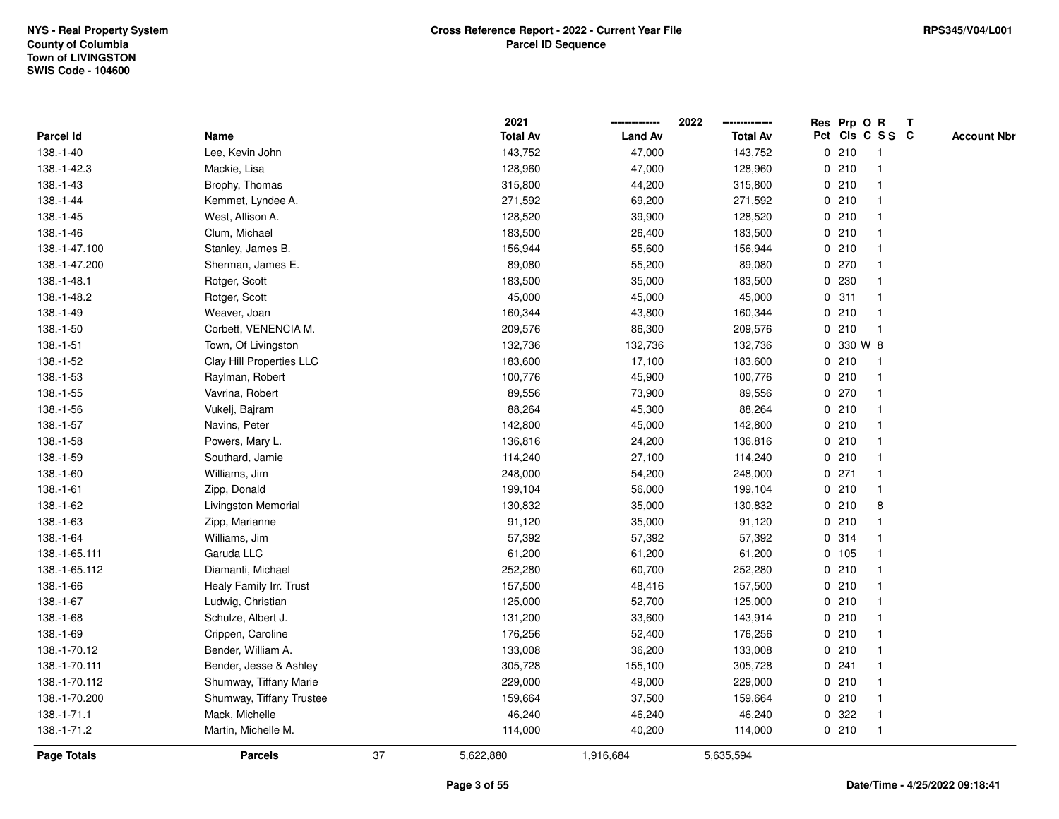|               |                          |    | 2021            |                | 2022            |              | Res Prp O R |                 | Т |                    |
|---------------|--------------------------|----|-----------------|----------------|-----------------|--------------|-------------|-----------------|---|--------------------|
| Parcel Id     | Name                     |    | <b>Total Av</b> | <b>Land Av</b> | <b>Total Av</b> |              |             | Pct Cls C S S C |   | <b>Account Nbr</b> |
| 138.-1-40     | Lee, Kevin John          |    | 143,752         | 47,000         | 143,752         |              | 0210        | $\mathbf{1}$    |   |                    |
| 138.-1-42.3   | Mackie, Lisa             |    | 128,960         | 47,000         | 128,960         | 0            | 210         | $\overline{1}$  |   |                    |
| 138.-1-43     | Brophy, Thomas           |    | 315,800         | 44,200         | 315,800         |              | 0210        | $\mathbf{1}$    |   |                    |
| 138.-1-44     | Kemmet, Lyndee A.        |    | 271,592         | 69,200         | 271,592         |              | 0210        | -1              |   |                    |
| 138.-1-45     | West, Allison A.         |    | 128,520         | 39,900         | 128,520         |              | 0210        |                 |   |                    |
| 138.-1-46     | Clum, Michael            |    | 183,500         | 26,400         | 183,500         |              | 0210        |                 |   |                    |
| 138.-1-47.100 | Stanley, James B.        |    | 156,944         | 55,600         | 156,944         |              | 0210        | $\mathbf{1}$    |   |                    |
| 138.-1-47.200 | Sherman, James E.        |    | 89,080          | 55,200         | 89,080          |              | $0$ 270     | $\mathbf{1}$    |   |                    |
| 138.-1-48.1   | Rotger, Scott            |    | 183,500         | 35,000         | 183,500         | 0            | 230         | -1              |   |                    |
| 138.-1-48.2   | Rotger, Scott            |    | 45,000          | 45,000         | 45,000          |              | 0.311       | -1              |   |                    |
| 138.-1-49     | Weaver, Joan             |    | 160,344         | 43,800         | 160,344         |              | 0210        | -1              |   |                    |
| 138.-1-50     | Corbett, VENENCIA M.     |    | 209,576         | 86,300         | 209,576         |              | 0210        |                 |   |                    |
| 138.-1-51     | Town, Of Livingston      |    | 132,736         | 132,736        | 132,736         | $\mathbf{0}$ | 330 W 8     |                 |   |                    |
| 138.-1-52     | Clay Hill Properties LLC |    | 183,600         | 17,100         | 183,600         |              | 0210        | -1              |   |                    |
| 138.-1-53     | Raylman, Robert          |    | 100,776         | 45,900         | 100,776         |              | 0210        | $\overline{1}$  |   |                    |
| 138.-1-55     | Vavrina, Robert          |    | 89,556          | 73,900         | 89,556          |              | 0270        | $\overline{1}$  |   |                    |
| 138.-1-56     | Vukelj, Bajram           |    | 88,264          | 45,300         | 88,264          |              | 0210        | $\mathbf{1}$    |   |                    |
| 138.-1-57     | Navins, Peter            |    | 142,800         | 45,000         | 142,800         |              | 0210        |                 |   |                    |
| 138.-1-58     | Powers, Mary L.          |    | 136,816         | 24,200         | 136,816         |              | 0210        |                 |   |                    |
| 138.-1-59     | Southard, Jamie          |    | 114,240         | 27,100         | 114,240         |              | 0210        |                 |   |                    |
| 138.-1-60     | Williams, Jim            |    | 248,000         | 54,200         | 248,000         |              | $0$ 271     | $\mathbf{1}$    |   |                    |
| 138.-1-61     | Zipp, Donald             |    | 199,104         | 56,000         | 199,104         |              | 0210        | $\mathbf{1}$    |   |                    |
| 138.-1-62     | Livingston Memorial      |    | 130,832         | 35,000         | 130,832         | 0            | 210         | 8               |   |                    |
| 138.-1-63     | Zipp, Marianne           |    | 91,120          | 35,000         | 91,120          |              | 0210        | $\mathbf{1}$    |   |                    |
| 138.-1-64     | Williams, Jim            |    | 57,392          | 57,392         | 57,392          |              | 0 314       | 1               |   |                    |
| 138.-1-65.111 | Garuda LLC               |    | 61,200          | 61,200         | 61,200          |              | 0 105       |                 |   |                    |
| 138.-1-65.112 | Diamanti, Michael        |    | 252,280         | 60,700         | 252,280         |              | 0210        |                 |   |                    |
| 138.-1-66     | Healy Family Irr. Trust  |    | 157,500         | 48,416         | 157,500         |              | 0210        |                 |   |                    |
| 138.-1-67     | Ludwig, Christian        |    | 125,000         | 52,700         | 125,000         |              | 0210        | $\mathbf{1}$    |   |                    |
| 138.-1-68     | Schulze, Albert J.       |    | 131,200         | 33,600         | 143,914         | 0            | 210         | -1              |   |                    |
| 138.-1-69     | Crippen, Caroline        |    | 176,256         | 52,400         | 176,256         | 0            | 210         | $\overline{1}$  |   |                    |
| 138.-1-70.12  | Bender, William A.       |    | 133,008         | 36,200         | 133,008         |              | 0210        | $\mathbf{1}$    |   |                    |
| 138.-1-70.111 | Bender, Jesse & Ashley   |    | 305,728         | 155,100        | 305,728         |              | 0.241       | 1               |   |                    |
| 138.-1-70.112 | Shumway, Tiffany Marie   |    | 229,000         | 49,000         | 229,000         |              | 0210        |                 |   |                    |
| 138.-1-70.200 | Shumway, Tiffany Trustee |    | 159,664         | 37,500         | 159,664         |              | 0210        | $\mathbf{1}$    |   |                    |
| 138.-1-71.1   | Mack, Michelle           |    | 46,240          | 46,240         | 46,240          | 0            | 322         | $\overline{1}$  |   |                    |
| 138.-1-71.2   | Martin, Michelle M.      |    | 114,000         | 40,200         | 114,000         |              | 0210        | $\mathbf{1}$    |   |                    |
| Page Totals   | <b>Parcels</b>           | 37 | 5,622,880       | 1,916,684      | 5,635,594       |              |             |                 |   |                    |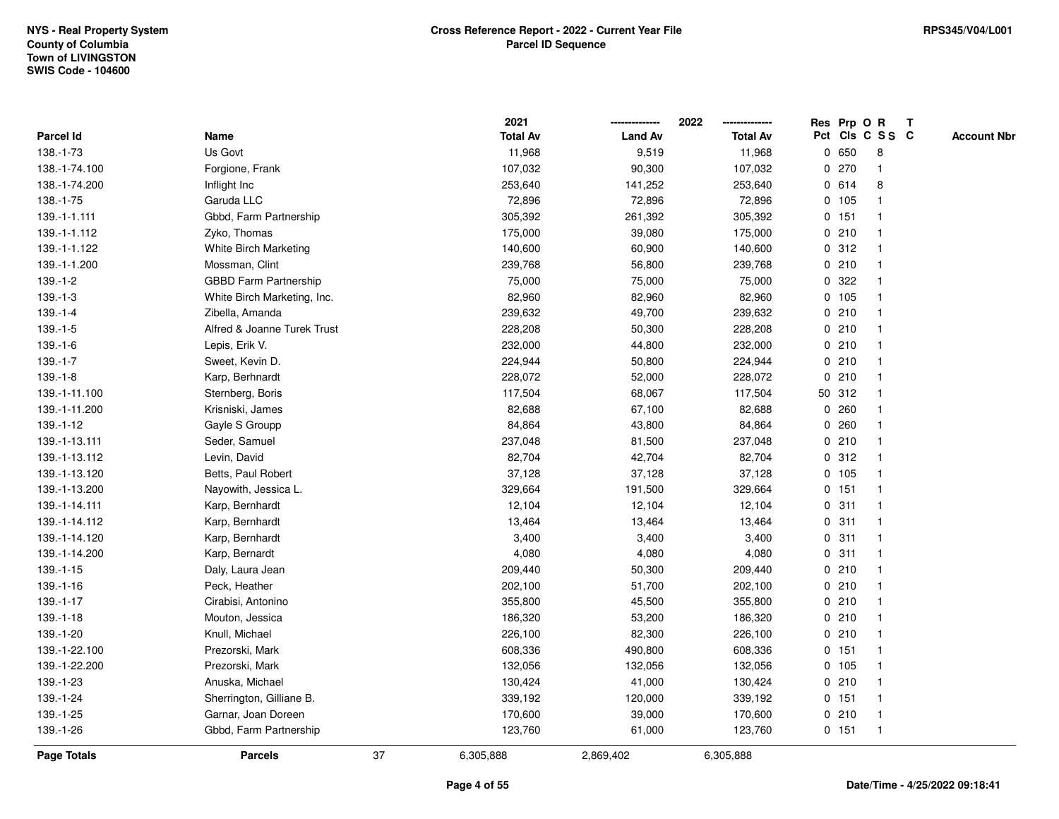|                    |                              |    | 2021            |                | 2022            |   |         | Res Prp O R    | $\mathbf{T}$    |                    |
|--------------------|------------------------------|----|-----------------|----------------|-----------------|---|---------|----------------|-----------------|--------------------|
| Parcel Id          | Name                         |    | <b>Total Av</b> | <b>Land Av</b> | <b>Total Av</b> |   |         |                | Pct Cls C S S C | <b>Account Nbr</b> |
| 138.-1-73          | Us Govt                      |    | 11,968          | 9,519          | 11,968          |   | 0650    | 8              |                 |                    |
| 138.-1-74.100      | Forgione, Frank              |    | 107,032         | 90,300         | 107,032         | 0 | 270     |                |                 |                    |
| 138.-1-74.200      | Inflight Inc                 |    | 253,640         | 141,252        | 253,640         |   | 0614    | 8              |                 |                    |
| 138.-1-75          | Garuda LLC                   |    | 72,896          | 72,896         | 72,896          | 0 | 105     | $\overline{1}$ |                 |                    |
| 139.-1-1.111       | Gbbd, Farm Partnership       |    | 305,392         | 261,392        | 305,392         |   | 0 151   | $\overline{1}$ |                 |                    |
| 139.-1-1.112       | Zyko, Thomas                 |    | 175,000         | 39,080         | 175,000         |   | 0210    | -1             |                 |                    |
| 139.-1-1.122       | White Birch Marketing        |    | 140,600         | 60,900         | 140,600         |   | 0.312   |                |                 |                    |
| 139.-1-1.200       | Mossman, Clint               |    | 239,768         | 56,800         | 239,768         |   | 0210    |                |                 |                    |
| $139.-1-2$         | <b>GBBD Farm Partnership</b> |    | 75,000          | 75,000         | 75,000          |   | 0.322   |                |                 |                    |
| $139.-1-3$         | White Birch Marketing, Inc.  |    | 82,960          | 82,960         | 82,960          |   | 0 105   |                |                 |                    |
| $139.-1-4$         | Zibella, Amanda              |    | 239,632         | 49,700         | 239,632         |   | 0210    | $\overline{1}$ |                 |                    |
| $139.-1-5$         | Alfred & Joanne Turek Trust  |    | 228,208         | 50,300         | 228,208         |   | 0210    | $\overline{1}$ |                 |                    |
| $139.-1-6$         | Lepis, Erik V.               |    | 232,000         | 44,800         | 232,000         |   | 0210    |                |                 |                    |
| $139.-1-7$         | Sweet, Kevin D.              |    | 224,944         | 50,800         | 224,944         |   | 0210    |                |                 |                    |
| $139.-1-8$         | Karp, Berhnardt              |    | 228,072         | 52,000         | 228,072         |   | 0210    |                |                 |                    |
| 139.-1-11.100      | Sternberg, Boris             |    | 117,504         | 68,067         | 117,504         |   | 50 312  |                |                 |                    |
| 139.-1-11.200      | Krisniski, James             |    | 82,688          | 67,100         | 82,688          | 0 | 260     |                |                 |                    |
| 139.-1-12          | Gayle S Groupp               |    | 84,864          | 43,800         | 84,864          | 0 | 260     |                |                 |                    |
| 139.-1-13.111      | Seder, Samuel                |    | 237,048         | 81,500         | 237,048         |   | 0210    | -1             |                 |                    |
| 139.-1-13.112      | Levin, David                 |    | 82,704          | 42,704         | 82,704          |   | 0.312   |                |                 |                    |
| 139.-1-13.120      | Betts, Paul Robert           |    | 37,128          | 37,128         | 37,128          |   | 0, 105  |                |                 |                    |
| 139.-1-13.200      | Nayowith, Jessica L.         |    | 329,664         | 191,500        | 329,664         |   | 0 151   |                |                 |                    |
| 139.-1-14.111      | Karp, Bernhardt              |    | 12,104          | 12,104         | 12,104          |   | 0.311   | -1             |                 |                    |
| 139.-1-14.112      | Karp, Bernhardt              |    | 13,464          | 13,464         | 13,464          | 0 | 311     | $\overline{1}$ |                 |                    |
| 139.-1-14.120      | Karp, Bernhardt              |    | 3,400           | 3,400          | 3,400           | 0 | 311     | -1             |                 |                    |
| 139.-1-14.200      | Karp, Bernardt               |    | 4,080           | 4,080          | 4,080           |   | 0.311   | -1             |                 |                    |
| 139.-1-15          | Daly, Laura Jean             |    | 209,440         | 50,300         | 209,440         |   | 0210    |                |                 |                    |
| 139.-1-16          | Peck, Heather                |    | 202,100         | 51,700         | 202,100         |   | 0210    |                |                 |                    |
| 139.-1-17          | Cirabisi, Antonino           |    | 355,800         | 45,500         | 355,800         |   | 0210    |                |                 |                    |
| 139.-1-18          | Mouton, Jessica              |    | 186,320         | 53,200         | 186,320         | 0 | 210     |                |                 |                    |
| 139.-1-20          | Knull, Michael               |    | 226,100         | 82,300         | 226,100         | 0 | 210     | $\overline{1}$ |                 |                    |
| 139.-1-22.100      | Prezorski, Mark              |    | 608,336         | 490,800        | 608,336         |   | $0$ 151 | -1             |                 |                    |
| 139.-1-22.200      | Prezorski, Mark              |    | 132,056         | 132,056        | 132,056         |   | 0, 105  |                |                 |                    |
| 139.-1-23          | Anuska, Michael              |    | 130,424         | 41,000         | 130,424         |   | 0210    |                |                 |                    |
| 139.-1-24          | Sherrington, Gilliane B.     |    | 339,192         | 120,000        | 339,192         |   | $0$ 151 |                |                 |                    |
| 139.-1-25          | Garnar, Joan Doreen          |    | 170,600         | 39,000         | 170,600         |   | 0210    | $\overline{1}$ |                 |                    |
| 139.-1-26          | Gbbd, Farm Partnership       |    | 123,760         | 61,000         | 123,760         |   | 0 151   | $\overline{1}$ |                 |                    |
| <b>Page Totals</b> | <b>Parcels</b>               | 37 | 6,305,888       | 2,869,402      | 6,305,888       |   |         |                |                 |                    |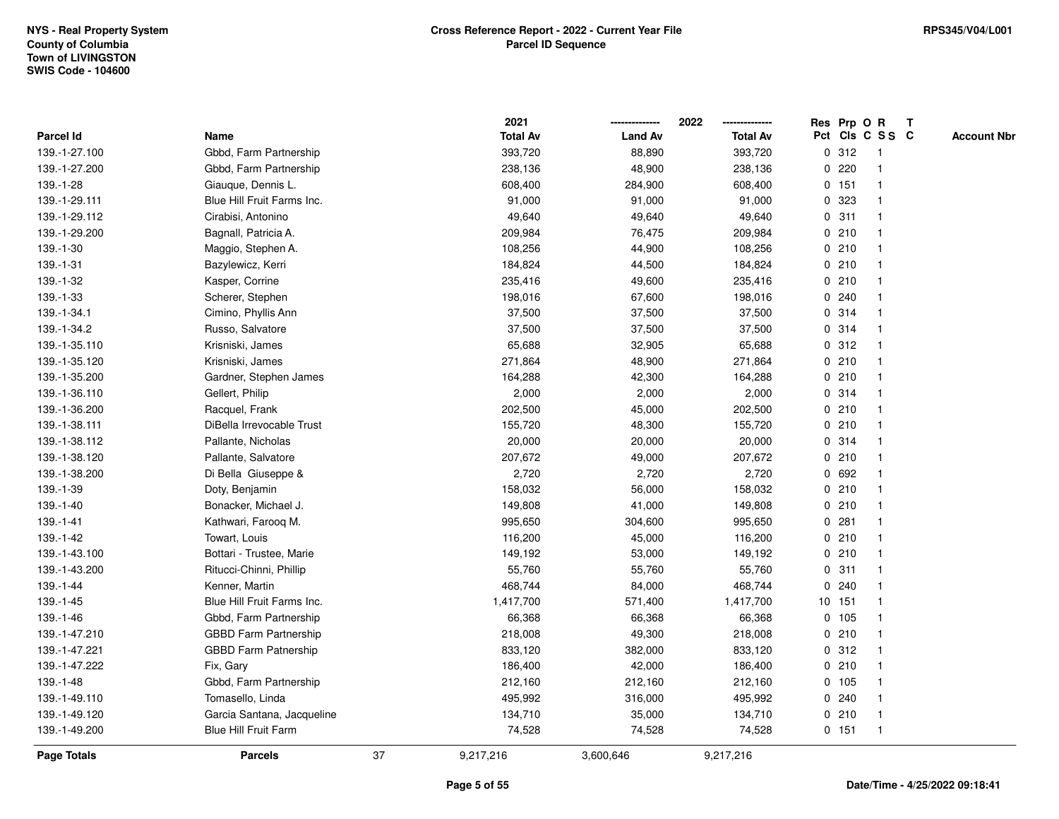|               |                              |    | 2021            |                | 2022            |             |         | Res Prp O R             | $\mathbf{T}$ |                    |
|---------------|------------------------------|----|-----------------|----------------|-----------------|-------------|---------|-------------------------|--------------|--------------------|
| Parcel Id     | Name                         |    | <b>Total Av</b> | <b>Land Av</b> | <b>Total Av</b> |             |         | Pct Cls C S S C         |              | <b>Account Nbr</b> |
| 139.-1-27.100 | Gbbd, Farm Partnership       |    | 393,720         | 88,890         | 393,720         |             | 0.312   |                         |              |                    |
| 139.-1-27.200 | Gbbd, Farm Partnership       |    | 238,136         | 48,900         | 238,136         | 0           | 220     |                         |              |                    |
| 139.-1-28     | Giauque, Dennis L.           |    | 608,400         | 284,900        | 608,400         |             | $0$ 151 |                         |              |                    |
| 139.-1-29.111 | Blue Hill Fruit Farms Inc.   |    | 91,000          | 91,000         | 91,000          | 0           | 323     |                         |              |                    |
| 139.-1-29.112 | Cirabisi, Antonino           |    | 49,640          | 49,640         | 49,640          |             | 0.311   | -1                      |              |                    |
| 139.-1-29.200 | Bagnall, Patricia A.         |    | 209,984         | 76,475         | 209,984         |             | 0210    |                         |              |                    |
| 139.-1-30     | Maggio, Stephen A.           |    | 108,256         | 44,900         | 108,256         |             | 0210    |                         |              |                    |
| 139.-1-31     | Bazylewicz, Kerri            |    | 184,824         | 44,500         | 184,824         |             | 0210    |                         |              |                    |
| 139.-1-32     | Kasper, Corrine              |    | 235,416         | 49,600         | 235,416         |             | 0210    |                         |              |                    |
| 139.-1-33     | Scherer, Stephen             |    | 198,016         | 67,600         | 198,016         | 0           | 240     |                         |              |                    |
| 139.-1-34.1   | Cimino, Phyllis Ann          |    | 37,500          | 37,500         | 37,500          |             | 0.314   | -1                      |              |                    |
| 139.-1-34.2   | Russo, Salvatore             |    | 37,500          | 37,500         | 37,500          |             | 0 314   | -1                      |              |                    |
| 139.-1-35.110 | Krisniski, James             |    | 65,688          | 32,905         | 65,688          |             | 0.312   |                         |              |                    |
| 139.-1-35.120 | Krisniski, James             |    | 271,864         | 48,900         | 271,864         |             | 0210    |                         |              |                    |
| 139.-1-35.200 | Gardner, Stephen James       |    | 164,288         | 42,300         | 164,288         |             | 0210    |                         |              |                    |
| 139.-1-36.110 | Gellert, Philip              |    | 2,000           | 2,000          | 2,000           |             | 0.314   |                         |              |                    |
| 139.-1-36.200 | Racquel, Frank               |    | 202,500         | 45,000         | 202,500         | $\mathbf 0$ | 210     |                         |              |                    |
| 139.-1-38.111 | DiBella Irrevocable Trust    |    | 155,720         | 48,300         | 155,720         |             | 0210    | -1                      |              |                    |
| 139.-1-38.112 | Pallante, Nicholas           |    | 20,000          | 20,000         | 20,000          |             | 0.314   | -1                      |              |                    |
| 139.-1-38.120 | Pallante, Salvatore          |    | 207,672         | 49,000         | 207,672         |             | 0210    |                         |              |                    |
| 139.-1-38.200 | Di Bella Giuseppe &          |    | 2,720           | 2,720          | 2,720           |             | 0 692   |                         |              |                    |
| 139.-1-39     | Doty, Benjamin               |    | 158,032         | 56,000         | 158,032         |             | 0210    |                         |              |                    |
| 139.-1-40     | Bonacker, Michael J.         |    | 149,808         | 41,000         | 149,808         |             | 0210    |                         |              |                    |
| 139.-1-41     | Kathwari, Farooq M.          |    | 995,650         | 304,600        | 995,650         | $\mathbf 0$ | 281     | $\overline{\mathbf{1}}$ |              |                    |
| 139.-1-42     | Towart, Louis                |    | 116,200         | 45,000         | 116,200         | 0           | 210     | -1                      |              |                    |
| 139.-1-43.100 | Bottari - Trustee, Marie     |    | 149,192         | 53,000         | 149,192         |             | 0210    | $\mathbf 1$             |              |                    |
| 139.-1-43.200 | Ritucci-Chinni, Phillip      |    | 55,760          | 55,760         | 55,760          |             | 0.311   |                         |              |                    |
| 139.-1-44     | Kenner, Martin               |    | 468,744         | 84,000         | 468,744         |             | 0.240   |                         |              |                    |
| 139.-1-45     | Blue Hill Fruit Farms Inc.   |    | 1,417,700       | 571,400        | 1,417,700       |             | 10 151  |                         |              |                    |
| 139.-1-46     | Gbbd, Farm Partnership       |    | 66,368          | 66,368         | 66,368          |             | 0, 105  |                         |              |                    |
| 139.-1-47.210 | <b>GBBD Farm Partnership</b> |    | 218,008         | 49,300         | 218,008         | 0           | 210     | -1                      |              |                    |
| 139.-1-47.221 | <b>GBBD Farm Patnership</b>  |    | 833,120         | 382,000        | 833,120         |             | 0.312   | -1                      |              |                    |
| 139.-1-47.222 | Fix, Gary                    |    | 186,400         | 42,000         | 186,400         |             | 0210    |                         |              |                    |
| 139.-1-48     | Gbbd, Farm Partnership       |    | 212,160         | 212,160        | 212,160         |             | 0, 105  |                         |              |                    |
| 139.-1-49.110 | Tomasello, Linda             |    | 495,992         | 316,000        | 495,992         |             | 0.240   |                         |              |                    |
| 139.-1-49.120 | Garcia Santana, Jacqueline   |    | 134,710         | 35,000         | 134,710         |             | 0210    | $\mathbf 1$             |              |                    |
| 139.-1-49.200 | <b>Blue Hill Fruit Farm</b>  |    | 74,528          | 74,528         | 74,528          |             | 0, 151  | -1                      |              |                    |
| Page Totals   | <b>Parcels</b>               | 37 | 9,217,216       | 3,600,646      | 9,217,216       |             |         |                         |              |                    |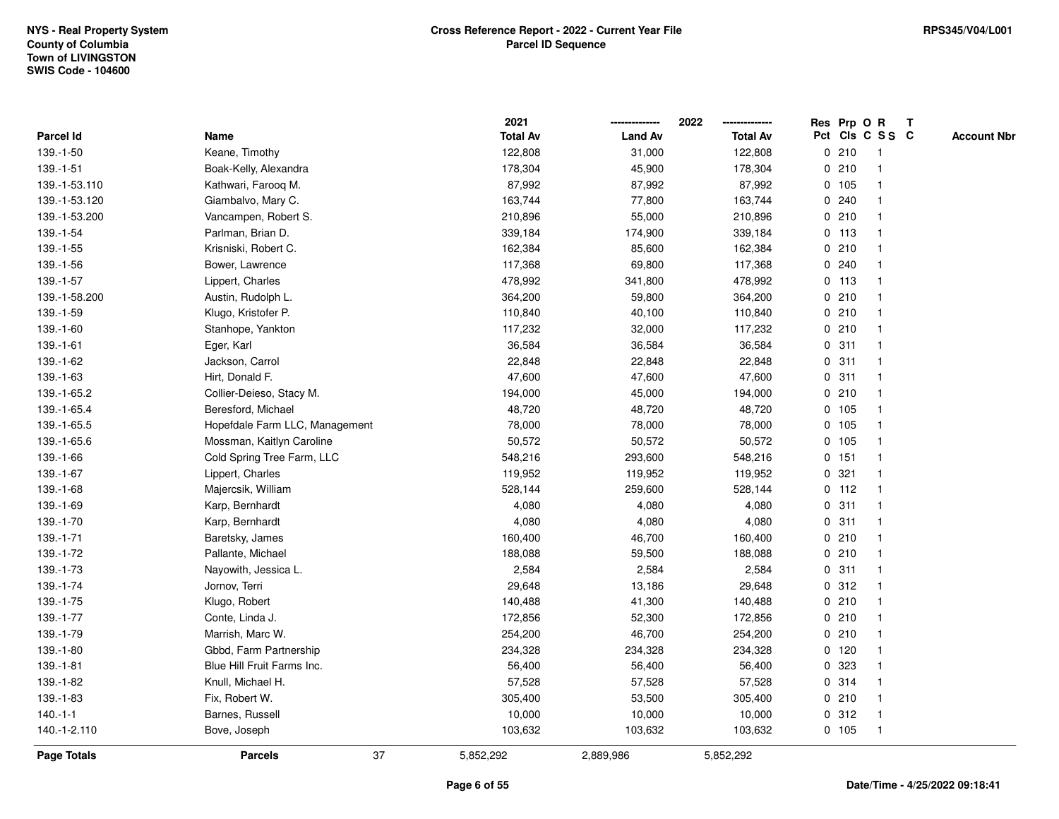|                 |                                | 2021            |                | 2022            |   |         | Res Prp O R     | Т |                    |
|-----------------|--------------------------------|-----------------|----------------|-----------------|---|---------|-----------------|---|--------------------|
| Parcel Id       | Name                           | <b>Total Av</b> | <b>Land Av</b> | <b>Total Av</b> |   |         | Pct Cls C S S C |   | <b>Account Nbr</b> |
| 139.-1-50       | Keane, Timothy                 | 122,808         | 31,000         | 122,808         |   | 0210    | $\mathbf{1}$    |   |                    |
| $139. - 1 - 51$ | Boak-Kelly, Alexandra          | 178,304         | 45,900         | 178,304         |   | 0210    | 1               |   |                    |
| 139.-1-53.110   | Kathwari, Farooq M.            | 87,992          | 87,992         | 87,992          |   | 0 105   | $\mathbf{1}$    |   |                    |
| 139.-1-53.120   | Giambalvo, Mary C.             | 163,744         | 77,800         | 163,744         |   | 0.240   | -1              |   |                    |
| 139.-1-53.200   | Vancampen, Robert S.           | 210,896         | 55,000         | 210,896         |   | 0210    |                 |   |                    |
| 139.-1-54       | Parlman, Brian D.              | 339,184         | 174,900        | 339,184         |   | $0$ 113 |                 |   |                    |
| 139.-1-55       | Krisniski, Robert C.           | 162,384         | 85,600         | 162,384         |   | 0210    | $\mathbf{1}$    |   |                    |
| 139.-1-56       | Bower, Lawrence                | 117,368         | 69,800         | 117,368         |   | 0.240   | $\mathbf{1}$    |   |                    |
| 139.-1-57       | Lippert, Charles               | 478,992         | 341,800        | 478,992         |   | $0$ 113 | 1               |   |                    |
| 139.-1-58.200   | Austin, Rudolph L.             | 364,200         | 59,800         | 364,200         |   | 0210    | $\mathbf{1}$    |   |                    |
| 139.-1-59       | Klugo, Kristofer P.            | 110,840         | 40,100         | 110,840         |   | 0210    | $\mathbf 1$     |   |                    |
| 139.-1-60       | Stanhope, Yankton              | 117,232         | 32,000         | 117,232         |   | 0210    |                 |   |                    |
| $139.-1-61$     | Eger, Karl                     | 36,584          | 36,584         | 36,584          |   | 0.311   |                 |   |                    |
| 139.-1-62       | Jackson, Carrol                | 22,848          | 22,848         | 22,848          |   | 0.311   | 1               |   |                    |
| 139.-1-63       | Hirt, Donald F.                | 47,600          | 47,600         | 47,600          | 0 | 311     | 1               |   |                    |
| 139.-1-65.2     | Collier-Deieso, Stacy M.       | 194,000         | 45,000         | 194,000         |   | 0210    | $\mathbf{1}$    |   |                    |
| 139.-1-65.4     | Beresford, Michael             | 48,720          | 48,720         | 48,720          |   | 0 105   | $\mathbf{1}$    |   |                    |
| 139.-1-65.5     | Hopefdale Farm LLC, Management | 78,000          | 78,000         | 78,000          |   | 0 105   | 1               |   |                    |
| 139.-1-65.6     | Mossman, Kaitlyn Caroline      | 50,572          | 50,572         | 50,572          |   | 0 105   |                 |   |                    |
| 139.-1-66       | Cold Spring Tree Farm, LLC     | 548,216         | 293,600        | 548,216         |   | 0.151   |                 |   |                    |
| 139.-1-67       | Lippert, Charles               | 119,952         | 119,952        | 119,952         |   | 0.321   | $\mathbf{1}$    |   |                    |
| 139.-1-68       | Majercsik, William             | 528,144         | 259,600        | 528,144         |   | $0$ 112 | $\mathbf{1}$    |   |                    |
| 139.-1-69       | Karp, Bernhardt                | 4,080           | 4,080          | 4,080           |   | 0.311   | $\mathbf{1}$    |   |                    |
| 139.-1-70       | Karp, Bernhardt                | 4,080           | 4,080          | 4,080           |   | 0.311   | $\mathbf 1$     |   |                    |
| 139.-1-71       | Baretsky, James                | 160,400         | 46,700         | 160,400         |   | 0210    | $\mathbf 1$     |   |                    |
| 139.-1-72       | Pallante, Michael              | 188,088         | 59,500         | 188,088         |   | 0210    |                 |   |                    |
| 139.-1-73       | Nayowith, Jessica L.           | 2,584           | 2,584          | 2,584           |   | 0.311   |                 |   |                    |
| 139.-1-74       | Jornov, Terri                  | 29,648          | 13,186         | 29,648          |   | 0.312   | $\mathbf{1}$    |   |                    |
| 139.-1-75       | Klugo, Robert                  | 140,488         | 41,300         | 140,488         |   | 0210    | $\mathbf{1}$    |   |                    |
| 139.-1-77       | Conte, Linda J.                | 172,856         | 52,300         | 172,856         |   | 0210    | 1               |   |                    |
| 139.-1-79       | Marrish, Marc W.               | 254,200         | 46,700         | 254,200         |   | 0210    | 1               |   |                    |
| 139.-1-80       | Gbbd, Farm Partnership         | 234,328         | 234,328        | 234,328         |   | $0$ 120 | $\mathbf 1$     |   |                    |
| $139.-1-81$     | Blue Hill Fruit Farms Inc.     | 56,400          | 56,400         | 56,400          |   | 0 323   |                 |   |                    |
| 139.-1-82       | Knull, Michael H.              | 57,528          | 57,528         | 57,528          |   | 0.314   |                 |   |                    |
| 139.-1-83       | Fix, Robert W.                 | 305,400         | 53,500         | 305,400         |   | 0210    | $\mathbf 1$     |   |                    |
| $140.-1-1$      | Barnes, Russell                | 10,000          | 10,000         | 10,000          |   | 0.312   | $\mathbf{1}$    |   |                    |
| 140.-1-2.110    | Bove, Joseph                   | 103,632         | 103,632        | 103,632         |   | 0 105   | $\mathbf{1}$    |   |                    |
| Page Totals     | 37<br><b>Parcels</b>           | 5,852,292       | 2,889,986      | 5,852,292       |   |         |                 |   |                    |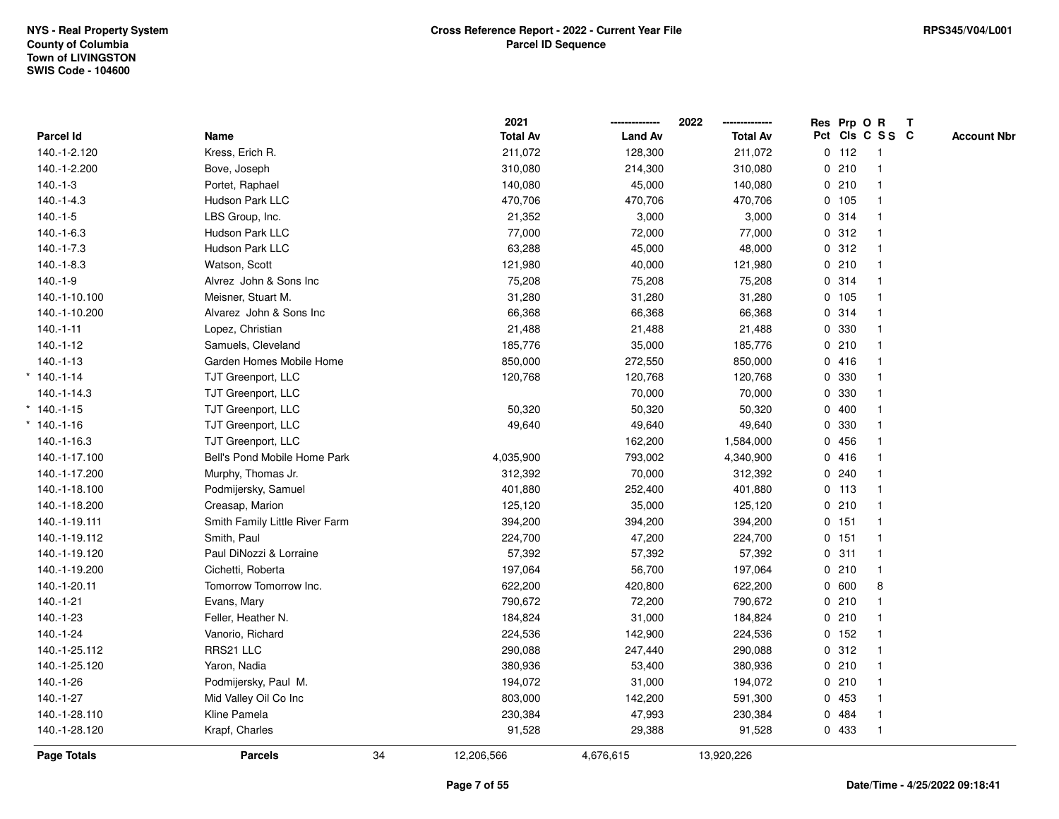|               |                                |    | 2021            |                | 2022<br>-------------- | Res Prp O R |                 | $\mathbf{T}$ |                    |
|---------------|--------------------------------|----|-----------------|----------------|------------------------|-------------|-----------------|--------------|--------------------|
| Parcel Id     | Name                           |    | <b>Total Av</b> | <b>Land Av</b> | <b>Total Av</b>        |             | Pct Cls C S S C |              | <b>Account Nbr</b> |
| 140.-1-2.120  | Kress, Erich R.                |    | 211,072         | 128,300        | 211,072                | $0$ 112     | $\overline{1}$  |              |                    |
| 140.-1-2.200  | Bove, Joseph                   |    | 310,080         | 214,300        | 310,080                | 0210        | $\mathbf{1}$    |              |                    |
| $140.-1-3$    | Portet, Raphael                |    | 140,080         | 45,000         | 140,080                | 0210        | $\mathbf{1}$    |              |                    |
| $140.-1-4.3$  | Hudson Park LLC                |    | 470,706         | 470,706        | 470,706                | 0 105       | $\mathbf{1}$    |              |                    |
| $140.-1-5$    | LBS Group, Inc.                |    | 21,352          | 3,000          | 3,000                  | 0.314       |                 |              |                    |
| $140.-1-6.3$  | Hudson Park LLC                |    | 77,000          | 72,000         | 77,000                 | 0.312       | $\mathbf{1}$    |              |                    |
| $140.-1-7.3$  | Hudson Park LLC                |    | 63,288          | 45,000         | 48,000                 | 0.312       | $\mathbf{1}$    |              |                    |
| $140.-1-8.3$  | Watson, Scott                  |    | 121,980         | 40,000         | 121,980                | 0210        | $\mathbf{1}$    |              |                    |
| $140.-1-9$    | Alvrez John & Sons Inc         |    | 75,208          | 75,208         | 75,208                 | 0.314       | $\mathbf{1}$    |              |                    |
| 140.-1-10.100 | Meisner, Stuart M.             |    | 31,280          | 31,280         | 31,280                 | 0 105       | $\mathbf{1}$    |              |                    |
| 140.-1-10.200 | Alvarez John & Sons Inc        |    | 66,368          | 66,368         | 66,368                 | 0.314       |                 |              |                    |
| $140.-1-11$   | Lopez, Christian               |    | 21,488          | 21,488         | 21,488                 | 0 330       |                 |              |                    |
| $140.-1-12$   | Samuels, Cleveland             |    | 185,776         | 35,000         | 185,776                | 0210        |                 |              |                    |
| $140.-1-13$   | Garden Homes Mobile Home       |    | 850,000         | 272,550        | 850,000                | 0416        |                 |              |                    |
| $*140.-1-14$  | TJT Greenport, LLC             |    | 120,768         | 120,768        | 120,768                | 0 330       | $\mathbf{1}$    |              |                    |
| 140.-1-14.3   | TJT Greenport, LLC             |    |                 | 70,000         | 70,000                 | 0 330       | $\mathbf{1}$    |              |                    |
| $*140.-1-15$  | TJT Greenport, LLC             |    | 50,320          | 50,320         | 50,320                 | 0400        | $\mathbf{1}$    |              |                    |
| $*140.-1-16$  | TJT Greenport, LLC             |    | 49,640          | 49,640         | 49,640                 | 0 330       |                 |              |                    |
| 140.-1-16.3   | TJT Greenport, LLC             |    |                 | 162,200        | 1,584,000              | 0 456       |                 |              |                    |
| 140.-1-17.100 | Bell's Pond Mobile Home Park   |    | 4,035,900       | 793,002        | 4,340,900              | 0416        |                 |              |                    |
| 140.-1-17.200 | Murphy, Thomas Jr.             |    | 312,392         | 70,000         | 312,392                | 0.240       |                 |              |                    |
| 140.-1-18.100 | Podmijersky, Samuel            |    | 401,880         | 252,400        | 401,880                | $0$ 113     | $\mathbf 1$     |              |                    |
| 140.-1-18.200 | Creasap, Marion                |    | 125,120         | 35,000         | 125,120                | 0210        | $\mathbf{1}$    |              |                    |
| 140.-1-19.111 | Smith Family Little River Farm |    | 394,200         | 394,200        | 394,200                | 0 151       | $\mathbf{1}$    |              |                    |
| 140.-1-19.112 | Smith, Paul                    |    | 224,700         | 47,200         | 224,700                | 0 151       | $\mathbf{1}$    |              |                    |
| 140.-1-19.120 | Paul DiNozzi & Lorraine        |    | 57,392          | 57,392         | 57,392                 | 0.311       |                 |              |                    |
| 140.-1-19.200 | Cichetti, Roberta              |    | 197,064         | 56,700         | 197,064                | 0210        |                 |              |                    |
| 140.-1-20.11  | Tomorrow Tomorrow Inc.         |    | 622,200         | 420,800        | 622,200                | 0 600       | 8               |              |                    |
| 140.-1-21     | Evans, Mary                    |    | 790,672         | 72,200         | 790,672                | 0210        | $\mathbf{1}$    |              |                    |
| $140.-1-23$   | Feller, Heather N.             |    | 184,824         | 31,000         | 184,824                | 0210        | $\mathbf 1$     |              |                    |
| 140.-1-24     | Vanorio, Richard               |    | 224,536         | 142,900        | 224,536                | $0$ 152     | $\mathbf{1}$    |              |                    |
| 140.-1-25.112 | RRS21 LLC                      |    | 290,088         | 247,440        | 290,088                | 0.312       | $\mathbf{1}$    |              |                    |
| 140.-1-25.120 | Yaron, Nadia                   |    | 380,936         | 53,400         | 380,936                | 0210        | $\mathbf 1$     |              |                    |
| 140.-1-26     | Podmijersky, Paul M.           |    | 194,072         | 31,000         | 194,072                | 0210        |                 |              |                    |
| $140.-1-27$   | Mid Valley Oil Co Inc          |    | 803,000         | 142,200        | 591,300                | 0 453       | $\mathbf{1}$    |              |                    |
| 140.-1-28.110 | Kline Pamela                   |    | 230,384         | 47,993         | 230,384                | 0 484       | $\mathbf{1}$    |              |                    |
| 140.-1-28.120 | Krapf, Charles                 |    | 91,528          | 29,388         | 91,528                 | 0 433       | $\mathbf{1}$    |              |                    |
| Page Totals   | <b>Parcels</b>                 | 34 | 12,206,566      | 4,676,615      | 13,920,226             |             |                 |              |                    |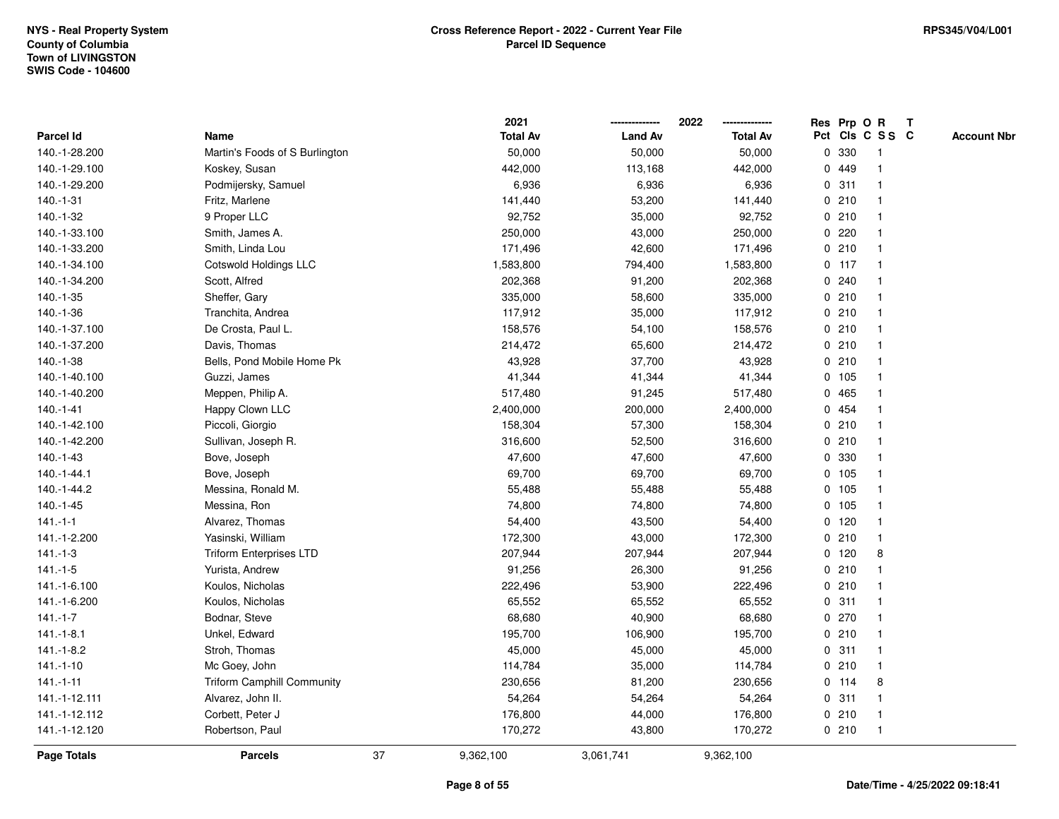|                    |                                   |    | 2021            |                | 2022            |             | Res Prp O R |                         | Т |                    |
|--------------------|-----------------------------------|----|-----------------|----------------|-----------------|-------------|-------------|-------------------------|---|--------------------|
| Parcel Id          | Name                              |    | <b>Total Av</b> | <b>Land Av</b> | <b>Total Av</b> |             |             | Pct Cls C S S C         |   | <b>Account Nbr</b> |
| 140.-1-28.200      | Martin's Foods of S Burlington    |    | 50,000          | 50,000         | 50,000          | $\mathbf 0$ | 330         | -1                      |   |                    |
| 140.-1-29.100      | Koskey, Susan                     |    | 442,000         | 113,168        | 442,000         |             | 0 449       | $\mathbf 1$             |   |                    |
| 140.-1-29.200      | Podmijersky, Samuel               |    | 6,936           | 6,936          | 6,936           |             | 0.311       | $\mathbf 1$             |   |                    |
| $140.-1-31$        | Fritz, Marlene                    |    | 141,440         | 53,200         | 141,440         |             | 0210        |                         |   |                    |
| 140.-1-32          | 9 Proper LLC                      |    | 92,752          | 35,000         | 92,752          |             | 0210        |                         |   |                    |
| 140.-1-33.100      | Smith, James A.                   |    | 250,000         | 43,000         | 250,000         |             | 0.220       |                         |   |                    |
| 140.-1-33.200      | Smith, Linda Lou                  |    | 171,496         | 42,600         | 171,496         |             | 0210        | -1                      |   |                    |
| 140.-1-34.100      | Cotswold Holdings LLC             |    | 1,583,800       | 794,400        | 1,583,800       |             | $0$ 117     | $\overline{\mathbf{1}}$ |   |                    |
| 140.-1-34.200      | Scott, Alfred                     |    | 202,368         | 91,200         | 202,368         |             | 0.240       | -1                      |   |                    |
| 140.-1-35          | Sheffer, Gary                     |    | 335,000         | 58,600         | 335,000         |             | 0210        | $\mathbf 1$             |   |                    |
| 140.-1-36          | Tranchita, Andrea                 |    | 117,912         | 35,000         | 117,912         |             | 0210        | -1                      |   |                    |
| 140.-1-37.100      | De Crosta, Paul L.                |    | 158,576         | 54,100         | 158,576         |             | 0210        |                         |   |                    |
| 140.-1-37.200      | Davis, Thomas                     |    | 214,472         | 65,600         | 214,472         |             | 0210        |                         |   |                    |
| 140.-1-38          | Bells, Pond Mobile Home Pk        |    | 43,928          | 37,700         | 43,928          |             | 0210        | -1                      |   |                    |
| 140.-1-40.100      | Guzzi, James                      |    | 41,344          | 41,344         | 41,344          |             | 0 105       |                         |   |                    |
| 140.-1-40.200      | Meppen, Philip A.                 |    | 517,480         | 91,245         | 517,480         | $\mathbf 0$ | 465         | $\mathbf{1}$            |   |                    |
| $140.-1-41$        | Happy Clown LLC                   |    | 2,400,000       | 200,000        | 2,400,000       |             | 0 454       | $\overline{\mathbf{1}}$ |   |                    |
| 140.-1-42.100      | Piccoli, Giorgio                  |    | 158,304         | 57,300         | 158,304         |             | 0210        |                         |   |                    |
| 140.-1-42.200      | Sullivan, Joseph R.               |    | 316,600         | 52,500         | 316,600         |             | 0210        |                         |   |                    |
| 140.-1-43          | Bove, Joseph                      |    | 47,600          | 47,600         | 47,600          |             | 0 330       |                         |   |                    |
| 140.-1-44.1        | Bove, Joseph                      |    | 69,700          | 69,700         | 69,700          |             | 0 105       |                         |   |                    |
| 140.-1-44.2        | Messina, Ronald M.                |    | 55,488          | 55,488         | 55,488          |             | 0 105       |                         |   |                    |
| 140.-1-45          | Messina, Ron                      |    | 74,800          | 74,800         | 74,800          |             | 0, 105      | $\mathbf{1}$            |   |                    |
| $141 - 1 - 1$      | Alvarez, Thomas                   |    | 54,400          | 43,500         | 54,400          |             | $0$ 120     | $\mathbf 1$             |   |                    |
| 141.-1-2.200       | Yasinski, William                 |    | 172,300         | 43,000         | 172,300         |             | 0210        | $\mathbf 1$             |   |                    |
| $141.-1-3$         | <b>Triform Enterprises LTD</b>    |    | 207,944         | 207,944        | 207,944         |             | $0$ 120     | 8                       |   |                    |
| $141 - 1 - 5$      | Yurista, Andrew                   |    | 91,256          | 26,300         | 91,256          |             | 0210        |                         |   |                    |
| 141.-1-6.100       | Koulos, Nicholas                  |    | 222,496         | 53,900         | 222,496         |             | 0210        | -1                      |   |                    |
| 141.-1-6.200       | Koulos, Nicholas                  |    | 65,552          | 65,552         | 65,552          |             | 0.311       | -1                      |   |                    |
| $141 - 1 - 7$      | Bodnar, Steve                     |    | 68,680          | 40,900         | 68,680          |             | 0270        | -1                      |   |                    |
| $141.-1-8.1$       | Unkel, Edward                     |    | 195,700         | 106,900        | 195,700         |             | 0210        | $\mathbf 1$             |   |                    |
| $141.-1-8.2$       | Stroh, Thomas                     |    | 45,000          | 45,000         | 45,000          |             | 0.311       | $\mathbf 1$             |   |                    |
| $141.-1-10$        | Mc Goey, John                     |    | 114,784         | 35,000         | 114,784         |             | 0210        | -1                      |   |                    |
| $141 - 1 - 11$     | <b>Triform Camphill Community</b> |    | 230,656         | 81,200         | 230,656         |             | $0$ 114     | 8                       |   |                    |
| 141.-1-12.111      | Alvarez, John II.                 |    | 54,264          | 54,264         | 54,264          |             | 0.311       | $\mathbf 1$             |   |                    |
| 141.-1-12.112      | Corbett, Peter J                  |    | 176,800         | 44,000         | 176,800         |             | 0210        | $\mathbf{1}$            |   |                    |
| 141.-1-12.120      | Robertson, Paul                   |    | 170,272         | 43,800         | 170,272         |             | 0210        | $\mathbf{1}$            |   |                    |
| <b>Page Totals</b> | <b>Parcels</b>                    | 37 | 9,362,100       | 3,061,741      | 9,362,100       |             |             |                         |   |                    |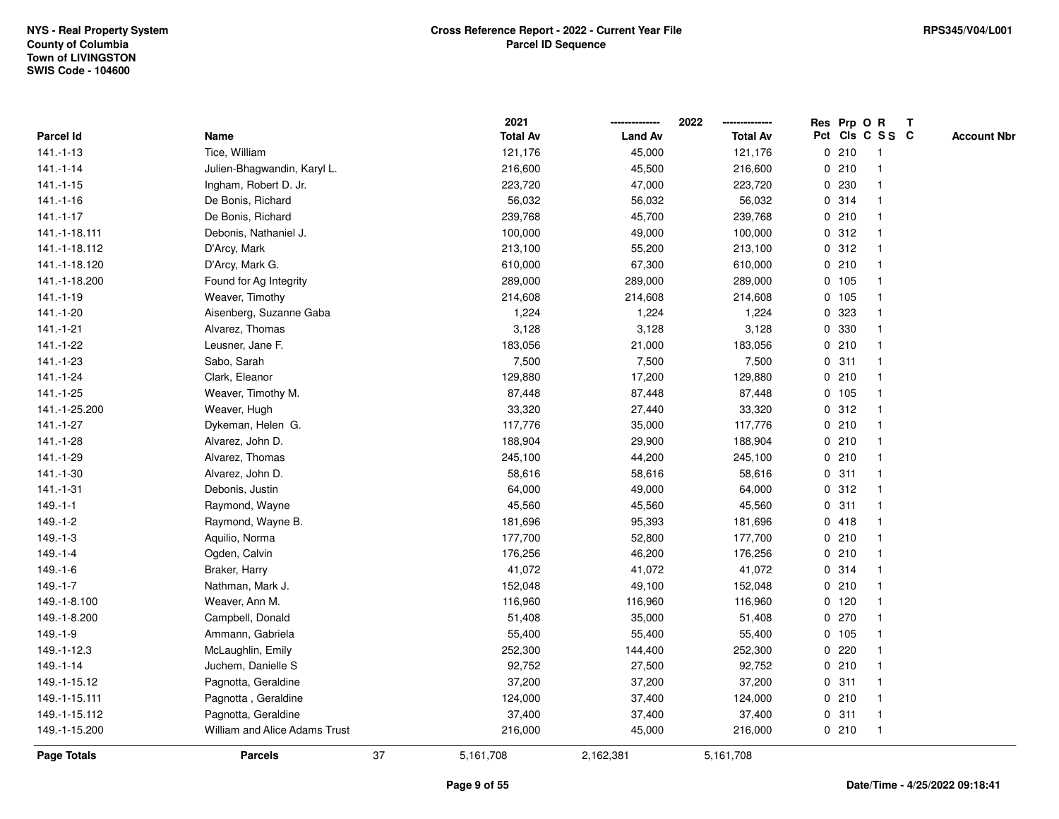|                    |                               |    | 2021            |                | 2022<br>-------------- |             |         | Res Prp O R     | $\mathbf{T}$ |                    |
|--------------------|-------------------------------|----|-----------------|----------------|------------------------|-------------|---------|-----------------|--------------|--------------------|
| Parcel Id          | Name                          |    | <b>Total Av</b> | <b>Land Av</b> | <b>Total Av</b>        |             |         | Pct Cls C S S C |              | <b>Account Nbr</b> |
| $141.-1-13$        | Tice, William                 |    | 121,176         | 45,000         | 121,176                |             | 0210    | -1              |              |                    |
| $141.-1-14$        | Julien-Bhagwandin, Karyl L.   |    | 216,600         | 45,500         | 216,600                |             | 0210    |                 |              |                    |
| $141.-1-15$        | Ingham, Robert D. Jr.         |    | 223,720         | 47,000         | 223,720                |             | 0 230   |                 |              |                    |
| $141.-1-16$        | De Bonis, Richard             |    | 56,032          | 56,032         | 56,032                 |             | 0.314   | $\overline{1}$  |              |                    |
| $141 - 1 - 17$     | De Bonis, Richard             |    | 239,768         | 45,700         | 239,768                |             | 0210    | $\overline{1}$  |              |                    |
| 141.-1-18.111      | Debonis, Nathaniel J.         |    | 100,000         | 49,000         | 100,000                |             | 0.312   | -1              |              |                    |
| 141.-1-18.112      | D'Arcy, Mark                  |    | 213,100         | 55,200         | 213,100                |             | 0.312   |                 |              |                    |
| 141.-1-18.120      | D'Arcy, Mark G.               |    | 610,000         | 67,300         | 610,000                |             | 0210    |                 |              |                    |
| 141.-1-18.200      | Found for Ag Integrity        |    | 289,000         | 289,000        | 289,000                |             | 0 105   |                 |              |                    |
| $141.-1-19$        | Weaver, Timothy               |    | 214,608         | 214,608        | 214,608                |             | 0 105   |                 |              |                    |
| 141.-1-20          | Aisenberg, Suzanne Gaba       |    | 1,224           | 1,224          | 1,224                  | 0           | 323     | -1              |              |                    |
| $141.-1-21$        | Alvarez, Thomas               |    | 3,128           | 3,128          | 3,128                  |             | 0 330   | $\overline{1}$  |              |                    |
| 141.-1-22          | Leusner, Jane F.              |    | 183,056         | 21,000         | 183,056                |             | 0210    |                 |              |                    |
| 141.-1-23          | Sabo, Sarah                   |    | 7,500           | 7,500          | 7,500                  |             | 0.311   |                 |              |                    |
| 141.-1-24          | Clark, Eleanor                |    | 129,880         | 17,200         | 129,880                |             | 0210    |                 |              |                    |
| 141.-1-25          | Weaver, Timothy M.            |    | 87,448          | 87,448         | 87,448                 |             | 0, 105  | -1              |              |                    |
| 141.-1-25.200      | Weaver, Hugh                  |    | 33,320          | 27,440         | 33,320                 | 0           | 312     | $\overline{1}$  |              |                    |
| 141.-1-27          | Dykeman, Helen G.             |    | 117,776         | 35,000         | 117,776                | 0           | 210     | -1              |              |                    |
| 141.-1-28          | Alvarez, John D.              |    | 188,904         | 29,900         | 188,904                |             | 0210    | $\mathbf{1}$    |              |                    |
| 141.-1-29          | Alvarez, Thomas               |    | 245,100         | 44,200         | 245,100                |             | 0210    |                 |              |                    |
| 141.-1-30          | Alvarez, John D.              |    | 58,616          | 58,616         | 58,616                 |             | 0.311   |                 |              |                    |
| $141.-1-31$        | Debonis, Justin               |    | 64,000          | 49,000         | 64,000                 |             | 0.312   |                 |              |                    |
| $149.-1-1$         | Raymond, Wayne                |    | 45,560          | 45,560         | 45,560                 |             | 0.311   |                 |              |                    |
| $149.-1-2$         | Raymond, Wayne B.             |    | 181,696         | 95,393         | 181,696                |             | 0418    | $\overline{1}$  |              |                    |
| 149.-1-3           | Aquilio, Norma                |    | 177,700         | 52,800         | 177,700                |             | 0210    | -1              |              |                    |
| $149. - 1 - 4$     | Ogden, Calvin                 |    | 176,256         | 46,200         | 176,256                |             | 0210    | -1              |              |                    |
| $149.-1-6$         | Braker, Harry                 |    | 41,072          | 41,072         | 41,072                 |             | 0 314   |                 |              |                    |
| $149. - 1 - 7$     | Nathman, Mark J.              |    | 152,048         | 49,100         | 152,048                |             | 0210    |                 |              |                    |
| 149.-1-8.100       | Weaver, Ann M.                |    | 116,960         | 116,960        | 116,960                |             | $0$ 120 |                 |              |                    |
| 149.-1-8.200       | Campbell, Donald              |    | 51,408          | 35,000         | 51,408                 | $\mathbf 0$ | 270     |                 |              |                    |
| $149.-1-9$         | Ammann, Gabriela              |    | 55,400          | 55,400         | 55,400                 |             | 0, 105  | $\mathbf{1}$    |              |                    |
| 149.-1-12.3        | McLaughlin, Emily             |    | 252,300         | 144,400        | 252,300                |             | 0.220   | $\mathbf{1}$    |              |                    |
| 149.-1-14          | Juchem, Danielle S            |    | 92,752          | 27,500         | 92,752                 |             | 0210    |                 |              |                    |
| 149.-1-15.12       | Pagnotta, Geraldine           |    | 37,200          | 37,200         | 37,200                 |             | 0.311   |                 |              |                    |
| 149.-1-15.111      | Pagnotta, Geraldine           |    | 124,000         | 37,400         | 124,000                |             | 0210    |                 |              |                    |
| 149.-1-15.112      | Pagnotta, Geraldine           |    | 37,400          | 37,400         | 37,400                 |             | 0.311   | $\mathbf{1}$    |              |                    |
| 149.-1-15.200      | William and Alice Adams Trust |    | 216,000         | 45,000         | 216,000                |             | 0210    | $\mathbf{1}$    |              |                    |
| <b>Page Totals</b> | <b>Parcels</b>                | 37 | 5,161,708       | 2,162,381      | 5,161,708              |             |         |                 |              |                    |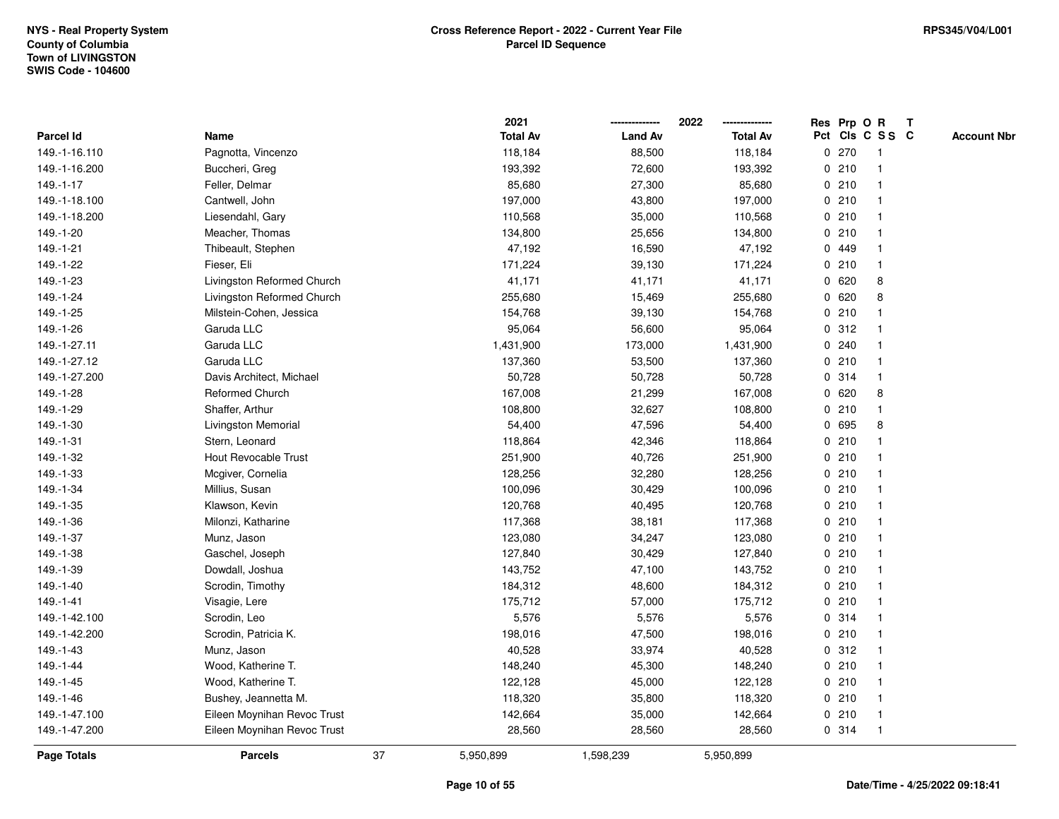|               |                             |    | 2021            |                | 2022            |             |       | Res Prp O R             | $\mathbf{T}$ |                    |
|---------------|-----------------------------|----|-----------------|----------------|-----------------|-------------|-------|-------------------------|--------------|--------------------|
| Parcel Id     | Name                        |    | <b>Total Av</b> | <b>Land Av</b> | <b>Total Av</b> |             |       | Pct Cls C S S C         |              | <b>Account Nbr</b> |
| 149.-1-16.110 | Pagnotta, Vincenzo          |    | 118,184         | 88,500         | 118,184         |             | 0270  |                         |              |                    |
| 149.-1-16.200 | Buccheri, Greg              |    | 193,392         | 72,600         | 193,392         |             | 0210  |                         |              |                    |
| 149.-1-17     | Feller, Delmar              |    | 85,680          | 27,300         | 85,680          |             | 0210  | -1                      |              |                    |
| 149.-1-18.100 | Cantwell, John              |    | 197,000         | 43,800         | 197,000         | 0           | 210   | -1                      |              |                    |
| 149.-1-18.200 | Liesendahl, Gary            |    | 110,568         | 35,000         | 110,568         |             | 0210  | -1                      |              |                    |
| 149.-1-20     | Meacher, Thomas             |    | 134,800         | 25,656         | 134,800         |             | 0210  | -1                      |              |                    |
| 149.-1-21     | Thibeault, Stephen          |    | 47,192          | 16,590         | 47,192          |             | 0 449 |                         |              |                    |
| 149.-1-22     | Fieser, Eli                 |    | 171,224         | 39,130         | 171,224         |             | 0210  |                         |              |                    |
| 149.-1-23     | Livingston Reformed Church  |    | 41,171          | 41,171         | 41,171          |             | 0620  | 8                       |              |                    |
| 149.-1-24     | Livingston Reformed Church  |    | 255,680         | 15,469         | 255,680         |             | 0620  | 8                       |              |                    |
| 149.-1-25     | Milstein-Cohen, Jessica     |    | 154,768         | 39,130         | 154,768         |             | 0210  | -1                      |              |                    |
| 149.-1-26     | Garuda LLC                  |    | 95,064          | 56,600         | 95,064          |             | 0.312 |                         |              |                    |
| 149.-1-27.11  | Garuda LLC                  |    | 1,431,900       | 173,000        | 1,431,900       |             | 0.240 |                         |              |                    |
| 149.-1-27.12  | Garuda LLC                  |    | 137,360         | 53,500         | 137,360         |             | 0210  |                         |              |                    |
| 149.-1-27.200 | Davis Architect, Michael    |    | 50,728          | 50,728         | 50,728          |             | 0.314 |                         |              |                    |
| 149.-1-28     | <b>Reformed Church</b>      |    | 167,008         | 21,299         | 167,008         |             | 0620  | 8                       |              |                    |
| 149.-1-29     | Shaffer, Arthur             |    | 108,800         | 32,627         | 108,800         | $\mathbf 0$ | 210   | $\overline{\mathbf{1}}$ |              |                    |
| 149.-1-30     | Livingston Memorial         |    | 54,400          | 47,596         | 54,400          | 0           | 695   | 8                       |              |                    |
| 149.-1-31     | Stern, Leonard              |    | 118,864         | 42,346         | 118,864         |             | 0210  | $\mathbf 1$             |              |                    |
| 149.-1-32     | Hout Revocable Trust        |    | 251,900         | 40,726         | 251,900         |             | 0210  |                         |              |                    |
| 149.-1-33     | Mcgiver, Cornelia           |    | 128,256         | 32,280         | 128,256         |             | 0210  |                         |              |                    |
| 149.-1-34     | Millius, Susan              |    | 100,096         | 30,429         | 100,096         |             | 0210  |                         |              |                    |
| 149.-1-35     | Klawson, Kevin              |    | 120,768         | 40,495         | 120,768         |             | 0210  |                         |              |                    |
| 149.-1-36     | Milonzi, Katharine          |    | 117,368         | 38,181         | 117,368         |             | 0210  | $\mathbf{1}$            |              |                    |
| 149.-1-37     | Munz, Jason                 |    | 123,080         | 34,247         | 123,080         |             | 0210  | -1                      |              |                    |
| 149.-1-38     | Gaschel, Joseph             |    | 127,840         | 30,429         | 127,840         |             | 0210  | $\mathbf 1$             |              |                    |
| 149.-1-39     | Dowdall, Joshua             |    | 143,752         | 47,100         | 143,752         |             | 0210  |                         |              |                    |
| 149.-1-40     | Scrodin, Timothy            |    | 184,312         | 48,600         | 184,312         |             | 0210  |                         |              |                    |
| 149.-1-41     | Visagie, Lere               |    | 175,712         | 57,000         | 175,712         |             | 0210  |                         |              |                    |
| 149.-1-42.100 | Scrodin, Leo                |    | 5,576           | 5,576          | 5,576           | 0           | 314   | -1                      |              |                    |
| 149.-1-42.200 | Scrodin, Patricia K.        |    | 198,016         | 47,500         | 198,016         |             | 0210  | -1                      |              |                    |
| 149.-1-43     | Munz, Jason                 |    | 40,528          | 33,974         | 40,528          |             | 0.312 | -1                      |              |                    |
| 149.-1-44     | Wood, Katherine T.          |    | 148,240         | 45,300         | 148,240         |             | 0210  |                         |              |                    |
| 149.-1-45     | Wood, Katherine T.          |    | 122,128         | 45,000         | 122,128         |             | 0210  |                         |              |                    |
| 149.-1-46     | Bushey, Jeannetta M.        |    | 118,320         | 35,800         | 118,320         |             | 0210  |                         |              |                    |
| 149.-1-47.100 | Eileen Moynihan Revoc Trust |    | 142,664         | 35,000         | 142,664         |             | 0210  | -1                      |              |                    |
| 149.-1-47.200 | Eileen Moynihan Revoc Trust |    | 28,560          | 28,560         | 28,560          |             | 0.314 | -1                      |              |                    |
| Page Totals   | <b>Parcels</b>              | 37 | 5,950,899       | 1,598,239      | 5,950,899       |             |       |                         |              |                    |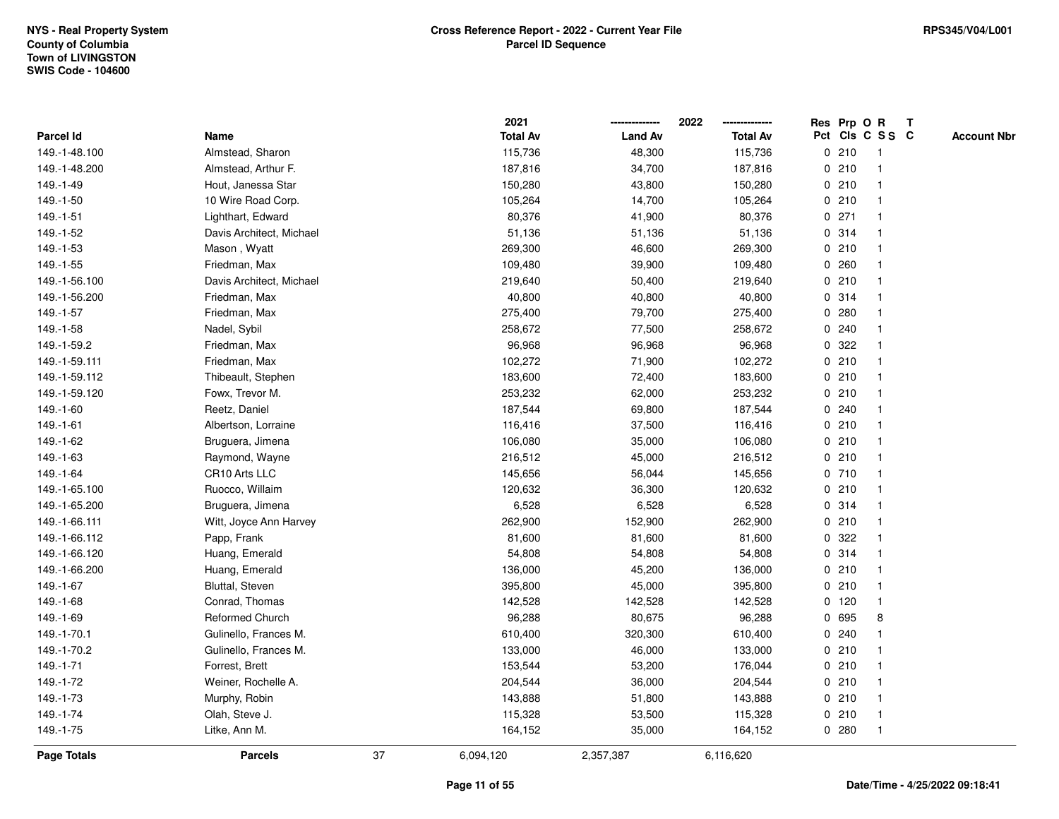|                  |                          |    | 2021            |                | 2022            |   |         | Res Prp O R     | $\mathbf{T}$ |                    |
|------------------|--------------------------|----|-----------------|----------------|-----------------|---|---------|-----------------|--------------|--------------------|
| <b>Parcel Id</b> | Name                     |    | <b>Total Av</b> | <b>Land Av</b> | <b>Total Av</b> |   |         | Pct Cls C S S C |              | <b>Account Nbr</b> |
| 149.-1-48.100    | Almstead, Sharon         |    | 115,736         | 48,300         | 115,736         |   | 0210    |                 |              |                    |
| 149.-1-48.200    | Almstead, Arthur F.      |    | 187,816         | 34,700         | 187,816         |   | 0210    |                 |              |                    |
| 149.-1-49        | Hout, Janessa Star       |    | 150,280         | 43,800         | 150,280         |   | 0210    |                 |              |                    |
| 149.-1-50        | 10 Wire Road Corp.       |    | 105,264         | 14,700         | 105,264         | 0 | 210     |                 |              |                    |
| 149.-1-51        | Lighthart, Edward        |    | 80,376          | 41,900         | 80,376          |   | 0271    |                 |              |                    |
| 149.-1-52        | Davis Architect, Michael |    | 51,136          | 51,136         | 51,136          |   | 0 314   |                 |              |                    |
| 149.-1-53        | Mason, Wyatt             |    | 269,300         | 46,600         | 269,300         |   | 0210    |                 |              |                    |
| 149.-1-55        | Friedman, Max            |    | 109,480         | 39,900         | 109,480         |   | 0.260   |                 |              |                    |
| 149.-1-56.100    | Davis Architect, Michael |    | 219,640         | 50,400         | 219,640         |   | 0210    |                 |              |                    |
| 149.-1-56.200    | Friedman, Max            |    | 40,800          | 40,800         | 40,800          |   | 0 314   |                 |              |                    |
| 149.-1-57        | Friedman, Max            |    | 275,400         | 79,700         | 275,400         | 0 | 280     |                 |              |                    |
| 149.-1-58        | Nadel, Sybil             |    | 258,672         | 77,500         | 258,672         |   | 0.240   |                 |              |                    |
| 149.-1-59.2      | Friedman, Max            |    | 96,968          | 96,968         | 96,968          |   | 0 322   |                 |              |                    |
| 149.-1-59.111    | Friedman, Max            |    | 102,272         | 71,900         | 102,272         |   | 0210    |                 |              |                    |
| 149.-1-59.112    | Thibeault, Stephen       |    | 183,600         | 72,400         | 183,600         |   | 0210    |                 |              |                    |
| 149.-1-59.120    | Fowx, Trevor M.          |    | 253,232         | 62,000         | 253,232         |   | 0210    |                 |              |                    |
| 149.-1-60        | Reetz, Daniel            |    | 187,544         | 69,800         | 187,544         | 0 | 240     |                 |              |                    |
| 149.-1-61        | Albertson, Lorraine      |    | 116,416         | 37,500         | 116,416         |   | 0210    |                 |              |                    |
| 149.-1-62        | Bruguera, Jimena         |    | 106,080         | 35,000         | 106,080         |   | 0210    |                 |              |                    |
| 149.-1-63        | Raymond, Wayne           |    | 216,512         | 45,000         | 216,512         |   | 0210    |                 |              |                    |
| 149.-1-64        | CR10 Arts LLC            |    | 145,656         | 56,044         | 145,656         |   | 0710    |                 |              |                    |
| 149.-1-65.100    | Ruocco, Willaim          |    | 120,632         | 36,300         | 120,632         |   | 0210    |                 |              |                    |
| 149.-1-65.200    | Bruguera, Jimena         |    | 6,528           | 6,528          | 6,528           |   | 0.314   |                 |              |                    |
| 149.-1-66.111    | Witt, Joyce Ann Harvey   |    | 262,900         | 152,900        | 262,900         |   | 0210    |                 |              |                    |
| 149.-1-66.112    | Papp, Frank              |    | 81,600          | 81,600         | 81,600          | 0 | 322     |                 |              |                    |
| 149.-1-66.120    | Huang, Emerald           |    | 54,808          | 54,808         | 54,808          |   | 0 314   |                 |              |                    |
| 149.-1-66.200    | Huang, Emerald           |    | 136,000         | 45,200         | 136,000         |   | 0210    |                 |              |                    |
| 149.-1-67        | Bluttal, Steven          |    | 395,800         | 45,000         | 395,800         |   | 0210    |                 |              |                    |
| 149.-1-68        | Conrad, Thomas           |    | 142,528         | 142,528        | 142,528         |   | $0$ 120 |                 |              |                    |
| 149.-1-69        | <b>Reformed Church</b>   |    | 96,288          | 80,675         | 96,288          | 0 | 695     | 8               |              |                    |
| 149.-1-70.1      | Gulinello, Frances M.    |    | 610,400         | 320,300        | 610,400         | 0 | 240     |                 |              |                    |
| 149.-1-70.2      | Gulinello, Frances M.    |    | 133,000         | 46,000         | 133,000         |   | 0210    |                 |              |                    |
| 149.-1-71        | Forrest, Brett           |    | 153,544         | 53,200         | 176,044         |   | 0210    |                 |              |                    |
| 149.-1-72        | Weiner, Rochelle A.      |    | 204,544         | 36,000         | 204,544         |   | 0210    |                 |              |                    |
| 149.-1-73        | Murphy, Robin            |    | 143,888         | 51,800         | 143,888         |   | 0210    |                 |              |                    |
| 149.-1-74        | Olah, Steve J.           |    | 115,328         | 53,500         | 115,328         |   | 0210    | $\mathbf 1$     |              |                    |
| 149.-1-75        | Litke, Ann M.            |    | 164,152         | 35,000         | 164,152         |   | 0.280   |                 |              |                    |
| Page Totals      | <b>Parcels</b>           | 37 | 6,094,120       | 2,357,387      | 6,116,620       |   |         |                 |              |                    |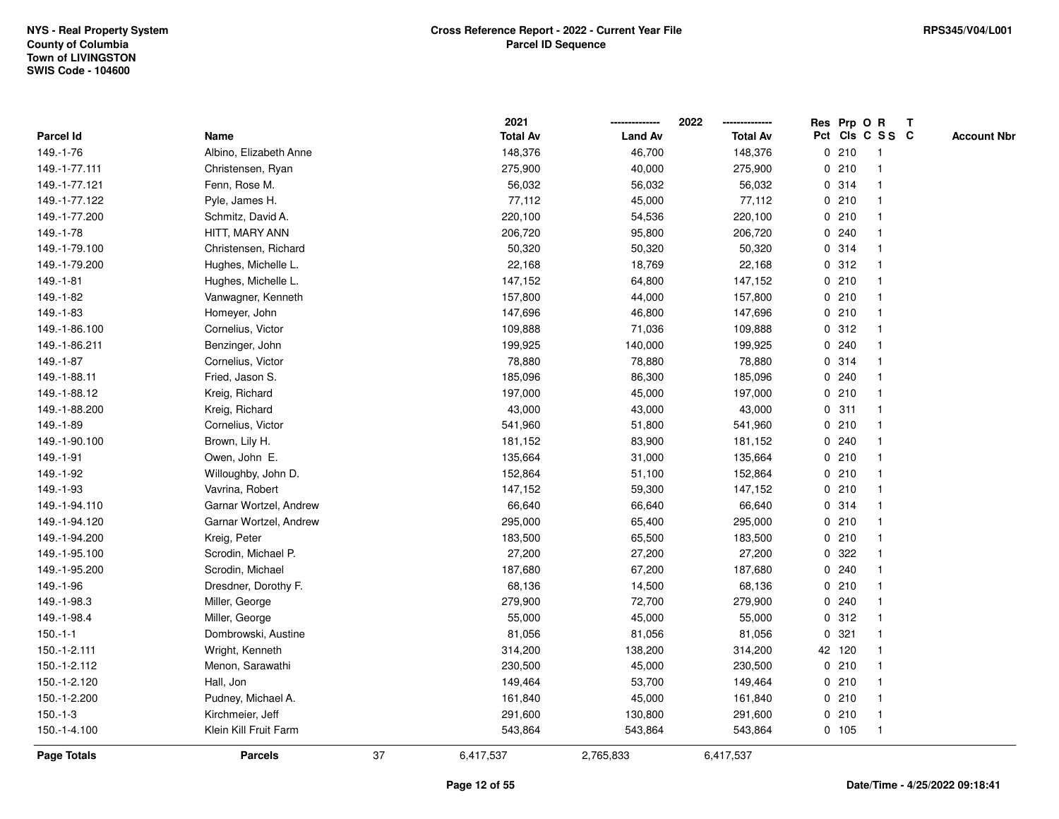|               |                        |    | 2021            |                | 2022            |             |        | Res Prp O R     | $\mathbf{T}$ |                    |
|---------------|------------------------|----|-----------------|----------------|-----------------|-------------|--------|-----------------|--------------|--------------------|
| Parcel Id     | Name                   |    | <b>Total Av</b> | <b>Land Av</b> | <b>Total Av</b> |             |        | Pct Cls C S S C |              | <b>Account Nbr</b> |
| 149.-1-76     | Albino, Elizabeth Anne |    | 148,376         | 46,700         | 148,376         |             | 0210   | -1              |              |                    |
| 149.-1-77.111 | Christensen, Ryan      |    | 275,900         | 40,000         | 275,900         |             | 0210   |                 |              |                    |
| 149.-1-77.121 | Fenn, Rose M.          |    | 56,032          | 56,032         | 56,032          |             | 0.314  | -1              |              |                    |
| 149.-1-77.122 | Pyle, James H.         |    | 77,112          | 45,000         | 77,112          | 0           | 210    | -1              |              |                    |
| 149.-1-77.200 | Schmitz, David A.      |    | 220,100         | 54,536         | 220,100         |             | 0210   |                 |              |                    |
| 149.-1-78     | HITT, MARY ANN         |    | 206,720         | 95,800         | 206,720         |             | 0.240  |                 |              |                    |
| 149.-1-79.100 | Christensen, Richard   |    | 50,320          | 50,320         | 50,320          |             | 0 314  |                 |              |                    |
| 149.-1-79.200 | Hughes, Michelle L.    |    | 22,168          | 18,769         | 22,168          |             | 0.312  |                 |              |                    |
| 149.-1-81     | Hughes, Michelle L.    |    | 147,152         | 64,800         | 147,152         |             | 0210   |                 |              |                    |
| 149.-1-82     | Vanwagner, Kenneth     |    | 157,800         | 44,000         | 157,800         |             | 0210   |                 |              |                    |
| 149.-1-83     | Homeyer, John          |    | 147,696         | 46,800         | 147,696         |             | 0210   | $\mathbf 1$     |              |                    |
| 149.-1-86.100 | Cornelius, Victor      |    | 109,888         | 71,036         | 109,888         |             | 0.312  |                 |              |                    |
| 149.-1-86.211 | Benzinger, John        |    | 199,925         | 140,000        | 199,925         |             | 0.240  |                 |              |                    |
| 149.-1-87     | Cornelius, Victor      |    | 78,880          | 78,880         | 78,880          |             | 0.314  |                 |              |                    |
| 149.-1-88.11  | Fried, Jason S.        |    | 185,096         | 86,300         | 185,096         |             | 0.240  |                 |              |                    |
| 149.-1-88.12  | Kreig, Richard         |    | 197,000         | 45,000         | 197,000         |             | 0210   |                 |              |                    |
| 149.-1-88.200 | Kreig, Richard         |    | 43,000          | 43,000         | 43,000          | 0           | 311    | $\mathbf 1$     |              |                    |
| 149.-1-89     | Cornelius, Victor      |    | 541,960         | 51,800         | 541,960         | 0           | 210    |                 |              |                    |
| 149.-1-90.100 | Brown, Lily H.         |    | 181,152         | 83,900         | 181,152         |             | 0.240  | $\mathbf 1$     |              |                    |
| 149.-1-91     | Owen, John E.          |    | 135,664         | 31,000         | 135,664         |             | 0210   |                 |              |                    |
| 149.-1-92     | Willoughby, John D.    |    | 152,864         | 51,100         | 152,864         |             | 0210   |                 |              |                    |
| 149.-1-93     | Vavrina, Robert        |    | 147,152         | 59,300         | 147,152         |             | 0210   |                 |              |                    |
| 149.-1-94.110 | Garnar Wortzel, Andrew |    | 66,640          | 66,640         | 66,640          |             | 0.314  |                 |              |                    |
| 149.-1-94.120 | Garnar Wortzel, Andrew |    | 295,000         | 65,400         | 295,000         | 0           | 210    | -1              |              |                    |
| 149.-1-94.200 | Kreig, Peter           |    | 183,500         | 65,500         | 183,500         |             | 0210   |                 |              |                    |
| 149.-1-95.100 | Scrodin, Michael P.    |    | 27,200          | 27,200         | 27,200          |             | 0.322  |                 |              |                    |
| 149.-1-95.200 | Scrodin, Michael       |    | 187,680         | 67,200         | 187,680         |             | 0.240  |                 |              |                    |
| 149.-1-96     | Dresdner, Dorothy F.   |    | 68,136          | 14,500         | 68,136          |             | 0210   |                 |              |                    |
| 149.-1-98.3   | Miller, George         |    | 279,900         | 72,700         | 279,900         |             | 0.240  |                 |              |                    |
| 149.-1-98.4   | Miller, George         |    | 55,000          | 45,000         | 55,000          | $\mathbf 0$ | 312    |                 |              |                    |
| $150.-1-1$    | Dombrowski, Austine    |    | 81,056          | 81,056         | 81,056          | $\mathbf 0$ | 321    | $\mathbf 1$     |              |                    |
| 150.-1-2.111  | Wright, Kenneth        |    | 314,200         | 138,200        | 314,200         |             | 42 120 | $\mathbf{1}$    |              |                    |
| 150.-1-2.112  | Menon, Sarawathi       |    | 230,500         | 45,000         | 230,500         |             | 0210   |                 |              |                    |
| 150.-1-2.120  | Hall, Jon              |    | 149,464         | 53,700         | 149,464         |             | 0210   |                 |              |                    |
| 150.-1-2.200  | Pudney, Michael A.     |    | 161,840         | 45,000         | 161,840         |             | 0210   |                 |              |                    |
| $150.-1-3$    | Kirchmeier, Jeff       |    | 291,600         | 130,800        | 291,600         |             | 0210   | $\overline{1}$  |              |                    |
| 150.-1-4.100  | Klein Kill Fruit Farm  |    | 543,864         | 543,864        | 543,864         |             | 0 105  | $\mathbf{1}$    |              |                    |
| Page Totals   | <b>Parcels</b>         | 37 | 6,417,537       | 2,765,833      | 6,417,537       |             |        |                 |              |                    |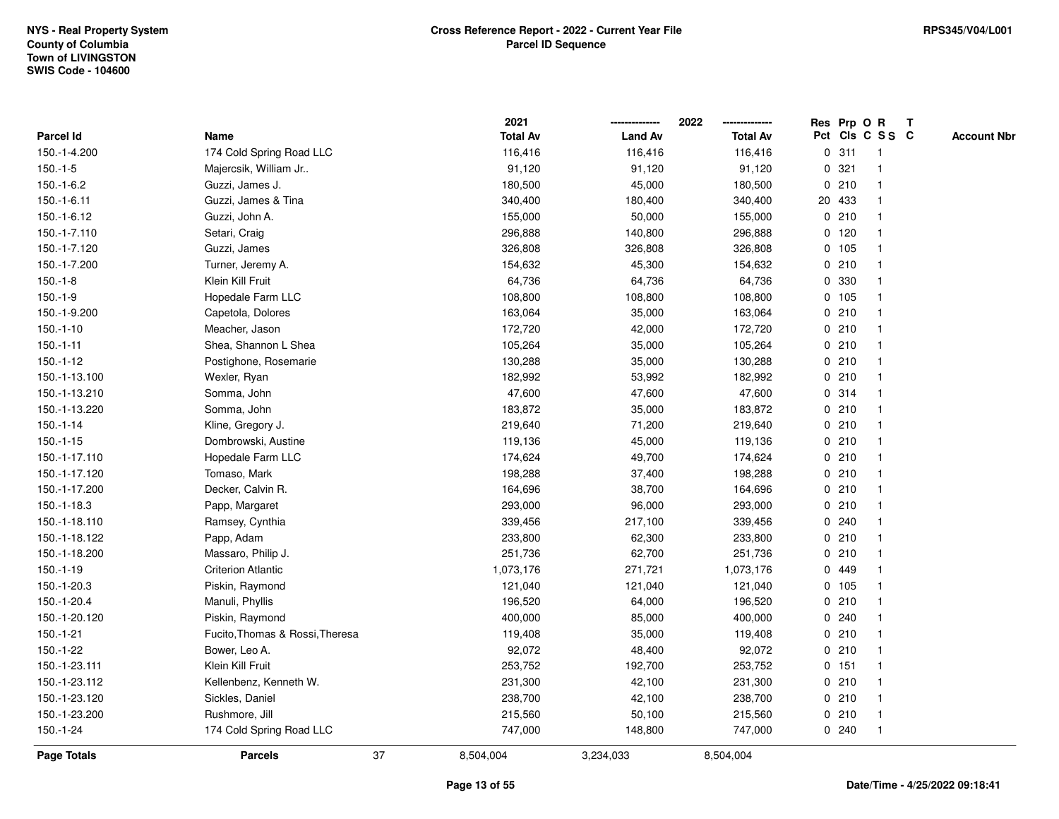|                  |                                 |    | 2021            |                | 2022            |             |         | Res Prp O R     | Т |                    |
|------------------|---------------------------------|----|-----------------|----------------|-----------------|-------------|---------|-----------------|---|--------------------|
| <b>Parcel Id</b> | Name                            |    | <b>Total Av</b> | <b>Land Av</b> | <b>Total Av</b> |             |         | Pct Cls C S S C |   | <b>Account Nbr</b> |
| 150.-1-4.200     | 174 Cold Spring Road LLC        |    | 116,416         | 116,416        | 116,416         | $\mathbf 0$ | 311     | $\mathbf{1}$    |   |                    |
| $150.-1-5$       | Majercsik, William Jr           |    | 91,120          | 91,120         | 91,120          | 0           | 321     | $\mathbf 1$     |   |                    |
| $150.-1-6.2$     | Guzzi, James J.                 |    | 180,500         | 45,000         | 180,500         |             | 0210    | $\mathbf{1}$    |   |                    |
| $150.-1-6.11$    | Guzzi, James & Tina             |    | 340,400         | 180,400        | 340,400         |             | 20 433  | -1              |   |                    |
| 150.-1-6.12      | Guzzi, John A.                  |    | 155,000         | 50,000         | 155,000         |             | 0210    |                 |   |                    |
| 150.-1-7.110     | Setari, Craig                   |    | 296,888         | 140,800        | 296,888         |             | $0$ 120 |                 |   |                    |
| 150.-1-7.120     | Guzzi, James                    |    | 326,808         | 326,808        | 326,808         |             | 0, 105  |                 |   |                    |
| 150.-1-7.200     | Turner, Jeremy A.               |    | 154,632         | 45,300         | 154,632         |             | 0210    | $\overline{1}$  |   |                    |
| $150.-1-8$       | Klein Kill Fruit                |    | 64,736          | 64,736         | 64,736          | 0           | 330     | -1              |   |                    |
| $150.-1-9$       | Hopedale Farm LLC               |    | 108,800         | 108,800        | 108,800         |             | 0 105   | $\mathbf 1$     |   |                    |
| 150.-1-9.200     | Capetola, Dolores               |    | 163,064         | 35,000         | 163,064         |             | 0210    |                 |   |                    |
| $150.-1-10$      | Meacher, Jason                  |    | 172,720         | 42,000         | 172,720         |             | 0210    |                 |   |                    |
| $150.-1-11$      | Shea, Shannon L Shea            |    | 105,264         | 35,000         | 105,264         |             | 0210    |                 |   |                    |
| 150.-1-12        | Postighone, Rosemarie           |    | 130,288         | 35,000         | 130,288         |             | 0210    |                 |   |                    |
| 150.-1-13.100    | Wexler, Ryan                    |    | 182,992         | 53,992         | 182,992         |             | 0210    | $\overline{1}$  |   |                    |
| 150.-1-13.210    | Somma, John                     |    | 47,600          | 47,600         | 47,600          |             | 0.314   | $\overline{1}$  |   |                    |
| 150.-1-13.220    | Somma, John                     |    | 183,872         | 35,000         | 183,872         |             | 0210    | $\mathbf{1}$    |   |                    |
| $150.-1-14$      | Kline, Gregory J.               |    | 219,640         | 71,200         | 219,640         |             | 0210    |                 |   |                    |
| $150.-1-15$      | Dombrowski, Austine             |    | 119,136         | 45,000         | 119,136         |             | 0210    |                 |   |                    |
| 150.-1-17.110    | Hopedale Farm LLC               |    | 174,624         | 49,700         | 174,624         |             | 0210    |                 |   |                    |
| 150.-1-17.120    | Tomaso, Mark                    |    | 198,288         | 37,400         | 198,288         |             | 0210    |                 |   |                    |
| 150.-1-17.200    | Decker, Calvin R.               |    | 164,696         | 38,700         | 164,696         |             | 0210    | -1              |   |                    |
| 150.-1-18.3      | Papp, Margaret                  |    | 293,000         | 96,000         | 293,000         |             | 0210    | -1              |   |                    |
| 150.-1-18.110    | Ramsey, Cynthia                 |    | 339,456         | 217,100        | 339,456         |             | 0.240   | $\overline{1}$  |   |                    |
| 150.-1-18.122    | Papp, Adam                      |    | 233,800         | 62,300         | 233,800         |             | 0210    |                 |   |                    |
| 150.-1-18.200    | Massaro, Philip J.              |    | 251,736         | 62,700         | 251,736         |             | 0210    |                 |   |                    |
| 150.-1-19        | <b>Criterion Atlantic</b>       |    | 1,073,176       | 271,721        | 1,073,176       |             | 0 449   |                 |   |                    |
| 150.-1-20.3      | Piskin, Raymond                 |    | 121,040         | 121,040        | 121,040         |             | 0 105   |                 |   |                    |
| 150.-1-20.4      | Manuli, Phyllis                 |    | 196,520         | 64,000         | 196,520         |             | 0210    |                 |   |                    |
| 150.-1-20.120    | Piskin, Raymond                 |    | 400,000         | 85,000         | 400,000         | $\mathbf 0$ | 240     | 1               |   |                    |
| 150.-1-21        | Fucito, Thomas & Rossi, Theresa |    | 119,408         | 35,000         | 119,408         | 0           | 210     | $\mathbf 1$     |   |                    |
| $150.-1-22$      | Bower, Leo A.                   |    | 92,072          | 48,400         | 92,072          |             | 0210    | $\mathbf 1$     |   |                    |
| 150.-1-23.111    | Klein Kill Fruit                |    | 253,752         | 192,700        | 253,752         |             | 0.151   | 1               |   |                    |
| 150.-1-23.112    | Kellenbenz, Kenneth W.          |    | 231,300         | 42,100         | 231,300         |             | 0210    |                 |   |                    |
| 150.-1-23.120    | Sickles, Daniel                 |    | 238,700         | 42,100         | 238,700         |             | 0210    | $\mathbf{1}$    |   |                    |
| 150.-1-23.200    | Rushmore, Jill                  |    | 215,560         | 50,100         | 215,560         |             | 0210    | $\overline{1}$  |   |                    |
| $150.-1-24$      | 174 Cold Spring Road LLC        |    | 747,000         | 148,800        | 747,000         |             | 0.240   | $\mathbf{1}$    |   |                    |
| Page Totals      | <b>Parcels</b>                  | 37 | 8,504,004       | 3,234,033      | 8,504,004       |             |         |                 |   |                    |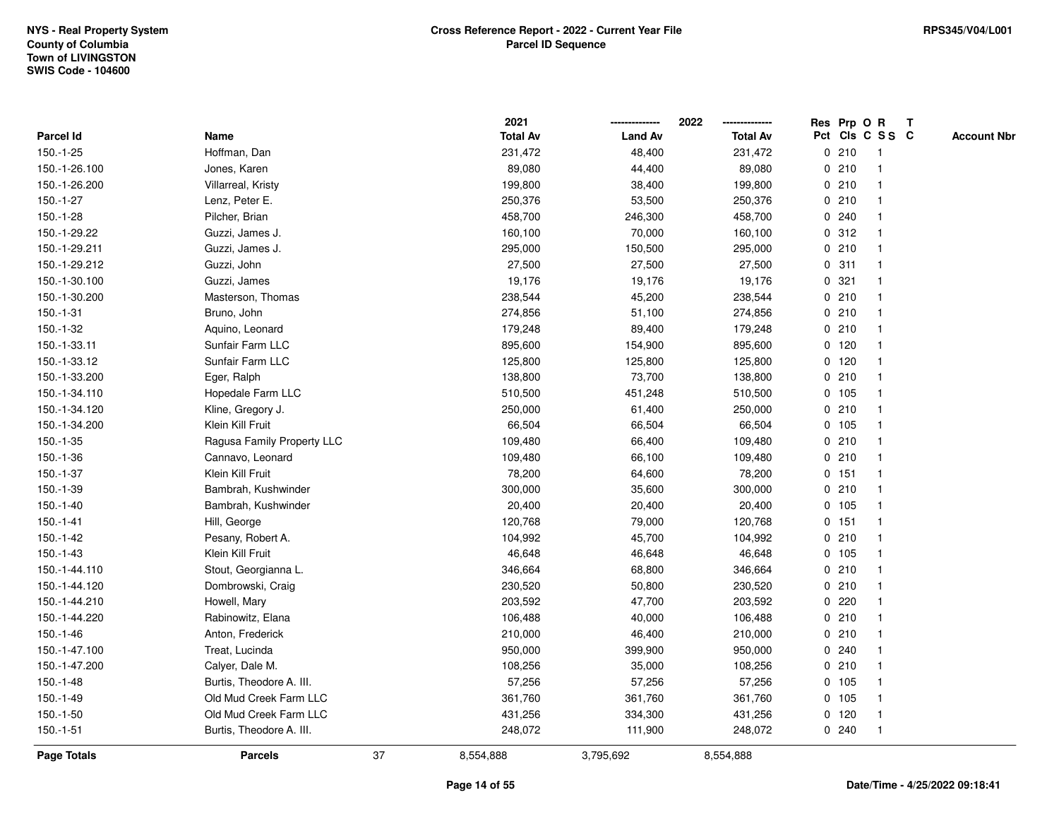|               |                            |    | 2021            |                | 2022            |             |         | Res Prp O R     | T |                    |
|---------------|----------------------------|----|-----------------|----------------|-----------------|-------------|---------|-----------------|---|--------------------|
| Parcel Id     | Name                       |    | <b>Total Av</b> | <b>Land Av</b> | <b>Total Av</b> |             |         | Pct Cls C S S C |   | <b>Account Nbr</b> |
| $150.-1-25$   | Hoffman, Dan               |    | 231,472         | 48,400         | 231,472         |             | 0210    | -1              |   |                    |
| 150.-1-26.100 | Jones, Karen               |    | 89,080          | 44,400         | 89,080          | 0           | 210     | -1              |   |                    |
| 150.-1-26.200 | Villarreal, Kristy         |    | 199,800         | 38,400         | 199,800         |             | 0210    | $\mathbf 1$     |   |                    |
| $150.-1-27$   | Lenz, Peter E.             |    | 250,376         | 53,500         | 250,376         |             | 0210    |                 |   |                    |
| $150.-1-28$   | Pilcher, Brian             |    | 458,700         | 246,300        | 458,700         |             | 0.240   |                 |   |                    |
| 150.-1-29.22  | Guzzi, James J.            |    | 160,100         | 70,000         | 160,100         |             | 0.312   |                 |   |                    |
| 150.-1-29.211 | Guzzi, James J.            |    | 295,000         | 150,500        | 295,000         |             | 0210    |                 |   |                    |
| 150.-1-29.212 | Guzzi, John                |    | 27,500          | 27,500         | 27,500          | 0           | 311     | $\overline{1}$  |   |                    |
| 150.-1-30.100 | Guzzi, James               |    | 19,176          | 19,176         | 19,176          | 0           | 321     |                 |   |                    |
| 150.-1-30.200 | Masterson, Thomas          |    | 238,544         | 45,200         | 238,544         |             | 0210    | $\mathbf 1$     |   |                    |
| $150.-1-31$   | Bruno, John                |    | 274,856         | 51,100         | 274,856         |             | 0210    |                 |   |                    |
| 150.-1-32     | Aquino, Leonard            |    | 179,248         | 89,400         | 179,248         |             | 0210    |                 |   |                    |
| 150.-1-33.11  | Sunfair Farm LLC           |    | 895,600         | 154,900        | 895,600         |             | $0$ 120 |                 |   |                    |
| 150.-1-33.12  | Sunfair Farm LLC           |    | 125,800         | 125,800        | 125,800         |             | $0$ 120 |                 |   |                    |
| 150.-1-33.200 | Eger, Ralph                |    | 138,800         | 73,700         | 138,800         | $\mathbf 0$ | 210     |                 |   |                    |
| 150.-1-34.110 | Hopedale Farm LLC          |    | 510,500         | 451,248        | 510,500         |             | 0, 105  | $\overline{1}$  |   |                    |
| 150.-1-34.120 | Kline, Gregory J.          |    | 250,000         | 61,400         | 250,000         |             | 0210    | $\mathbf{1}$    |   |                    |
| 150.-1-34.200 | Klein Kill Fruit           |    | 66,504          | 66,504         | 66,504          |             | $0$ 105 |                 |   |                    |
| $150.-1-35$   | Ragusa Family Property LLC |    | 109,480         | 66,400         | 109,480         |             | 0210    |                 |   |                    |
| 150.-1-36     | Cannavo, Leonard           |    | 109,480         | 66,100         | 109,480         |             | 0210    |                 |   |                    |
| $150.-1-37$   | Klein Kill Fruit           |    | 78,200          | 64,600         | 78,200          |             | $0$ 151 |                 |   |                    |
| 150.-1-39     | Bambrah, Kushwinder        |    | 300,000         | 35,600         | 300,000         |             | 0210    |                 |   |                    |
| $150.-1-40$   | Bambrah, Kushwinder        |    | 20,400          | 20,400         | 20,400          |             | 0, 105  | -1              |   |                    |
| $150.-1-41$   | Hill, George               |    | 120,768         | 79,000         | 120,768         | $\mathbf 0$ | 151     | $\overline{1}$  |   |                    |
| $150.-1-42$   | Pesany, Robert A.          |    | 104,992         | 45,700         | 104,992         |             | 0210    | 1               |   |                    |
| $150.-1-43$   | Klein Kill Fruit           |    | 46,648          | 46,648         | 46,648          |             | 0 105   |                 |   |                    |
| 150.-1-44.110 | Stout, Georgianna L.       |    | 346,664         | 68,800         | 346,664         |             | 0210    |                 |   |                    |
| 150.-1-44.120 | Dombrowski, Craig          |    | 230,520         | 50,800         | 230,520         | 0           | 210     |                 |   |                    |
| 150.-1-44.210 | Howell, Mary               |    | 203,592         | 47,700         | 203,592         | 0           | 220     |                 |   |                    |
| 150.-1-44.220 | Rabinowitz, Elana          |    | 106,488         | 40,000         | 106,488         | 0           | 210     |                 |   |                    |
| 150.-1-46     | Anton, Frederick           |    | 210,000         | 46,400         | 210,000         | 0           | 210     | $\mathbf 1$     |   |                    |
| 150.-1-47.100 | Treat, Lucinda             |    | 950,000         | 399,900        | 950,000         |             | 0.240   |                 |   |                    |
| 150.-1-47.200 | Calyer, Dale M.            |    | 108,256         | 35,000         | 108,256         |             | 0210    |                 |   |                    |
| $150.-1-48$   | Burtis, Theodore A. III.   |    | 57,256          | 57,256         | 57,256          |             | 0, 105  |                 |   |                    |
| $150.-1-49$   | Old Mud Creek Farm LLC     |    | 361,760         | 361,760        | 361,760         |             | 0 105   |                 |   |                    |
| $150.-1-50$   | Old Mud Creek Farm LLC     |    | 431,256         | 334,300        | 431,256         |             | $0$ 120 |                 |   |                    |
| $150.-1-51$   | Burtis, Theodore A. III.   |    | 248,072         | 111,900        | 248,072         |             | 0.240   | $\overline{1}$  |   |                    |
| Page Totals   | <b>Parcels</b>             | 37 | 8,554,888       | 3,795,692      | 8,554,888       |             |         |                 |   |                    |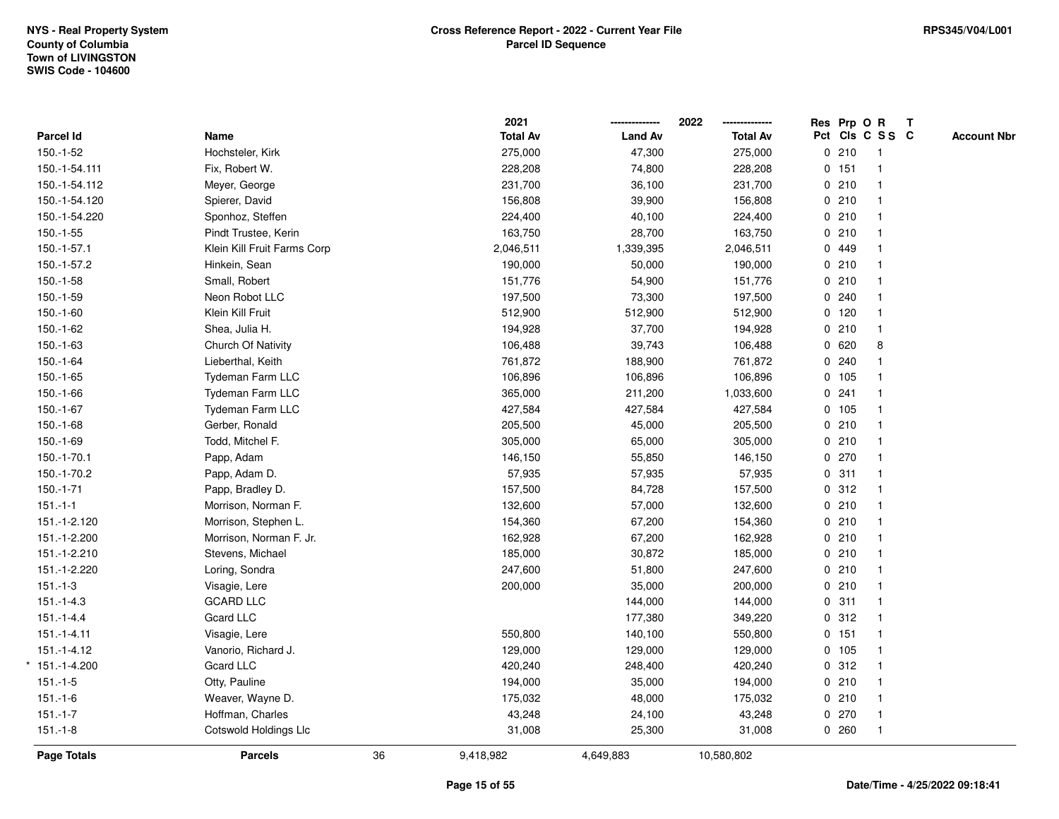|                 |                             |    | 2021            |                | 2022<br>-------------- |         | Res Prp O R     | $\mathbf{T}$       |
|-----------------|-----------------------------|----|-----------------|----------------|------------------------|---------|-----------------|--------------------|
| Parcel Id       | Name                        |    | <b>Total Av</b> | <b>Land Av</b> | <b>Total Av</b>        |         | Pct Cls C S S C | <b>Account Nbr</b> |
| $150.-1-52$     | Hochsteler, Kirk            |    | 275,000         | 47,300         | 275,000                | 0210    | -1              |                    |
| 150.-1-54.111   | Fix, Robert W.              |    | 228,208         | 74,800         | 228,208                | 0 151   |                 |                    |
| 150.-1-54.112   | Meyer, George               |    | 231,700         | 36,100         | 231,700                | 0210    |                 |                    |
| 150.-1-54.120   | Spierer, David              |    | 156,808         | 39,900         | 156,808                | 0210    | $\mathbf{1}$    |                    |
| 150.-1-54.220   | Sponhoz, Steffen            |    | 224,400         | 40,100         | 224,400                | 0210    |                 |                    |
| $150.-1-55$     | Pindt Trustee, Kerin        |    | 163,750         | 28,700         | 163,750                | 0210    |                 |                    |
| 150.-1-57.1     | Klein Kill Fruit Farms Corp |    | 2,046,511       | 1,339,395      | 2,046,511              | 0 449   |                 |                    |
| 150.-1-57.2     | Hinkein, Sean               |    | 190,000         | 50,000         | 190,000                | 0210    |                 |                    |
| $150.-1-58$     | Small, Robert               |    | 151,776         | 54,900         | 151,776                | 0210    |                 |                    |
| $150.-1-59$     | Neon Robot LLC              |    | 197,500         | 73,300         | 197,500                | 0.240   |                 |                    |
| $150.-1-60$     | Klein Kill Fruit            |    | 512,900         | 512,900        | 512,900                | $0$ 120 | $\mathbf{1}$    |                    |
| 150.-1-62       | Shea, Julia H.              |    | 194,928         | 37,700         | 194,928                | 0.210   |                 |                    |
| 150.-1-63       | Church Of Nativity          |    | 106,488         | 39,743         | 106,488                | 0620    | 8               |                    |
| 150.-1-64       | Lieberthal, Keith           |    | 761,872         | 188,900        | 761,872                | 0.240   |                 |                    |
| $150.-1-65$     | Tydeman Farm LLC            |    | 106,896         | 106,896        | 106,896                | 0 105   |                 |                    |
| 150.-1-66       | Tydeman Farm LLC            |    | 365,000         | 211,200        | 1,033,600              | 0.241   |                 |                    |
| 150.-1-67       | Tydeman Farm LLC            |    | 427,584         | 427,584        | 427,584                | 0 105   |                 |                    |
| 150.-1-68       | Gerber, Ronald              |    | 205,500         | 45,000         | 205,500                | 0210    |                 |                    |
| $150.-1-69$     | Todd, Mitchel F.            |    | 305,000         | 65,000         | 305,000                | 0210    |                 |                    |
| 150.-1-70.1     | Papp, Adam                  |    | 146,150         | 55,850         | 146,150                | 0270    |                 |                    |
| 150.-1-70.2     | Papp, Adam D.               |    | 57,935          | 57,935         | 57,935                 | 0.311   |                 |                    |
| $150.-1-71$     | Papp, Bradley D.            |    | 157,500         | 84,728         | 157,500                | 0.312   |                 |                    |
| $151 - 1 - 1$   | Morrison, Norman F.         |    | 132,600         | 57,000         | 132,600                | 0210    |                 |                    |
| 151.-1-2.120    | Morrison, Stephen L.        |    | 154,360         | 67,200         | 154,360                | 0210    | $\mathbf{1}$    |                    |
| 151.-1-2.200    | Morrison, Norman F. Jr.     |    | 162,928         | 67,200         | 162,928                | 0210    |                 |                    |
| 151.-1-2.210    | Stevens, Michael            |    | 185,000         | 30,872         | 185,000                | 0210    |                 |                    |
| 151.-1-2.220    | Loring, Sondra              |    | 247,600         | 51,800         | 247,600                | 0210    |                 |                    |
| $151.-1-3$      | Visagie, Lere               |    | 200,000         | 35,000         | 200,000                | 0210    |                 |                    |
| $151.-1-4.3$    | <b>GCARD LLC</b>            |    |                 | 144,000        | 144,000                | 0.311   |                 |                    |
| $151 - 1 - 4.4$ | <b>Gcard LLC</b>            |    |                 | 177,380        | 349,220                | 0.312   |                 |                    |
| $151.-1-4.11$   | Visagie, Lere               |    | 550,800         | 140,100        | 550,800                | 0, 151  | $\mathbf{1}$    |                    |
| $151.-1-4.12$   | Vanorio, Richard J.         |    | 129,000         | 129,000        | 129,000                | 0 105   | $\mathbf{1}$    |                    |
| $*151.-1-4.200$ | Gcard LLC                   |    | 420,240         | 248,400        | 420,240                | 0.312   |                 |                    |
| $151.-1-5$      | Otty, Pauline               |    | 194,000         | 35,000         | 194,000                | 0210    |                 |                    |
| $151.-1-6$      | Weaver, Wayne D.            |    | 175,032         | 48,000         | 175,032                | 0210    |                 |                    |
| $151.-1-7$      | Hoffman, Charles            |    | 43,248          | 24,100         | 43,248                 | 0270    | $\mathbf{1}$    |                    |
| $151.-1-8$      | Cotswold Holdings Llc       |    | 31,008          | 25,300         | 31,008                 | 0.260   | $\mathbf{1}$    |                    |
| Page Totals     | <b>Parcels</b>              | 36 | 9,418,982       | 4,649,883      | 10,580,802             |         |                 |                    |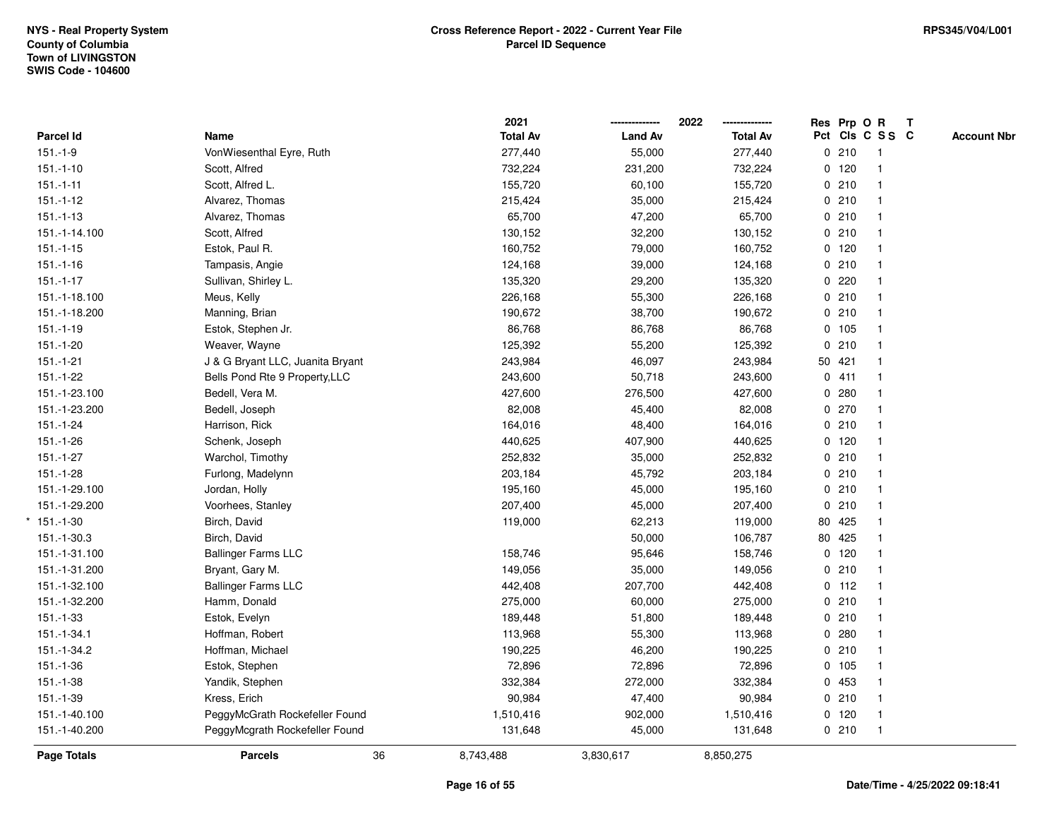|                |                                  | 2021            |                | 2022            | Res Prp O R |                         | $\mathbf{T}$ |                    |
|----------------|----------------------------------|-----------------|----------------|-----------------|-------------|-------------------------|--------------|--------------------|
| Parcel Id      | Name                             | <b>Total Av</b> | <b>Land Av</b> | <b>Total Av</b> |             | Pct Cls C S S C         |              | <b>Account Nbr</b> |
| $151.-1-9$     | VonWiesenthal Eyre, Ruth         | 277,440         | 55,000         | 277,440         | 0210        | $\overline{1}$          |              |                    |
| $151.-1-10$    | Scott, Alfred                    | 732,224         | 231,200        | 732,224         | $0$ 120     | $\mathbf{1}$            |              |                    |
| $151 - 1 - 11$ | Scott, Alfred L.                 | 155,720         | 60,100         | 155,720         | 0210        | $\mathbf{1}$            |              |                    |
| $151.-1-12$    | Alvarez, Thomas                  | 215,424         | 35,000         | 215,424         | 0210        |                         |              |                    |
| $151.-1-13$    | Alvarez, Thomas                  | 65,700          | 47,200         | 65,700          | 0210        |                         |              |                    |
| 151.-1-14.100  | Scott, Alfred                    | 130,152         | 32,200         | 130,152         | 0210        |                         |              |                    |
| $151.-1-15$    | Estok, Paul R.                   | 160,752         | 79,000         | 160,752         | $0$ 120     | $\overline{\mathbf{1}}$ |              |                    |
| $151.-1-16$    | Tampasis, Angie                  | 124,168         | 39,000         | 124,168         | 0210        | $\overline{1}$          |              |                    |
| $151.-1-17$    | Sullivan, Shirley L.             | 135,320         | 29,200         | 135,320         | 0220        |                         |              |                    |
| 151.-1-18.100  | Meus, Kelly                      | 226,168         | 55,300         | 226,168         | 0210        | $\mathbf{1}$            |              |                    |
| 151.-1-18.200  | Manning, Brian                   | 190,672         | 38,700         | 190,672         | 0210        |                         |              |                    |
| $151.-1-19$    | Estok, Stephen Jr.               | 86,768          | 86,768         | 86,768          | 0 105       |                         |              |                    |
| $151.-1-20$    | Weaver, Wayne                    | 125,392         | 55,200         | 125,392         | 0210        |                         |              |                    |
| $151.-1-21$    | J & G Bryant LLC, Juanita Bryant | 243,984         | 46,097         | 243,984         | 50 421      |                         |              |                    |
| $151.-1-22$    | Bells Pond Rte 9 Property, LLC   | 243,600         | 50,718         | 243,600         | 0411        | $\mathbf{1}$            |              |                    |
| 151.-1-23.100  | Bedell, Vera M.                  | 427,600         | 276,500        | 427,600         | 0.280       | $\mathbf{1}$            |              |                    |
| 151.-1-23.200  | Bedell, Joseph                   | 82,008          | 45,400         | 82,008          | 0270        | $\mathbf{1}$            |              |                    |
| 151.-1-24      | Harrison, Rick                   | 164,016         | 48,400         | 164,016         | 0210        |                         |              |                    |
| $151.-1-26$    | Schenk, Joseph                   | 440,625         | 407,900        | 440,625         | $0$ 120     |                         |              |                    |
| $151.-1-27$    | Warchol, Timothy                 | 252,832         | 35,000         | 252,832         | 0210        |                         |              |                    |
| $151.-1-28$    | Furlong, Madelynn                | 203,184         | 45,792         | 203,184         | 0210        |                         |              |                    |
| 151.-1-29.100  | Jordan, Holly                    | 195,160         | 45,000         | 195,160         | 0210        | -1                      |              |                    |
| 151.-1-29.200  | Voorhees, Stanley                | 207,400         | 45,000         | 207,400         | 0210        |                         |              |                    |
| $*151.-1-30$   | Birch, David                     | 119,000         | 62,213         | 119,000         | 80 425      | $\overline{\mathbf{1}}$ |              |                    |
| 151.-1-30.3    | Birch, David                     |                 | 50,000         | 106,787         | 80 425      |                         |              |                    |
| 151.-1-31.100  | <b>Ballinger Farms LLC</b>       | 158,746         | 95,646         | 158,746         | 0 120       |                         |              |                    |
| 151.-1-31.200  | Bryant, Gary M.                  | 149,056         | 35,000         | 149,056         | 0210        |                         |              |                    |
| 151.-1-32.100  | <b>Ballinger Farms LLC</b>       | 442,408         | 207,700        | 442,408         | $0$ 112     |                         |              |                    |
| 151.-1-32.200  | Hamm, Donald                     | 275,000         | 60,000         | 275,000         | 0210        | $\overline{\mathbf{1}}$ |              |                    |
| $151.-1-33$    | Estok, Evelyn                    | 189,448         | 51,800         | 189,448         | 0210        | $\overline{1}$          |              |                    |
| 151.-1-34.1    | Hoffman, Robert                  | 113,968         | 55,300         | 113,968         | 0.280       | $\mathbf{1}$            |              |                    |
| 151.-1-34.2    | Hoffman, Michael                 | 190,225         | 46,200         | 190,225         | 0210        | $\mathbf{1}$            |              |                    |
| $151.-1-36$    | Estok, Stephen                   | 72,896          | 72,896         | 72,896          | 0 105       |                         |              |                    |
| $151.-1-38$    | Yandik, Stephen                  | 332,384         | 272,000        | 332,384         | 0453        |                         |              |                    |
| 151.-1-39      | Kress, Erich                     | 90,984          | 47,400         | 90,984          | 0210        |                         |              |                    |
| 151.-1-40.100  | PeggyMcGrath Rockefeller Found   | 1,510,416       | 902,000        | 1,510,416       | $0$ 120     | $\overline{1}$          |              |                    |
| 151.-1-40.200  | PeggyMcgrath Rockefeller Found   | 131,648         | 45,000         | 131,648         | 0210        | $\mathbf{1}$            |              |                    |
| Page Totals    | 36<br><b>Parcels</b>             | 8,743,488       | 3,830,617      | 8,850,275       |             |                         |              |                    |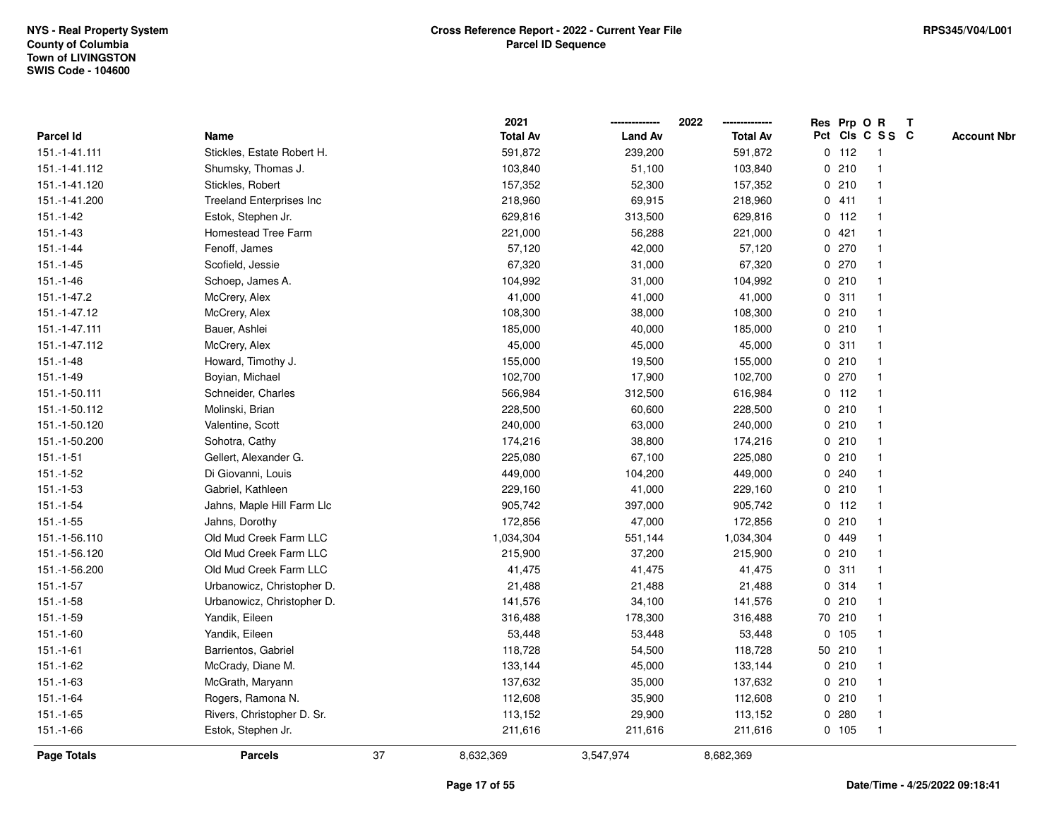|                |                                 |    | 2021            |                | 2022            |             |         | Res Prp O R             | $\mathbf{T}$ |                    |
|----------------|---------------------------------|----|-----------------|----------------|-----------------|-------------|---------|-------------------------|--------------|--------------------|
| Parcel Id      | Name                            |    | <b>Total Av</b> | <b>Land Av</b> | <b>Total Av</b> |             |         | Pct Cls C S S C         |              | <b>Account Nbr</b> |
| 151.-1-41.111  | Stickles, Estate Robert H.      |    | 591,872         | 239,200        | 591,872         |             | $0$ 112 | -1                      |              |                    |
| 151.-1-41.112  | Shumsky, Thomas J.              |    | 103,840         | 51,100         | 103,840         |             | 0210    |                         |              |                    |
| 151.-1-41.120  | Stickles, Robert                |    | 157,352         | 52,300         | 157,352         |             | 0210    | -1                      |              |                    |
| 151.-1-41.200  | <b>Treeland Enterprises Inc</b> |    | 218,960         | 69,915         | 218,960         |             | 0411    | -1                      |              |                    |
| $151.-1-42$    | Estok, Stephen Jr.              |    | 629,816         | 313,500        | 629,816         |             | $0$ 112 | $\overline{\mathbf{1}}$ |              |                    |
| $151.-1-43$    | Homestead Tree Farm             |    | 221,000         | 56,288         | 221,000         |             | 0421    | -1                      |              |                    |
| $151 - 1 - 44$ | Fenoff, James                   |    | 57,120          | 42,000         | 57,120          |             | 0.270   |                         |              |                    |
| $151 - 1 - 45$ | Scofield, Jessie                |    | 67,320          | 31,000         | 67,320          |             | 0270    |                         |              |                    |
| $151.-1-46$    | Schoep, James A.                |    | 104,992         | 31,000         | 104,992         |             | 0210    |                         |              |                    |
| 151.-1-47.2    | McCrery, Alex                   |    | 41,000          | 41,000         | 41,000          |             | 0.311   |                         |              |                    |
| 151.-1-47.12   | McCrery, Alex                   |    | 108,300         | 38,000         | 108,300         |             | 0210    | -1                      |              |                    |
| 151.-1-47.111  | Bauer, Ashlei                   |    | 185,000         | 40,000         | 185,000         |             | 0210    | $\mathbf{1}$            |              |                    |
| 151.-1-47.112  | McCrery, Alex                   |    | 45,000          | 45,000         | 45,000          |             | 0.311   | -1                      |              |                    |
| $151.-1-48$    | Howard, Timothy J.              |    | 155,000         | 19,500         | 155,000         |             | 0210    |                         |              |                    |
| 151.-1-49      | Boyian, Michael                 |    | 102,700         | 17,900         | 102,700         |             | 0270    |                         |              |                    |
| 151.-1-50.111  | Schneider, Charles              |    | 566,984         | 312,500        | 616,984         |             | $0$ 112 | -1                      |              |                    |
| 151.-1-50.112  | Molinski, Brian                 |    | 228,500         | 60,600         | 228,500         | $\mathbf 0$ | 210     | $\overline{\mathbf{1}}$ |              |                    |
| 151.-1-50.120  | Valentine, Scott                |    | 240,000         | 63,000         | 240,000         |             | 0210    | -1                      |              |                    |
| 151.-1-50.200  | Sohotra, Cathy                  |    | 174,216         | 38,800         | 174,216         |             | 0210    | $\mathbf 1$             |              |                    |
| $151.-1-51$    | Gellert, Alexander G.           |    | 225,080         | 67,100         | 225,080         |             | 0210    |                         |              |                    |
| $151.-1-52$    | Di Giovanni, Louis              |    | 449,000         | 104,200        | 449,000         |             | 0.240   |                         |              |                    |
| $151.-1-53$    | Gabriel, Kathleen               |    | 229,160         | 41,000         | 229,160         |             | 0210    |                         |              |                    |
| $151.-1-54$    | Jahns, Maple Hill Farm Llc      |    | 905,742         | 397,000        | 905,742         |             | $0$ 112 | -1                      |              |                    |
| $151.-1-55$    | Jahns, Dorothy                  |    | 172,856         | 47,000         | 172,856         |             | 0210    | $\mathbf{1}$            |              |                    |
| 151.-1-56.110  | Old Mud Creek Farm LLC          |    | 1,034,304       | 551,144        | 1,034,304       | 0           | 449     |                         |              |                    |
| 151.-1-56.120  | Old Mud Creek Farm LLC          |    | 215,900         | 37,200         | 215,900         |             | 0210    | -1                      |              |                    |
| 151.-1-56.200  | Old Mud Creek Farm LLC          |    | 41,475          | 41,475         | 41,475          |             | 0.311   |                         |              |                    |
| $151 - 1 - 57$ | Urbanowicz, Christopher D.      |    | 21,488          | 21,488         | 21,488          |             | 0.314   |                         |              |                    |
| $151.-1-58$    | Urbanowicz, Christopher D.      |    | 141,576         | 34,100         | 141,576         |             | 0210    | -1                      |              |                    |
| 151.-1-59      | Yandik, Eileen                  |    | 316,488         | 178,300        | 316,488         |             | 70 210  | -1                      |              |                    |
| 151.-1-60      | Yandik, Eileen                  |    | 53,448          | 53,448         | 53,448          |             | 0, 105  | -1                      |              |                    |
| $151.-1-61$    | Barrientos, Gabriel             |    | 118,728         | 54,500         | 118,728         |             | 50 210  | $\mathbf 1$             |              |                    |
| 151.-1-62      | McCrady, Diane M.               |    | 133,144         | 45,000         | 133,144         |             | 0210    |                         |              |                    |
| $151.-1-63$    | McGrath, Maryann                |    | 137,632         | 35,000         | 137,632         |             | 0210    |                         |              |                    |
| $151.-1-64$    | Rogers, Ramona N.               |    | 112,608         | 35,900         | 112,608         |             | 0210    |                         |              |                    |
| $151.-1-65$    | Rivers, Christopher D. Sr.      |    | 113,152         | 29,900         | 113,152         |             | 0.280   | $\mathbf{1}$            |              |                    |
| 151.-1-66      | Estok, Stephen Jr.              |    | 211,616         | 211,616        | 211,616         |             | 0 105   | $\mathbf 1$             |              |                    |
| Page Totals    | <b>Parcels</b>                  | 37 | 8,632,369       | 3,547,974      | 8,682,369       |             |         |                         |              |                    |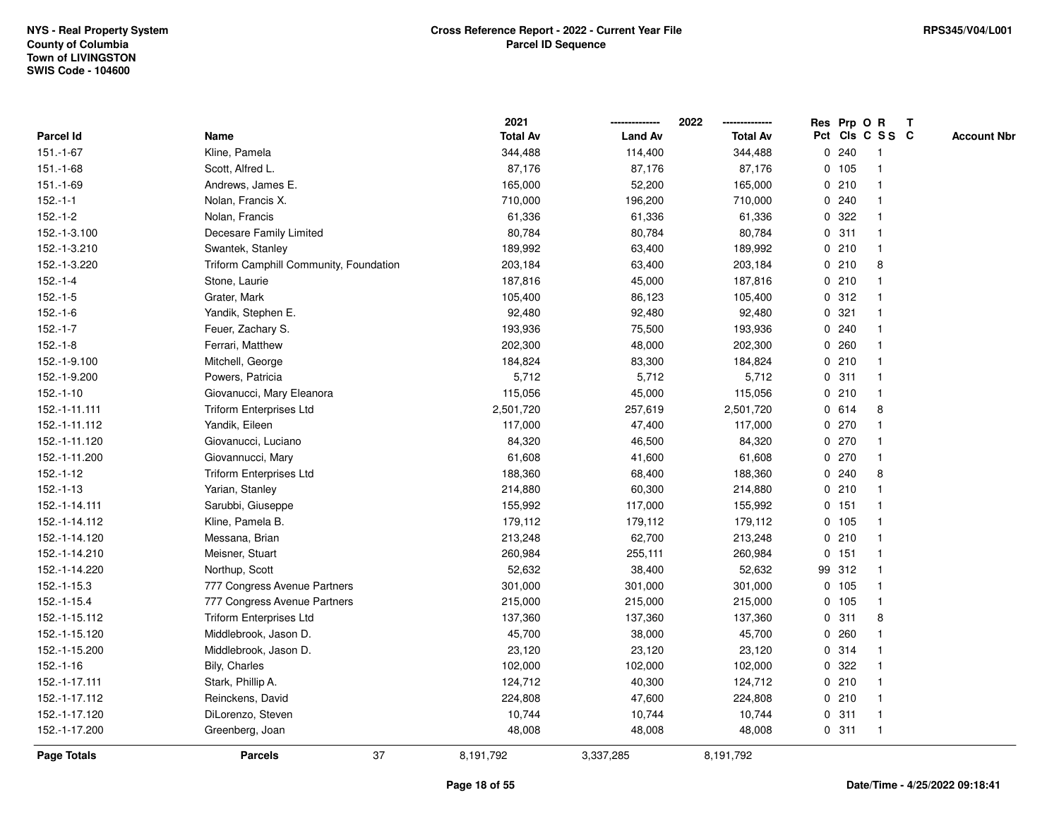|               |                                        | 2021            |                | 2022            |             |         | Res Prp O R             | T |                    |
|---------------|----------------------------------------|-----------------|----------------|-----------------|-------------|---------|-------------------------|---|--------------------|
| Parcel Id     | Name                                   | <b>Total Av</b> | <b>Land Av</b> | <b>Total Av</b> |             |         | Pct Cls C S S C         |   | <b>Account Nbr</b> |
| $151.-1-67$   | Kline, Pamela                          | 344,488         | 114,400        | 344,488         | $\mathbf 0$ | 240     | -1                      |   |                    |
| $151.-1-68$   | Scott, Alfred L.                       | 87,176          | 87,176         | 87,176          |             | $0$ 105 | -1                      |   |                    |
| 151.-1-69     | Andrews, James E.                      | 165,000         | 52,200         | 165,000         |             | 0210    | $\mathbf{1}$            |   |                    |
| $152.-1-1$    | Nolan, Francis X.                      | 710,000         | 196,200        | 710,000         |             | 0.240   |                         |   |                    |
| $152.-1-2$    | Nolan, Francis                         | 61,336          | 61,336         | 61,336          |             | 0 322   |                         |   |                    |
| 152.-1-3.100  | Decesare Family Limited                | 80,784          | 80,784         | 80,784          |             | 0.311   |                         |   |                    |
| 152.-1-3.210  | Swantek, Stanley                       | 189,992         | 63,400         | 189,992         |             | 0210    | $\overline{\mathbf{1}}$ |   |                    |
| 152.-1-3.220  | Triform Camphill Community, Foundation | 203,184         | 63,400         | 203,184         |             | 0210    | 8                       |   |                    |
| $152.-1-4$    | Stone, Laurie                          | 187,816         | 45,000         | 187,816         |             | 0210    | 1                       |   |                    |
| $152.-1-5$    | Grater, Mark                           | 105,400         | 86,123         | 105,400         |             | 0.312   |                         |   |                    |
| $152.-1-6$    | Yandik, Stephen E.                     | 92,480          | 92,480         | 92,480          |             | 0.321   |                         |   |                    |
| $152.-1-7$    | Feuer, Zachary S.                      | 193,936         | 75,500         | 193,936         |             | 0.240   |                         |   |                    |
| $152.-1-8$    | Ferrari, Matthew                       | 202,300         | 48,000         | 202,300         | 0           | 260     |                         |   |                    |
| 152.-1-9.100  | Mitchell, George                       | 184,824         | 83,300         | 184,824         |             | 0210    |                         |   |                    |
| 152.-1-9.200  | Powers, Patricia                       | 5,712           | 5,712          | 5,712           | $\mathbf 0$ | 311     |                         |   |                    |
| $152.-1-10$   | Giovanucci, Mary Eleanora              | 115,056         | 45,000         | 115,056         |             | 0210    | $\mathbf{1}$            |   |                    |
| 152.-1-11.111 | <b>Triform Enterprises Ltd</b>         | 2,501,720       | 257,619        | 2,501,720       |             | 0 614   | 8                       |   |                    |
| 152.-1-11.112 | Yandik, Eileen                         | 117,000         | 47,400         | 117,000         |             | 0270    |                         |   |                    |
| 152.-1-11.120 | Giovanucci, Luciano                    | 84,320          | 46,500         | 84,320          |             | 0270    |                         |   |                    |
| 152.-1-11.200 | Giovannucci, Mary                      | 61,608          | 41,600         | 61,608          |             | 0270    |                         |   |                    |
| $152.-1-12$   | <b>Triform Enterprises Ltd</b>         | 188,360         | 68,400         | 188,360         |             | 0.240   | 8                       |   |                    |
| $152.-1-13$   | Yarian, Stanley                        | 214,880         | 60,300         | 214,880         |             | 0210    |                         |   |                    |
| 152.-1-14.111 | Sarubbi, Giuseppe                      | 155,992         | 117,000        | 155,992         |             | 0, 151  | $\overline{1}$          |   |                    |
| 152.-1-14.112 | Kline, Pamela B.                       | 179,112         | 179,112        | 179,112         |             | 0 105   | $\overline{1}$          |   |                    |
| 152.-1-14.120 | Messana, Brian                         | 213,248         | 62,700         | 213,248         |             | 0210    | -1                      |   |                    |
| 152.-1-14.210 | Meisner, Stuart                        | 260,984         | 255,111        | 260,984         |             | $0$ 151 |                         |   |                    |
| 152.-1-14.220 | Northup, Scott                         | 52,632          | 38,400         | 52,632          |             | 99 312  |                         |   |                    |
| 152.-1-15.3   | 777 Congress Avenue Partners           | 301,000         | 301,000        | 301,000         |             | $0$ 105 |                         |   |                    |
| 152.-1-15.4   | 777 Congress Avenue Partners           | 215,000         | 215,000        | 215,000         |             | 0 105   | $\overline{\mathbf{1}}$ |   |                    |
| 152.-1-15.112 | <b>Triform Enterprises Ltd</b>         | 137,360         | 137,360        | 137,360         | 0           | 311     | 8                       |   |                    |
| 152.-1-15.120 | Middlebrook, Jason D.                  | 45,700          | 38,000         | 45,700          | 0           | 260     | $\mathbf 1$             |   |                    |
| 152.-1-15.200 | Middlebrook, Jason D.                  | 23,120          | 23,120         | 23,120          |             | 0 314   |                         |   |                    |
| $152.-1-16$   | Bily, Charles                          | 102,000         | 102,000        | 102,000         |             | 0.322   |                         |   |                    |
| 152.-1-17.111 | Stark, Phillip A.                      | 124,712         | 40,300         | 124,712         |             | 0210    |                         |   |                    |
| 152.-1-17.112 | Reinckens, David                       | 224,808         | 47,600         | 224,808         |             | 0210    |                         |   |                    |
| 152.-1-17.120 | DiLorenzo, Steven                      | 10,744          | 10,744         | 10,744          |             | 0.311   | -1                      |   |                    |
| 152.-1-17.200 | Greenberg, Joan                        | 48,008          | 48,008         | 48,008          |             | 0.311   | $\overline{1}$          |   |                    |
| Page Totals   | 37<br><b>Parcels</b>                   | 8,191,792       | 3,337,285      | 8,191,792       |             |         |                         |   |                    |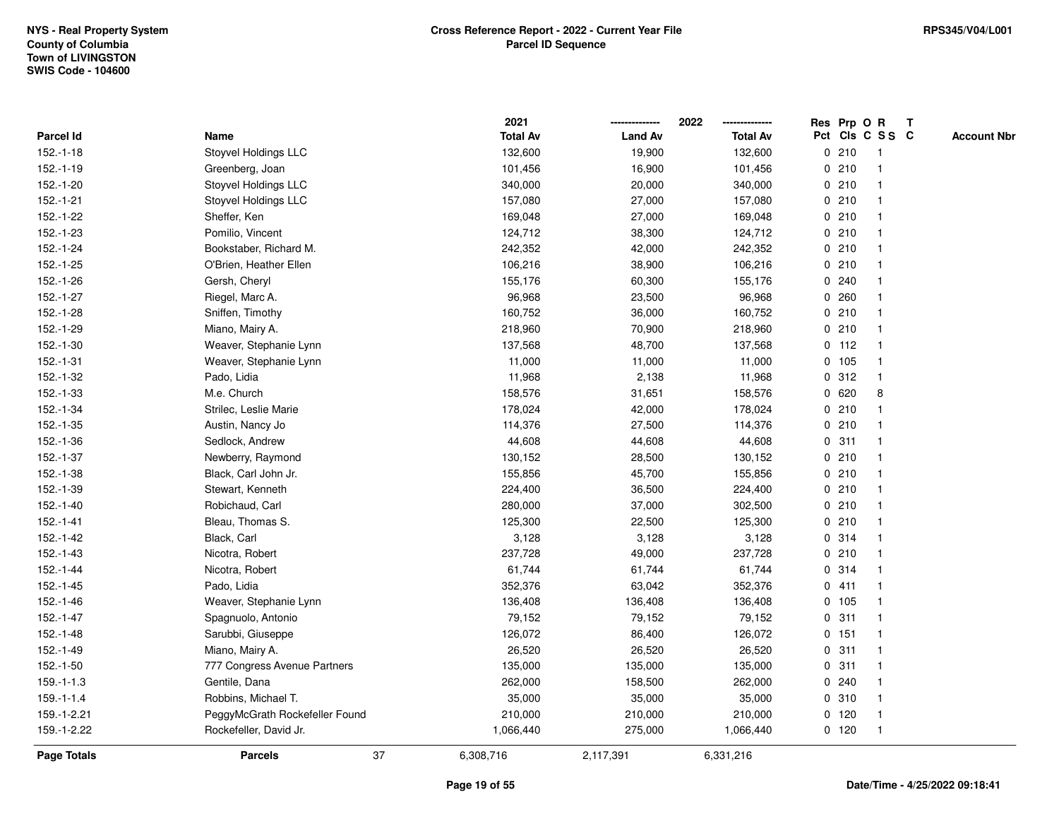|                    |                                | 2021            |                | 2022            |   |         | Res Prp O R     | $\mathbf{T}$ |                    |
|--------------------|--------------------------------|-----------------|----------------|-----------------|---|---------|-----------------|--------------|--------------------|
| Parcel Id          | Name                           | <b>Total Av</b> | <b>Land Av</b> | <b>Total Av</b> |   |         | Pct Cls C S S C |              | <b>Account Nbr</b> |
| $152.-1-18$        | Stoyvel Holdings LLC           | 132,600         | 19,900         | 132,600         |   | 0210    | -1              |              |                    |
| 152.-1-19          | Greenberg, Joan                | 101,456         | 16,900         | 101,456         |   | 0210    |                 |              |                    |
| 152.-1-20          | <b>Stoyvel Holdings LLC</b>    | 340,000         | 20,000         | 340,000         |   | 0210    | -1              |              |                    |
| $152.-1-21$        | Stoyvel Holdings LLC           | 157,080         | 27,000         | 157,080         |   | 0210    | $\mathbf{1}$    |              |                    |
| 152.-1-22          | Sheffer, Ken                   | 169,048         | 27,000         | 169,048         |   | 0210    | -1              |              |                    |
| 152.-1-23          | Pomilio, Vincent               | 124,712         | 38,300         | 124,712         |   | 0210    | -1              |              |                    |
| 152.-1-24          | Bookstaber, Richard M.         | 242,352         | 42,000         | 242,352         |   | 0210    |                 |              |                    |
| $152.-1-25$        | O'Brien, Heather Ellen         | 106,216         | 38,900         | 106,216         |   | 0210    |                 |              |                    |
| 152.-1-26          | Gersh, Cheryl                  | 155,176         | 60,300         | 155,176         |   | 0.240   |                 |              |                    |
| 152.-1-27          | Riegel, Marc A.                | 96,968          | 23,500         | 96,968          |   | 0.260   |                 |              |                    |
| 152.-1-28          | Sniffen, Timothy               | 160,752         | 36,000         | 160,752         |   | 0210    | $\mathbf{1}$    |              |                    |
| 152.-1-29          | Miano, Mairy A.                | 218,960         | 70,900         | 218,960         |   | 0210    | $\mathbf{1}$    |              |                    |
| $152.-1-30$        | Weaver, Stephanie Lynn         | 137,568         | 48,700         | 137,568         |   | $0$ 112 | $\mathbf 1$     |              |                    |
| $152.-1-31$        | Weaver, Stephanie Lynn         | 11,000          | 11,000         | 11,000          |   | 0 105   |                 |              |                    |
| 152.-1-32          | Pado, Lidia                    | 11,968          | 2,138          | 11,968          |   | 0.312   |                 |              |                    |
| 152.-1-33          | M.e. Church                    | 158,576         | 31,651         | 158,576         |   | 0620    | 8               |              |                    |
| 152.-1-34          | Strilec, Leslie Marie          | 178,024         | 42,000         | 178,024         |   | 0210    | $\mathbf{1}$    |              |                    |
| 152.-1-35          | Austin, Nancy Jo               | 114,376         | 27,500         | 114,376         |   | 0210    | -1              |              |                    |
| 152.-1-36          | Sedlock, Andrew                | 44,608          | 44,608         | 44,608          |   | 0.311   | $\mathbf 1$     |              |                    |
| $152.-1-37$        | Newberry, Raymond              | 130,152         | 28,500         | 130,152         |   | 0210    |                 |              |                    |
| 152.-1-38          | Black, Carl John Jr.           | 155,856         | 45,700         | 155,856         |   | 0210    |                 |              |                    |
| 152.-1-39          | Stewart, Kenneth               | 224,400         | 36,500         | 224,400         |   | 0210    |                 |              |                    |
| $152.-1-40$        | Robichaud, Carl                | 280,000         | 37,000         | 302,500         |   | 0210    | -1              |              |                    |
| $152.-1-41$        | Bleau, Thomas S.               | 125,300         | 22,500         | 125,300         |   | 0210    | $\mathbf{1}$    |              |                    |
| $152.-1-42$        | Black, Carl                    | 3,128           | 3,128          | 3,128           |   | 0.314   | $\mathbf 1$     |              |                    |
| 152.-1-43          | Nicotra, Robert                | 237,728         | 49,000         | 237,728         |   | 0210    | -1              |              |                    |
| $152.-1-44$        | Nicotra, Robert                | 61,744          | 61,744         | 61,744          |   | 0.314   |                 |              |                    |
| 152.-1-45          | Pado, Lidia                    | 352,376         | 63,042         | 352,376         |   | 0411    |                 |              |                    |
| 152.-1-46          | Weaver, Stephanie Lynn         | 136,408         | 136,408        | 136,408         |   | 0 105   | -1              |              |                    |
| $152.-1-47$        | Spagnuolo, Antonio             | 79,152          | 79,152         | 79,152          | 0 | 311     |                 |              |                    |
| 152.-1-48          | Sarubbi, Giuseppe              | 126,072         | 86,400         | 126,072         |   | 0, 151  | $\mathbf{1}$    |              |                    |
| 152.-1-49          | Miano, Mairy A.                | 26,520          | 26,520         | 26,520          |   | 0.311   | -1              |              |                    |
| $152.-1-50$        | 777 Congress Avenue Partners   | 135,000         | 135,000        | 135,000         |   | 0.311   | -1              |              |                    |
| $159.-1-1.3$       | Gentile, Dana                  | 262,000         | 158,500        | 262,000         |   | 0.240   |                 |              |                    |
| $159.-1-1.4$       | Robbins, Michael T.            | 35,000          | 35,000         | 35,000          |   | 0.310   |                 |              |                    |
| 159.-1-2.21        | PeggyMcGrath Rockefeller Found | 210,000         | 210,000        | 210,000         |   | $0$ 120 | -1              |              |                    |
| 159.-1-2.22        | Rockefeller, David Jr.         | 1,066,440       | 275,000        | 1,066,440       |   | $0$ 120 | $\mathbf{1}$    |              |                    |
| <b>Page Totals</b> | 37<br><b>Parcels</b>           | 6,308,716       | 2,117,391      | 6,331,216       |   |         |                 |              |                    |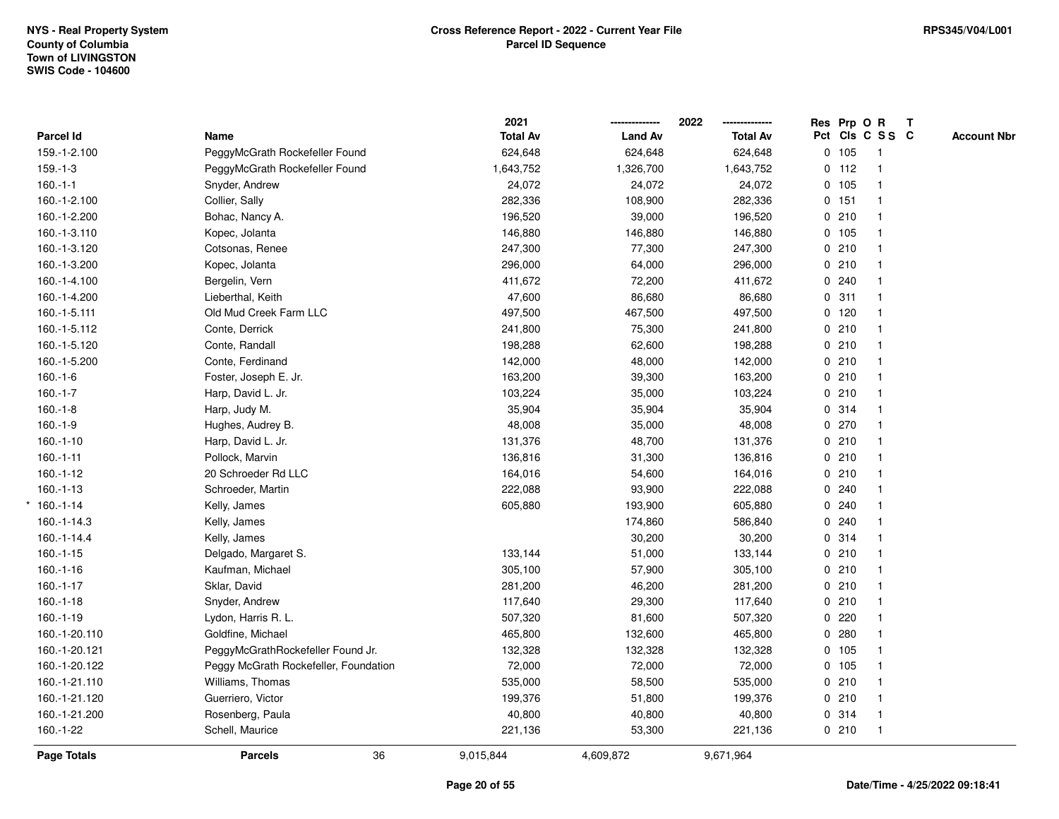|               |                                       | 2021            |                | 2022            |         | Res Prp O R             | T |                    |
|---------------|---------------------------------------|-----------------|----------------|-----------------|---------|-------------------------|---|--------------------|
| Parcel Id     | Name                                  | <b>Total Av</b> | <b>Land Av</b> | <b>Total Av</b> |         | Pct Cls C S S C         |   | <b>Account Nbr</b> |
| 159.-1-2.100  | PeggyMcGrath Rockefeller Found        | 624,648         | 624,648        | 624,648         | 0 105   | $\overline{1}$          |   |                    |
| $159.-1-3$    | PeggyMcGrath Rockefeller Found        | 1,643,752       | 1,326,700      | 1,643,752       | $0$ 112 | $\overline{\mathbf{1}}$ |   |                    |
| $160.-1-1$    | Snyder, Andrew                        | 24,072          | 24,072         | 24,072          | 0 105   | $\mathbf{1}$            |   |                    |
| 160.-1-2.100  | Collier, Sally                        | 282,336         | 108,900        | 282,336         | 0 151   | $\mathbf{1}$            |   |                    |
| 160.-1-2.200  | Bohac, Nancy A.                       | 196,520         | 39,000         | 196,520         | 0210    |                         |   |                    |
| 160.-1-3.110  | Kopec, Jolanta                        | 146,880         | 146,880        | 146,880         | 0 105   |                         |   |                    |
| 160.-1-3.120  | Cotsonas, Renee                       | 247,300         | 77,300         | 247,300         | 0210    |                         |   |                    |
| 160.-1-3.200  | Kopec, Jolanta                        | 296,000         | 64,000         | 296,000         | 0210    |                         |   |                    |
| 160.-1-4.100  | Bergelin, Vern                        | 411,672         | 72,200         | 411,672         | 0.240   |                         |   |                    |
| 160.-1-4.200  | Lieberthal, Keith                     | 47,600          | 86,680         | 86,680          | 0.311   | $\mathbf{1}$            |   |                    |
| 160.-1-5.111  | Old Mud Creek Farm LLC                | 497,500         | 467,500        | 497,500         | $0$ 120 |                         |   |                    |
| 160.-1-5.112  | Conte, Derrick                        | 241,800         | 75,300         | 241,800         | 0210    |                         |   |                    |
| 160.-1-5.120  | Conte, Randall                        | 198,288         | 62,600         | 198,288         | 0210    |                         |   |                    |
| 160.-1-5.200  | Conte, Ferdinand                      | 142,000         | 48,000         | 142,000         | 0210    |                         |   |                    |
| $160.-1-6$    | Foster, Joseph E. Jr.                 | 163,200         | 39,300         | 163,200         | 0210    | $\overline{\mathbf{1}}$ |   |                    |
| $160.-1-7$    | Harp, David L. Jr.                    | 103,224         | 35,000         | 103,224         | 0210    | $\mathbf{1}$            |   |                    |
| $160.-1-8$    | Harp, Judy M.                         | 35,904          | 35,904         | 35,904          | 0.314   | $\mathbf{1}$            |   |                    |
| $160.-1-9$    | Hughes, Audrey B.                     | 48,008          | 35,000         | 48,008          | 0270    |                         |   |                    |
| $160.-1-10$   | Harp, David L. Jr.                    | 131,376         | 48,700         | 131,376         | 0210    |                         |   |                    |
| $160.-1-11$   | Pollock, Marvin                       | 136,816         | 31,300         | 136,816         | 0210    |                         |   |                    |
| $160.-1-12$   | 20 Schroeder Rd LLC                   | 164,016         | 54,600         | 164,016         | 0210    |                         |   |                    |
| $160.-1-13$   | Schroeder, Martin                     | 222,088         | 93,900         | 222,088         | 0.240   |                         |   |                    |
| $*160.-1-14$  | Kelly, James                          | 605,880         | 193,900        | 605,880         | 0.240   |                         |   |                    |
| 160.-1-14.3   | Kelly, James                          |                 | 174,860        | 586,840         | 0.240   | $\mathbf{1}$            |   |                    |
| 160.-1-14.4   | Kelly, James                          |                 | 30,200         | 30,200          | 0.314   |                         |   |                    |
| $160.-1-15$   | Delgado, Margaret S.                  | 133,144         | 51,000         | 133,144         | 0210    |                         |   |                    |
| $160.-1-16$   | Kaufman, Michael                      | 305,100         | 57,900         | 305,100         | 0210    |                         |   |                    |
| $160.-1-17$   | Sklar, David                          | 281,200         | 46,200         | 281,200         | 0210    |                         |   |                    |
| $160.-1-18$   | Snyder, Andrew                        | 117,640         | 29,300         | 117,640         | 0210    |                         |   |                    |
| $160.-1-19$   | Lydon, Harris R. L.                   | 507,320         | 81,600         | 507,320         | 0220    | 1                       |   |                    |
| 160.-1-20.110 | Goldfine, Michael                     | 465,800         | 132,600        | 465,800         | 0.280   |                         |   |                    |
| 160.-1-20.121 | PeggyMcGrathRockefeller Found Jr.     | 132,328         | 132,328        | 132,328         | 0 105   | $\mathbf{1}$            |   |                    |
| 160.-1-20.122 | Peggy McGrath Rockefeller, Foundation | 72,000          | 72,000         | 72,000          | 0 105   |                         |   |                    |
| 160.-1-21.110 | Williams, Thomas                      | 535,000         | 58,500         | 535,000         | 0210    |                         |   |                    |
| 160.-1-21.120 | Guerriero, Victor                     | 199,376         | 51,800         | 199,376         | 0210    |                         |   |                    |
| 160.-1-21.200 | Rosenberg, Paula                      | 40,800          | 40,800         | 40,800          | 0.314   | $\overline{\mathbf{1}}$ |   |                    |
| $160.-1-22$   | Schell, Maurice                       | 221,136         | 53,300         | 221,136         | 0210    | $\mathbf{1}$            |   |                    |
| Page Totals   | 36<br><b>Parcels</b>                  | 9,015,844       | 4,609,872      | 9,671,964       |         |                         |   |                    |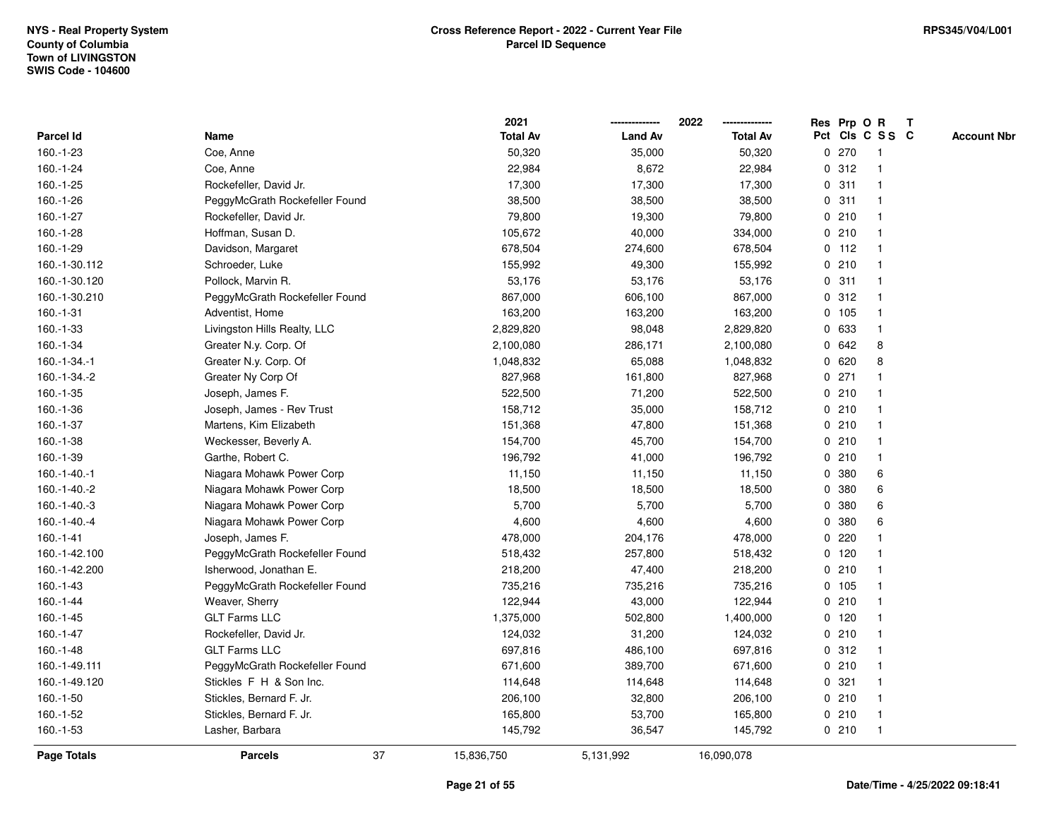|                    |                                | 2021            |                | 2022            |   | Res Prp O R |                 | T |                    |
|--------------------|--------------------------------|-----------------|----------------|-----------------|---|-------------|-----------------|---|--------------------|
| Parcel Id          | Name                           | <b>Total Av</b> | <b>Land Av</b> | <b>Total Av</b> |   |             | Pct Cls C S S C |   | <b>Account Nbr</b> |
| 160.-1-23          | Coe, Anne                      | 50,320          | 35,000         | 50,320          | 0 | 270         | $\mathbf{1}$    |   |                    |
| 160.-1-24          | Coe, Anne                      | 22,984          | 8,672          | 22,984          | 0 | 312         | $\overline{1}$  |   |                    |
| 160.-1-25          | Rockefeller, David Jr.         | 17,300          | 17,300         | 17,300          |   | 0.311       | $\mathbf{1}$    |   |                    |
| 160.-1-26          | PeggyMcGrath Rockefeller Found | 38,500          | 38,500         | 38,500          |   | 0.311       | 1               |   |                    |
| 160.-1-27          | Rockefeller, David Jr.         | 79,800          | 19,300         | 79,800          |   | 0210        |                 |   |                    |
| 160.-1-28          | Hoffman, Susan D.              | 105,672         | 40,000         | 334,000         |   | 0210        |                 |   |                    |
| $160.-1-29$        | Davidson, Margaret             | 678,504         | 274,600        | 678,504         |   | $0$ 112     | $\mathbf{1}$    |   |                    |
| 160.-1-30.112      | Schroeder, Luke                | 155,992         | 49,300         | 155,992         | 0 | 210         | $\overline{1}$  |   |                    |
| 160.-1-30.120      | Pollock, Marvin R.             | 53,176          | 53,176         | 53,176          |   | 0.311       | -1              |   |                    |
| 160.-1-30.210      | PeggyMcGrath Rockefeller Found | 867,000         | 606,100        | 867,000         |   | 0.312       | $\mathbf{1}$    |   |                    |
| 160.-1-31          | Adventist, Home                | 163,200         | 163,200        | 163,200         |   | $0$ 105     | -1              |   |                    |
| 160.-1-33          | Livingston Hills Realty, LLC   | 2,829,820       | 98,048         | 2,829,820       |   | 0 633       |                 |   |                    |
| 160.-1-34          | Greater N.y. Corp. Of          | 2,100,080       | 286,171        | 2,100,080       |   | 0 642       | 8               |   |                    |
| 160.-1-34.-1       | Greater N.y. Corp. Of          | 1,048,832       | 65,088         | 1,048,832       |   | 0620        | 8               |   |                    |
| 160.-1-34.-2       | Greater Ny Corp Of             | 827,968         | 161,800        | 827,968         | 0 | 271         |                 |   |                    |
| $160.-1-35$        | Joseph, James F.               | 522,500         | 71,200         | 522,500         |   | 0210        | $\mathbf{1}$    |   |                    |
| 160.-1-36          | Joseph, James - Rev Trust      | 158,712         | 35,000         | 158,712         |   | 0210        |                 |   |                    |
| 160.-1-37          | Martens, Kim Elizabeth         | 151,368         | 47,800         | 151,368         |   | 0210        | 1               |   |                    |
| 160.-1-38          | Weckesser, Beverly A.          | 154,700         | 45,700         | 154,700         |   | 0210        |                 |   |                    |
| $160.-1-39$        | Garthe, Robert C.              | 196,792         | 41,000         | 196,792         |   | 0210        |                 |   |                    |
| $160.-1-40.-1$     | Niagara Mohawk Power Corp      | 11,150          | 11,150         | 11,150          |   | 0 380       | 6               |   |                    |
| 160.-1-40.-2       | Niagara Mohawk Power Corp      | 18,500          | 18,500         | 18,500          | 0 | 380         | 6               |   |                    |
| $160.-1-40.-3$     | Niagara Mohawk Power Corp      | 5,700           | 5,700          | 5,700           | 0 | 380         | 6               |   |                    |
| $160.-1-40.-4$     | Niagara Mohawk Power Corp      | 4,600           | 4,600          | 4,600           | 0 | 380         | 6               |   |                    |
| $160.-1-41$        | Joseph, James F.               | 478,000         | 204,176        | 478,000         |   | 0.220       |                 |   |                    |
| 160.-1-42.100      | PeggyMcGrath Rockefeller Found | 518,432         | 257,800        | 518,432         |   | $0$ 120     |                 |   |                    |
| 160.-1-42.200      | Isherwood, Jonathan E.         | 218,200         | 47,400         | 218,200         |   | 0210        |                 |   |                    |
| 160.-1-43          | PeggyMcGrath Rockefeller Found | 735,216         | 735,216        | 735,216         |   | 0, 105      |                 |   |                    |
| 160.-1-44          | Weaver, Sherry                 | 122,944         | 43,000         | 122,944         |   | 0210        | -1              |   |                    |
| $160.-1-45$        | <b>GLT Farms LLC</b>           | 1,375,000       | 502,800        | 1,400,000       |   | 0 120       | -1              |   |                    |
| 160.-1-47          | Rockefeller, David Jr.         | 124,032         | 31,200         | 124,032         |   | 0210        | 1               |   |                    |
| $160.-1-48$        | <b>GLT Farms LLC</b>           | 697,816         | 486,100        | 697,816         |   | 0.312       | 1               |   |                    |
| 160.-1-49.111      | PeggyMcGrath Rockefeller Found | 671,600         | 389,700        | 671,600         |   | 0210        |                 |   |                    |
| 160.-1-49.120      | Stickles F H & Son Inc.        | 114,648         | 114,648        | 114,648         |   | 0.321       |                 |   |                    |
| 160.-1-50          | Stickles, Bernard F. Jr.       | 206,100         | 32,800         | 206,100         |   | 0210        | $\mathbf{1}$    |   |                    |
| 160.-1-52          | Stickles, Bernard F. Jr.       | 165,800         | 53,700         | 165,800         |   | 0210        | -1              |   |                    |
| 160.-1-53          | Lasher, Barbara                | 145,792         | 36,547         | 145,792         |   | 0210        | $\overline{1}$  |   |                    |
| <b>Page Totals</b> | 37<br><b>Parcels</b>           | 15,836,750      | 5,131,992      | 16,090,078      |   |             |                 |   |                    |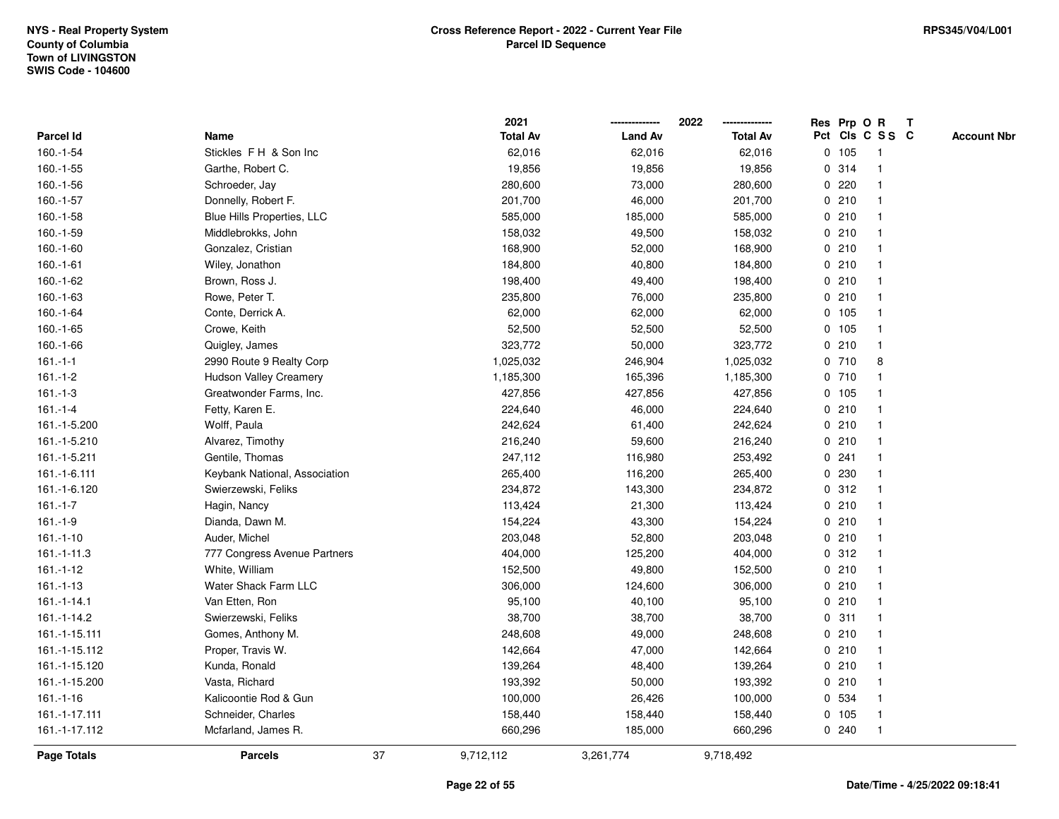|                    |                               |    | 2021            |                | 2022            | Res Prp O R |                 | Т |                    |
|--------------------|-------------------------------|----|-----------------|----------------|-----------------|-------------|-----------------|---|--------------------|
| Parcel Id          | Name                          |    | <b>Total Av</b> | <b>Land Av</b> | <b>Total Av</b> |             | Pct Cls C S S C |   | <b>Account Nbr</b> |
| $160.-1-54$        | Stickles FH & Son Inc         |    | 62,016          | 62,016         | 62,016          | 0 105       | $\mathbf{1}$    |   |                    |
| $160.-1-55$        | Garthe, Robert C.             |    | 19,856          | 19,856         | 19,856          | 0.314       | $\mathbf{1}$    |   |                    |
| 160.-1-56          | Schroeder, Jay                |    | 280,600         | 73,000         | 280,600         | 0.220       | $\mathbf{1}$    |   |                    |
| 160.-1-57          | Donnelly, Robert F.           |    | 201,700         | 46,000         | 201,700         | 0210        | -1              |   |                    |
| $160.-1-58$        | Blue Hills Properties, LLC    |    | 585,000         | 185,000        | 585,000         | 0210        |                 |   |                    |
| 160.-1-59          | Middlebrokks, John            |    | 158,032         | 49,500         | 158,032         | 0210        |                 |   |                    |
| $160.-1-60$        | Gonzalez, Cristian            |    | 168,900         | 52,000         | 168,900         | 0210        | $\mathbf{1}$    |   |                    |
| 160.-1-61          | Wiley, Jonathon               |    | 184,800         | 40,800         | 184,800         | 0210        | $\mathbf{1}$    |   |                    |
| 160.-1-62          | Brown, Ross J.                |    | 198,400         | 49,400         | 198,400         | 0210        | $\mathbf{1}$    |   |                    |
| 160.-1-63          | Rowe, Peter T.                |    | 235,800         | 76,000         | 235,800         | 0210        | $\mathbf{1}$    |   |                    |
| 160.-1-64          | Conte, Derrick A.             |    | 62,000          | 62,000         | 62,000          | 0, 105      | $\mathbf 1$     |   |                    |
| $160.-1-65$        | Crowe, Keith                  |    | 52,500          | 52,500         | 52,500          | 0 105       | $\mathbf 1$     |   |                    |
| 160.-1-66          | Quigley, James                |    | 323,772         | 50,000         | 323,772         | 0210        |                 |   |                    |
| $161 - 1 - 1$      | 2990 Route 9 Realty Corp      |    | 1,025,032       | 246,904        | 1,025,032       | 0710        | 8               |   |                    |
| $161 - 1 - 2$      | <b>Hudson Valley Creamery</b> |    | 1,185,300       | 165,396        | 1,185,300       | 0710        | $\mathbf{1}$    |   |                    |
| $161 - 1 - 3$      | Greatwonder Farms, Inc.       |    | 427,856         | 427,856        | 427,856         | 0, 105      | $\mathbf{1}$    |   |                    |
| $161 - 1 - 4$      | Fetty, Karen E.               |    | 224,640         | 46,000         | 224,640         | 0210        | $\mathbf{1}$    |   |                    |
| 161.-1-5.200       | Wolff, Paula                  |    | 242,624         | 61,400         | 242,624         | 0210        | $\mathbf{1}$    |   |                    |
| 161.-1-5.210       | Alvarez, Timothy              |    | 216,240         | 59,600         | 216,240         | 0210        | $\mathbf 1$     |   |                    |
| 161.-1-5.211       | Gentile, Thomas               |    | 247,112         | 116,980        | 253,492         | 0.241       |                 |   |                    |
| 161.-1-6.111       | Keybank National, Association |    | 265,400         | 116,200        | 265,400         | 0 230       | $\mathbf{1}$    |   |                    |
| 161.-1-6.120       | Swierzewski, Feliks           |    | 234,872         | 143,300        | 234,872         | 0.312       | $\mathbf 1$     |   |                    |
| $161 - 1 - 7$      | Hagin, Nancy                  |    | 113,424         | 21,300         | 113,424         | 0210        | $\mathbf{1}$    |   |                    |
| $161.-1-9$         | Dianda, Dawn M.               |    | 154,224         | 43,300         | 154,224         | 0210        | $\mathbf{1}$    |   |                    |
| $161.-1-10$        | Auder, Michel                 |    | 203,048         | 52,800         | 203,048         | 0210        | $\mathbf{1}$    |   |                    |
| $161.-1-11.3$      | 777 Congress Avenue Partners  |    | 404,000         | 125,200        | 404,000         | 0.312       | -1              |   |                    |
| $161 - 1 - 12$     | White, William                |    | 152,500         | 49,800         | 152,500         | 0210        | 1               |   |                    |
| $161.-1-13$        | Water Shack Farm LLC          |    | 306,000         | 124,600        | 306,000         | 0210        | $\mathbf 1$     |   |                    |
| 161.-1-14.1        | Van Etten, Ron                |    | 95,100          | 40,100         | 95,100          | 0210        | $\mathbf{1}$    |   |                    |
| 161.-1-14.2        | Swierzewski, Feliks           |    | 38,700          | 38,700         | 38,700          | 0.311       | $\mathbf 1$     |   |                    |
| 161.-1-15.111      | Gomes, Anthony M.             |    | 248,608         | 49,000         | 248,608         | 0210        | $\mathbf{1}$    |   |                    |
| 161.-1-15.112      | Proper, Travis W.             |    | 142,664         | 47,000         | 142,664         | 0210        | $\mathbf{1}$    |   |                    |
| 161.-1-15.120      | Kunda, Ronald                 |    | 139,264         | 48,400         | 139,264         | 0210        | $\mathbf 1$     |   |                    |
| 161.-1-15.200      | Vasta, Richard                |    | 193,392         | 50,000         | 193,392         | 0210        |                 |   |                    |
| $161 - 1 - 16$     | Kalicoontie Rod & Gun         |    | 100,000         | 26,426         | 100,000         | 0 534       | $\mathbf{1}$    |   |                    |
| 161.-1-17.111      | Schneider, Charles            |    | 158,440         | 158,440        | 158,440         | 0 105       | $\mathbf{1}$    |   |                    |
| 161.-1-17.112      | Mcfarland, James R.           |    | 660,296         | 185,000        | 660,296         | 0.240       | $\mathbf{1}$    |   |                    |
| <b>Page Totals</b> | <b>Parcels</b>                | 37 | 9,712,112       | 3,261,774      | 9,718,492       |             |                 |   |                    |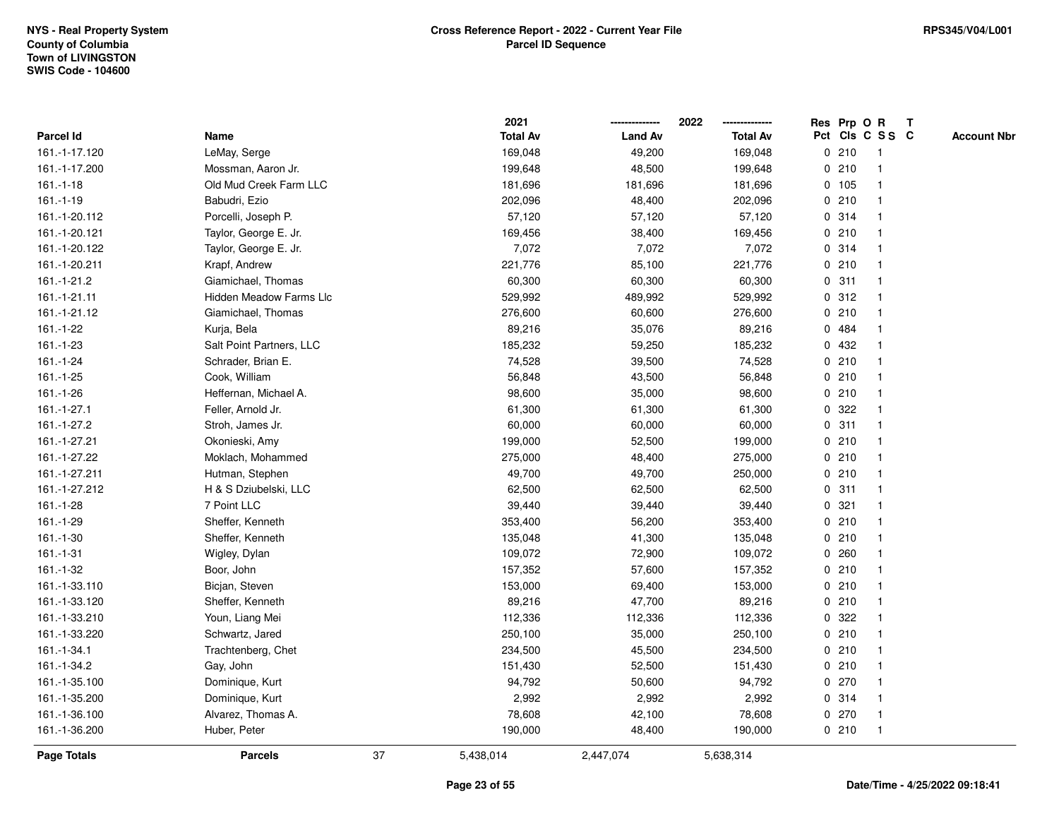|               |                                |    | 2021            |                | 2022            |   |       | Res Prp O R     | Т |                    |
|---------------|--------------------------------|----|-----------------|----------------|-----------------|---|-------|-----------------|---|--------------------|
| Parcel Id     | Name                           |    | <b>Total Av</b> | <b>Land Av</b> | <b>Total Av</b> |   |       | Pct Cls C S S C |   | <b>Account Nbr</b> |
| 161.-1-17.120 | LeMay, Serge                   |    | 169,048         | 49,200         | 169,048         |   | 0210  | $\mathbf{1}$    |   |                    |
| 161.-1-17.200 | Mossman, Aaron Jr.             |    | 199,648         | 48,500         | 199,648         |   | 0210  | 1               |   |                    |
| $161.-1-18$   | Old Mud Creek Farm LLC         |    | 181,696         | 181,696        | 181,696         |   | 0 105 | $\mathbf 1$     |   |                    |
| $161.-1-19$   | Babudri, Ezio                  |    | 202,096         | 48,400         | 202,096         |   | 0210  | -1              |   |                    |
| 161.-1-20.112 | Porcelli, Joseph P.            |    | 57,120          | 57,120         | 57,120          |   | 0.314 |                 |   |                    |
| 161.-1-20.121 | Taylor, George E. Jr.          |    | 169,456         | 38,400         | 169,456         |   | 0210  |                 |   |                    |
| 161.-1-20.122 | Taylor, George E. Jr.          |    | 7,072           | 7,072          | 7,072           |   | 0.314 | $\mathbf{1}$    |   |                    |
| 161.-1-20.211 | Krapf, Andrew                  |    | 221,776         | 85,100         | 221,776         |   | 0210  | $\mathbf{1}$    |   |                    |
| 161.-1-21.2   | Giamichael, Thomas             |    | 60,300          | 60,300         | 60,300          |   | 0.311 | 1               |   |                    |
| 161.-1-21.11  | <b>Hidden Meadow Farms Llc</b> |    | 529,992         | 489,992        | 529,992         |   | 0.312 | $\mathbf 1$     |   |                    |
| 161.-1-21.12  | Giamichael, Thomas             |    | 276,600         | 60,600         | 276,600         |   | 0210  | $\mathbf 1$     |   |                    |
| 161.-1-22     | Kurja, Bela                    |    | 89,216          | 35,076         | 89,216          |   | 0 484 |                 |   |                    |
| 161.-1-23     | Salt Point Partners, LLC       |    | 185,232         | 59,250         | 185,232         |   | 0 432 |                 |   |                    |
| 161.-1-24     | Schrader, Brian E.             |    | 74,528          | 39,500         | 74,528          |   | 0210  | $\mathbf 1$     |   |                    |
| $161.-1-25$   | Cook, William                  |    | 56,848          | 43,500         | 56,848          |   | 0210  | $\mathbf{1}$    |   |                    |
| 161.-1-26     | Heffernan, Michael A.          |    | 98,600          | 35,000         | 98,600          |   | 0210  | $\mathbf{1}$    |   |                    |
| 161.-1-27.1   | Feller, Arnold Jr.             |    | 61,300          | 61,300         | 61,300          |   | 0.322 | $\mathbf{1}$    |   |                    |
| 161.-1-27.2   | Stroh, James Jr.               |    | 60,000          | 60,000         | 60,000          |   | 0.311 | 1               |   |                    |
| 161.-1-27.21  | Okonieski, Amy                 |    | 199,000         | 52,500         | 199,000         |   | 0210  | 1               |   |                    |
| 161.-1-27.22  | Moklach, Mohammed              |    | 275,000         | 48,400         | 275,000         |   | 0210  |                 |   |                    |
| 161.-1-27.211 | Hutman, Stephen                |    | 49,700          | 49,700         | 250,000         |   | 0210  | $\mathbf{1}$    |   |                    |
| 161.-1-27.212 | H & S Dziubelski, LLC          |    | 62,500          | 62,500         | 62,500          |   | 0.311 | 1               |   |                    |
| 161.-1-28     | 7 Point LLC                    |    | 39,440          | 39,440         | 39,440          | 0 | 321   | $\mathbf{1}$    |   |                    |
| 161.-1-29     | Sheffer, Kenneth               |    | 353,400         | 56,200         | 353,400         |   | 0210  | $\mathbf{1}$    |   |                    |
| $161.-1-30$   | Sheffer, Kenneth               |    | 135,048         | 41,300         | 135,048         |   | 0210  | $\mathbf 1$     |   |                    |
| $161.-1-31$   | Wigley, Dylan                  |    | 109,072         | 72,900         | 109,072         |   | 0.260 |                 |   |                    |
| 161.-1-32     | Boor, John                     |    | 157,352         | 57,600         | 157,352         |   | 0210  |                 |   |                    |
| 161.-1-33.110 | Bicjan, Steven                 |    | 153,000         | 69,400         | 153,000         |   | 0210  | $\mathbf{1}$    |   |                    |
| 161.-1-33.120 | Sheffer, Kenneth               |    | 89,216          | 47,700         | 89,216          |   | 0210  | $\mathbf{1}$    |   |                    |
| 161.-1-33.210 | Youn, Liang Mei                |    | 112,336         | 112,336        | 112,336         | 0 | 322   | 1               |   |                    |
| 161.-1-33.220 | Schwartz, Jared                |    | 250,100         | 35,000         | 250,100         |   | 0210  | 1               |   |                    |
| 161.-1-34.1   | Trachtenberg, Chet             |    | 234,500         | 45,500         | 234,500         |   | 0210  | $\mathbf 1$     |   |                    |
| 161.-1-34.2   | Gay, John                      |    | 151,430         | 52,500         | 151,430         |   | 0210  | $\mathbf 1$     |   |                    |
| 161.-1-35.100 | Dominique, Kurt                |    | 94,792          | 50,600         | 94,792          |   | 0270  |                 |   |                    |
| 161.-1-35.200 | Dominique, Kurt                |    | 2,992           | 2,992          | 2,992           |   | 0.314 | $\mathbf 1$     |   |                    |
| 161.-1-36.100 | Alvarez, Thomas A.             |    | 78,608          | 42,100         | 78,608          |   | 0270  | $\mathbf{1}$    |   |                    |
| 161.-1-36.200 | Huber, Peter                   |    | 190,000         | 48,400         | 190,000         |   | 0210  | $\mathbf{1}$    |   |                    |
| Page Totals   | <b>Parcels</b>                 | 37 | 5,438,014       | 2,447,074      | 5,638,314       |   |       |                 |   |                    |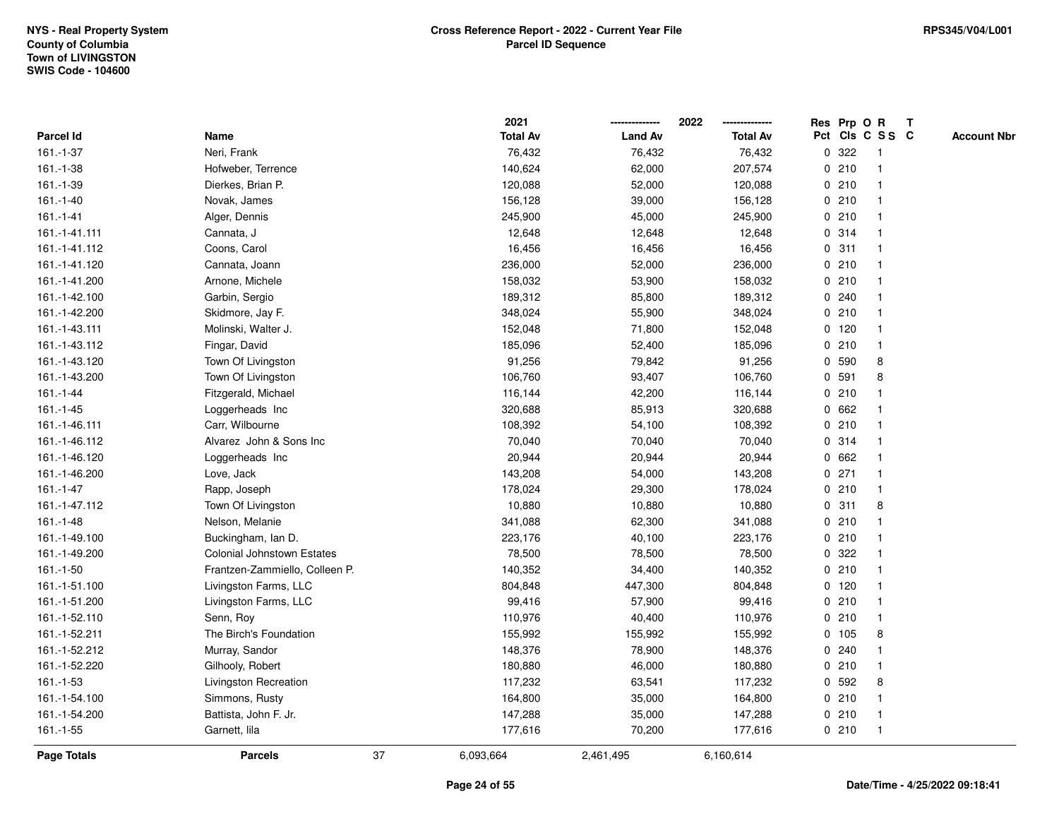|                |                                   |    | 2021            |                | 2022            |             | Res Prp O R |                 | T |                    |
|----------------|-----------------------------------|----|-----------------|----------------|-----------------|-------------|-------------|-----------------|---|--------------------|
| Parcel Id      | Name                              |    | <b>Total Av</b> | <b>Land Av</b> | <b>Total Av</b> |             |             | Pct Cls C S S C |   | <b>Account Nbr</b> |
| $161.-1-37$    | Neri, Frank                       |    | 76,432          | 76,432         | 76,432          |             | 0.322       | $\mathbf{1}$    |   |                    |
| 161.-1-38      | Hofweber, Terrence                |    | 140,624         | 62,000         | 207,574         | 0           | 210         | $\overline{1}$  |   |                    |
| 161.-1-39      | Dierkes, Brian P.                 |    | 120,088         | 52,000         | 120,088         |             | 0210        | $\mathbf{1}$    |   |                    |
| $161.-1-40$    | Novak, James                      |    | 156,128         | 39,000         | 156,128         |             | 0210        |                 |   |                    |
| $161 - 1 - 41$ | Alger, Dennis                     |    | 245,900         | 45,000         | 245,900         |             | 0210        |                 |   |                    |
| 161.-1-41.111  | Cannata, J                        |    | 12,648          | 12,648         | 12,648          |             | 0.314       |                 |   |                    |
| 161.-1-41.112  | Coons, Carol                      |    | 16,456          | 16,456         | 16,456          |             | 0.311       |                 |   |                    |
| 161.-1-41.120  | Cannata, Joann                    |    | 236,000         | 52,000         | 236,000         |             | 0210        | $\overline{1}$  |   |                    |
| 161.-1-41.200  | Arnone, Michele                   |    | 158,032         | 53,900         | 158,032         |             | 0210        | 1               |   |                    |
| 161.-1-42.100  | Garbin, Sergio                    |    | 189,312         | 85,800         | 189,312         |             | 0.240       | 1               |   |                    |
| 161.-1-42.200  | Skidmore, Jay F.                  |    | 348,024         | 55,900         | 348,024         |             | 0210        |                 |   |                    |
| 161.-1-43.111  | Molinski, Walter J.               |    | 152,048         | 71,800         | 152,048         |             | $0$ 120     |                 |   |                    |
| 161.-1-43.112  | Fingar, David                     |    | 185,096         | 52,400         | 185,096         |             | 0210        |                 |   |                    |
| 161.-1-43.120  | Town Of Livingston                |    | 91,256          | 79,842         | 91,256          |             | 0 590       | 8               |   |                    |
| 161.-1-43.200  | Town Of Livingston                |    | 106,760         | 93,407         | 106,760         | $\mathbf 0$ | 591         | 8               |   |                    |
| $161 - 1 - 44$ | Fitzgerald, Michael               |    | 116,144         | 42,200         | 116,144         |             | 0210        | $\mathbf{1}$    |   |                    |
| $161.-1-45$    | Loggerheads Inc                   |    | 320,688         | 85,913         | 320,688         |             | 0 662       |                 |   |                    |
| 161.-1-46.111  | Carr, Wilbourne                   |    | 108,392         | 54,100         | 108,392         |             | 0210        |                 |   |                    |
| 161.-1-46.112  | Alvarez John & Sons Inc           |    | 70,040          | 70,040         | 70,040          |             | 0.314       |                 |   |                    |
| 161.-1-46.120  | Loggerheads Inc                   |    | 20,944          | 20,944         | 20,944          |             | 0 662       |                 |   |                    |
| 161.-1-46.200  | Love, Jack                        |    | 143,208         | 54,000         | 143,208         |             | $0$ 271     |                 |   |                    |
| 161.-1-47      | Rapp, Joseph                      |    | 178,024         | 29,300         | 178,024         |             | 0210        | $\overline{1}$  |   |                    |
| 161.-1-47.112  | Town Of Livingston                |    | 10,880          | 10,880         | 10,880          | 0           | 311         | 8               |   |                    |
| $161.-1-48$    | Nelson, Melanie                   |    | 341,088         | 62,300         | 341,088         |             | 0210        |                 |   |                    |
| 161.-1-49.100  | Buckingham, Ian D.                |    | 223,176         | 40,100         | 223,176         |             | 0210        |                 |   |                    |
| 161.-1-49.200  | <b>Colonial Johnstown Estates</b> |    | 78,500          | 78,500         | 78,500          |             | 0.322       |                 |   |                    |
| 161.-1-50      | Frantzen-Zammiello, Colleen P.    |    | 140,352         | 34,400         | 140,352         |             | 0210        |                 |   |                    |
| 161.-1-51.100  | Livingston Farms, LLC             |    | 804,848         | 447,300        | 804,848         |             | $0$ 120     |                 |   |                    |
| 161.-1-51.200  | Livingston Farms, LLC             |    | 99,416          | 57,900         | 99,416          |             | 0210        | $\mathbf{1}$    |   |                    |
| 161.-1-52.110  | Senn, Roy                         |    | 110,976         | 40,400         | 110,976         | 0           | 210         | -1              |   |                    |
| 161.-1-52.211  | The Birch's Foundation            |    | 155,992         | 155,992        | 155,992         | 0           | 105         | 8               |   |                    |
| 161.-1-52.212  | Murray, Sandor                    |    | 148,376         | 78,900         | 148,376         |             | 0.240       | $\mathbf 1$     |   |                    |
| 161.-1-52.220  | Gilhooly, Robert                  |    | 180,880         | 46,000         | 180,880         |             | 0210        | 1               |   |                    |
| $161.-1-53$    | Livingston Recreation             |    | 117,232         | 63,541         | 117,232         |             | 0 592       | 8               |   |                    |
| 161.-1-54.100  | Simmons, Rusty                    |    | 164,800         | 35,000         | 164,800         |             | 0210        |                 |   |                    |
| 161.-1-54.200  | Battista, John F. Jr.             |    | 147,288         | 35,000         | 147,288         |             | 0210        | -1              |   |                    |
| $161.-1-55$    | Garnett, lila                     |    | 177,616         | 70,200         | 177,616         |             | 0210        | $\overline{1}$  |   |                    |
| Page Totals    | <b>Parcels</b>                    | 37 | 6,093,664       | 2,461,495      | 6,160,614       |             |             |                 |   |                    |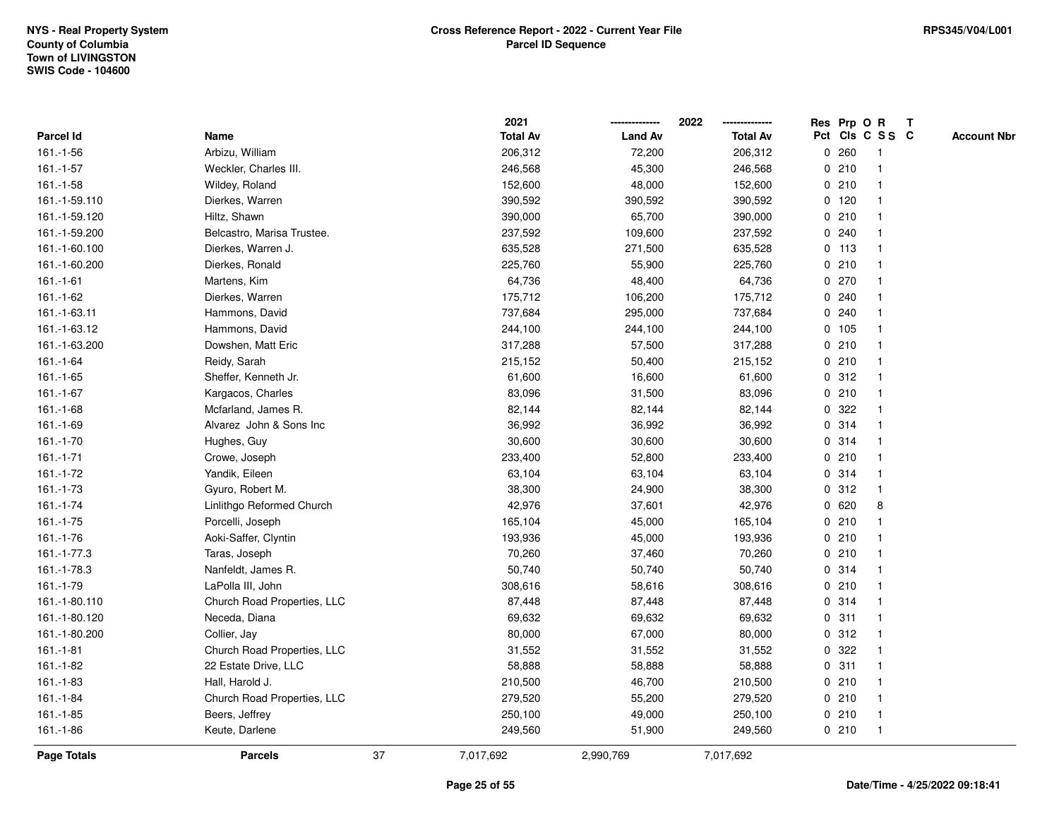|                  |                             |    | 2021            |                | 2022            |             |         | Res Prp O R     | $\mathbf{T}$ |                    |
|------------------|-----------------------------|----|-----------------|----------------|-----------------|-------------|---------|-----------------|--------------|--------------------|
| <b>Parcel Id</b> | Name                        |    | <b>Total Av</b> | <b>Land Av</b> | <b>Total Av</b> |             |         | Pct Cls C S S C |              | <b>Account Nbr</b> |
| 161.-1-56        | Arbizu, William             |    | 206,312         | 72,200         | 206,312         | 0           | 260     |                 |              |                    |
| 161.-1-57        | Weckler, Charles III.       |    | 246,568         | 45,300         | 246,568         |             | 0210    |                 |              |                    |
| $161.-1-58$      | Wildey, Roland              |    | 152,600         | 48,000         | 152,600         |             | 0210    |                 |              |                    |
| 161.-1-59.110    | Dierkes, Warren             |    | 390,592         | 390,592        | 390,592         |             | 0, 120  |                 |              |                    |
| 161.-1-59.120    | Hiltz, Shawn                |    | 390,000         | 65,700         | 390,000         |             | 0210    | $\mathbf 1$     |              |                    |
| 161.-1-59.200    | Belcastro, Marisa Trustee.  |    | 237,592         | 109,600        | 237,592         |             | 0.240   |                 |              |                    |
| 161.-1-60.100    | Dierkes, Warren J.          |    | 635,528         | 271,500        | 635,528         |             | $0$ 113 |                 |              |                    |
| 161.-1-60.200    | Dierkes, Ronald             |    | 225,760         | 55,900         | 225,760         |             | 0210    |                 |              |                    |
| $161.-1-61$      | Martens, Kim                |    | 64,736          | 48,400         | 64,736          |             | 0270    |                 |              |                    |
| 161.-1-62        | Dierkes, Warren             |    | 175,712         | 106,200        | 175,712         | 0           | 240     |                 |              |                    |
| 161.-1-63.11     | Hammons, David              |    | 737,684         | 295,000        | 737,684         | 0           | 240     |                 |              |                    |
| 161.-1-63.12     | Hammons, David              |    | 244,100         | 244,100        | 244,100         |             | 0 105   | -1              |              |                    |
| 161.-1-63.200    | Dowshen, Matt Eric          |    | 317,288         | 57,500         | 317,288         |             | 0210    |                 |              |                    |
| 161.-1-64        | Reidy, Sarah                |    | 215,152         | 50,400         | 215,152         |             | 0210    |                 |              |                    |
| $161.-1-65$      | Sheffer, Kenneth Jr.        |    | 61,600          | 16,600         | 61,600          |             | 0.312   |                 |              |                    |
| 161.-1-67        | Kargacos, Charles           |    | 83,096          | 31,500         | 83,096          |             | 0210    |                 |              |                    |
| $161.-1-68$      | Mcfarland, James R.         |    | 82,144          | 82,144         | 82,144          | 0           | 322     |                 |              |                    |
| 161.-1-69        | Alvarez John & Sons Inc     |    | 36,992          | 36,992         | 36,992          | 0           | 314     | -1              |              |                    |
| 161.-1-70        | Hughes, Guy                 |    | 30,600          | 30,600         | 30,600          |             | 0 314   |                 |              |                    |
| $161 - 1 - 71$   | Crowe, Joseph               |    | 233,400         | 52,800         | 233,400         |             | 0210    |                 |              |                    |
| 161.-1-72        | Yandik, Eileen              |    | 63,104          | 63,104         | 63,104          |             | 0.314   |                 |              |                    |
| 161.-1-73        | Gyuro, Robert M.            |    | 38,300          | 24,900         | 38,300          |             | 0.312   | $\mathbf{1}$    |              |                    |
| 161.-1-74        | Linlithgo Reformed Church   |    | 42,976          | 37,601         | 42,976          |             | 0620    | 8               |              |                    |
| $161.-1-75$      | Porcelli, Joseph            |    | 165,104         | 45,000         | 165,104         |             | 0210    | -1              |              |                    |
| 161.-1-76        | Aoki-Saffer, Clyntin        |    | 193,936         | 45,000         | 193,936         |             | 0210    |                 |              |                    |
| 161.-1-77.3      | Taras, Joseph               |    | 70,260          | 37,460         | 70,260          |             | 0210    |                 |              |                    |
| 161.-1-78.3      | Nanfeldt, James R.          |    | 50,740          | 50,740         | 50,740          |             | 0 314   |                 |              |                    |
| 161.-1-79        | LaPolla III, John           |    | 308,616         | 58,616         | 308,616         |             | 0210    |                 |              |                    |
| 161.-1-80.110    | Church Road Properties, LLC |    | 87,448          | 87,448         | 87,448          |             | 0.314   |                 |              |                    |
| 161.-1-80.120    | Neceda, Diana               |    | 69,632          | 69,632         | 69,632          | $\mathbf 0$ | 311     |                 |              |                    |
| 161.-1-80.200    | Collier, Jay                |    | 80,000          | 67,000         | 80,000          |             | 0.312   |                 |              |                    |
| $161.-1-81$      | Church Road Properties, LLC |    | 31,552          | 31,552         | 31,552          |             | 0.322   |                 |              |                    |
| 161.-1-82        | 22 Estate Drive, LLC        |    | 58,888          | 58,888         | 58,888          |             | 0.311   |                 |              |                    |
| 161.-1-83        | Hall, Harold J.             |    | 210,500         | 46,700         | 210,500         |             | 0210    |                 |              |                    |
| 161.-1-84        | Church Road Properties, LLC |    | 279,520         | 55,200         | 279,520         |             | 0210    |                 |              |                    |
| $161.-1-85$      | Beers, Jeffrey              |    | 250,100         | 49,000         | 250,100         |             | 0210    | $\mathbf{1}$    |              |                    |
| 161.-1-86        | Keute, Darlene              |    | 249,560         | 51,900         | 249,560         |             | 0210    | $\mathbf 1$     |              |                    |
| Page Totals      | <b>Parcels</b>              | 37 | 7,017,692       | 2,990,769      | 7,017,692       |             |         |                 |              |                    |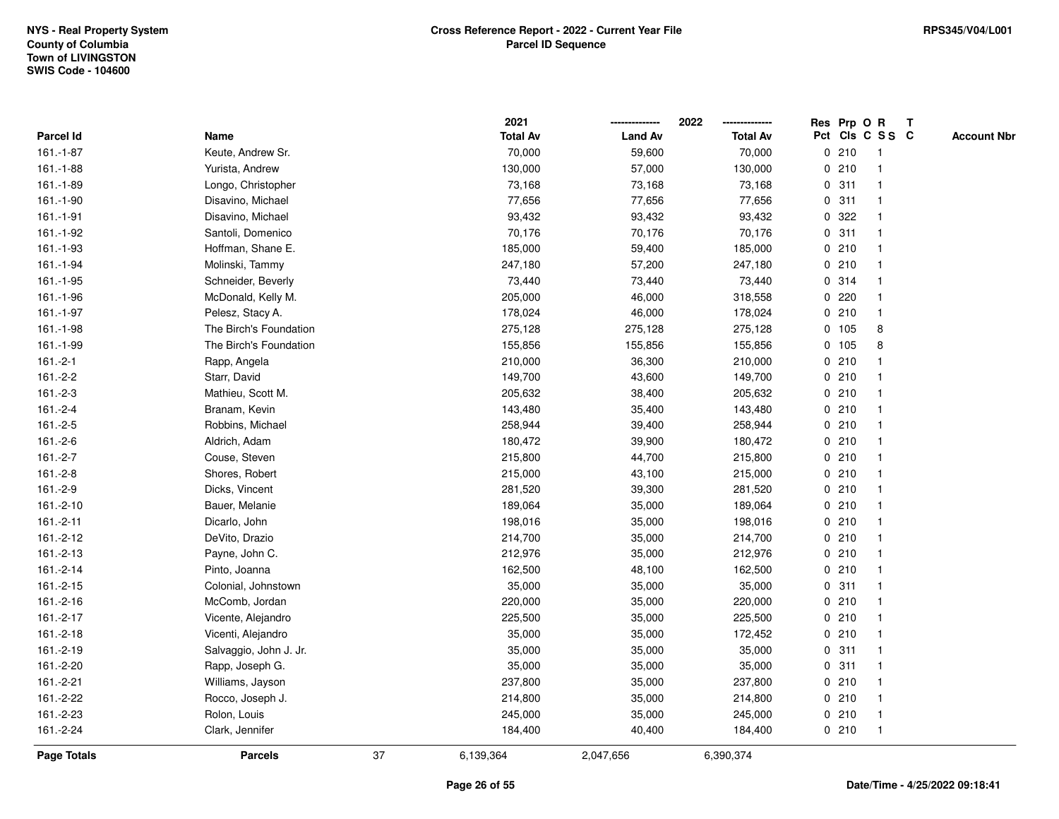|             |                        |    | 2021            |                | 2022            |             |       | Res Prp O R             | $\mathbf{T}$ |                    |
|-------------|------------------------|----|-----------------|----------------|-----------------|-------------|-------|-------------------------|--------------|--------------------|
| Parcel Id   | Name                   |    | <b>Total Av</b> | <b>Land Av</b> | <b>Total Av</b> |             |       | Pct Cls C S S C         |              | <b>Account Nbr</b> |
| 161.-1-87   | Keute, Andrew Sr.      |    | 70,000          | 59,600         | 70,000          |             | 0210  | -1                      |              |                    |
| 161.-1-88   | Yurista, Andrew        |    | 130,000         | 57,000         | 130,000         | $\mathbf 0$ | 210   |                         |              |                    |
| 161.-1-89   | Longo, Christopher     |    | 73,168          | 73,168         | 73,168          | $\mathbf 0$ | 311   | -1                      |              |                    |
| 161.-1-90   | Disavino, Michael      |    | 77,656          | 77,656         | 77,656          | 0           | 311   | -1                      |              |                    |
| 161.-1-91   | Disavino, Michael      |    | 93,432          | 93,432         | 93,432          | $\mathbf 0$ | 322   | $\mathbf{1}$            |              |                    |
| 161.-1-92   | Santoli, Domenico      |    | 70,176          | 70,176         | 70,176          |             | 0.311 | $\mathbf{1}$            |              |                    |
| 161.-1-93   | Hoffman, Shane E.      |    | 185,000         | 59,400         | 185,000         |             | 0210  |                         |              |                    |
| 161.-1-94   | Molinski, Tammy        |    | 247,180         | 57,200         | 247,180         |             | 0210  |                         |              |                    |
| 161.-1-95   | Schneider, Beverly     |    | 73,440          | 73,440         | 73,440          |             | 0.314 |                         |              |                    |
| 161.-1-96   | McDonald, Kelly M.     |    | 205,000         | 46,000         | 318,558         |             | 0.220 |                         |              |                    |
| 161.-1-97   | Pelesz, Stacy A.       |    | 178,024         | 46,000         | 178,024         |             | 0210  | $\mathbf{1}$            |              |                    |
| 161.-1-98   | The Birch's Foundation |    | 275,128         | 275,128        | 275,128         | 0           | 105   | 8                       |              |                    |
| 161.-1-99   | The Birch's Foundation |    | 155,856         | 155,856        | 155,856         |             | 0 105 | 8                       |              |                    |
| $161.-2-1$  | Rapp, Angela           |    | 210,000         | 36,300         | 210,000         |             | 0210  |                         |              |                    |
| $161.-2-2$  | Starr, David           |    | 149,700         | 43,600         | 149,700         |             | 0210  |                         |              |                    |
| $161.-2-3$  | Mathieu, Scott M.      |    | 205,632         | 38,400         | 205,632         |             | 0210  |                         |              |                    |
| $161.-2-4$  | Branam, Kevin          |    | 143,480         | 35,400         | 143,480         | 0           | 210   | $\overline{\mathbf{1}}$ |              |                    |
| $161.-2-5$  | Robbins, Michael       |    | 258,944         | 39,400         | 258,944         | 0           | 210   | $\overline{\mathbf{1}}$ |              |                    |
| $161.-2-6$  | Aldrich, Adam          |    | 180,472         | 39,900         | 180,472         |             | 0210  | $\mathbf{1}$            |              |                    |
| $161.-2-7$  | Couse, Steven          |    | 215,800         | 44,700         | 215,800         |             | 0210  |                         |              |                    |
| $161.-2-8$  | Shores, Robert         |    | 215,000         | 43,100         | 215,000         |             | 0210  |                         |              |                    |
| 161.-2-9    | Dicks, Vincent         |    | 281,520         | 39,300         | 281,520         |             | 0210  |                         |              |                    |
| 161.-2-10   | Bauer, Melanie         |    | 189,064         | 35,000         | 189,064         |             | 0210  |                         |              |                    |
| $161.-2-11$ | Dicarlo, John          |    | 198,016         | 35,000         | 198,016         | 0           | 210   | $\mathbf{1}$            |              |                    |
| 161.-2-12   | DeVito, Drazio         |    | 214,700         | 35,000         | 214,700         |             | 0210  | -1                      |              |                    |
| 161.-2-13   | Payne, John C.         |    | 212,976         | 35,000         | 212,976         |             | 0210  | $\mathbf 1$             |              |                    |
| $161.-2-14$ | Pinto, Joanna          |    | 162,500         | 48,100         | 162,500         |             | 0210  |                         |              |                    |
| 161.-2-15   | Colonial, Johnstown    |    | 35,000          | 35,000         | 35,000          |             | 0.311 |                         |              |                    |
| 161.-2-16   | McComb, Jordan         |    | 220,000         | 35,000         | 220,000         |             | 0210  |                         |              |                    |
| 161.-2-17   | Vicente, Alejandro     |    | 225,500         | 35,000         | 225,500         | 0           | 210   |                         |              |                    |
| 161.-2-18   | Vicenti, Alejandro     |    | 35,000          | 35,000         | 172,452         | 0           | 210   | $\mathbf{1}$            |              |                    |
| 161.-2-19   | Salvaggio, John J. Jr. |    | 35,000          | 35,000         | 35,000          | $\mathbf 0$ | 311   | $\mathbf{1}$            |              |                    |
| 161.-2-20   | Rapp, Joseph G.        |    | 35,000          | 35,000         | 35,000          |             | 0.311 |                         |              |                    |
| 161.-2-21   | Williams, Jayson       |    | 237,800         | 35,000         | 237,800         |             | 0210  |                         |              |                    |
| 161.-2-22   | Rocco, Joseph J.       |    | 214,800         | 35,000         | 214,800         |             | 0210  |                         |              |                    |
| 161.-2-23   | Rolon, Louis           |    | 245,000         | 35,000         | 245,000         |             | 0210  | $\mathbf{1}$            |              |                    |
| 161.-2-24   | Clark, Jennifer        |    | 184,400         | 40,400         | 184,400         |             | 0210  | $\mathbf{1}$            |              |                    |
| Page Totals | <b>Parcels</b>         | 37 | 6,139,364       | 2,047,656      | 6,390,374       |             |       |                         |              |                    |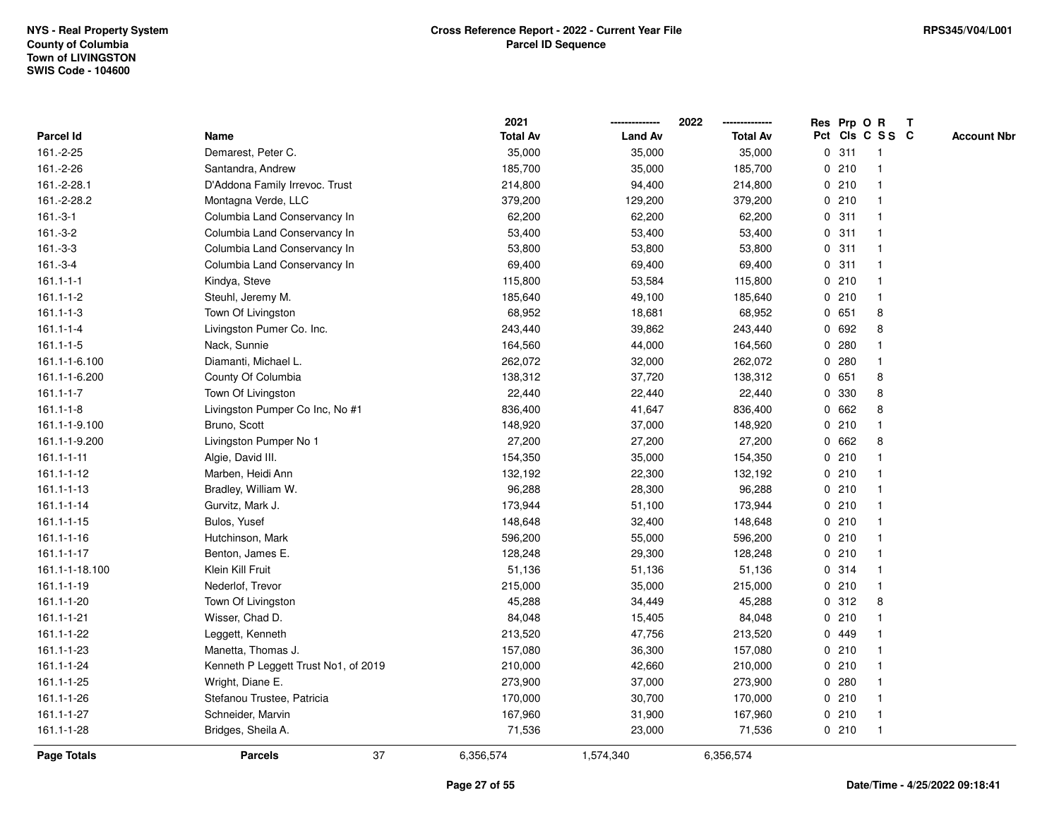|                  |                                      | 2021            |                | 2022            |              |       | Res Prp O R     | T |                    |
|------------------|--------------------------------------|-----------------|----------------|-----------------|--------------|-------|-----------------|---|--------------------|
| Parcel Id        | Name                                 | <b>Total Av</b> | <b>Land Av</b> | <b>Total Av</b> |              |       | Pct Cls C S S C |   | <b>Account Nbr</b> |
| 161.-2-25        | Demarest, Peter C.                   | 35,000          | 35,000         | 35,000          | $\mathbf 0$  | 311   | $\mathbf{1}$    |   |                    |
| 161.-2-26        | Santandra, Andrew                    | 185,700         | 35,000         | 185,700         | 0            | 210   | -1              |   |                    |
| 161.-2-28.1      | D'Addona Family Irrevoc. Trust       | 214,800         | 94,400         | 214,800         |              | 0210  | $\mathbf{1}$    |   |                    |
| 161.-2-28.2      | Montagna Verde, LLC                  | 379,200         | 129,200        | 379,200         |              | 0210  |                 |   |                    |
| $161.-3-1$       | Columbia Land Conservancy In         | 62,200          | 62,200         | 62,200          |              | 0.311 |                 |   |                    |
| $161.-3-2$       | Columbia Land Conservancy In         | 53,400          | 53,400         | 53,400          |              | 0.311 |                 |   |                    |
| $161.-3-3$       | Columbia Land Conservancy In         | 53,800          | 53,800         | 53,800          |              | 0.311 |                 |   |                    |
| $161.-3-4$       | Columbia Land Conservancy In         | 69,400          | 69,400         | 69,400          | 0            | 311   | $\mathbf{1}$    |   |                    |
| $161.1 - 1 - 1$  | Kindya, Steve                        | 115,800         | 53,584         | 115,800         |              | 0210  | -1              |   |                    |
| $161.1 - 1 - 2$  | Steuhl, Jeremy M.                    | 185,640         | 49,100         | 185,640         |              | 0210  | $\mathbf{1}$    |   |                    |
| $161.1 - 1 - 3$  | Town Of Livingston                   | 68,952          | 18,681         | 68,952          |              | 0 651 | 8               |   |                    |
| $161.1 - 1 - 4$  | Livingston Pumer Co. Inc.            | 243,440         | 39,862         | 243,440         |              | 0 692 | 8               |   |                    |
| $161.1 - 1 - 5$  | Nack, Sunnie                         | 164,560         | 44,000         | 164,560         | $\mathbf{0}$ | 280   |                 |   |                    |
| 161.1-1-6.100    | Diamanti, Michael L.                 | 262,072         | 32,000         | 262,072         |              | 0.280 | $\mathbf 1$     |   |                    |
| 161.1-1-6.200    | County Of Columbia                   | 138,312         | 37,720         | 138,312         | $\mathbf 0$  | 651   | 8               |   |                    |
| $161.1 - 1 - 7$  | Town Of Livingston                   | 22,440          | 22,440         | 22,440          | 0            | 330   | 8               |   |                    |
| $161.1 - 1 - 8$  | Livingston Pumper Co Inc, No #1      | 836,400         | 41,647         | 836,400         |              | 0 662 | 8               |   |                    |
| 161.1-1-9.100    | Bruno, Scott                         | 148,920         | 37,000         | 148,920         |              | 0210  |                 |   |                    |
| 161.1-1-9.200    | Livingston Pumper No 1               | 27,200          | 27,200         | 27,200          |              | 0 662 | 8               |   |                    |
| $161.1 - 1 - 11$ | Algie, David III.                    | 154,350         | 35,000         | 154,350         |              | 0210  |                 |   |                    |
| 161.1-1-12       | Marben, Heidi Ann                    | 132,192         | 22,300         | 132,192         |              | 0210  |                 |   |                    |
| 161.1-1-13       | Bradley, William W.                  | 96,288          | 28,300         | 96,288          |              | 0210  |                 |   |                    |
| 161.1-1-14       | Gurvitz, Mark J.                     | 173,944         | 51,100         | 173,944         |              | 0210  | -1              |   |                    |
| $161.1 - 1 - 15$ | Bulos, Yusef                         | 148,648         | 32,400         | 148,648         |              | 0210  | $\mathbf{1}$    |   |                    |
| $161.1 - 1 - 16$ | Hutchinson, Mark                     | 596,200         | 55,000         | 596,200         |              | 0210  |                 |   |                    |
| 161.1-1-17       | Benton, James E.                     | 128,248         | 29,300         | 128,248         |              | 0210  |                 |   |                    |
| 161.1-1-18.100   | Klein Kill Fruit                     | 51,136          | 51,136         | 51,136          |              | 0.314 |                 |   |                    |
| 161.1-1-19       | Nederlof, Trevor                     | 215,000         | 35,000         | 215,000         |              | 0210  |                 |   |                    |
| 161.1-1-20       | Town Of Livingston                   | 45,288          | 34,449         | 45,288          | 0            | 312   | 8               |   |                    |
| 161.1-1-21       | Wisser, Chad D.                      | 84,048          | 15,405         | 84,048          | $\mathbf 0$  | 210   |                 |   |                    |
| 161.1-1-22       | Leggett, Kenneth                     | 213,520         | 47,756         | 213,520         |              | 0 449 | 1               |   |                    |
| 161.1-1-23       | Manetta, Thomas J.                   | 157,080         | 36,300         | 157,080         |              | 0210  | $\mathbf 1$     |   |                    |
| 161.1-1-24       | Kenneth P Leggett Trust No1, of 2019 | 210,000         | 42,660         | 210,000         |              | 0210  |                 |   |                    |
| 161.1-1-25       | Wright, Diane E.                     | 273,900         | 37,000         | 273,900         |              | 0.280 |                 |   |                    |
| 161.1-1-26       | Stefanou Trustee, Patricia           | 170,000         | 30,700         | 170,000         |              | 0210  |                 |   |                    |
| 161.1-1-27       | Schneider, Marvin                    | 167,960         | 31,900         | 167,960         |              | 0210  | -1              |   |                    |
| 161.1-1-28       | Bridges, Sheila A.                   | 71,536          | 23,000         | 71,536          |              | 0210  | $\overline{1}$  |   |                    |
| Page Totals      | 37<br><b>Parcels</b>                 | 6,356,574       | 1,574,340      | 6,356,574       |              |       |                 |   |                    |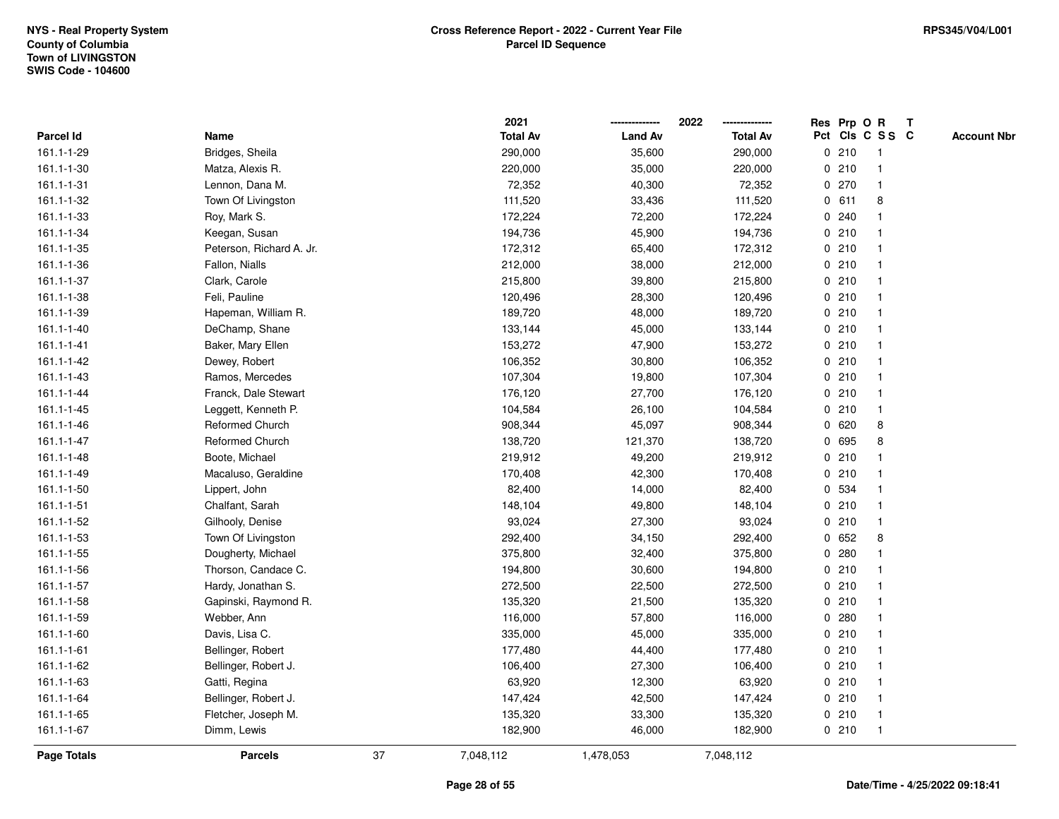|             |                          |    | 2021            |                | 2022            |             |       | Res Prp O R     | $\mathsf{T}$ |                    |
|-------------|--------------------------|----|-----------------|----------------|-----------------|-------------|-------|-----------------|--------------|--------------------|
| Parcel Id   | Name                     |    | <b>Total Av</b> | <b>Land Av</b> | <b>Total Av</b> |             |       | Pct Cls C S S C |              | <b>Account Nbr</b> |
| 161.1-1-29  | Bridges, Sheila          |    | 290,000         | 35,600         | 290,000         |             | 0210  | 1               |              |                    |
| 161.1-1-30  | Matza, Alexis R.         |    | 220,000         | 35,000         | 220,000         | 0           | 210   |                 |              |                    |
| 161.1-1-31  | Lennon, Dana M.          |    | 72,352          | 40,300         | 72,352          |             | 0270  | -1              |              |                    |
| 161.1-1-32  | Town Of Livingston       |    | 111,520         | 33,436         | 111,520         | $\mathbf 0$ | 611   | 8               |              |                    |
| 161.1-1-33  | Roy, Mark S.             |    | 172,224         | 72,200         | 172,224         | $\mathbf 0$ | 240   | 1               |              |                    |
| 161.1-1-34  | Keegan, Susan            |    | 194,736         | 45,900         | 194,736         |             | 0210  | $\mathbf 1$     |              |                    |
| 161.1-1-35  | Peterson, Richard A. Jr. |    | 172,312         | 65,400         | 172,312         |             | 0210  |                 |              |                    |
| 161.1-1-36  | Fallon, Nialls           |    | 212,000         | 38,000         | 212,000         |             | 0210  |                 |              |                    |
| 161.1-1-37  | Clark, Carole            |    | 215,800         | 39,800         | 215,800         |             | 0210  |                 |              |                    |
| 161.1-1-38  | Feli, Pauline            |    | 120,496         | 28,300         | 120,496         |             | 0210  |                 |              |                    |
| 161.1-1-39  | Hapeman, William R.      |    | 189,720         | 48,000         | 189,720         | 0           | 210   | -1              |              |                    |
| 161.1-1-40  | DeChamp, Shane           |    | 133,144         | 45,000         | 133,144         |             | 0210  | $\overline{1}$  |              |                    |
| 161.1-1-41  | Baker, Mary Ellen        |    | 153,272         | 47,900         | 153,272         |             | 0210  |                 |              |                    |
| 161.1-1-42  | Dewey, Robert            |    | 106,352         | 30,800         | 106,352         |             | 0210  |                 |              |                    |
| 161.1-1-43  | Ramos, Mercedes          |    | 107,304         | 19,800         | 107,304         |             | 0210  |                 |              |                    |
| 161.1-1-44  | Franck, Dale Stewart     |    | 176,120         | 27,700         | 176,120         |             | 0210  | -1              |              |                    |
| 161.1-1-45  | Leggett, Kenneth P.      |    | 104,584         | 26,100         | 104,584         | 0           | 210   | $\overline{1}$  |              |                    |
| 161.1-1-46  | <b>Reformed Church</b>   |    | 908,344         | 45,097         | 908,344         | 0           | 620   | 8               |              |                    |
| 161.1-1-47  | <b>Reformed Church</b>   |    | 138,720         | 121,370        | 138,720         |             | 0 695 | 8               |              |                    |
| 161.1-1-48  | Boote, Michael           |    | 219,912         | 49,200         | 219,912         |             | 0210  |                 |              |                    |
| 161.1-1-49  | Macaluso, Geraldine      |    | 170,408         | 42,300         | 170,408         |             | 0210  |                 |              |                    |
| 161.1-1-50  | Lippert, John            |    | 82,400          | 14,000         | 82,400          |             | 0 534 |                 |              |                    |
| 161.1-1-51  | Chalfant, Sarah          |    | 148,104         | 49,800         | 148,104         |             | 0210  |                 |              |                    |
| 161.1-1-52  | Gilhooly, Denise         |    | 93,024          | 27,300         | 93,024          | 0           | 210   | $\overline{1}$  |              |                    |
| 161.1-1-53  | Town Of Livingston       |    | 292,400         | 34,150         | 292,400         | 0           | 652   | 8               |              |                    |
| 161.1-1-55  | Dougherty, Michael       |    | 375,800         | 32,400         | 375,800         |             | 0.280 |                 |              |                    |
| 161.1-1-56  | Thorson, Candace C.      |    | 194,800         | 30,600         | 194,800         |             | 0210  |                 |              |                    |
| 161.1-1-57  | Hardy, Jonathan S.       |    | 272,500         | 22,500         | 272,500         |             | 0210  |                 |              |                    |
| 161.1-1-58  | Gapinski, Raymond R.     |    | 135,320         | 21,500         | 135,320         |             | 0210  |                 |              |                    |
| 161.1-1-59  | Webber, Ann              |    | 116,000         | 57,800         | 116,000         | 0           | 280   |                 |              |                    |
| 161.1-1-60  | Davis, Lisa C.           |    | 335,000         | 45,000         | 335,000         | 0           | 210   | $\overline{1}$  |              |                    |
| 161.1-1-61  | Bellinger, Robert        |    | 177,480         | 44,400         | 177,480         |             | 0210  | $\mathbf 1$     |              |                    |
| 161.1-1-62  | Bellinger, Robert J.     |    | 106,400         | 27,300         | 106,400         |             | 0210  |                 |              |                    |
| 161.1-1-63  | Gatti, Regina            |    | 63,920          | 12,300         | 63,920          |             | 0210  |                 |              |                    |
| 161.1-1-64  | Bellinger, Robert J.     |    | 147,424         | 42,500         | 147,424         |             | 0210  |                 |              |                    |
| 161.1-1-65  | Fletcher, Joseph M.      |    | 135,320         | 33,300         | 135,320         |             | 0210  | $\overline{1}$  |              |                    |
| 161.1-1-67  | Dimm, Lewis              |    | 182,900         | 46,000         | 182,900         |             | 0210  | $\overline{1}$  |              |                    |
| Page Totals | <b>Parcels</b>           | 37 | 7,048,112       | 1,478,053      | 7,048,112       |             |       |                 |              |                    |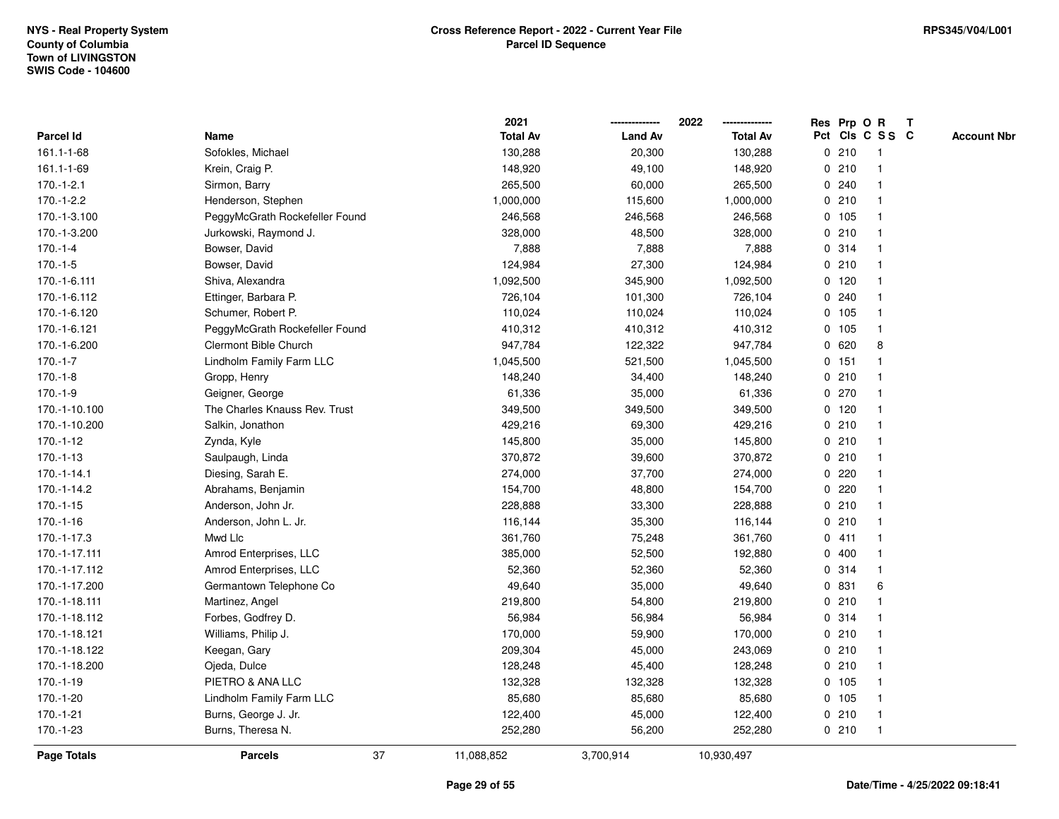|                    |                                | 2021            |                | 2022<br>-------------- | Res Prp O R |         |                 | $\mathbf{T}$ |                    |
|--------------------|--------------------------------|-----------------|----------------|------------------------|-------------|---------|-----------------|--------------|--------------------|
| Parcel Id          | Name                           | <b>Total Av</b> | <b>Land Av</b> | <b>Total Av</b>        |             |         | Pct Cls C S S C |              | <b>Account Nbr</b> |
| 161.1-1-68         | Sofokles, Michael              | 130,288         | 20,300         | 130,288                |             | 0210    | -1              |              |                    |
| 161.1-1-69         | Krein, Craig P.                | 148,920         | 49,100         | 148,920                | 0           | 210     |                 |              |                    |
| $170.-1-2.1$       | Sirmon, Barry                  | 265,500         | 60,000         | 265,500                |             | 0.240   |                 |              |                    |
| 170.-1-2.2         | Henderson, Stephen             | 1,000,000       | 115,600        | 1,000,000              | 0           | 210     | $\mathbf{1}$    |              |                    |
| 170.-1-3.100       | PeggyMcGrath Rockefeller Found | 246,568         | 246,568        | 246,568                |             | 0, 105  | $\mathbf{1}$    |              |                    |
| 170.-1-3.200       | Jurkowski, Raymond J.          | 328,000         | 48,500         | 328,000                |             | 0210    | -1              |              |                    |
| $170.-1-4$         | Bowser, David                  | 7,888           | 7,888          | 7,888                  |             | 0.314   |                 |              |                    |
| $170.-1-5$         | Bowser, David                  | 124,984         | 27,300         | 124,984                |             | 0210    |                 |              |                    |
| 170.-1-6.111       | Shiva, Alexandra               | 1,092,500       | 345,900        | 1,092,500              |             | $0$ 120 |                 |              |                    |
| 170.-1-6.112       | Ettinger, Barbara P.           | 726,104         | 101,300        | 726,104                |             | 0.240   |                 |              |                    |
| 170.-1-6.120       | Schumer, Robert P.             | 110,024         | 110,024        | 110,024                |             | 0, 105  | $\mathbf{1}$    |              |                    |
| 170.-1-6.121       | PeggyMcGrath Rockefeller Found | 410,312         | 410,312        | 410,312                | $\mathbf 0$ | 105     | $\mathbf{1}$    |              |                    |
| 170.-1-6.200       | Clermont Bible Church          | 947,784         | 122,322        | 947,784                |             | 0620    | 8               |              |                    |
| $170.-1-7$         | Lindholm Family Farm LLC       | 1,045,500       | 521,500        | 1,045,500              |             | $0$ 151 |                 |              |                    |
| $170.-1-8$         | Gropp, Henry                   | 148,240         | 34,400         | 148,240                |             | 0210    |                 |              |                    |
| $170.-1-9$         | Geigner, George                | 61,336          | 35,000         | 61,336                 |             | 0270    |                 |              |                    |
| 170.-1-10.100      | The Charles Knauss Rev. Trust  | 349,500         | 349,500        | 349,500                |             | $0$ 120 |                 |              |                    |
| 170.-1-10.200      | Salkin, Jonathon               | 429,216         | 69,300         | 429,216                | 0           | 210     | $\mathbf{1}$    |              |                    |
| $170.-1-12$        | Zynda, Kyle                    | 145,800         | 35,000         | 145,800                |             | 0210    | -1              |              |                    |
| $170.-1-13$        | Saulpaugh, Linda               | 370,872         | 39,600         | 370,872                |             | 0210    |                 |              |                    |
| $170.-1-14.1$      | Diesing, Sarah E.              | 274,000         | 37,700         | 274,000                |             | 0220    |                 |              |                    |
| 170.-1-14.2        | Abrahams, Benjamin             | 154,700         | 48,800         | 154,700                | 0           | 220     |                 |              |                    |
| 170.-1-15          | Anderson, John Jr.             | 228,888         | 33,300         | 228,888                |             | 0210    |                 |              |                    |
| $170.-1-16$        | Anderson, John L. Jr.          | 116,144         | 35,300         | 116,144                | $\mathbf 0$ | 210     | $\mathbf{1}$    |              |                    |
| 170.-1-17.3        | Mwd Llc                        | 361,760         | 75,248         | 361,760                |             | 0411    | -1              |              |                    |
| 170.-1-17.111      | Amrod Enterprises, LLC         | 385,000         | 52,500         | 192,880                |             | 0400    | -1              |              |                    |
| 170.-1-17.112      | Amrod Enterprises, LLC         | 52,360          | 52,360         | 52,360                 |             | 0 314   |                 |              |                    |
| 170.-1-17.200      | Germantown Telephone Co        | 49,640          | 35,000         | 49,640                 |             | 0 831   | 6               |              |                    |
| 170.-1-18.111      | Martinez, Angel                | 219,800         | 54,800         | 219,800                |             | 0210    |                 |              |                    |
| 170.-1-18.112      | Forbes, Godfrey D.             | 56,984          | 56,984         | 56,984                 | 0           | 314     |                 |              |                    |
| 170.-1-18.121      | Williams, Philip J.            | 170,000         | 59,900         | 170,000                |             | 0210    | $\mathbf{1}$    |              |                    |
| 170.-1-18.122      | Keegan, Gary                   | 209,304         | 45,000         | 243,069                |             | 0210    | $\mathbf{1}$    |              |                    |
| 170.-1-18.200      | Ojeda, Dulce                   | 128,248         | 45,400         | 128,248                |             | 0210    |                 |              |                    |
| $170.-1-19$        | PIETRO & ANA LLC               | 132,328         | 132,328        | 132,328                |             | 0 105   |                 |              |                    |
| 170.-1-20          | Lindholm Family Farm LLC       | 85,680          | 85,680         | 85,680                 |             | 0, 105  |                 |              |                    |
| 170.-1-21          | Burns, George J. Jr.           | 122,400         | 45,000         | 122,400                |             | 0210    | $\overline{1}$  |              |                    |
| 170.-1-23          | Burns, Theresa N.              | 252,280         | 56,200         | 252,280                |             | 0210    | $\mathbf{1}$    |              |                    |
| <b>Page Totals</b> | 37<br><b>Parcels</b>           | 11,088,852      | 3,700,914      | 10,930,497             |             |         |                 |              |                    |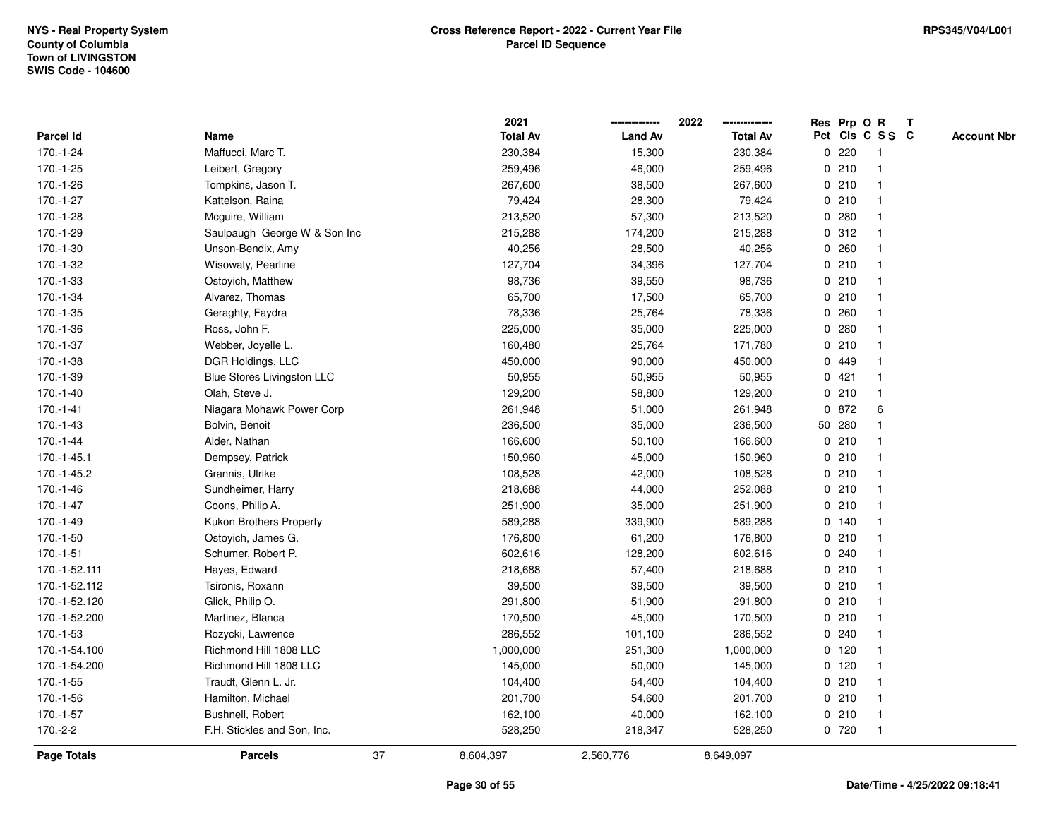|               |                                   | 2021            |                | 2022            |              |         | Res Prp O R     | T |                    |
|---------------|-----------------------------------|-----------------|----------------|-----------------|--------------|---------|-----------------|---|--------------------|
| Parcel Id     | Name                              | <b>Total Av</b> | <b>Land Av</b> | <b>Total Av</b> |              |         | Pct Cls C S S C |   | <b>Account Nbr</b> |
| 170.-1-24     | Maffucci, Marc T.                 | 230,384         | 15,300         | 230,384         | 0            | 220     | -1              |   |                    |
| 170.-1-25     | Leibert, Gregory                  | 259,496         | 46,000         | 259,496         | 0            | 210     | -1              |   |                    |
| 170.-1-26     | Tompkins, Jason T.                | 267,600         | 38,500         | 267,600         |              | 0210    | $\mathbf 1$     |   |                    |
| 170.-1-27     | Kattelson, Raina                  | 79,424          | 28,300         | 79,424          |              | 0210    |                 |   |                    |
| $170.-1-28$   | Mcguire, William                  | 213,520         | 57,300         | 213,520         |              | 0.280   |                 |   |                    |
| 170.-1-29     | Saulpaugh George W & Son Inc      | 215,288         | 174,200        | 215,288         |              | 0.312   |                 |   |                    |
| 170.-1-30     | Unson-Bendix, Amy                 | 40,256          | 28,500         | 40,256          |              | 0.260   |                 |   |                    |
| 170.-1-32     | Wisowaty, Pearline                | 127,704         | 34,396         | 127,704         | $\mathbf 0$  | 210     |                 |   |                    |
| 170.-1-33     | Ostoyich, Matthew                 | 98,736          | 39,550         | 98,736          |              | 0210    |                 |   |                    |
| 170.-1-34     | Alvarez, Thomas                   | 65,700          | 17,500         | 65,700          |              | 0210    | $\mathbf 1$     |   |                    |
| 170.-1-35     | Geraghty, Faydra                  | 78,336          | 25,764         | 78,336          |              | 0.260   |                 |   |                    |
| 170.-1-36     | Ross, John F.                     | 225,000         | 35,000         | 225,000         |              | 0.280   |                 |   |                    |
| 170.-1-37     | Webber, Joyelle L.                | 160,480         | 25,764         | 171,780         |              | 0210    |                 |   |                    |
| 170.-1-38     | DGR Holdings, LLC                 | 450,000         | 90,000         | 450,000         |              | 0 449   |                 |   |                    |
| 170.-1-39     | <b>Blue Stores Livingston LLC</b> | 50,955          | 50,955         | 50,955          | $\mathbf 0$  | 421     |                 |   |                    |
| 170.-1-40     | Olah, Steve J.                    | 129,200         | 58,800         | 129,200         | $\mathbf{0}$ | 210     | $\mathbf{1}$    |   |                    |
| $170.-1-41$   | Niagara Mohawk Power Corp         | 261,948         | 51,000         | 261,948         |              | 0 872   | 6               |   |                    |
| 170.-1-43     | Bolvin, Benoit                    | 236,500         | 35,000         | 236,500         |              | 50 280  |                 |   |                    |
| $170.-1-44$   | Alder, Nathan                     | 166,600         | 50,100         | 166,600         |              | 0210    |                 |   |                    |
| 170.-1-45.1   | Dempsey, Patrick                  | 150,960         | 45,000         | 150,960         |              | 0210    |                 |   |                    |
| 170.-1-45.2   | Grannis, Ulrike                   | 108,528         | 42,000         | 108,528         |              | 0210    |                 |   |                    |
| $170.-1-46$   | Sundheimer, Harry                 | 218,688         | 44,000         | 252,088         |              | 0210    |                 |   |                    |
| 170.-1-47     | Coons, Philip A.                  | 251,900         | 35,000         | 251,900         |              | 0210    | -1              |   |                    |
| 170.-1-49     | Kukon Brothers Property           | 589,288         | 339,900        | 589,288         |              | $0$ 140 |                 |   |                    |
| 170.-1-50     | Ostoyich, James G.                | 176,800         | 61,200         | 176,800         |              | 0210    |                 |   |                    |
| 170.-1-51     | Schumer, Robert P.                | 602,616         | 128,200        | 602,616         |              | 0.240   |                 |   |                    |
| 170.-1-52.111 | Hayes, Edward                     | 218,688         | 57,400         | 218,688         |              | 0210    |                 |   |                    |
| 170.-1-52.112 | Tsironis, Roxann                  | 39,500          | 39,500         | 39,500          |              | 0210    |                 |   |                    |
| 170.-1-52.120 | Glick, Philip O.                  | 291,800         | 51,900         | 291,800         |              | 0210    |                 |   |                    |
| 170.-1-52.200 | Martinez, Blanca                  | 170,500         | 45,000         | 170,500         | 0            | 210     |                 |   |                    |
| 170.-1-53     | Rozycki, Lawrence                 | 286,552         | 101,100        | 286,552         | 0            | 240     | $\mathbf 1$     |   |                    |
| 170.-1-54.100 | Richmond Hill 1808 LLC            | 1,000,000       | 251,300        | 1,000,000       |              | $0$ 120 |                 |   |                    |
| 170.-1-54.200 | Richmond Hill 1808 LLC            | 145,000         | 50,000         | 145,000         |              | $0$ 120 |                 |   |                    |
| $170.-1-55$   | Traudt, Glenn L. Jr.              | 104,400         | 54,400         | 104,400         |              | 0210    |                 |   |                    |
| 170.-1-56     | Hamilton, Michael                 | 201,700         | 54,600         | 201,700         |              | 0210    |                 |   |                    |
| 170.-1-57     | Bushnell, Robert                  | 162,100         | 40,000         | 162,100         | 0            | 210     |                 |   |                    |
| 170.-2-2      | F.H. Stickles and Son, Inc.       | 528,250         | 218,347        | 528,250         |              | 0 720   | $\overline{1}$  |   |                    |
| Page Totals   | 37<br><b>Parcels</b>              | 8,604,397       | 2,560,776      | 8,649,097       |              |         |                 |   |                    |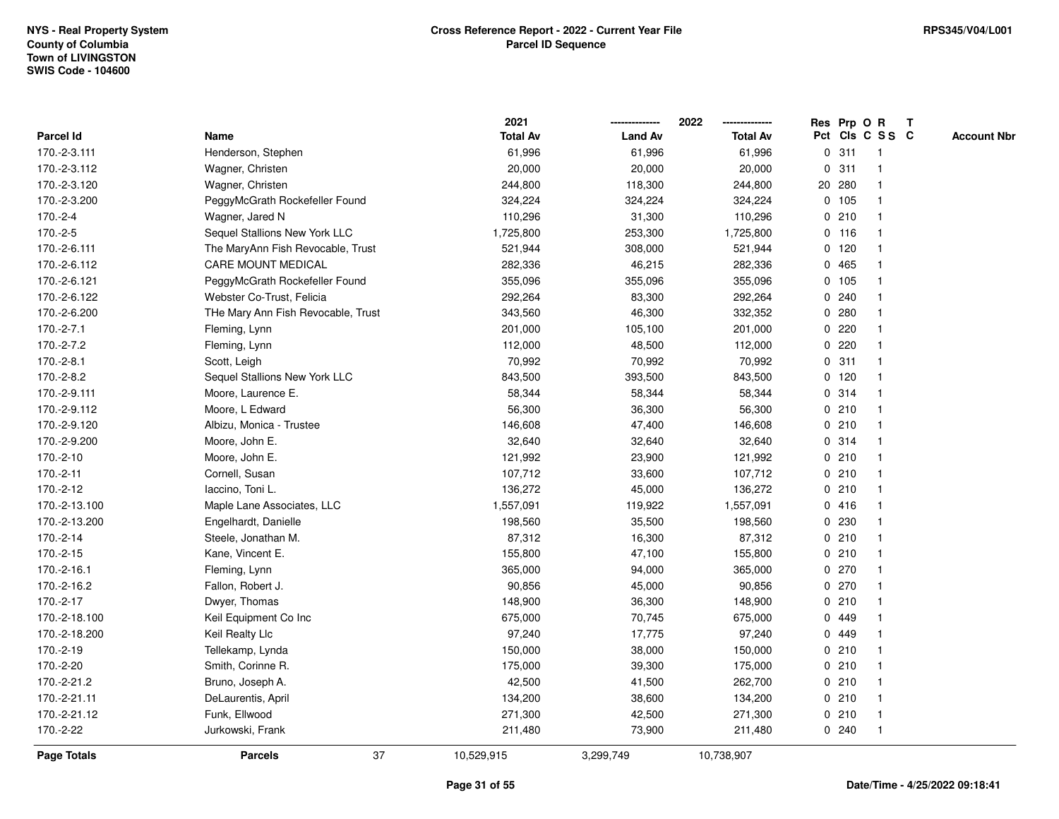|               |                                    | 2021            |                | 2022            |             |         | Res Prp O R     | $\mathbf{T}$ |                    |
|---------------|------------------------------------|-----------------|----------------|-----------------|-------------|---------|-----------------|--------------|--------------------|
| Parcel Id     | Name                               | <b>Total Av</b> | <b>Land Av</b> | <b>Total Av</b> |             |         | Pct Cls C S S C |              | <b>Account Nbr</b> |
| 170.-2-3.111  | Henderson, Stephen                 | 61,996          | 61,996         | 61,996          |             | 0.311   |                 |              |                    |
| 170.-2-3.112  | Wagner, Christen                   | 20,000          | 20,000         | 20,000          | 0           | 311     |                 |              |                    |
| 170.-2-3.120  | Wagner, Christen                   | 244,800         | 118,300        | 244,800         |             | 20 280  |                 |              |                    |
| 170.-2-3.200  | PeggyMcGrath Rockefeller Found     | 324,224         | 324,224        | 324,224         |             | 0 105   | -1              |              |                    |
| 170.-2-4      | Wagner, Jared N                    | 110,296         | 31,300         | 110,296         |             | 0210    | $\mathbf 1$     |              |                    |
| 170.-2-5      | Sequel Stallions New York LLC      | 1,725,800       | 253,300        | 1,725,800       |             | $0$ 116 | -1              |              |                    |
| 170.-2-6.111  | The MaryAnn Fish Revocable, Trust  | 521,944         | 308,000        | 521,944         |             | $0$ 120 |                 |              |                    |
| 170.-2-6.112  | <b>CARE MOUNT MEDICAL</b>          | 282,336         | 46,215         | 282,336         |             | 0 465   |                 |              |                    |
| 170.-2-6.121  | PeggyMcGrath Rockefeller Found     | 355,096         | 355,096        | 355,096         |             | 0 105   |                 |              |                    |
| 170.-2-6.122  | Webster Co-Trust, Felicia          | 292,264         | 83,300         | 292,264         |             | 0.240   |                 |              |                    |
| 170.-2-6.200  | THe Mary Ann Fish Revocable, Trust | 343,560         | 46,300         | 332,352         |             | 0.280   | -1              |              |                    |
| 170.-2-7.1    | Fleming, Lynn                      | 201,000         | 105,100        | 201,000         | $\mathbf 0$ | 220     |                 |              |                    |
| 170.-2-7.2    | Fleming, Lynn                      | 112,000         | 48,500         | 112,000         |             | $0$ 220 |                 |              |                    |
| 170.-2-8.1    | Scott, Leigh                       | 70,992          | 70,992         | 70,992          |             | 0.311   |                 |              |                    |
| 170.-2-8.2    | Sequel Stallions New York LLC      | 843,500         | 393,500        | 843,500         |             | $0$ 120 |                 |              |                    |
| 170.-2-9.111  | Moore, Laurence E.                 | 58,344          | 58,344         | 58,344          |             | 0.314   | -1              |              |                    |
| 170.-2-9.112  | Moore, L Edward                    | 56,300          | 36,300         | 56,300          | $\mathbf 0$ | 210     |                 |              |                    |
| 170.-2-9.120  | Albizu, Monica - Trustee           | 146,608         | 47,400         | 146,608         |             | 0210    | -1              |              |                    |
| 170.-2-9.200  | Moore, John E.                     | 32,640          | 32,640         | 32,640          |             | 0.314   | $\mathbf 1$     |              |                    |
| 170.-2-10     | Moore, John E.                     | 121,992         | 23,900         | 121,992         |             | 0210    |                 |              |                    |
| 170.-2-11     | Cornell, Susan                     | 107,712         | 33,600         | 107,712         |             | 0210    |                 |              |                    |
| 170.-2-12     | laccino, Toni L.                   | 136,272         | 45,000         | 136,272         |             | 0210    |                 |              |                    |
| 170.-2-13.100 | Maple Lane Associates, LLC         | 1,557,091       | 119,922        | 1,557,091       |             | 0416    |                 |              |                    |
| 170.-2-13.200 | Engelhardt, Danielle               | 198,560         | 35,500         | 198,560         |             | 0 230   | $\mathbf{1}$    |              |                    |
| 170.-2-14     | Steele, Jonathan M.                | 87,312          | 16,300         | 87,312          |             | 0210    | -1              |              |                    |
| 170.-2-15     | Kane, Vincent E.                   | 155,800         | 47,100         | 155,800         |             | 0210    | $\mathbf 1$     |              |                    |
| 170.-2-16.1   | Fleming, Lynn                      | 365,000         | 94,000         | 365,000         |             | 0270    |                 |              |                    |
| 170.-2-16.2   | Fallon, Robert J.                  | 90,856          | 45,000         | 90,856          |             | 0270    |                 |              |                    |
| 170.-2-17     | Dwyer, Thomas                      | 148,900         | 36,300         | 148,900         |             | 0210    |                 |              |                    |
| 170.-2-18.100 | Keil Equipment Co Inc              | 675,000         | 70,745         | 675,000         | 0           | 449     |                 |              |                    |
| 170.-2-18.200 | Keil Realty Llc                    | 97,240          | 17,775         | 97,240          |             | 0 449   |                 |              |                    |
| 170.-2-19     | Tellekamp, Lynda                   | 150,000         | 38,000         | 150,000         |             | 0210    | $\mathbf 1$     |              |                    |
| 170.-2-20     | Smith, Corinne R.                  | 175,000         | 39,300         | 175,000         |             | 0210    |                 |              |                    |
| 170.-2-21.2   | Bruno, Joseph A.                   | 42,500          | 41,500         | 262,700         |             | 0210    |                 |              |                    |
| 170.-2-21.11  | DeLaurentis, April                 | 134,200         | 38,600         | 134,200         |             | 0210    |                 |              |                    |
| 170.-2-21.12  | Funk, Ellwood                      | 271,300         | 42,500         | 271,300         |             | 0210    | $\mathbf 1$     |              |                    |
| 170.-2-22     | Jurkowski, Frank                   | 211,480         | 73,900         | 211,480         |             | 0.240   | $\mathbf 1$     |              |                    |
| Page Totals   | 37<br><b>Parcels</b>               | 10,529,915      | 3,299,749      | 10,738,907      |             |         |                 |              |                    |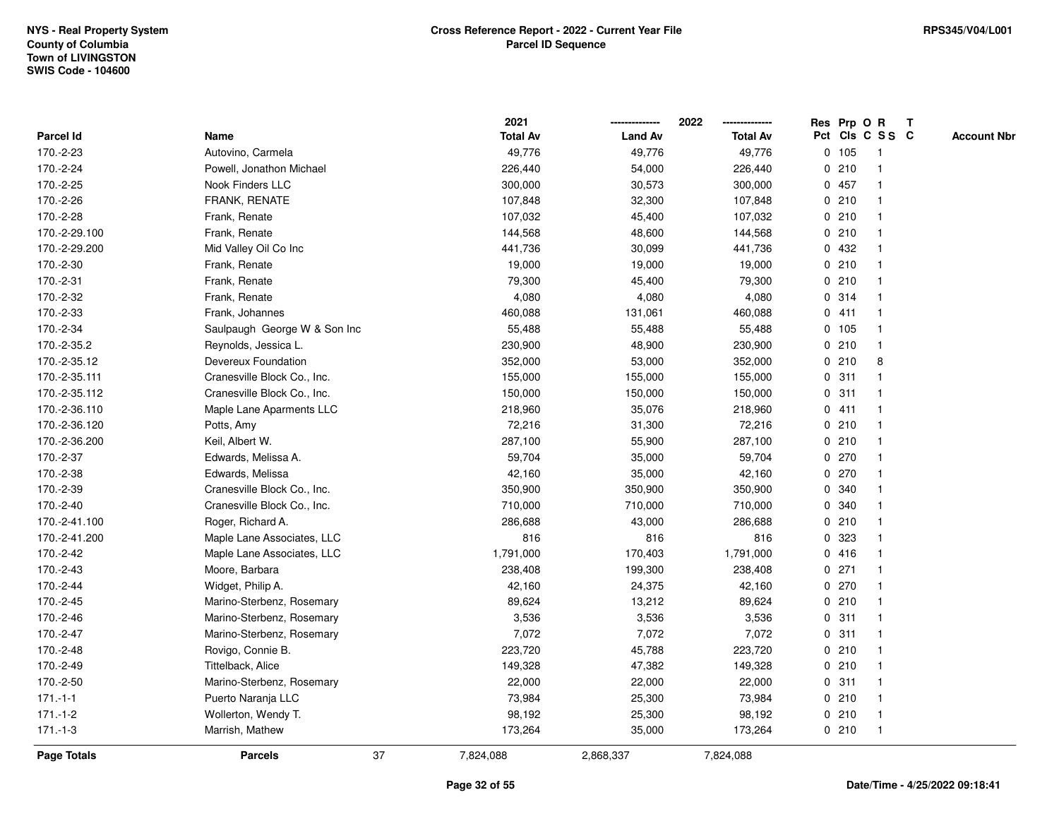|               |                              |    | 2021            |                | 2022<br>--------------- |   | Res Prp O R |                 | T |                    |
|---------------|------------------------------|----|-----------------|----------------|-------------------------|---|-------------|-----------------|---|--------------------|
| Parcel Id     | Name                         |    | <b>Total Av</b> | <b>Land Av</b> | <b>Total Av</b>         |   |             | Pct Cls C S S C |   | <b>Account Nbr</b> |
| 170.-2-23     | Autovino, Carmela            |    | 49,776          | 49,776         | 49,776                  |   | 0 105       | $\mathbf{1}$    |   |                    |
| 170.-2-24     | Powell, Jonathon Michael     |    | 226,440         | 54,000         | 226,440                 | 0 | 210         | $\mathbf{1}$    |   |                    |
| 170.-2-25     | Nook Finders LLC             |    | 300,000         | 30,573         | 300,000                 |   | 0 457       | $\mathbf{1}$    |   |                    |
| 170.-2-26     | <b>FRANK, RENATE</b>         |    | 107,848         | 32,300         | 107,848                 |   | 0210        |                 |   |                    |
| 170.-2-28     | Frank, Renate                |    | 107,032         | 45,400         | 107,032                 |   | 0210        |                 |   |                    |
| 170.-2-29.100 | Frank, Renate                |    | 144,568         | 48,600         | 144,568                 |   | 0210        |                 |   |                    |
| 170.-2-29.200 | Mid Valley Oil Co Inc        |    | 441,736         | 30,099         | 441,736                 |   | 0 432       |                 |   |                    |
| 170.-2-30     | Frank, Renate                |    | 19,000          | 19,000         | 19,000                  |   | 0210        |                 |   |                    |
| 170.-2-31     | Frank, Renate                |    | 79,300          | 45,400         | 79,300                  |   | 0210        | -1              |   |                    |
| 170.-2-32     | Frank, Renate                |    | 4,080           | 4,080          | 4,080                   |   | 0.314       |                 |   |                    |
| 170.-2-33     | Frank, Johannes              |    | 460,088         | 131,061        | 460,088                 |   | 0411        |                 |   |                    |
| 170.-2-34     | Saulpaugh George W & Son Inc |    | 55,488          | 55,488         | 55,488                  |   | 0, 105      |                 |   |                    |
| 170.-2-35.2   | Reynolds, Jessica L.         |    | 230,900         | 48,900         | 230,900                 |   | 0210        |                 |   |                    |
| 170.-2-35.12  | Devereux Foundation          |    | 352,000         | 53,000         | 352,000                 |   | 0210        | 8               |   |                    |
| 170.-2-35.111 | Cranesville Block Co., Inc.  |    | 155,000         | 155,000        | 155,000                 |   | 0.311       |                 |   |                    |
| 170.-2-35.112 | Cranesville Block Co., Inc.  |    | 150,000         | 150,000        | 150,000                 | 0 | 311         | -1              |   |                    |
| 170.-2-36.110 | Maple Lane Aparments LLC     |    | 218,960         | 35,076         | 218,960                 |   | 0411        |                 |   |                    |
| 170.-2-36.120 | Potts, Amy                   |    | 72,216          | 31,300         | 72,216                  |   | 0210        |                 |   |                    |
| 170.-2-36.200 | Keil, Albert W.              |    | 287,100         | 55,900         | 287,100                 |   | 0210        |                 |   |                    |
| 170.-2-37     | Edwards, Melissa A.          |    | 59,704          | 35,000         | 59,704                  |   | 0270        |                 |   |                    |
| 170.-2-38     | Edwards, Melissa             |    | 42,160          | 35,000         | 42,160                  |   | 0 270       |                 |   |                    |
| 170.-2-39     | Cranesville Block Co., Inc.  |    | 350,900         | 350,900        | 350,900                 | 0 | 340         |                 |   |                    |
| 170.-2-40     | Cranesville Block Co., Inc.  |    | 710,000         | 710,000        | 710,000                 | 0 | 340         |                 |   |                    |
| 170.-2-41.100 | Roger, Richard A.            |    | 286,688         | 43,000         | 286,688                 |   | 0210        |                 |   |                    |
| 170.-2-41.200 | Maple Lane Associates, LLC   |    | 816             | 816            | 816                     |   | 0 323       |                 |   |                    |
| 170.-2-42     | Maple Lane Associates, LLC   |    | 1,791,000       | 170,403        | 1,791,000               |   | 0416        |                 |   |                    |
| 170.-2-43     | Moore, Barbara               |    | 238,408         | 199,300        | 238,408                 |   | $0$ 271     |                 |   |                    |
| 170.-2-44     | Widget, Philip A.            |    | 42,160          | 24,375         | 42,160                  |   | 0270        |                 |   |                    |
| 170.-2-45     | Marino-Sterbenz, Rosemary    |    | 89,624          | 13,212         | 89,624                  |   | 0210        |                 |   |                    |
| 170.-2-46     | Marino-Sterbenz, Rosemary    |    | 3,536           | 3,536          | 3,536                   | 0 | 311         |                 |   |                    |
| 170.-2-47     | Marino-Sterbenz, Rosemary    |    | 7,072           | 7,072          | 7,072                   |   | 0.311       |                 |   |                    |
| 170.-2-48     | Rovigo, Connie B.            |    | 223,720         | 45,788         | 223,720                 |   | 0210        |                 |   |                    |
| 170.-2-49     | Tittelback, Alice            |    | 149,328         | 47,382         | 149,328                 |   | 0210        |                 |   |                    |
| 170.-2-50     | Marino-Sterbenz, Rosemary    |    | 22,000          | 22,000         | 22,000                  |   | 0.311       |                 |   |                    |
| $171 - 1 - 1$ | Puerto Naranja LLC           |    | 73,984          | 25,300         | 73,984                  |   | 0210        |                 |   |                    |
| $171.-1-2$    | Wollerton, Wendy T.          |    | 98,192          | 25,300         | 98,192                  |   | 0210        | -1              |   |                    |
| $171 - 1 - 3$ | Marrish, Mathew              |    | 173,264         | 35,000         | 173,264                 |   | 0210        | $\mathbf{1}$    |   |                    |
| Page Totals   | <b>Parcels</b>               | 37 | 7,824,088       | 2,868,337      | 7,824,088               |   |             |                 |   |                    |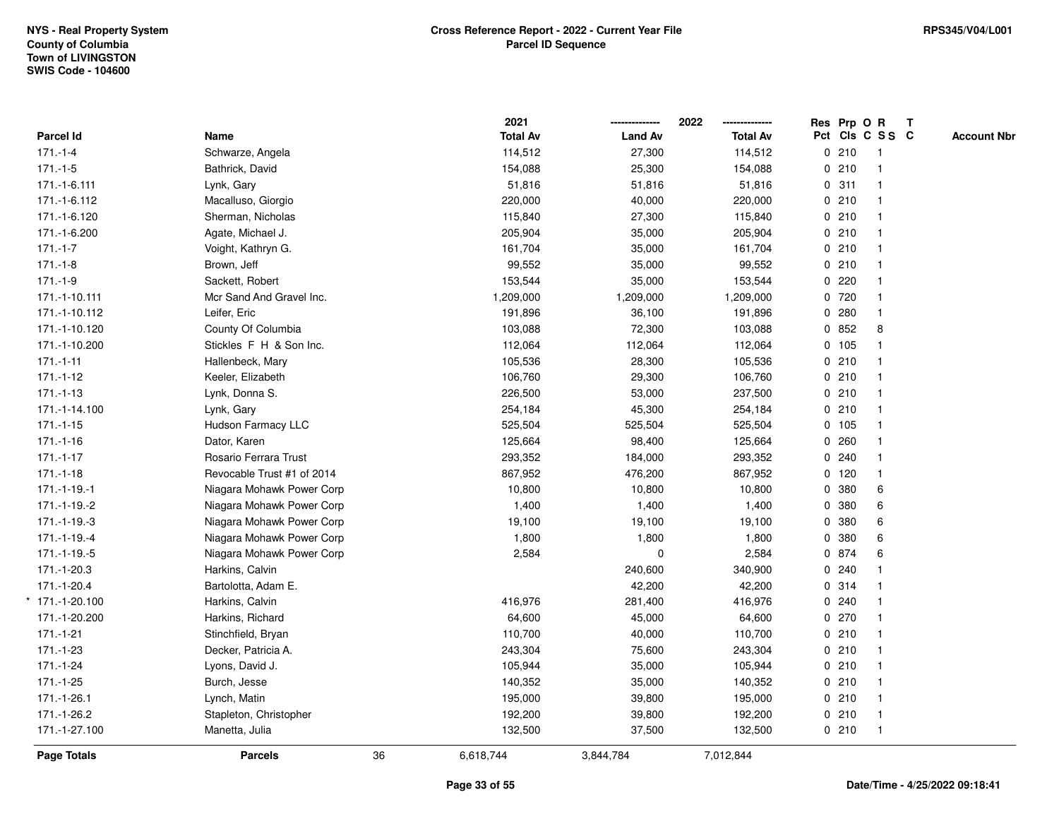|                   |                            |    | 2021            |                | 2022<br>-------------- |   |        | Res Prp O R     | $\mathbf{T}$ |                    |
|-------------------|----------------------------|----|-----------------|----------------|------------------------|---|--------|-----------------|--------------|--------------------|
| <b>Parcel Id</b>  | Name                       |    | <b>Total Av</b> | <b>Land Av</b> | <b>Total Av</b>        |   |        | Pct Cls C S S C |              | <b>Account Nbr</b> |
| $171 - 1 - 4$     | Schwarze, Angela           |    | 114,512         | 27,300         | 114,512                |   | 0210   | -1              |              |                    |
| $171 - 1 - 5$     | Bathrick, David            |    | 154,088         | 25,300         | 154,088                |   | 0210   |                 |              |                    |
| 171.-1-6.111      | Lynk, Gary                 |    | 51,816          | 51,816         | 51,816                 |   | 0.311  |                 |              |                    |
| 171.-1-6.112      | Macalluso, Giorgio         |    | 220,000         | 40,000         | 220,000                |   | 0210   | $\mathbf{1}$    |              |                    |
| 171.-1-6.120      | Sherman, Nicholas          |    | 115,840         | 27,300         | 115,840                |   | 0210   |                 |              |                    |
| 171.-1-6.200      | Agate, Michael J.          |    | 205,904         | 35,000         | 205,904                |   | 0210   |                 |              |                    |
| $171 - 1 - 7$     | Voight, Kathryn G.         |    | 161,704         | 35,000         | 161,704                |   | 0210   |                 |              |                    |
| $171.-1-8$        | Brown, Jeff                |    | 99,552          | 35,000         | 99,552                 |   | 0210   |                 |              |                    |
| $171.-1-9$        | Sackett, Robert            |    | 153,544         | 35,000         | 153,544                |   | 0.220  |                 |              |                    |
| 171.-1-10.111     | Mcr Sand And Gravel Inc.   |    | 1,209,000       | 1,209,000      | 1,209,000              |   | 0 720  |                 |              |                    |
| 171.-1-10.112     | Leifer, Eric               |    | 191,896         | 36,100         | 191,896                |   | 0.280  | $\mathbf{1}$    |              |                    |
| 171.-1-10.120     | County Of Columbia         |    | 103,088         | 72,300         | 103,088                |   | 0852   | 8               |              |                    |
| 171.-1-10.200     | Stickles F H & Son Inc.    |    | 112,064         | 112,064        | 112,064                |   | 0 105  |                 |              |                    |
| $171 - 1 - 11$    | Hallenbeck, Mary           |    | 105,536         | 28,300         | 105,536                |   | 0210   |                 |              |                    |
| $171.-1-12$       | Keeler, Elizabeth          |    | 106,760         | 29,300         | 106,760                |   | 0210   |                 |              |                    |
| $171.-1-13$       | Lynk, Donna S.             |    | 226,500         | 53,000         | 237,500                |   | 0210   |                 |              |                    |
| 171.-1-14.100     | Lynk, Gary                 |    | 254,184         | 45,300         | 254,184                |   | 0210   |                 |              |                    |
| $171.-1-15$       | Hudson Farmacy LLC         |    | 525,504         | 525,504        | 525,504                |   | 0, 105 |                 |              |                    |
| $171.-1-16$       | Dator, Karen               |    | 125,664         | 98,400         | 125,664                |   | 0.260  |                 |              |                    |
| $171.-1-17$       | Rosario Ferrara Trust      |    | 293,352         | 184,000        | 293,352                |   | 0.240  |                 |              |                    |
| $171.-1-18$       | Revocable Trust #1 of 2014 |    | 867,952         | 476,200        | 867,952                |   | 0 120  |                 |              |                    |
| $171.-1-19.-1$    | Niagara Mohawk Power Corp  |    | 10,800          | 10,800         | 10,800                 |   | 0 380  | 6               |              |                    |
| 171.-1-19.-2      | Niagara Mohawk Power Corp  |    | 1,400           | 1,400          | 1,400                  |   | 0 380  | 6               |              |                    |
| $171.-1-19.-3$    | Niagara Mohawk Power Corp  |    | 19,100          | 19,100         | 19,100                 | 0 | 380    | 6               |              |                    |
| 171.-1-19.-4      | Niagara Mohawk Power Corp  |    | 1,800           | 1,800          | 1,800                  | 0 | 380    | 6               |              |                    |
| $171.-1-19.-5$    | Niagara Mohawk Power Corp  |    | 2,584           | $\mathbf 0$    | 2,584                  |   | 0 874  | 6               |              |                    |
| 171.-1-20.3       | Harkins, Calvin            |    |                 | 240,600        | 340,900                |   | 0.240  |                 |              |                    |
| 171.-1-20.4       | Bartolotta, Adam E.        |    |                 | 42,200         | 42,200                 |   | 0.314  |                 |              |                    |
| $*$ 171.-1-20.100 | Harkins, Calvin            |    | 416,976         | 281,400        | 416,976                |   | 0.240  |                 |              |                    |
| 171.-1-20.200     | Harkins, Richard           |    | 64,600          | 45,000         | 64,600                 |   | 0.270  |                 |              |                    |
| $171 - 1 - 21$    | Stinchfield, Bryan         |    | 110,700         | 40,000         | 110,700                |   | 0210   |                 |              |                    |
| $171.-1-23$       | Decker, Patricia A.        |    | 243,304         | 75,600         | 243,304                |   | 0210   | $\mathbf{1}$    |              |                    |
| $171.-1-24$       | Lyons, David J.            |    | 105,944         | 35,000         | 105,944                |   | 0210   |                 |              |                    |
| $171.-1-25$       | Burch, Jesse               |    | 140,352         | 35,000         | 140,352                |   | 0210   |                 |              |                    |
| 171.-1-26.1       | Lynch, Matin               |    | 195,000         | 39,800         | 195,000                |   | 0210   |                 |              |                    |
| 171.-1-26.2       | Stapleton, Christopher     |    | 192,200         | 39,800         | 192,200                |   | 0210   | $\overline{1}$  |              |                    |
| 171.-1-27.100     | Manetta, Julia             |    | 132,500         | 37,500         | 132,500                |   | 0210   | $\overline{1}$  |              |                    |
| Page Totals       | <b>Parcels</b>             | 36 | 6,618,744       | 3,844,784      | 7,012,844              |   |        |                 |              |                    |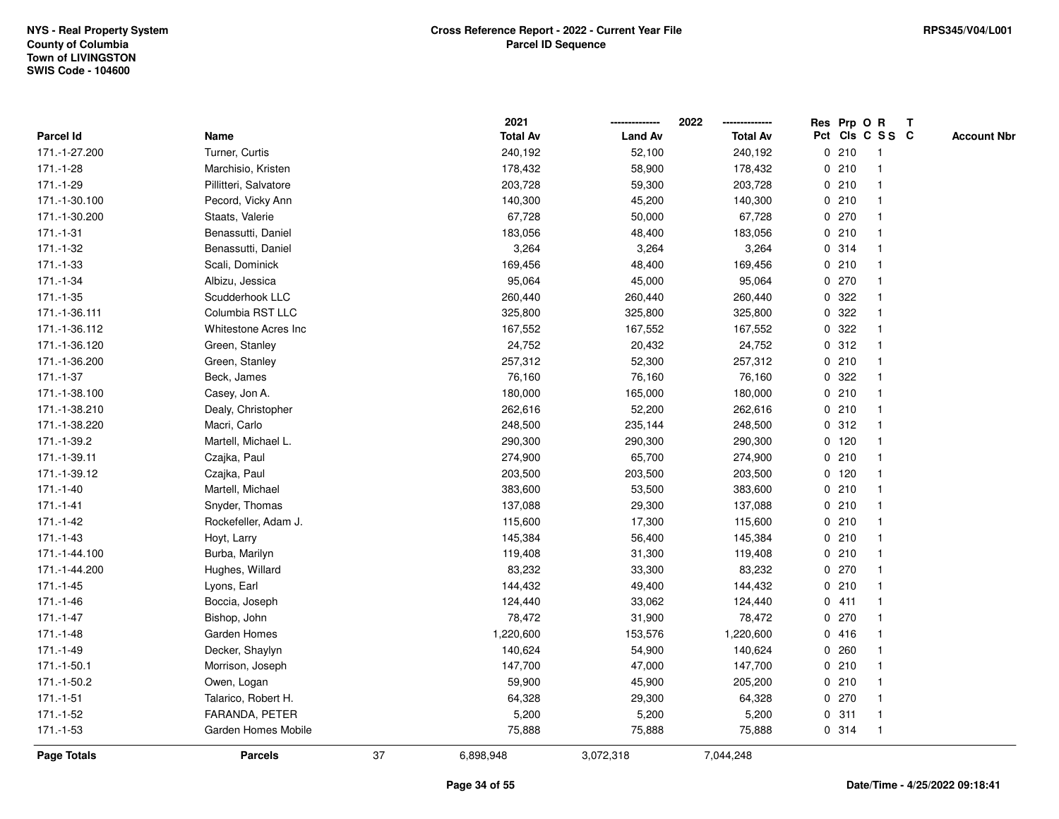|               |                       |    | 2021            |                | 2022            |             |         | Res Prp O R             | $\mathbf{T}$ |                    |
|---------------|-----------------------|----|-----------------|----------------|-----------------|-------------|---------|-------------------------|--------------|--------------------|
| Parcel Id     | Name                  |    | <b>Total Av</b> | <b>Land Av</b> | <b>Total Av</b> |             |         | Pct Cls C S S C         |              | <b>Account Nbr</b> |
| 171.-1-27.200 | Turner, Curtis        |    | 240,192         | 52,100         | 240,192         |             | 0210    |                         |              |                    |
| $171.-1-28$   | Marchisio, Kristen    |    | 178,432         | 58,900         | 178,432         |             | 0210    |                         |              |                    |
| 171.-1-29     | Pillitteri, Salvatore |    | 203,728         | 59,300         | 203,728         |             | 0210    | -1                      |              |                    |
| 171.-1-30.100 | Pecord, Vicky Ann     |    | 140,300         | 45,200         | 140,300         | $\mathbf 0$ | 210     | $\mathbf{1}$            |              |                    |
| 171.-1-30.200 | Staats, Valerie       |    | 67,728          | 50,000         | 67,728          |             | 0270    | -1                      |              |                    |
| $171.-1-31$   | Benassutti, Daniel    |    | 183,056         | 48,400         | 183,056         |             | 0210    | -1                      |              |                    |
| 171.-1-32     | Benassutti, Daniel    |    | 3,264           | 3,264          | 3,264           |             | 0.314   |                         |              |                    |
| 171.-1-33     | Scali, Dominick       |    | 169,456         | 48,400         | 169,456         |             | 0210    |                         |              |                    |
| 171.-1-34     | Albizu, Jessica       |    | 95,064          | 45,000         | 95,064          |             | 0270    |                         |              |                    |
| 171.-1-35     | Scudderhook LLC       |    | 260,440         | 260,440        | 260,440         |             | 0 322   |                         |              |                    |
| 171.-1-36.111 | Columbia RST LLC      |    | 325,800         | 325,800        | 325,800         | 0           | 322     | $\mathbf{1}$            |              |                    |
| 171.-1-36.112 | Whitestone Acres Inc  |    | 167,552         | 167,552        | 167,552         | $\mathbf 0$ | 322     | -1                      |              |                    |
| 171.-1-36.120 | Green, Stanley        |    | 24,752          | 20,432         | 24,752          |             | 0.312   | -1                      |              |                    |
| 171.-1-36.200 | Green, Stanley        |    | 257,312         | 52,300         | 257,312         |             | 0210    |                         |              |                    |
| 171.-1-37     | Beck, James           |    | 76,160          | 76,160         | 76,160          |             | 0 322   |                         |              |                    |
| 171.-1-38.100 | Casey, Jon A.         |    | 180,000         | 165,000        | 180,000         |             | 0210    | -1                      |              |                    |
| 171.-1-38.210 | Dealy, Christopher    |    | 262,616         | 52,200         | 262,616         | $\mathbf 0$ | 210     | $\overline{\mathbf{1}}$ |              |                    |
| 171.-1-38.220 | Macri, Carlo          |    | 248,500         | 235,144        | 248,500         |             | 0.312   | -1                      |              |                    |
| 171.-1-39.2   | Martell, Michael L.   |    | 290,300         | 290,300        | 290,300         |             | $0$ 120 | -1                      |              |                    |
| 171.-1-39.11  | Czajka, Paul          |    | 274,900         | 65,700         | 274,900         |             | 0210    |                         |              |                    |
| 171.-1-39.12  | Czajka, Paul          |    | 203,500         | 203,500        | 203,500         |             | $0$ 120 |                         |              |                    |
| $171.-1-40$   | Martell, Michael      |    | 383,600         | 53,500         | 383,600         |             | 0210    |                         |              |                    |
| $171.-1-41$   | Snyder, Thomas        |    | 137,088         | 29,300         | 137,088         |             | 0210    |                         |              |                    |
| 171.-1-42     | Rockefeller, Adam J.  |    | 115,600         | 17,300         | 115,600         |             | 0210    | $\mathbf{1}$            |              |                    |
| 171.-1-43     | Hoyt, Larry           |    | 145,384         | 56,400         | 145,384         |             | 0210    | -1                      |              |                    |
| 171.-1-44.100 | Burba, Marilyn        |    | 119,408         | 31,300         | 119,408         |             | 0210    | $\mathbf 1$             |              |                    |
| 171.-1-44.200 | Hughes, Willard       |    | 83,232          | 33,300         | 83,232          |             | 0270    |                         |              |                    |
| $171.-1-45$   | Lyons, Earl           |    | 144,432         | 49,400         | 144,432         |             | 0210    |                         |              |                    |
| 171.-1-46     | Boccia, Joseph        |    | 124,440         | 33,062         | 124,440         |             | 0411    | -1                      |              |                    |
| 171.-1-47     | Bishop, John          |    | 78,472          | 31,900         | 78,472          |             | 0270    | -1                      |              |                    |
| 171.-1-48     | Garden Homes          |    | 1,220,600       | 153,576        | 1,220,600       |             | 0416    | -1                      |              |                    |
| $171.-1-49$   | Decker, Shaylyn       |    | 140,624         | 54,900         | 140,624         |             | 0.260   | -1                      |              |                    |
| 171.-1-50.1   | Morrison, Joseph      |    | 147,700         | 47,000         | 147,700         |             | 0210    |                         |              |                    |
| 171.-1-50.2   | Owen, Logan           |    | 59,900          | 45,900         | 205,200         |             | 0210    |                         |              |                    |
| $171.-1-51$   | Talarico, Robert H.   |    | 64,328          | 29,300         | 64,328          |             | 0270    |                         |              |                    |
| 171.-1-52     | FARANDA, PETER        |    | 5,200           | 5,200          | 5,200           |             | 0.311   | $\mathbf{1}$            |              |                    |
| 171.-1-53     | Garden Homes Mobile   |    | 75,888          | 75,888         | 75,888          |             | 0.314   | -1                      |              |                    |
| Page Totals   | <b>Parcels</b>        | 37 | 6,898,948       | 3,072,318      | 7,044,248       |             |         |                         |              |                    |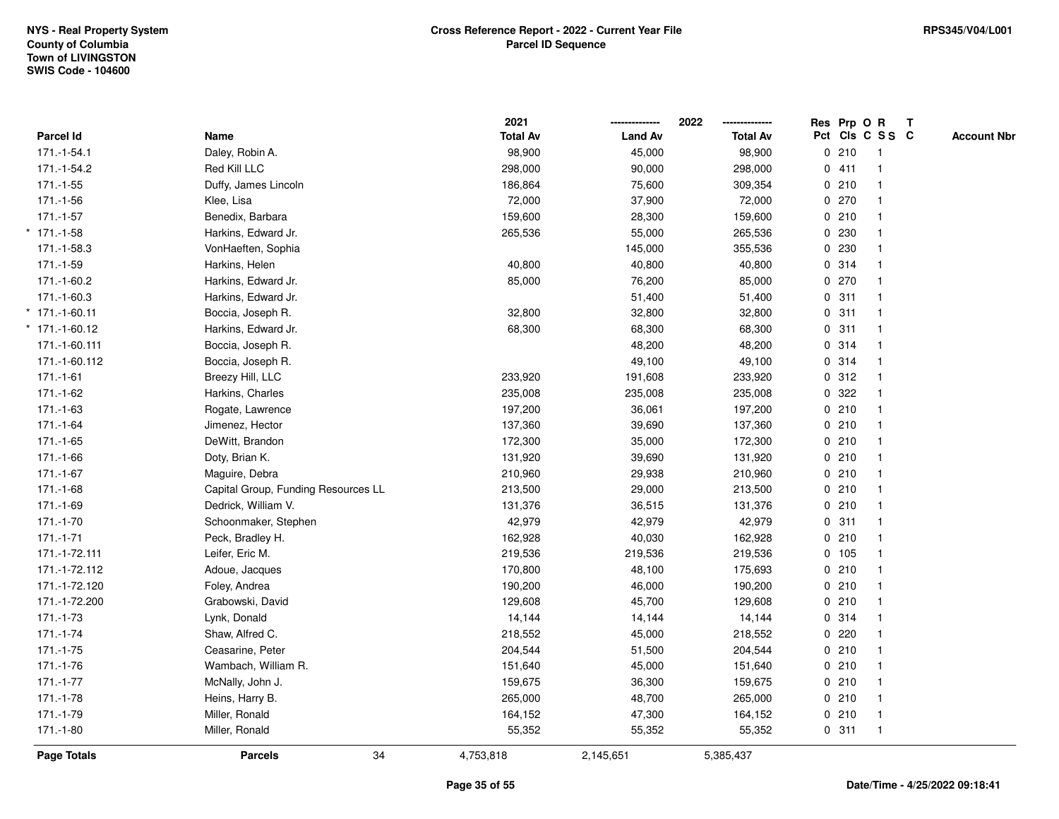|                    |                                     | 2021            |                | 2022<br>-------------- |             |       | Res Prp O R             | $\mathbf{T}$ |                    |
|--------------------|-------------------------------------|-----------------|----------------|------------------------|-------------|-------|-------------------------|--------------|--------------------|
| Parcel Id          | Name                                | <b>Total Av</b> | <b>Land Av</b> | <b>Total Av</b>        |             |       | Pct Cls C S S C         |              | <b>Account Nbr</b> |
| 171.-1-54.1        | Daley, Robin A.                     | 98,900          | 45,000         | 98,900                 |             | 0210  | -1                      |              |                    |
| 171.-1-54.2        | Red Kill LLC                        | 298,000         | 90,000         | 298,000                |             | 0411  |                         |              |                    |
| $171.-1-55$        | Duffy, James Lincoln                | 186,864         | 75,600         | 309,354                |             | 0210  |                         |              |                    |
| 171.-1-56          | Klee, Lisa                          | 72,000          | 37,900         | 72,000                 |             | 0270  | $\overline{\mathbf{1}}$ |              |                    |
| $171.-1-57$        | Benedix, Barbara                    | 159,600         | 28,300         | 159,600                |             | 0210  | $\overline{1}$          |              |                    |
| $171.-1-58$        | Harkins, Edward Jr.                 | 265,536         | 55,000         | 265,536                |             | 0 230 |                         |              |                    |
| 171.-1-58.3        | VonHaeften, Sophia                  |                 | 145,000        | 355,536                |             | 0 230 |                         |              |                    |
| 171.-1-59          | Harkins, Helen                      | 40,800          | 40,800         | 40,800                 |             | 0.314 |                         |              |                    |
| 171.-1-60.2        | Harkins, Edward Jr.                 | 85,000          | 76,200         | 85,000                 |             | 0270  |                         |              |                    |
| 171.-1-60.3        | Harkins, Edward Jr.                 |                 | 51,400         | 51,400                 |             | 0.311 | $\overline{\mathbf{1}}$ |              |                    |
| $*$ 171.-1-60.11   | Boccia, Joseph R.                   | 32,800          | 32,800         | 32,800                 | $\mathbf 0$ | 311   | $\overline{\mathbf{1}}$ |              |                    |
| $*$ 171.-1-60.12   | Harkins, Edward Jr.                 | 68,300          | 68,300         | 68,300                 |             | 0.311 | $\overline{\mathbf{1}}$ |              |                    |
| 171.-1-60.111      | Boccia, Joseph R.                   |                 | 48,200         | 48,200                 |             | 0.314 |                         |              |                    |
| 171.-1-60.112      | Boccia, Joseph R.                   |                 | 49,100         | 49,100                 |             | 0.314 |                         |              |                    |
| $171.-1-61$        | Breezy Hill, LLC                    | 233,920         | 191,608        | 233,920                |             | 0.312 |                         |              |                    |
| 171.-1-62          | Harkins, Charles                    | 235,008         | 235,008        | 235,008                |             | 0.322 |                         |              |                    |
| 171.-1-63          | Rogate, Lawrence                    | 197,200         | 36,061         | 197,200                |             | 0210  | $\overline{\mathbf{1}}$ |              |                    |
| $171.-1-64$        | Jimenez, Hector                     | 137,360         | 39,690         | 137,360                |             | 0210  | $\overline{\mathbf{1}}$ |              |                    |
| 171.-1-65          | DeWitt, Brandon                     | 172,300         | 35,000         | 172,300                |             | 0210  | $\mathbf 1$             |              |                    |
| 171.-1-66          | Doty, Brian K.                      | 131,920         | 39,690         | 131,920                |             | 0210  |                         |              |                    |
| $171.-1-67$        | Maguire, Debra                      | 210,960         | 29,938         | 210,960                |             | 0210  |                         |              |                    |
| $171.-1-68$        | Capital Group, Funding Resources LL | 213,500         | 29,000         | 213,500                |             | 0210  |                         |              |                    |
| 171.-1-69          | Dedrick, William V.                 | 131,376         | 36,515         | 131,376                |             | 0210  | $\overline{\mathbf{1}}$ |              |                    |
| $171.-1-70$        | Schoonmaker, Stephen                | 42,979          | 42,979         | 42,979                 | $\mathbf 0$ | 311   | $\overline{\mathbf{1}}$ |              |                    |
| $171.-1-71$        | Peck, Bradley H.                    | 162,928         | 40,030         | 162,928                |             | 0210  | $\mathbf{1}$            |              |                    |
| 171.-1-72.111      | Leifer, Eric M.                     | 219,536         | 219,536        | 219,536                |             | 0 105 |                         |              |                    |
| 171.-1-72.112      | Adoue, Jacques                      | 170,800         | 48,100         | 175,693                |             | 0210  |                         |              |                    |
| 171.-1-72.120      | Foley, Andrea                       | 190,200         | 46,000         | 190,200                |             | 0210  |                         |              |                    |
| 171.-1-72.200      | Grabowski, David                    | 129,608         | 45,700         | 129,608                |             | 0210  |                         |              |                    |
| 171.-1-73          | Lynk, Donald                        | 14,144          | 14,144         | 14,144                 |             | 0.314 | $\overline{\mathbf{1}}$ |              |                    |
| $171.-1-74$        | Shaw, Alfred C.                     | 218,552         | 45,000         | 218,552                |             | 0.220 | $\mathbf{1}$            |              |                    |
| $171.-1-75$        | Ceasarine, Peter                    | 204,544         | 51,500         | 204,544                |             | 0210  | $\mathbf{1}$            |              |                    |
| 171.-1-76          | Wambach, William R.                 | 151,640         | 45,000         | 151,640                |             | 0210  |                         |              |                    |
| $171.-1-77$        | McNally, John J.                    | 159,675         | 36,300         | 159,675                |             | 0210  |                         |              |                    |
| 171.-1-78          | Heins, Harry B.                     | 265,000         | 48,700         | 265,000                |             | 0210  |                         |              |                    |
| 171.-1-79          | Miller, Ronald                      | 164,152         | 47,300         | 164,152                |             | 0210  | $\overline{\mathbf{1}}$ |              |                    |
| $171.-1-80$        | Miller, Ronald                      | 55,352          | 55,352         | 55,352                 |             | 0.311 | $\overline{1}$          |              |                    |
| <b>Page Totals</b> | 34<br><b>Parcels</b>                | 4,753,818       | 2,145,651      | 5,385,437              |             |       |                         |              |                    |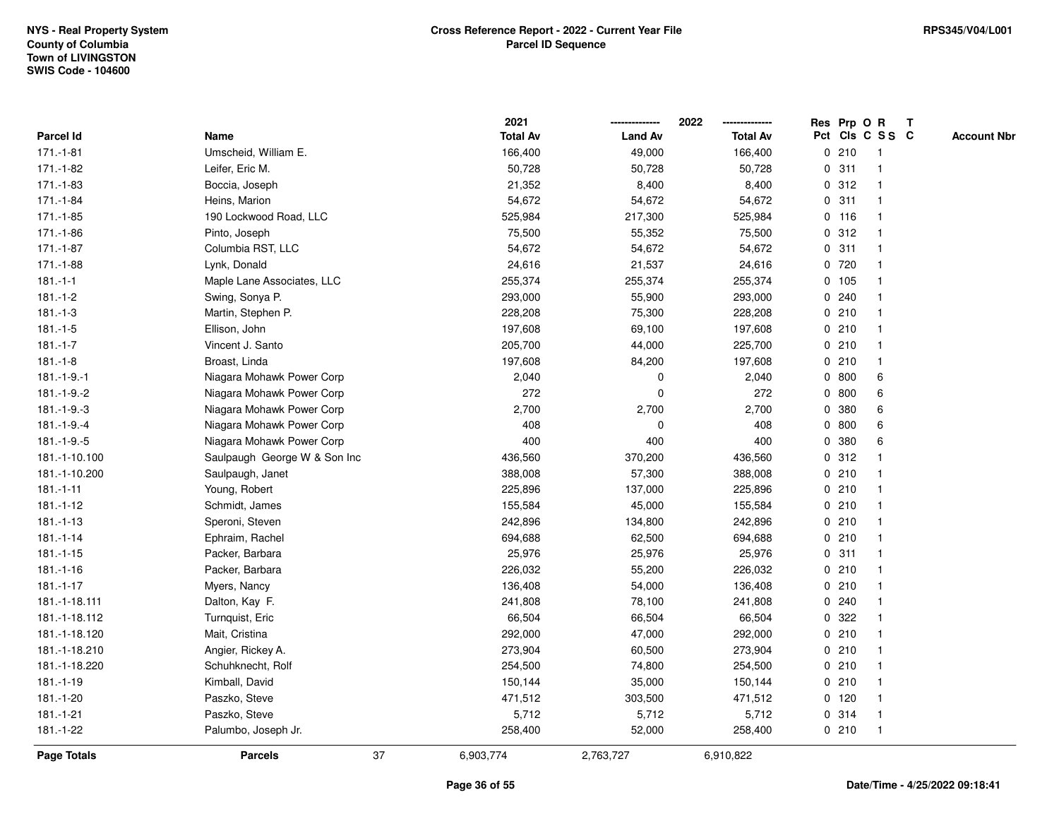|                    |                              |    | 2021            |                | 2022            |             |         | Res Prp O R     | T |                    |
|--------------------|------------------------------|----|-----------------|----------------|-----------------|-------------|---------|-----------------|---|--------------------|
| Parcel Id          | Name                         |    | <b>Total Av</b> | <b>Land Av</b> | <b>Total Av</b> |             |         | Pct Cls C S S C |   | <b>Account Nbr</b> |
| $171.-1-81$        | Umscheid, William E.         |    | 166,400         | 49,000         | 166,400         | 0           | 210     | $\mathbf{1}$    |   |                    |
| 171.-1-82          | Leifer, Eric M.              |    | 50,728          | 50,728         | 50,728          | 0           | 311     | -1              |   |                    |
| 171.-1-83          | Boccia, Joseph               |    | 21,352          | 8,400          | 8,400           |             | 0.312   | -1              |   |                    |
| 171.-1-84          | Heins, Marion                |    | 54,672          | 54,672         | 54,672          |             | 0.311   |                 |   |                    |
| 171.-1-85          | 190 Lockwood Road, LLC       |    | 525,984         | 217,300        | 525,984         |             | 0 116   |                 |   |                    |
| 171.-1-86          | Pinto, Joseph                |    | 75,500          | 55,352         | 75,500          |             | 0.312   |                 |   |                    |
| $171.-1-87$        | Columbia RST, LLC            |    | 54,672          | 54,672         | 54,672          |             | 0.311   |                 |   |                    |
| 171.-1-88          | Lynk, Donald                 |    | 24,616          | 21,537         | 24,616          | 0           | 720     |                 |   |                    |
| $181 - 1 - 1$      | Maple Lane Associates, LLC   |    | 255,374         | 255,374        | 255,374         |             | 0 105   |                 |   |                    |
| $181.-1-2$         | Swing, Sonya P.              |    | 293,000         | 55,900         | 293,000         |             | 0.240   | -1              |   |                    |
| $181.-1-3$         | Martin, Stephen P.           |    | 228,208         | 75,300         | 228,208         |             | 0210    |                 |   |                    |
| $181 - 1 - 5$      | Ellison, John                |    | 197,608         | 69,100         | 197,608         |             | 0210    |                 |   |                    |
| $181.-1-7$         | Vincent J. Santo             |    | 205,700         | 44,000         | 225,700         |             | 0210    |                 |   |                    |
| $181 - 1 - 8$      | Broast, Linda                |    | 197,608         | 84,200         | 197,608         |             | 0210    |                 |   |                    |
| $181 - 1 - 9 - 1$  | Niagara Mohawk Power Corp    |    | 2,040           | 0              | 2,040           |             | 0 800   | 6               |   |                    |
| $181 - 1 - 9 - 2$  | Niagara Mohawk Power Corp    |    | 272             | 0              | 272             |             | 0800    | 6               |   |                    |
| $181.-1-9.-3$      | Niagara Mohawk Power Corp    |    | 2,700           | 2,700          | 2,700           | 0           | 380     | 6               |   |                    |
| $181.-1-9.-4$      | Niagara Mohawk Power Corp    |    | 408             | 0              | 408             |             | 0 800   | 6               |   |                    |
| $181.-1-9.-5$      | Niagara Mohawk Power Corp    |    | 400             | 400            | 400             |             | 0 380   | 6               |   |                    |
| 181.-1-10.100      | Saulpaugh George W & Son Inc |    | 436,560         | 370,200        | 436,560         |             | 0.312   |                 |   |                    |
| 181.-1-10.200      | Saulpaugh, Janet             |    | 388,008         | 57,300         | 388,008         |             | 0210    |                 |   |                    |
| $181 - 1 - 11$     | Young, Robert                |    | 225,896         | 137,000        | 225,896         |             | 0210    |                 |   |                    |
| $181 - 1 - 12$     | Schmidt, James               |    | 155,584         | 45,000         | 155,584         |             | 0210    | -1              |   |                    |
| $181.-1-13$        | Speroni, Steven              |    | 242,896         | 134,800        | 242,896         | $\mathbf 0$ | 210     |                 |   |                    |
| $181 - 1 - 14$     | Ephraim, Rachel              |    | 694,688         | 62,500         | 694,688         |             | 0210    |                 |   |                    |
| $181.-1-15$        | Packer, Barbara              |    | 25,976          | 25,976         | 25,976          |             | 0.311   |                 |   |                    |
| $181 - 1 - 16$     | Packer, Barbara              |    | 226,032         | 55,200         | 226,032         |             | 0210    |                 |   |                    |
| $181.-1-17$        | Myers, Nancy                 |    | 136,408         | 54,000         | 136,408         |             | 0210    |                 |   |                    |
| 181.-1-18.111      | Dalton, Kay F.               |    | 241,808         | 78,100         | 241,808         |             | 0.240   |                 |   |                    |
| 181.-1-18.112      | Turnquist, Eric              |    | 66,504          | 66,504         | 66,504          | $\mathbf 0$ | 322     |                 |   |                    |
| 181.-1-18.120      | Mait, Cristina               |    | 292,000         | 47,000         | 292,000         |             | 0210    | -1              |   |                    |
| 181.-1-18.210      | Angier, Rickey A.            |    | 273,904         | 60,500         | 273,904         |             | 0210    | -1              |   |                    |
| 181.-1-18.220      | Schuhknecht, Rolf            |    | 254,500         | 74,800         | 254,500         |             | 0210    |                 |   |                    |
| $181.-1-19$        | Kimball, David               |    | 150,144         | 35,000         | 150,144         |             | 0210    |                 |   |                    |
| 181.-1-20          | Paszko, Steve                |    | 471,512         | 303,500        | 471,512         |             | $0$ 120 |                 |   |                    |
| $181.-1-21$        | Paszko, Steve                |    | 5,712           | 5,712          | 5,712           |             | 0 314   | -1              |   |                    |
| 181.-1-22          | Palumbo, Joseph Jr.          |    | 258,400         | 52,000         | 258,400         |             | 0210    | $\overline{1}$  |   |                    |
| <b>Page Totals</b> | <b>Parcels</b>               | 37 | 6,903,774       | 2,763,727      | 6,910,822       |             |         |                 |   |                    |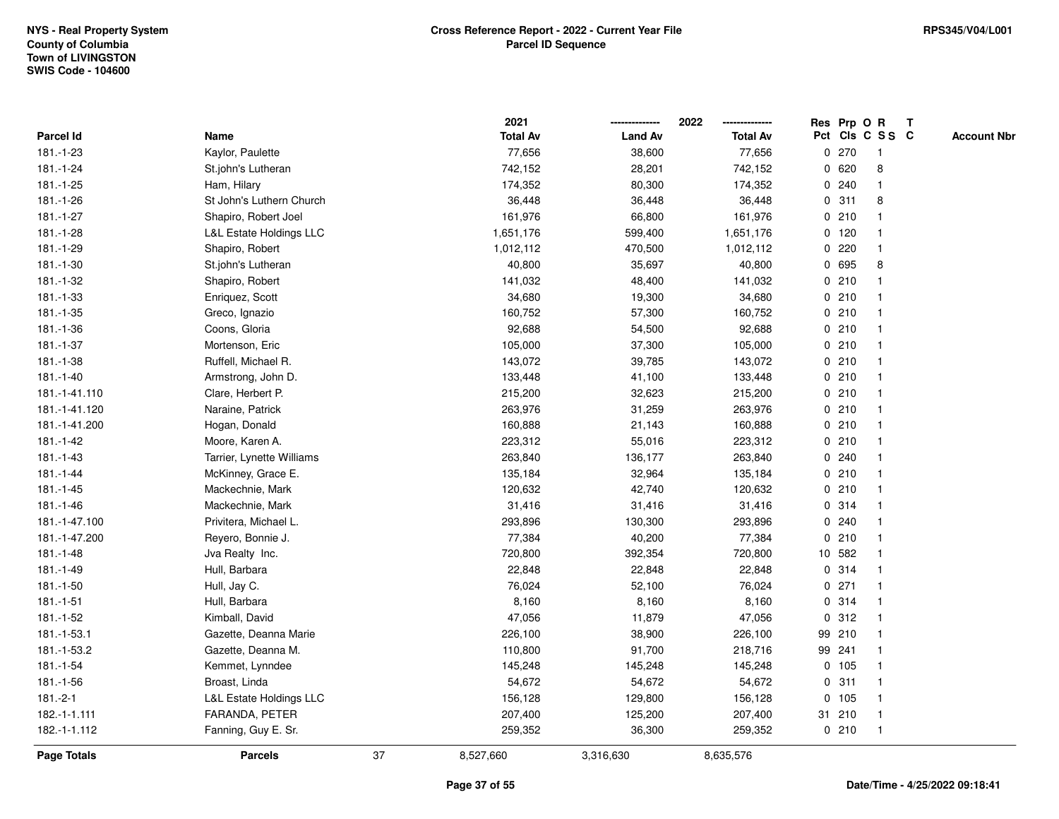|                    |                                    |    | 2021            |                | 2022            |             |         | Res Prp O R     | $\mathbf{T}$ |                    |
|--------------------|------------------------------------|----|-----------------|----------------|-----------------|-------------|---------|-----------------|--------------|--------------------|
| Parcel Id          | Name                               |    | <b>Total Av</b> | <b>Land Av</b> | <b>Total Av</b> |             |         | Pct Cls C S S C |              | <b>Account Nbr</b> |
| 181.-1-23          | Kaylor, Paulette                   |    | 77,656          | 38,600         | 77,656          |             | 0270    | -1              |              |                    |
| 181.-1-24          | St.john's Lutheran                 |    | 742,152         | 28,201         | 742,152         |             | 0620    | 8               |              |                    |
| 181.-1-25          | Ham, Hilary                        |    | 174,352         | 80,300         | 174,352         |             | 0.240   | $\mathbf 1$     |              |                    |
| 181.-1-26          | St John's Luthern Church           |    | 36,448          | 36,448         | 36,448          | $\mathbf 0$ | 311     | 8               |              |                    |
| 181.-1-27          | Shapiro, Robert Joel               |    | 161,976         | 66,800         | 161,976         |             | 0210    | -1              |              |                    |
| 181.-1-28          | <b>L&amp;L Estate Holdings LLC</b> |    | 1,651,176       | 599,400        | 1,651,176       |             | $0$ 120 | -1              |              |                    |
| 181.-1-29          | Shapiro, Robert                    |    | 1,012,112       | 470,500        | 1,012,112       |             | 0220    |                 |              |                    |
| 181.-1-30          | St.john's Lutheran                 |    | 40,800          | 35,697         | 40,800          |             | 0 695   | 8               |              |                    |
| 181.-1-32          | Shapiro, Robert                    |    | 141,032         | 48,400         | 141,032         |             | 0210    |                 |              |                    |
| $181.-1-33$        | Enriquez, Scott                    |    | 34,680          | 19,300         | 34,680          |             | 0210    |                 |              |                    |
| 181.-1-35          | Greco, Ignazio                     |    | 160,752         | 57,300         | 160,752         |             | 0210    | $\mathbf{1}$    |              |                    |
| 181.-1-36          | Coons, Gloria                      |    | 92,688          | 54,500         | 92,688          |             | 0210    | $\mathbf 1$     |              |                    |
| 181.-1-37          | Mortenson, Eric                    |    | 105,000         | 37,300         | 105,000         |             | 0210    | -1              |              |                    |
| 181.-1-38          | Ruffell, Michael R.                |    | 143,072         | 39,785         | 143,072         |             | 0210    |                 |              |                    |
| 181.-1-40          | Armstrong, John D.                 |    | 133,448         | 41,100         | 133,448         |             | 0210    |                 |              |                    |
| 181.-1-41.110      | Clare, Herbert P.                  |    | 215,200         | 32,623         | 215,200         |             | 0210    | -1              |              |                    |
| 181.-1-41.120      | Naraine, Patrick                   |    | 263,976         | 31,259         | 263,976         |             | 0210    | $\mathbf{1}$    |              |                    |
| 181.-1-41.200      | Hogan, Donald                      |    | 160,888         | 21,143         | 160,888         |             | 0210    | $\mathbf 1$     |              |                    |
| 181.-1-42          | Moore, Karen A.                    |    | 223,312         | 55,016         | 223,312         |             | 0210    | $\mathbf 1$     |              |                    |
| 181.-1-43          | Tarrier, Lynette Williams          |    | 263,840         | 136,177        | 263,840         |             | 0.240   |                 |              |                    |
| $181.-1-44$        | McKinney, Grace E.                 |    | 135,184         | 32,964         | 135,184         |             | 0210    |                 |              |                    |
| $181.-1-45$        | Mackechnie, Mark                   |    | 120,632         | 42,740         | 120,632         |             | 0210    |                 |              |                    |
| 181.-1-46          | Mackechnie, Mark                   |    | 31,416          | 31,416         | 31,416          |             | 0.314   |                 |              |                    |
| 181.-1-47.100      | Privitera, Michael L.              |    | 293,896         | 130,300        | 293,896         |             | 0.240   | -1              |              |                    |
| 181.-1-47.200      | Reyero, Bonnie J.                  |    | 77,384          | 40,200         | 77,384          |             | 0210    | $\mathbf{1}$    |              |                    |
| 181.-1-48          | Jva Realty Inc.                    |    | 720,800         | 392,354        | 720,800         |             | 10 582  | -1              |              |                    |
| 181.-1-49          | Hull, Barbara                      |    | 22,848          | 22,848         | 22,848          |             | 0.314   |                 |              |                    |
| 181.-1-50          | Hull, Jay C.                       |    | 76,024          | 52,100         | 76,024          |             | $0$ 271 |                 |              |                    |
| $181.-1-51$        | Hull, Barbara                      |    | 8,160           | 8,160          | 8,160           |             | 0.314   | $\mathbf 1$     |              |                    |
| 181.-1-52          | Kimball, David                     |    | 47,056          | 11,879         | 47,056          | 0           | 312     | $\mathbf{1}$    |              |                    |
| 181.-1-53.1        | Gazette, Deanna Marie              |    | 226,100         | 38,900         | 226,100         |             | 99 210  | $\mathbf 1$     |              |                    |
| 181.-1-53.2        | Gazette, Deanna M.                 |    | 110,800         | 91,700         | 218,716         |             | 99 241  | $\mathbf{1}$    |              |                    |
| 181.-1-54          | Kemmet, Lynndee                    |    | 145,248         | 145,248        | 145,248         |             | 0 105   |                 |              |                    |
| 181.-1-56          | Broast, Linda                      |    | 54,672          | 54,672         | 54,672          |             | 0.311   |                 |              |                    |
| $181.-2-1$         | <b>L&amp;L Estate Holdings LLC</b> |    | 156,128         | 129,800        | 156,128         |             | 0 105   | -1              |              |                    |
| 182.-1-1.111       | FARANDA, PETER                     |    | 207,400         | 125,200        | 207,400         |             | 31 210  | $\mathbf{1}$    |              |                    |
| 182.-1-1.112       | Fanning, Guy E. Sr.                |    | 259,352         | 36,300         | 259,352         |             | 0210    | $\overline{1}$  |              |                    |
| <b>Page Totals</b> | <b>Parcels</b>                     | 37 | 8,527,660       | 3,316,630      | 8,635,576       |             |         |                 |              |                    |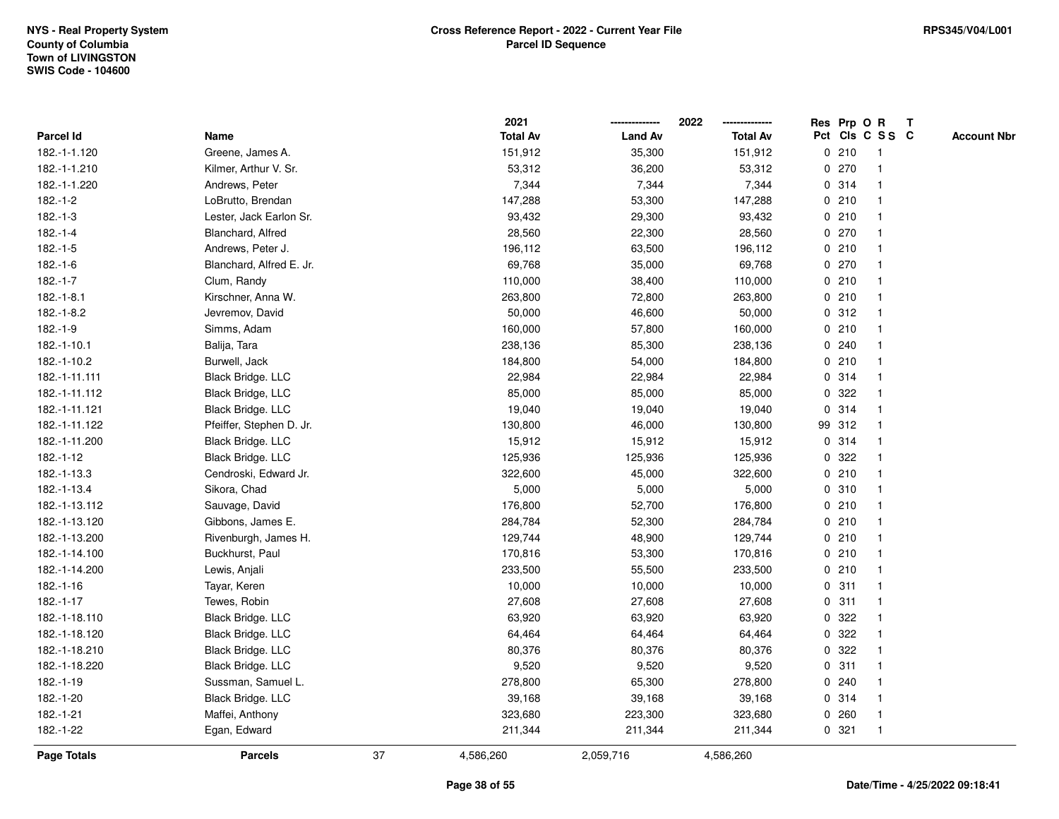|               |                          |    | 2021            |                | 2022            |             |        | Res Prp O R    | $\mathsf{T}$    |                    |
|---------------|--------------------------|----|-----------------|----------------|-----------------|-------------|--------|----------------|-----------------|--------------------|
| Parcel Id     | Name                     |    | <b>Total Av</b> | <b>Land Av</b> | <b>Total Av</b> |             |        |                | Pct Cls C S S C | <b>Account Nbr</b> |
| 182.-1-1.120  | Greene, James A.         |    | 151,912         | 35,300         | 151,912         |             | 0210   | 1              |                 |                    |
| 182.-1-1.210  | Kilmer, Arthur V. Sr.    |    | 53,312          | 36,200         | 53,312          | $\mathbf 0$ | 270    |                |                 |                    |
| 182.-1-1.220  | Andrews, Peter           |    | 7,344           | 7,344          | 7,344           |             | 0.314  | $\mathbf 1$    |                 |                    |
| $182.-1-2$    | LoBrutto, Brendan        |    | 147,288         | 53,300         | 147,288         | $\mathbf 0$ | 210    | $\overline{1}$ |                 |                    |
| $182.-1-3$    | Lester, Jack Earlon Sr.  |    | 93,432          | 29,300         | 93,432          |             | 0210   | $\mathbf{1}$   |                 |                    |
| $182.-1-4$    | Blanchard, Alfred        |    | 28,560          | 22,300         | 28,560          |             | 0270   | $\mathbf 1$    |                 |                    |
| $182.-1-5$    | Andrews, Peter J.        |    | 196,112         | 63,500         | 196,112         |             | 0210   |                |                 |                    |
| $182.-1-6$    | Blanchard, Alfred E. Jr. |    | 69,768          | 35,000         | 69,768          |             | 0270   |                |                 |                    |
| $182.-1-7$    | Clum, Randy              |    | 110,000         | 38,400         | 110,000         |             | 0210   |                |                 |                    |
| $182.-1-8.1$  | Kirschner, Anna W.       |    | 263,800         | 72,800         | 263,800         |             | 0210   | $\overline{1}$ |                 |                    |
| $182.-1-8.2$  | Jevremov, David          |    | 50,000          | 46,600         | 50,000          |             | 0.312  | $\overline{1}$ |                 |                    |
| $182.-1-9$    | Simms, Adam              |    | 160,000         | 57,800         | 160,000         |             | 0210   | $\overline{1}$ |                 |                    |
| 182.-1-10.1   | Balija, Tara             |    | 238,136         | 85,300         | 238,136         |             | 0.240  |                |                 |                    |
| 182.-1-10.2   | Burwell, Jack            |    | 184,800         | 54,000         | 184,800         |             | 0210   |                |                 |                    |
| 182.-1-11.111 | Black Bridge. LLC        |    | 22,984          | 22,984         | 22,984          |             | 0.314  |                |                 |                    |
| 182.-1-11.112 | Black Bridge, LLC        |    | 85,000          | 85,000         | 85,000          |             | 0 322  |                |                 |                    |
| 182.-1-11.121 | Black Bridge. LLC        |    | 19,040          | 19,040         | 19,040          | $\mathbf 0$ | 314    | $\overline{1}$ |                 |                    |
| 182.-1-11.122 | Pfeiffer, Stephen D. Jr. |    | 130,800         | 46,000         | 130,800         |             | 99 312 | -1             |                 |                    |
| 182.-1-11.200 | Black Bridge. LLC        |    | 15,912          | 15,912         | 15,912          |             | 0.314  | $\mathbf{1}$   |                 |                    |
| $182.-1-12$   | Black Bridge. LLC        |    | 125,936         | 125,936        | 125,936         |             | 0 322  |                |                 |                    |
| 182.-1-13.3   | Cendroski, Edward Jr.    |    | 322,600         | 45,000         | 322,600         |             | 0210   |                |                 |                    |
| 182.-1-13.4   | Sikora, Chad             |    | 5,000           | 5,000          | 5,000           |             | 0 310  |                |                 |                    |
| 182.-1-13.112 | Sauvage, David           |    | 176,800         | 52,700         | 176,800         |             | 0210   |                |                 |                    |
| 182.-1-13.120 | Gibbons, James E.        |    | 284,784         | 52,300         | 284,784         |             | 0210   | $\mathbf{1}$   |                 |                    |
| 182.-1-13.200 | Rivenburgh, James H.     |    | 129,744         | 48,900         | 129,744         |             | 0210   | $\overline{1}$ |                 |                    |
| 182.-1-14.100 | Buckhurst, Paul          |    | 170,816         | 53,300         | 170,816         |             | 0210   | $\mathbf 1$    |                 |                    |
| 182.-1-14.200 | Lewis, Anjali            |    | 233,500         | 55,500         | 233,500         |             | 0210   |                |                 |                    |
| 182.-1-16     | Tayar, Keren             |    | 10,000          | 10,000         | 10,000          |             | 0.311  |                |                 |                    |
| $182.-1-17$   | Tewes, Robin             |    | 27,608          | 27,608         | 27,608          |             | 0.311  |                |                 |                    |
| 182.-1-18.110 | Black Bridge. LLC        |    | 63,920          | 63,920         | 63,920          | 0           | 322    |                |                 |                    |
| 182.-1-18.120 | Black Bridge. LLC        |    | 64,464          | 64,464         | 64,464          | $\mathbf 0$ | 322    | $\overline{1}$ |                 |                    |
| 182.-1-18.210 | Black Bridge. LLC        |    | 80,376          | 80,376         | 80,376          |             | 0.322  | $\mathbf 1$    |                 |                    |
| 182.-1-18.220 | Black Bridge. LLC        |    | 9,520           | 9,520          | 9,520           |             | 0.311  |                |                 |                    |
| 182.-1-19     | Sussman, Samuel L.       |    | 278,800         | 65,300         | 278,800         |             | 0.240  |                |                 |                    |
| 182.-1-20     | Black Bridge. LLC        |    | 39,168          | 39,168         | 39,168          |             | 0.314  |                |                 |                    |
| 182.-1-21     | Maffei, Anthony          |    | 323,680         | 223,300        | 323,680         |             | 0.260  | $\overline{1}$ |                 |                    |
| 182.-1-22     | Egan, Edward             |    | 211,344         | 211,344        | 211,344         |             | 0.321  | $\overline{1}$ |                 |                    |
| Page Totals   | <b>Parcels</b>           | 37 | 4,586,260       | 2,059,716      | 4,586,260       |             |        |                |                 |                    |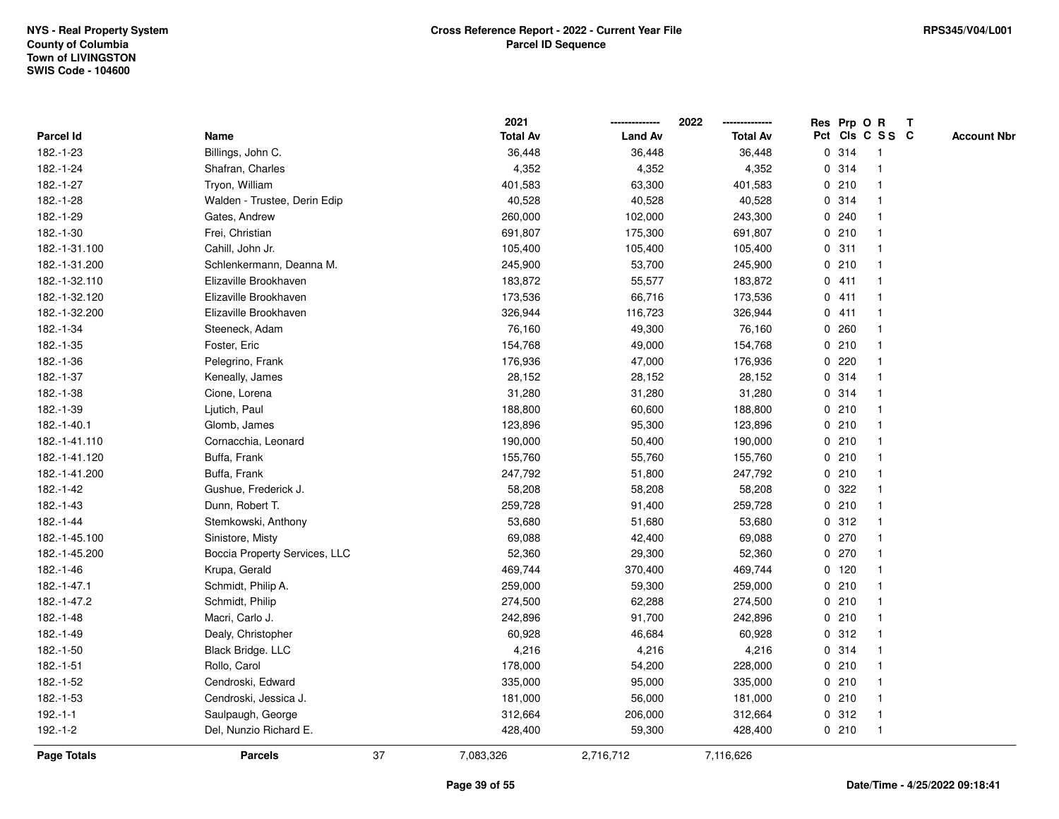|                    |                               |    | 2021            |                | 2022            |             |         | Res Prp O R     | $\mathbf{T}$ |                    |
|--------------------|-------------------------------|----|-----------------|----------------|-----------------|-------------|---------|-----------------|--------------|--------------------|
| <b>Parcel Id</b>   | Name                          |    | <b>Total Av</b> | <b>Land Av</b> | <b>Total Av</b> |             |         | Pct Cls C S S C |              | <b>Account Nbr</b> |
| 182.-1-23          | Billings, John C.             |    | 36,448          | 36,448         | 36,448          |             | 0 314   |                 |              |                    |
| 182.-1-24          | Shafran, Charles              |    | 4,352           | 4,352          | 4,352           |             | 0.314   |                 |              |                    |
| 182.-1-27          | Tryon, William                |    | 401,583         | 63,300         | 401,583         |             | 0210    |                 |              |                    |
| 182.-1-28          | Walden - Trustee, Derin Edip  |    | 40,528          | 40,528         | 40,528          | $\mathbf 0$ | 314     |                 |              |                    |
| 182.-1-29          | Gates, Andrew                 |    | 260,000         | 102,000        | 243,300         |             | 0.240   |                 |              |                    |
| 182.-1-30          | Frei, Christian               |    | 691,807         | 175,300        | 691,807         |             | 0210    |                 |              |                    |
| 182.-1-31.100      | Cahill, John Jr.              |    | 105,400         | 105,400        | 105,400         |             | 0.311   |                 |              |                    |
| 182.-1-31.200      | Schlenkermann, Deanna M.      |    | 245,900         | 53,700         | 245,900         |             | 0210    |                 |              |                    |
| 182.-1-32.110      | Elizaville Brookhaven         |    | 183,872         | 55,577         | 183,872         |             | 0411    |                 |              |                    |
| 182.-1-32.120      | Elizaville Brookhaven         |    | 173,536         | 66,716         | 173,536         |             | 0411    |                 |              |                    |
| 182.-1-32.200      | Elizaville Brookhaven         |    | 326,944         | 116,723        | 326,944         |             | 0411    | -1              |              |                    |
| 182.-1-34          | Steeneck, Adam                |    | 76,160          | 49,300         | 76,160          | $\mathbf 0$ | 260     |                 |              |                    |
| 182.-1-35          | Foster, Eric                  |    | 154,768         | 49,000         | 154,768         |             | 0210    |                 |              |                    |
| 182.-1-36          | Pelegrino, Frank              |    | 176,936         | 47,000         | 176,936         |             | 0.220   |                 |              |                    |
| 182.-1-37          | Keneally, James               |    | 28,152          | 28,152         | 28,152          |             | 0.314   |                 |              |                    |
| 182.-1-38          | Cione, Lorena                 |    | 31,280          | 31,280         | 31,280          |             | 0.314   |                 |              |                    |
| 182.-1-39          | Ljutich, Paul                 |    | 188,800         | 60,600         | 188,800         | $\mathbf 0$ | 210     |                 |              |                    |
| 182.-1-40.1        | Glomb, James                  |    | 123,896         | 95,300         | 123,896         |             | 0210    | -1              |              |                    |
| 182.-1-41.110      | Cornacchia, Leonard           |    | 190,000         | 50,400         | 190,000         |             | 0210    |                 |              |                    |
| 182.-1-41.120      | Buffa, Frank                  |    | 155,760         | 55,760         | 155,760         |             | 0210    |                 |              |                    |
| 182.-1-41.200      | Buffa, Frank                  |    | 247,792         | 51,800         | 247,792         |             | 0210    |                 |              |                    |
| 182.-1-42          | Gushue, Frederick J.          |    | 58,208          | 58,208         | 58,208          |             | 0 322   |                 |              |                    |
| 182.-1-43          | Dunn, Robert T.               |    | 259,728         | 91,400         | 259,728         |             | 0210    |                 |              |                    |
| 182.-1-44          | Stemkowski, Anthony           |    | 53,680          | 51,680         | 53,680          | $\mathbf 0$ | 312     | $\mathbf{1}$    |              |                    |
| 182.-1-45.100      | Sinistore, Misty              |    | 69,088          | 42,400         | 69,088          | 0           | 270     |                 |              |                    |
| 182.-1-45.200      | Boccia Property Services, LLC |    | 52,360          | 29,300         | 52,360          |             | 0 270   |                 |              |                    |
| 182.-1-46          | Krupa, Gerald                 |    | 469,744         | 370,400        | 469,744         |             | $0$ 120 |                 |              |                    |
| 182.-1-47.1        | Schmidt, Philip A.            |    | 259,000         | 59,300         | 259,000         |             | 0210    |                 |              |                    |
| 182.-1-47.2        | Schmidt, Philip               |    | 274,500         | 62,288         | 274,500         |             | 0210    |                 |              |                    |
| 182.-1-48          | Macri, Carlo J.               |    | 242,896         | 91,700         | 242,896         |             | 0210    |                 |              |                    |
| 182.-1-49          | Dealy, Christopher            |    | 60,928          | 46,684         | 60,928          | $\mathbf 0$ | 312     |                 |              |                    |
| 182.-1-50          | Black Bridge. LLC             |    | 4,216           | 4,216          | 4,216           |             | 0 314   | -1              |              |                    |
| 182.-1-51          | Rollo, Carol                  |    | 178,000         | 54,200         | 228,000         |             | 0210    |                 |              |                    |
| 182.-1-52          | Cendroski, Edward             |    | 335,000         | 95,000         | 335,000         |             | 0210    |                 |              |                    |
| 182.-1-53          | Cendroski, Jessica J.         |    | 181,000         | 56,000         | 181,000         |             | 0210    |                 |              |                    |
| $192.-1-1$         | Saulpaugh, George             |    | 312,664         | 206,000        | 312,664         |             | 0.312   | $\mathbf 1$     |              |                    |
| 192.-1-2           | Del, Nunzio Richard E.        |    | 428,400         | 59,300         | 428,400         |             | 0210    | -1              |              |                    |
| <b>Page Totals</b> | <b>Parcels</b>                | 37 | 7,083,326       | 2,716,712      | 7,116,626       |             |         |                 |              |                    |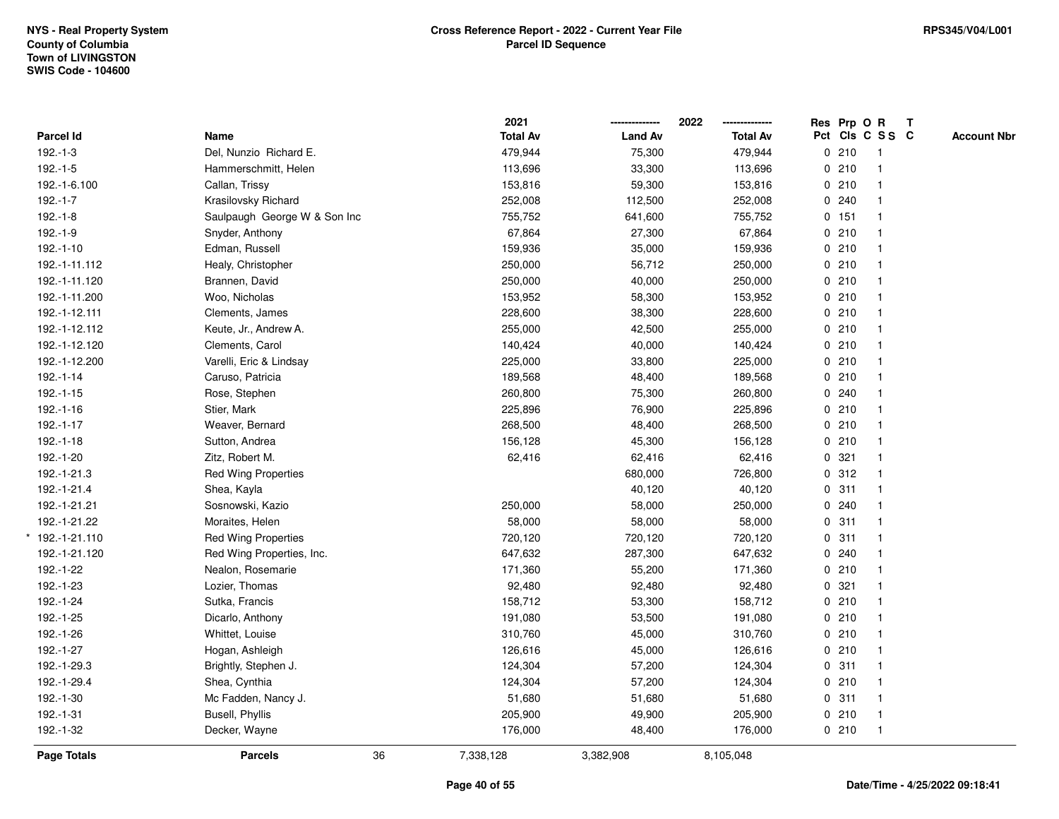|               |                              | 2021            |                | 2022            | Res Prp O R |                         | $\mathbf{T}$ |                    |
|---------------|------------------------------|-----------------|----------------|-----------------|-------------|-------------------------|--------------|--------------------|
| Parcel Id     | Name                         | <b>Total Av</b> | <b>Land Av</b> | <b>Total Av</b> |             | Pct Cls C S S C         |              | <b>Account Nbr</b> |
| $192.-1-3$    | Del, Nunzio Richard E.       | 479,944         | 75,300         | 479,944         | 0210        | $\overline{1}$          |              |                    |
| $192.-1-5$    | Hammerschmitt, Helen         | 113,696         | 33,300         | 113,696         | 0210        | $\mathbf{1}$            |              |                    |
| 192.-1-6.100  | Callan, Trissy               | 153,816         | 59,300         | 153,816         | 0210        | $\mathbf{1}$            |              |                    |
| $192.-1-7$    | Krasilovsky Richard          | 252,008         | 112,500        | 252,008         | 0.240       |                         |              |                    |
| $192.-1-8$    | Saulpaugh George W & Son Inc | 755,752         | 641,600        | 755,752         | 0 151       |                         |              |                    |
| 192.-1-9      | Snyder, Anthony              | 67,864          | 27,300         | 67,864          | 0210        |                         |              |                    |
| $192.-1-10$   | Edman, Russell               | 159,936         | 35,000         | 159,936         | 0210        |                         |              |                    |
| 192.-1-11.112 | Healy, Christopher           | 250,000         | 56,712         | 250,000         | 0210        | $\overline{\mathbf{1}}$ |              |                    |
| 192.-1-11.120 | Brannen, David               | 250,000         | 40,000         | 250,000         | 0210        |                         |              |                    |
| 192.-1-11.200 | Woo, Nicholas                | 153,952         | 58,300         | 153,952         | 0210        |                         |              |                    |
| 192.-1-12.111 | Clements, James              | 228,600         | 38,300         | 228,600         | 0210        |                         |              |                    |
| 192.-1-12.112 | Keute, Jr., Andrew A.        | 255,000         | 42,500         | 255,000         | 0210        |                         |              |                    |
| 192.-1-12.120 | Clements, Carol              | 140,424         | 40,000         | 140,424         | 0210        |                         |              |                    |
| 192.-1-12.200 | Varelli, Eric & Lindsay      | 225,000         | 33,800         | 225,000         | 0210        |                         |              |                    |
| 192.-1-14     | Caruso, Patricia             | 189,568         | 48,400         | 189,568         | 0210        |                         |              |                    |
| $192.-1-15$   | Rose, Stephen                | 260,800         | 75,300         | 260,800         | 0.240       |                         |              |                    |
| $192.-1-16$   | Stier, Mark                  | 225,896         | 76,900         | 225,896         | 0210        | $\mathbf{1}$            |              |                    |
| 192.-1-17     | Weaver, Bernard              | 268,500         | 48,400         | 268,500         | 0210        |                         |              |                    |
| $192.-1-18$   | Sutton, Andrea               | 156,128         | 45,300         | 156,128         | 0210        |                         |              |                    |
| 192.-1-20     | Zitz, Robert M.              | 62,416          | 62,416         | 62,416          | 0.321       |                         |              |                    |
| 192.-1-21.3   | <b>Red Wing Properties</b>   |                 | 680,000        | 726,800         | 0.312       |                         |              |                    |
| 192.-1-21.4   | Shea, Kayla                  |                 | 40,120         | 40,120          | 0.311       | -1                      |              |                    |
| 192.-1-21.21  | Sosnowski, Kazio             | 250,000         | 58,000         | 250,000         | 0.240       |                         |              |                    |
| 192.-1-21.22  | Moraites, Helen              | 58,000          | 58,000         | 58,000          | 0.311       | $\mathbf{1}$            |              |                    |
| 192.-1-21.110 | <b>Red Wing Properties</b>   | 720,120         | 720,120        | 720,120         | 0.311       |                         |              |                    |
| 192.-1-21.120 | Red Wing Properties, Inc.    | 647,632         | 287,300        | 647,632         | 0.240       |                         |              |                    |
| 192.-1-22     | Nealon, Rosemarie            | 171,360         | 55,200         | 171,360         | 0210        |                         |              |                    |
| 192.-1-23     | Lozier, Thomas               | 92,480          | 92,480         | 92,480          | 0.321       |                         |              |                    |
| 192.-1-24     | Sutka, Francis               | 158,712         | 53,300         | 158,712         | 0 210       |                         |              |                    |
| 192.-1-25     | Dicarlo, Anthony             | 191,080         | 53,500         | 191,080         | 0210        | $\overline{1}$          |              |                    |
| 192.-1-26     | Whittet, Louise              | 310,760         | 45,000         | 310,760         | 0210        | $\mathbf{1}$            |              |                    |
| 192.-1-27     | Hogan, Ashleigh              | 126,616         | 45,000         | 126,616         | 0210        |                         |              |                    |
| 192.-1-29.3   | Brightly, Stephen J.         | 124,304         | 57,200         | 124,304         | 0.311       |                         |              |                    |
| 192.-1-29.4   | Shea, Cynthia                | 124,304         | 57,200         | 124,304         | 0210        |                         |              |                    |
| 192.-1-30     | Mc Fadden, Nancy J.          | 51,680          | 51,680         | 51,680          | 0.311       |                         |              |                    |
| 192.-1-31     | Busell, Phyllis              | 205,900         | 49,900         | 205,900         | 0210        | $\overline{1}$          |              |                    |
| 192.-1-32     | Decker, Wayne                | 176,000         | 48,400         | 176,000         | 0210        | $\overline{1}$          |              |                    |
| Page Totals   | 36<br><b>Parcels</b>         | 7,338,128       | 3,382,908      | 8,105,048       |             |                         |              |                    |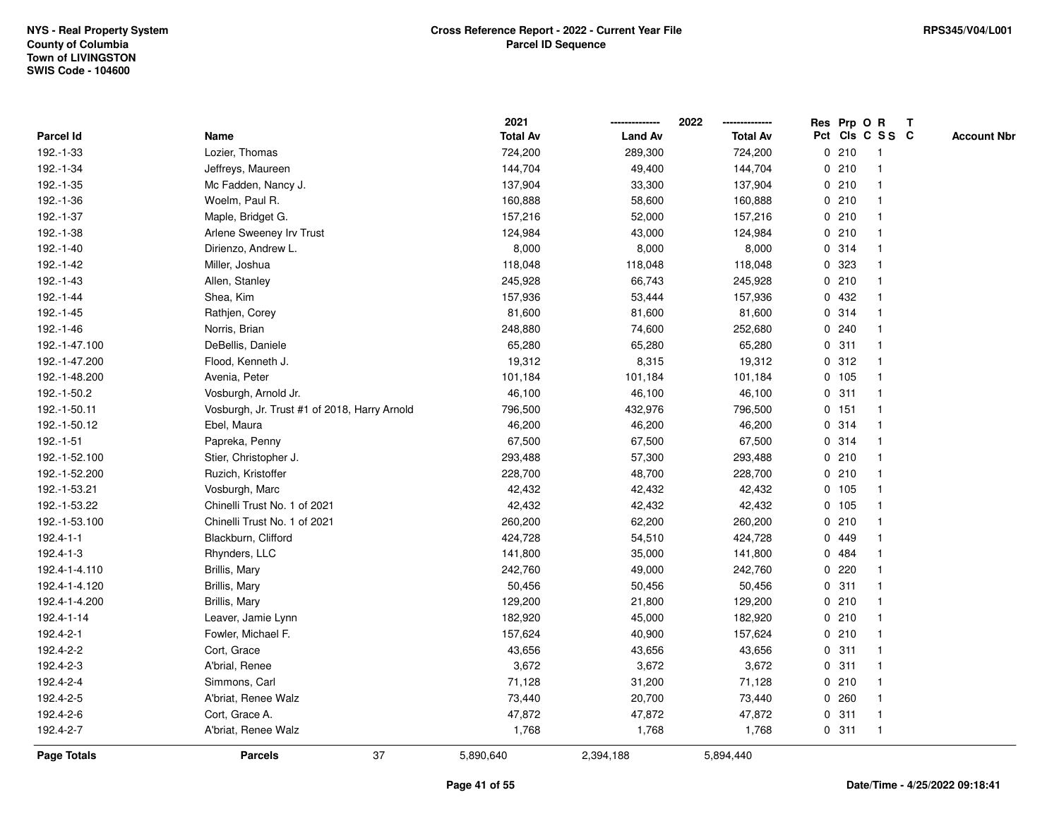|                  |                                              | 2021            |                | 2022            |   |        | Res Prp O R     | $\mathbf{T}$       |
|------------------|----------------------------------------------|-----------------|----------------|-----------------|---|--------|-----------------|--------------------|
| <b>Parcel Id</b> | Name                                         | <b>Total Av</b> | <b>Land Av</b> | <b>Total Av</b> |   |        | Pct Cls C S S C | <b>Account Nbr</b> |
| 192.-1-33        | Lozier, Thomas                               | 724,200         | 289,300        | 724,200         |   | 0210   |                 |                    |
| 192.-1-34        | Jeffreys, Maureen                            | 144,704         | 49,400         | 144,704         |   | 0210   |                 |                    |
| 192.-1-35        | Mc Fadden, Nancy J.                          | 137,904         | 33,300         | 137,904         |   | 0210   |                 |                    |
| 192.-1-36        | Woelm, Paul R.                               | 160,888         | 58,600         | 160,888         |   | 0210   |                 |                    |
| 192.-1-37        | Maple, Bridget G.                            | 157,216         | 52,000         | 157,216         |   | 0210   |                 |                    |
| 192.-1-38        | Arlene Sweeney Irv Trust                     | 124,984         | 43,000         | 124,984         |   | 0210   |                 |                    |
| 192.-1-40        | Dirienzo, Andrew L.                          | 8,000           | 8,000          | 8,000           |   | 0.314  |                 |                    |
| 192.-1-42        | Miller, Joshua                               | 118,048         | 118,048        | 118,048         |   | 0 323  |                 |                    |
| 192.-1-43        | Allen, Stanley                               | 245,928         | 66,743         | 245,928         |   | 0210   |                 |                    |
| 192.-1-44        | Shea, Kim                                    | 157,936         | 53,444         | 157,936         |   | 0 432  |                 |                    |
| 192.-1-45        | Rathjen, Corey                               | 81,600          | 81,600         | 81,600          |   | 0 314  |                 |                    |
| 192.-1-46        | Norris, Brian                                | 248,880         | 74,600         | 252,680         |   | 0.240  |                 |                    |
| 192.-1-47.100    | DeBellis, Daniele                            | 65,280          | 65,280         | 65,280          |   | 0.311  |                 |                    |
| 192.-1-47.200    | Flood, Kenneth J.                            | 19,312          | 8,315          | 19,312          |   | 0.312  |                 |                    |
| 192.-1-48.200    | Avenia, Peter                                | 101,184         | 101,184        | 101,184         |   | 0 105  |                 |                    |
| 192.-1-50.2      | Vosburgh, Arnold Jr.                         | 46,100          | 46,100         | 46,100          |   | 0.311  |                 |                    |
| 192.-1-50.11     | Vosburgh, Jr. Trust #1 of 2018, Harry Arnold | 796,500         | 432,976        | 796,500         |   | 0.151  |                 |                    |
| 192.-1-50.12     | Ebel, Maura                                  | 46,200          | 46,200         | 46,200          |   | 0.314  |                 |                    |
| 192.-1-51        | Papreka, Penny                               | 67,500          | 67,500         | 67,500          |   | 0.314  |                 |                    |
| 192.-1-52.100    | Stier, Christopher J.                        | 293,488         | 57,300         | 293,488         |   | 0210   |                 |                    |
| 192.-1-52.200    | Ruzich, Kristoffer                           | 228,700         | 48,700         | 228,700         |   | 0210   |                 |                    |
| 192.-1-53.21     | Vosburgh, Marc                               | 42,432          | 42,432         | 42,432          |   | 0 105  |                 |                    |
| 192.-1-53.22     | Chinelli Trust No. 1 of 2021                 | 42,432          | 42,432         | 42,432          |   | 0, 105 |                 |                    |
| 192.-1-53.100    | Chinelli Trust No. 1 of 2021                 | 260,200         | 62,200         | 260,200         | 0 | 210    |                 |                    |
| 192.4-1-1        | Blackburn, Clifford                          | 424,728         | 54,510         | 424,728         |   | 0 449  |                 |                    |
| 192.4-1-3        | Rhynders, LLC                                | 141,800         | 35,000         | 141,800         |   | 0 484  |                 |                    |
| 192.4-1-4.110    | Brillis, Mary                                | 242,760         | 49,000         | 242,760         |   | 0.220  |                 |                    |
| 192.4-1-4.120    | Brillis, Mary                                | 50,456          | 50,456         | 50,456          |   | 0.311  |                 |                    |
| 192.4-1-4.200    | Brillis, Mary                                | 129,200         | 21,800         | 129,200         |   | 0210   |                 |                    |
| 192.4-1-14       | Leaver, Jamie Lynn                           | 182,920         | 45,000         | 182,920         |   | 0210   |                 |                    |
| 192.4-2-1        | Fowler, Michael F.                           | 157,624         | 40,900         | 157,624         |   | 0210   |                 |                    |
| 192.4-2-2        | Cort, Grace                                  | 43,656          | 43,656         | 43,656          |   | 0.311  |                 |                    |
| 192.4-2-3        | A'brial, Renee                               | 3,672           | 3,672          | 3,672           |   | 0.311  |                 |                    |
| 192.4-2-4        | Simmons, Carl                                | 71,128          | 31,200         | 71,128          |   | 0210   |                 |                    |
| 192.4-2-5        | A'briat, Renee Walz                          | 73,440          | 20,700         | 73,440          |   | 0.260  |                 |                    |
| 192.4-2-6        | Cort, Grace A.                               | 47,872          | 47,872         | 47,872          |   | 0.311  |                 |                    |
| 192.4-2-7        | A'briat, Renee Walz                          | 1,768           | 1,768          | 1,768           |   | 0.311  |                 |                    |
| Page Totals      | 37<br><b>Parcels</b>                         | 5,890,640       | 2,394,188      | 5,894,440       |   |        |                 |                    |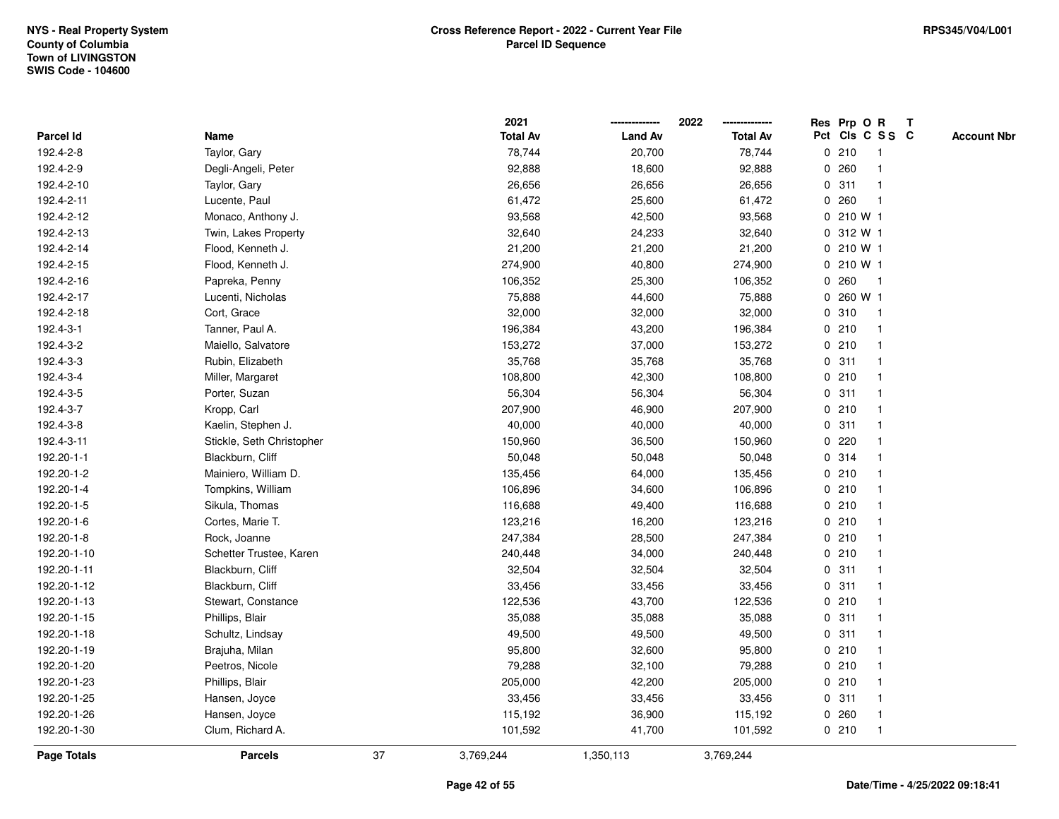|             |                           |    | 2021            |                | 2022            |             | Res Prp O R |                         | Т |                    |
|-------------|---------------------------|----|-----------------|----------------|-----------------|-------------|-------------|-------------------------|---|--------------------|
| Parcel Id   | Name                      |    | <b>Total Av</b> | <b>Land Av</b> | <b>Total Av</b> |             |             | Pct Cls C S S C         |   | <b>Account Nbr</b> |
| 192.4-2-8   | Taylor, Gary              |    | 78,744          | 20,700         | 78,744          |             | 0210        | $\mathbf{1}$            |   |                    |
| 192.4-2-9   | Degli-Angeli, Peter       |    | 92,888          | 18,600         | 92,888          | 0           | 260         | -1                      |   |                    |
| 192.4-2-10  | Taylor, Gary              |    | 26,656          | 26,656         | 26,656          |             | 0.311       | $\mathbf{1}$            |   |                    |
| 192.4-2-11  | Lucente, Paul             |    | 61,472          | 25,600         | 61,472          |             | 0.260       | $\overline{\mathbf{1}}$ |   |                    |
| 192.4-2-12  | Monaco, Anthony J.        |    | 93,568          | 42,500         | 93,568          |             | 0 210 W 1   |                         |   |                    |
| 192.4-2-13  | Twin, Lakes Property      |    | 32,640          | 24,233         | 32,640          |             | 0 312 W 1   |                         |   |                    |
| 192.4-2-14  | Flood, Kenneth J.         |    | 21,200          | 21,200         | 21,200          |             | 0 210 W 1   |                         |   |                    |
| 192.4-2-15  | Flood, Kenneth J.         |    | 274,900         | 40,800         | 274,900         | $\mathbf 0$ | 210 W 1     |                         |   |                    |
| 192.4-2-16  | Papreka, Penny            |    | 106,352         | 25,300         | 106,352         | 0           | 260         | $\mathbf{1}$            |   |                    |
| 192.4-2-17  | Lucenti, Nicholas         |    | 75,888          | 44,600         | 75,888          | $\mathbf 0$ | 260 W 1     |                         |   |                    |
| 192.4-2-18  | Cort, Grace               |    | 32,000          | 32,000         | 32,000          |             | 0.310       | $\mathbf 1$             |   |                    |
| 192.4-3-1   | Tanner, Paul A.           |    | 196,384         | 43,200         | 196,384         |             | 0210        |                         |   |                    |
| 192.4-3-2   | Maiello, Salvatore        |    | 153,272         | 37,000         | 153,272         |             | 0210        |                         |   |                    |
| 192.4-3-3   | Rubin, Elizabeth          |    | 35,768          | 35,768         | 35,768          |             | 0.311       | -1                      |   |                    |
| 192.4-3-4   | Miller, Margaret          |    | 108,800         | 42,300         | 108,800         |             | 0210        | $\overline{\mathbf{1}}$ |   |                    |
| 192.4-3-5   | Porter, Suzan             |    | 56,304          | 56,304         | 56,304          |             | 0.311       | -1                      |   |                    |
| 192.4-3-7   | Kropp, Carl               |    | 207,900         | 46,900         | 207,900         |             | 0210        | $\mathbf{1}$            |   |                    |
| 192.4-3-8   | Kaelin, Stephen J.        |    | 40,000          | 40,000         | 40,000          |             | 0.311       |                         |   |                    |
| 192.4-3-11  | Stickle, Seth Christopher |    | 150,960         | 36,500         | 150,960         |             | 0220        |                         |   |                    |
| 192.20-1-1  | Blackburn, Cliff          |    | 50,048          | 50,048         | 50,048          |             | 0.314       |                         |   |                    |
| 192.20-1-2  | Mainiero, William D.      |    | 135,456         | 64,000         | 135,456         |             | 0210        |                         |   |                    |
| 192.20-1-4  | Tompkins, William         |    | 106,896         | 34,600         | 106,896         |             | 0210        |                         |   |                    |
| 192.20-1-5  | Sikula, Thomas            |    | 116,688         | 49,400         | 116,688         |             | 0210        | -1                      |   |                    |
| 192.20-1-6  | Cortes, Marie T.          |    | 123,216         | 16,200         | 123,216         |             | 0210        | $\mathbf 1$             |   |                    |
| 192.20-1-8  | Rock, Joanne              |    | 247,384         | 28,500         | 247,384         |             | 0210        | -1                      |   |                    |
| 192.20-1-10 | Schetter Trustee, Karen   |    | 240,448         | 34,000         | 240,448         |             | 0210        |                         |   |                    |
| 192.20-1-11 | Blackburn, Cliff          |    | 32,504          | 32,504         | 32,504          |             | 0.311       |                         |   |                    |
| 192.20-1-12 | Blackburn, Cliff          |    | 33,456          | 33,456         | 33,456          |             | 0.311       |                         |   |                    |
| 192.20-1-13 | Stewart, Constance        |    | 122,536         | 43,700         | 122,536         |             | 0210        |                         |   |                    |
| 192.20-1-15 | Phillips, Blair           |    | 35,088          | 35,088         | 35,088          | $\mathbf 0$ | 311         | -1                      |   |                    |
| 192.20-1-18 | Schultz, Lindsay          |    | 49,500          | 49,500         | 49,500          |             | 0.311       | -1                      |   |                    |
| 192.20-1-19 | Brajuha, Milan            |    | 95,800          | 32,600         | 95,800          |             | 0210        | $\mathbf 1$             |   |                    |
| 192.20-1-20 | Peetros, Nicole           |    | 79,288          | 32,100         | 79,288          |             | 0210        |                         |   |                    |
| 192.20-1-23 | Phillips, Blair           |    | 205,000         | 42,200         | 205,000         |             | 0210        |                         |   |                    |
| 192.20-1-25 | Hansen, Joyce             |    | 33,456          | 33,456         | 33,456          |             | 0.311       |                         |   |                    |
| 192.20-1-26 | Hansen, Joyce             |    | 115,192         | 36,900         | 115,192         |             | 0.260       | $\mathbf 1$             |   |                    |
| 192.20-1-30 | Clum, Richard A.          |    | 101,592         | 41,700         | 101,592         |             | 0210        | $\mathbf{1}$            |   |                    |
| Page Totals | <b>Parcels</b>            | 37 | 3,769,244       | 1,350,113      | 3,769,244       |             |             |                         |   |                    |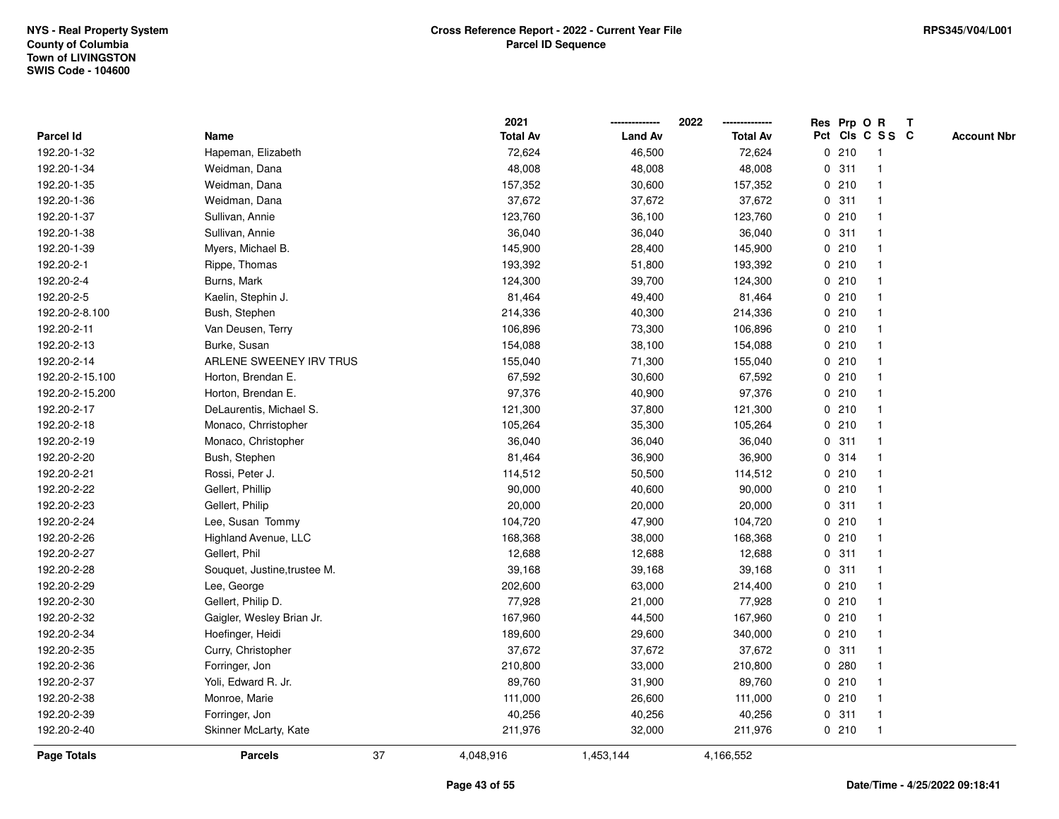|                 |                              |    | 2021            |                | 2022            |             |       | Res Prp O R             | T |                    |
|-----------------|------------------------------|----|-----------------|----------------|-----------------|-------------|-------|-------------------------|---|--------------------|
| Parcel Id       | Name                         |    | <b>Total Av</b> | <b>Land Av</b> | <b>Total Av</b> |             |       | Pct Cls C S S C         |   | <b>Account Nbr</b> |
| 192.20-1-32     | Hapeman, Elizabeth           |    | 72,624          | 46,500         | 72,624          | 0           | 210   | $\mathbf{1}$            |   |                    |
| 192.20-1-34     | Weidman, Dana                |    | 48,008          | 48,008         | 48,008          | 0           | 311   | -1                      |   |                    |
| 192.20-1-35     | Weidman, Dana                |    | 157,352         | 30,600         | 157,352         |             | 0210  | $\mathbf{1}$            |   |                    |
| 192.20-1-36     | Weidman, Dana                |    | 37,672          | 37,672         | 37,672          |             | 0.311 |                         |   |                    |
| 192.20-1-37     | Sullivan, Annie              |    | 123,760         | 36,100         | 123,760         |             | 0210  |                         |   |                    |
| 192.20-1-38     | Sullivan, Annie              |    | 36,040          | 36,040         | 36,040          |             | 0.311 |                         |   |                    |
| 192.20-1-39     | Myers, Michael B.            |    | 145,900         | 28,400         | 145,900         |             | 0210  |                         |   |                    |
| 192.20-2-1      | Rippe, Thomas                |    | 193,392         | 51,800         | 193,392         | 0           | 210   |                         |   |                    |
| 192.20-2-4      | Burns, Mark                  |    | 124,300         | 39,700         | 124,300         |             | 0210  | $\mathbf{1}$            |   |                    |
| 192.20-2-5      | Kaelin, Stephin J.           |    | 81,464          | 49,400         | 81,464          |             | 0210  | $\mathbf{1}$            |   |                    |
| 192.20-2-8.100  | Bush, Stephen                |    | 214,336         | 40,300         | 214,336         |             | 0210  |                         |   |                    |
| 192.20-2-11     | Van Deusen, Terry            |    | 106,896         | 73,300         | 106,896         |             | 0210  |                         |   |                    |
| 192.20-2-13     | Burke, Susan                 |    | 154,088         | 38,100         | 154,088         |             | 0210  |                         |   |                    |
| 192.20-2-14     | ARLENE SWEENEY IRV TRUS      |    | 155,040         | 71,300         | 155,040         |             | 0210  |                         |   |                    |
| 192.20-2-15.100 | Horton, Brendan E.           |    | 67,592          | 30,600         | 67,592          |             | 0210  |                         |   |                    |
| 192.20-2-15.200 | Horton, Brendan E.           |    | 97,376          | 40,900         | 97,376          |             | 0210  | $\mathbf{1}$            |   |                    |
| 192.20-2-17     | DeLaurentis, Michael S.      |    | 121,300         | 37,800         | 121,300         |             | 0210  | $\mathbf{1}$            |   |                    |
| 192.20-2-18     | Monaco, Chrristopher         |    | 105,264         | 35,300         | 105,264         |             | 0210  |                         |   |                    |
| 192.20-2-19     | Monaco, Christopher          |    | 36,040          | 36,040         | 36,040          |             | 0.311 |                         |   |                    |
| 192.20-2-20     | Bush, Stephen                |    | 81,464          | 36,900         | 36,900          |             | 0.314 |                         |   |                    |
| 192.20-2-21     | Rossi, Peter J.              |    | 114,512         | 50,500         | 114,512         |             | 0210  |                         |   |                    |
| 192.20-2-22     | Gellert, Phillip             |    | 90,000          | 40,600         | 90,000          |             | 0210  |                         |   |                    |
| 192.20-2-23     | Gellert, Philip              |    | 20,000          | 20,000         | 20,000          | $\mathbf 0$ | 311   | $\mathbf{1}$            |   |                    |
| 192.20-2-24     | Lee, Susan Tommy             |    | 104,720         | 47,900         | 104,720         |             | 0210  | $\overline{\mathbf{1}}$ |   |                    |
| 192.20-2-26     | Highland Avenue, LLC         |    | 168,368         | 38,000         | 168,368         |             | 0210  | $\mathbf 1$             |   |                    |
| 192.20-2-27     | Gellert, Phil                |    | 12,688          | 12,688         | 12,688          |             | 0.311 |                         |   |                    |
| 192.20-2-28     | Souquet, Justine, trustee M. |    | 39,168          | 39,168         | 39,168          |             | 0.311 |                         |   |                    |
| 192.20-2-29     | Lee, George                  |    | 202,600         | 63,000         | 214,400         |             | 0210  |                         |   |                    |
| 192.20-2-30     | Gellert, Philip D.           |    | 77,928          | 21,000         | 77,928          |             | 0210  |                         |   |                    |
| 192.20-2-32     | Gaigler, Wesley Brian Jr.    |    | 167,960         | 44,500         | 167,960         | $\mathbf 0$ | 210   | -1                      |   |                    |
| 192.20-2-34     | Hoefinger, Heidi             |    | 189,600         | 29,600         | 340,000         |             | 0210  | $\mathbf{1}$            |   |                    |
| 192.20-2-35     | Curry, Christopher           |    | 37,672          | 37,672         | 37,672          |             | 0.311 | $\mathbf 1$             |   |                    |
| 192.20-2-36     | Forringer, Jon               |    | 210,800         | 33,000         | 210,800         |             | 0.280 |                         |   |                    |
| 192.20-2-37     | Yoli, Edward R. Jr.          |    | 89,760          | 31,900         | 89,760          |             | 0210  |                         |   |                    |
| 192.20-2-38     | Monroe, Marie                |    | 111,000         | 26,600         | 111,000         |             | 0210  | $\overline{1}$          |   |                    |
| 192.20-2-39     | Forringer, Jon               |    | 40,256          | 40,256         | 40,256          |             | 0.311 | $\mathbf{1}$            |   |                    |
| 192.20-2-40     | Skinner McLarty, Kate        |    | 211,976         | 32,000         | 211,976         |             | 0210  | $\mathbf{1}$            |   |                    |
| Page Totals     | <b>Parcels</b>               | 37 | 4,048,916       | 1,453,144      | 4,166,552       |             |       |                         |   |                    |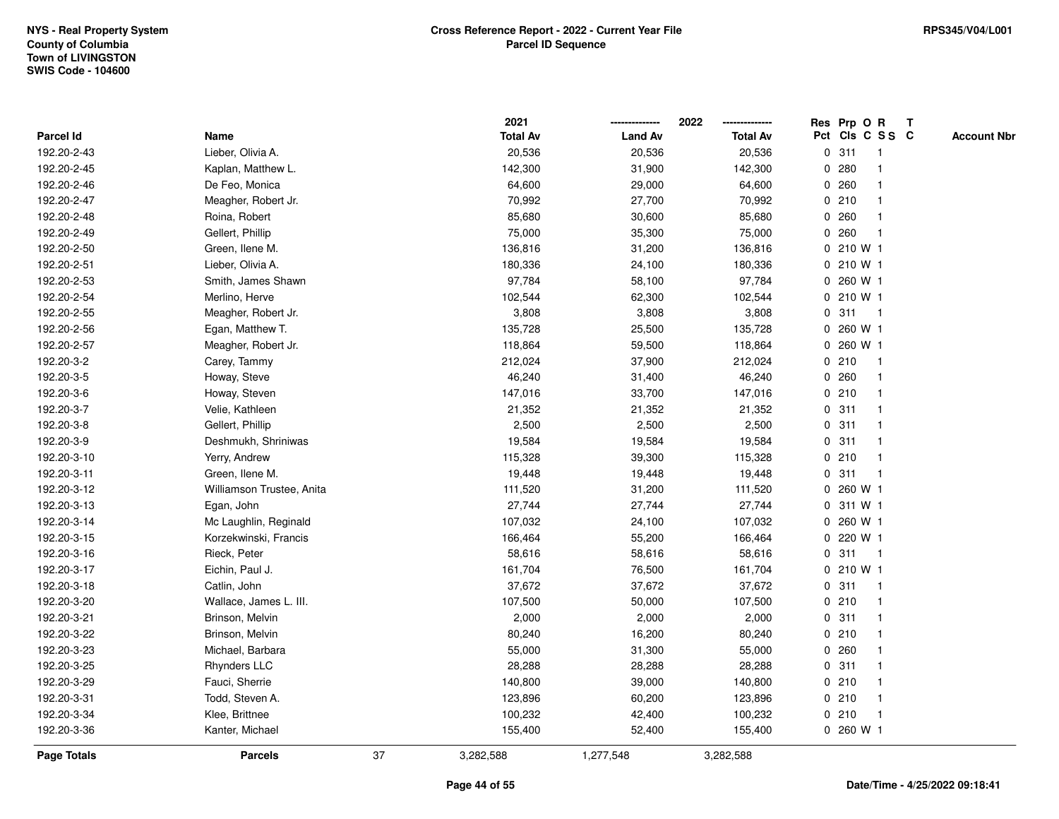|                    |                           |    | 2021            |                | 2022            |             |              | Res Prp O R     | T |                    |
|--------------------|---------------------------|----|-----------------|----------------|-----------------|-------------|--------------|-----------------|---|--------------------|
| Parcel Id          | Name                      |    | <b>Total Av</b> | <b>Land Av</b> | <b>Total Av</b> |             |              | Pct Cls C S S C |   | <b>Account Nbr</b> |
| 192.20-2-43        | Lieber, Olivia A.         |    | 20,536          | 20,536         | 20,536          | $\mathbf 0$ | 311          | $\mathbf{1}$    |   |                    |
| 192.20-2-45        | Kaplan, Matthew L.        |    | 142,300         | 31,900         | 142,300         | 0           | 280          |                 |   |                    |
| 192.20-2-46        | De Feo, Monica            |    | 64,600          | 29,000         | 64,600          |             | 0.260        | -1              |   |                    |
| 192.20-2-47        | Meagher, Robert Jr.       |    | 70,992          | 27,700         | 70,992          |             | 0210         |                 |   |                    |
| 192.20-2-48        | Roina, Robert             |    | 85,680          | 30,600         | 85,680          |             | 0.260        |                 |   |                    |
| 192.20-2-49        | Gellert, Phillip          |    | 75,000          | 35,300         | 75,000          | 0           | 260          |                 |   |                    |
| 192.20-2-50        | Green, Ilene M.           |    | 136,816         | 31,200         | 136,816         |             | $0, 210$ W 1 |                 |   |                    |
| 192.20-2-51        | Lieber, Olivia A.         |    | 180,336         | 24,100         | 180,336         | 0           | 210 W 1      |                 |   |                    |
| 192.20-2-53        | Smith, James Shawn        |    | 97,784          | 58,100         | 97,784          | 0           | 260 W 1      |                 |   |                    |
| 192.20-2-54        | Merlino, Herve            |    | 102,544         | 62,300         | 102,544         |             | $0, 210$ W 1 |                 |   |                    |
| 192.20-2-55        | Meagher, Robert Jr.       |    | 3,808           | 3,808          | 3,808           |             | 0.311        | -1              |   |                    |
| 192.20-2-56        | Egan, Matthew T.          |    | 135,728         | 25,500         | 135,728         |             | 0 260 W 1    |                 |   |                    |
| 192.20-2-57        | Meagher, Robert Jr.       |    | 118,864         | 59,500         | 118,864         | 0           | 260 W 1      |                 |   |                    |
| 192.20-3-2         | Carey, Tammy              |    | 212,024         | 37,900         | 212,024         |             | 0210         | -1              |   |                    |
| 192.20-3-5         | Howay, Steve              |    | 46,240          | 31,400         | 46,240          | 0           | 260          | -1              |   |                    |
| 192.20-3-6         | Howay, Steven             |    | 147,016         | 33,700         | 147,016         |             | 0210         | $\mathbf{1}$    |   |                    |
| 192.20-3-7         | Velie, Kathleen           |    | 21,352          | 21,352         | 21,352          |             | 0.311        | $\overline{1}$  |   |                    |
| 192.20-3-8         | Gellert, Phillip          |    | 2,500           | 2,500          | 2,500           |             | 0.311        |                 |   |                    |
| 192.20-3-9         | Deshmukh, Shriniwas       |    | 19,584          | 19,584         | 19,584          |             | 0.311        |                 |   |                    |
| 192.20-3-10        | Yerry, Andrew             |    | 115,328         | 39,300         | 115,328         |             | 0210         |                 |   |                    |
| 192.20-3-11        | Green, Ilene M.           |    | 19,448          | 19,448         | 19,448          |             | 0.311        | $\mathbf{1}$    |   |                    |
| 192.20-3-12        | Williamson Trustee, Anita |    | 111,520         | 31,200         | 111,520         | 0           | 260 W 1      |                 |   |                    |
| 192.20-3-13        | Egan, John                |    | 27,744          | 27,744         | 27,744          | 0           | 311 W 1      |                 |   |                    |
| 192.20-3-14        | Mc Laughlin, Reginald     |    | 107,032         | 24,100         | 107,032         | 0           | 260 W 1      |                 |   |                    |
| 192.20-3-15        | Korzekwinski, Francis     |    | 166,464         | 55,200         | 166,464         |             | 0 220 W 1    |                 |   |                    |
| 192.20-3-16        | Rieck, Peter              |    | 58,616          | 58,616         | 58,616          |             | 0.311        | -1              |   |                    |
| 192.20-3-17        | Eichin, Paul J.           |    | 161,704         | 76,500         | 161,704         |             | 0 210 W 1    |                 |   |                    |
| 192.20-3-18        | Catlin, John              |    | 37,672          | 37,672         | 37,672          |             | 0.311        | -1              |   |                    |
| 192.20-3-20        | Wallace, James L. III.    |    | 107,500         | 50,000         | 107,500         |             | 0210         |                 |   |                    |
| 192.20-3-21        | Brinson, Melvin           |    | 2,000           | 2,000          | 2,000           | 0           | 311          | -1              |   |                    |
| 192.20-3-22        | Brinson, Melvin           |    | 80,240          | 16,200         | 80,240          |             | 0210         | -1              |   |                    |
| 192.20-3-23        | Michael, Barbara          |    | 55,000          | 31,300         | 55,000          |             | 0.260        | -1              |   |                    |
| 192.20-3-25        | <b>Rhynders LLC</b>       |    | 28,288          | 28,288         | 28,288          |             | 0.311        |                 |   |                    |
| 192.20-3-29        | Fauci, Sherrie            |    | 140,800         | 39,000         | 140,800         |             | 0210         |                 |   |                    |
| 192.20-3-31        | Todd, Steven A.           |    | 123,896         | 60,200         | 123,896         |             | 0210         | -1              |   |                    |
| 192.20-3-34        | Klee, Brittnee            |    | 100,232         | 42,400         | 100,232         |             | 0210         | $\overline{1}$  |   |                    |
| 192.20-3-36        | Kanter, Michael           |    | 155,400         | 52,400         | 155,400         |             | 0 260 W 1    |                 |   |                    |
| <b>Page Totals</b> | <b>Parcels</b>            | 37 | 3,282,588       | 1,277,548      | 3,282,588       |             |              |                 |   |                    |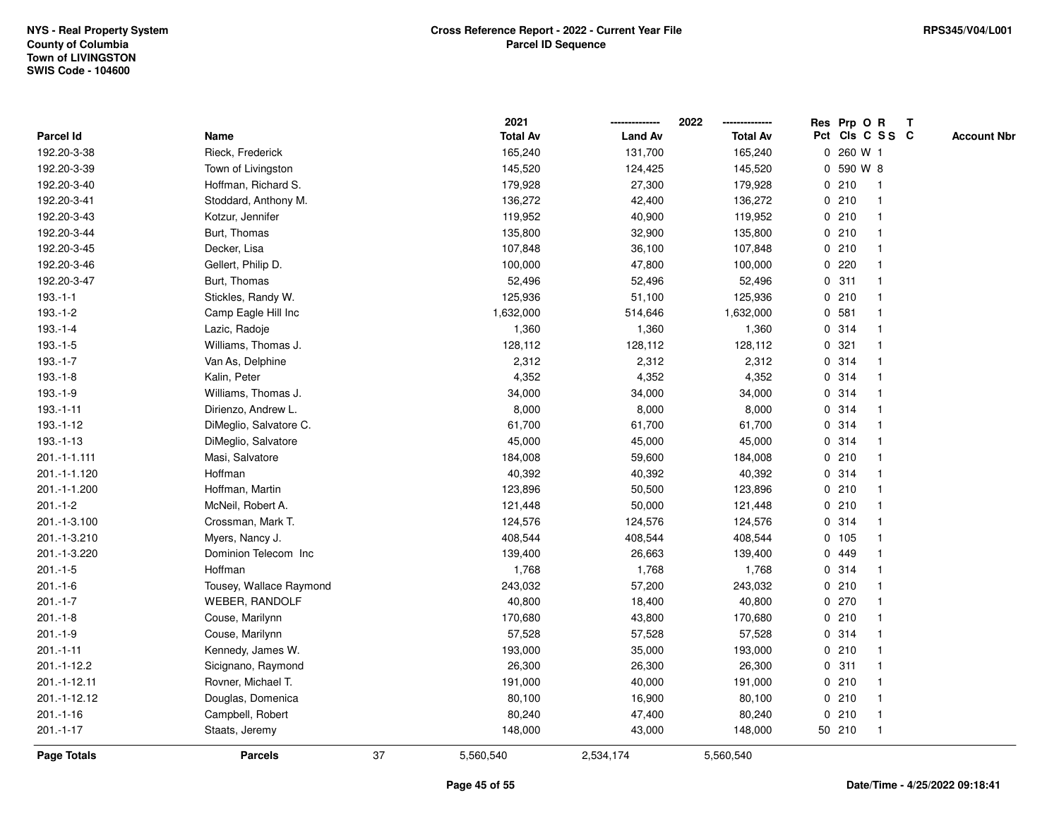|                |                         |    | 2021            |                | 2022            |             | Res Prp O R |                 | Т |                    |
|----------------|-------------------------|----|-----------------|----------------|-----------------|-------------|-------------|-----------------|---|--------------------|
| Parcel Id      | Name                    |    | <b>Total Av</b> | <b>Land Av</b> | <b>Total Av</b> |             |             | Pct Cls C S S C |   | <b>Account Nbr</b> |
| 192.20-3-38    | Rieck, Frederick        |    | 165,240         | 131,700        | 165,240         | $\mathbf 0$ | 260 W 1     |                 |   |                    |
| 192.20-3-39    | Town of Livingston      |    | 145,520         | 124,425        | 145,520         | 0           | 590 W 8     |                 |   |                    |
| 192.20-3-40    | Hoffman, Richard S.     |    | 179,928         | 27,300         | 179,928         |             | 0210        | $\mathbf 1$     |   |                    |
| 192.20-3-41    | Stoddard, Anthony M.    |    | 136,272         | 42,400         | 136,272         |             | 0210        |                 |   |                    |
| 192.20-3-43    | Kotzur, Jennifer        |    | 119,952         | 40,900         | 119,952         |             | 0210        |                 |   |                    |
| 192.20-3-44    | Burt, Thomas            |    | 135,800         | 32,900         | 135,800         |             | 0210        |                 |   |                    |
| 192.20-3-45    | Decker, Lisa            |    | 107,848         | 36,100         | 107,848         |             | 0210        |                 |   |                    |
| 192.20-3-46    | Gellert, Philip D.      |    | 100,000         | 47,800         | 100,000         |             | 0.220       |                 |   |                    |
| 192.20-3-47    | Burt, Thomas            |    | 52,496          | 52,496         | 52,496          |             | 0.311       | -1              |   |                    |
| $193.-1-1$     | Stickles, Randy W.      |    | 125,936         | 51,100         | 125,936         |             | 0210        | $\mathbf 1$     |   |                    |
| $193.-1-2$     | Camp Eagle Hill Inc     |    | 1,632,000       | 514,646        | 1,632,000       |             | 0.581       |                 |   |                    |
| $193.-1-4$     | Lazic, Radoje           |    | 1,360           | 1,360          | 1,360           |             | 0.314       |                 |   |                    |
| $193.-1-5$     | Williams, Thomas J.     |    | 128,112         | 128,112        | 128,112         |             | 0.321       |                 |   |                    |
| 193.-1-7       | Van As, Delphine        |    | 2,312           | 2,312          | 2,312           |             | 0.314       |                 |   |                    |
| $193.-1-8$     | Kalin, Peter            |    | 4,352           | 4,352          | 4,352           | $\mathbf 0$ | 314         |                 |   |                    |
| $193.-1-9$     | Williams, Thomas J.     |    | 34,000          | 34,000         | 34,000          | $\mathbf 0$ | 314         | -1              |   |                    |
| $193.-1-11$    | Dirienzo, Andrew L.     |    | 8,000           | 8,000          | 8,000           |             | 0 314       |                 |   |                    |
| 193.-1-12      | DiMeglio, Salvatore C.  |    | 61,700          | 61,700         | 61,700          |             | 0.314       |                 |   |                    |
| 193.-1-13      | DiMeglio, Salvatore     |    | 45,000          | 45,000         | 45,000          |             | 0 314       |                 |   |                    |
| 201.-1-1.111   | Masi, Salvatore         |    | 184,008         | 59,600         | 184,008         |             | 0210        |                 |   |                    |
| 201.-1-1.120   | Hoffman                 |    | 40,392          | 40,392         | 40,392          |             | 0 314       |                 |   |                    |
| 201.-1-1.200   | Hoffman, Martin         |    | 123,896         | 50,500         | 123,896         |             | 0210        |                 |   |                    |
| $201 - 1 - 2$  | McNeil, Robert A.       |    | 121,448         | 50,000         | 121,448         |             | 0210        | -1              |   |                    |
| 201.-1-3.100   | Crossman, Mark T.       |    | 124,576         | 124,576        | 124,576         |             | 0 314       |                 |   |                    |
| 201.-1-3.210   | Myers, Nancy J.         |    | 408,544         | 408,544        | 408,544         |             | 0 105       |                 |   |                    |
| 201.-1-3.220   | Dominion Telecom Inc    |    | 139,400         | 26,663         | 139,400         |             | 0 449       |                 |   |                    |
| $201 - 1 - 5$  | Hoffman                 |    | 1,768           | 1,768          | 1,768           |             | 0.314       |                 |   |                    |
| $201.-1-6$     | Tousey, Wallace Raymond |    | 243,032         | 57,200         | 243,032         |             | 0210        |                 |   |                    |
| $201.-1-7$     | <b>WEBER, RANDOLF</b>   |    | 40,800          | 18,400         | 40,800          |             | 0.270       |                 |   |                    |
| $201 - 1 - 8$  | Couse, Marilynn         |    | 170,680         | 43,800         | 170,680         | $\mathbf 0$ | 210         | -1              |   |                    |
| $201.-1-9$     | Couse, Marilynn         |    | 57,528          | 57,528         | 57,528          |             | 0.314       | -1              |   |                    |
| $201 - 1 - 11$ | Kennedy, James W.       |    | 193,000         | 35,000         | 193,000         |             | 0210        |                 |   |                    |
| 201.-1-12.2    | Sicignano, Raymond      |    | 26,300          | 26,300         | 26,300          |             | 0.311       |                 |   |                    |
| 201.-1-12.11   | Rovner, Michael T.      |    | 191,000         | 40,000         | 191,000         |             | 0210        |                 |   |                    |
| 201.-1-12.12   | Douglas, Domenica       |    | 80,100          | 16,900         | 80,100          |             | 0210        |                 |   |                    |
| $201.-1-16$    | Campbell, Robert        |    | 80,240          | 47,400         | 80,240          |             | 0210        | $\mathbf 1$     |   |                    |
| $201 - 1 - 17$ | Staats, Jeremy          |    | 148,000         | 43,000         | 148,000         |             | 50 210      | $\mathbf{1}$    |   |                    |
| Page Totals    | <b>Parcels</b>          | 37 | 5,560,540       | 2,534,174      | 5,560,540       |             |             |                 |   |                    |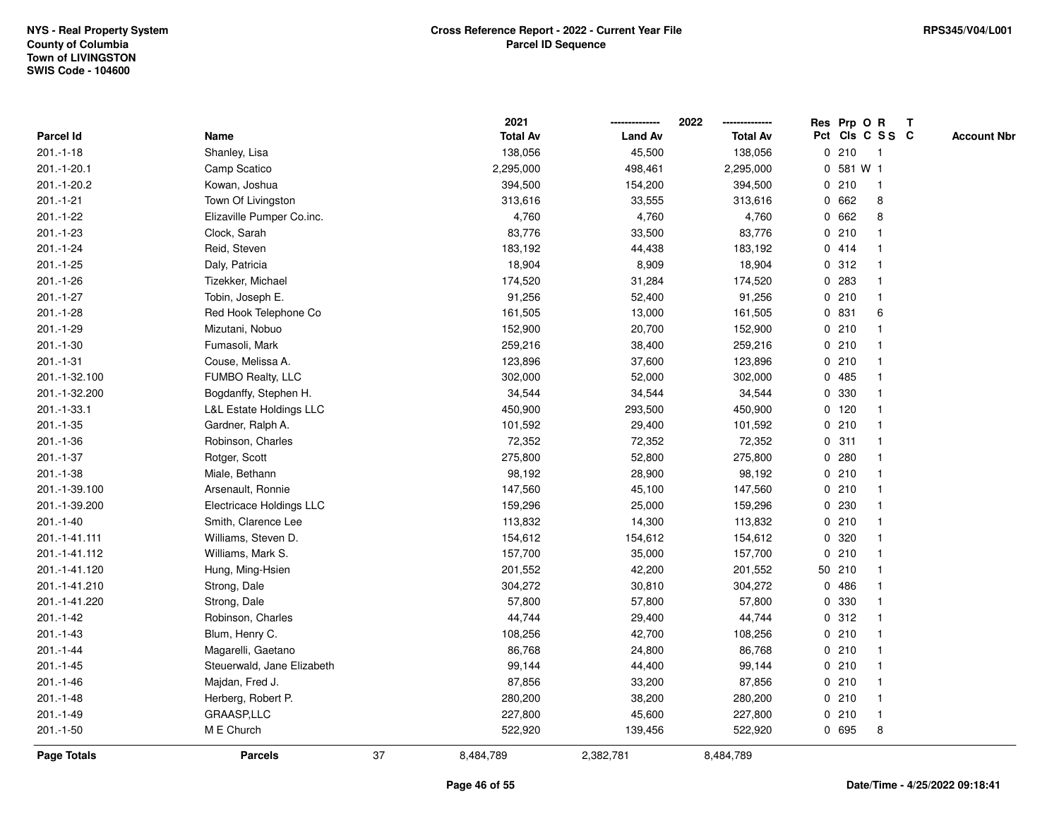|                |                                    |    | 2021            |                | 2022            |             | Res Prp O R |                 | T |                    |
|----------------|------------------------------------|----|-----------------|----------------|-----------------|-------------|-------------|-----------------|---|--------------------|
| Parcel Id      | Name                               |    | <b>Total Av</b> | <b>Land Av</b> | <b>Total Av</b> |             |             | Pct Cls C S S C |   | <b>Account Nbr</b> |
| $201.-1-18$    | Shanley, Lisa                      |    | 138,056         | 45,500         | 138,056         | $\mathbf 0$ | 210         | $\overline{1}$  |   |                    |
| 201.-1-20.1    | Camp Scatico                       |    | 2,295,000       | 498,461        | 2,295,000       | 0           | 581 W 1     |                 |   |                    |
| 201.-1-20.2    | Kowan, Joshua                      |    | 394,500         | 154,200        | 394,500         |             | 0210        | $\mathbf{1}$    |   |                    |
| $201.-1-21$    | Town Of Livingston                 |    | 313,616         | 33,555         | 313,616         |             | 0 662       | 8               |   |                    |
| $201 - 1 - 22$ | Elizaville Pumper Co.inc.          |    | 4,760           | 4,760          | 4,760           |             | 0 662       | 8               |   |                    |
| 201.-1-23      | Clock, Sarah                       |    | 83,776          | 33,500         | 83,776          |             | 0210        |                 |   |                    |
| $201 - 1 - 24$ | Reid, Steven                       |    | 183,192         | 44,438         | 183,192         |             | 0414        |                 |   |                    |
| $201.-1-25$    | Daly, Patricia                     |    | 18,904          | 8,909          | 18,904          | $\mathbf 0$ | 312         | $\overline{1}$  |   |                    |
| 201.-1-26      | Tizekker, Michael                  |    | 174,520         | 31,284         | 174,520         | 0           | 283         | -1              |   |                    |
| $201 - 1 - 27$ | Tobin, Joseph E.                   |    | 91,256          | 52,400         | 91,256          |             | 0210        | $\mathbf{1}$    |   |                    |
| $201.-1-28$    | Red Hook Telephone Co              |    | 161,505         | 13,000         | 161,505         |             | 0 831       | 6               |   |                    |
| 201.-1-29      | Mizutani, Nobuo                    |    | 152,900         | 20,700         | 152,900         |             | 0210        |                 |   |                    |
| $201.-1-30$    | Fumasoli, Mark                     |    | 259,216         | 38,400         | 259,216         |             | 0210        |                 |   |                    |
| $201 - 1 - 31$ | Couse, Melissa A.                  |    | 123,896         | 37,600         | 123,896         |             | 0210        |                 |   |                    |
| 201.-1-32.100  | FUMBO Realty, LLC                  |    | 302,000         | 52,000         | 302,000         | $\mathbf 0$ | 485         |                 |   |                    |
| 201.-1-32.200  | Bogdanffy, Stephen H.              |    | 34,544          | 34,544         | 34,544          | 0           | 330         | $\mathbf{1}$    |   |                    |
| 201.-1-33.1    | <b>L&amp;L Estate Holdings LLC</b> |    | 450,900         | 293,500        | 450,900         |             | $0$ 120     | $\mathbf{1}$    |   |                    |
| 201.-1-35      | Gardner, Ralph A.                  |    | 101,592         | 29,400         | 101,592         |             | 0210        |                 |   |                    |
| 201.-1-36      | Robinson, Charles                  |    | 72,352          | 72,352         | 72,352          |             | 0.311       |                 |   |                    |
| $201.-1-37$    | Rotger, Scott                      |    | 275,800         | 52,800         | 275,800         |             | 0.280       |                 |   |                    |
| 201.-1-38      | Miale, Bethann                     |    | 98,192          | 28,900         | 98,192          |             | 0210        |                 |   |                    |
| 201.-1-39.100  | Arsenault, Ronnie                  |    | 147,560         | 45,100         | 147,560         |             | 0210        |                 |   |                    |
| 201.-1-39.200  | Electricace Holdings LLC           |    | 159,296         | 25,000         | 159,296         |             | 0.230       | -1              |   |                    |
| $201.-1-40$    | Smith, Clarence Lee                |    | 113,832         | 14,300         | 113,832         |             | 0210        | $\overline{1}$  |   |                    |
| 201.-1-41.111  | Williams, Steven D.                |    | 154,612         | 154,612        | 154,612         |             | 0 320       |                 |   |                    |
| 201.-1-41.112  | Williams, Mark S.                  |    | 157,700         | 35,000         | 157,700         |             | 0210        |                 |   |                    |
| 201.-1-41.120  | Hung, Ming-Hsien                   |    | 201,552         | 42,200         | 201,552         |             | 50 210      |                 |   |                    |
| 201.-1-41.210  | Strong, Dale                       |    | 304,272         | 30,810         | 304,272         | 0           | 486         |                 |   |                    |
| 201.-1-41.220  | Strong, Dale                       |    | 57,800          | 57,800         | 57,800          | 0           | 330         |                 |   |                    |
| $201 - 1 - 42$ | Robinson, Charles                  |    | 44,744          | 29,400         | 44,744          | $\mathbf 0$ | 312         |                 |   |                    |
| 201.-1-43      | Blum, Henry C.                     |    | 108,256         | 42,700         | 108,256         |             | 0210        | -1              |   |                    |
| $201 - 1 - 44$ | Magarelli, Gaetano                 |    | 86,768          | 24,800         | 86,768          |             | 0210        | $\mathbf 1$     |   |                    |
| $201 - 1 - 45$ | Steuerwald, Jane Elizabeth         |    | 99,144          | 44,400         | 99,144          |             | 0210        |                 |   |                    |
| $201.-1-46$    | Majdan, Fred J.                    |    | 87,856          | 33,200         | 87,856          |             | 0210        |                 |   |                    |
| 201.-1-48      | Herberg, Robert P.                 |    | 280,200         | 38,200         | 280,200         |             | 0210        | 1               |   |                    |
| 201.-1-49      | GRAASP,LLC                         |    | 227,800         | 45,600         | 227,800         |             | 0210        | $\overline{1}$  |   |                    |
| 201.-1-50      | M E Church                         |    | 522,920         | 139,456        | 522,920         |             | 0 695       | 8               |   |                    |
| Page Totals    | <b>Parcels</b>                     | 37 | 8,484,789       | 2,382,781      | 8,484,789       |             |             |                 |   |                    |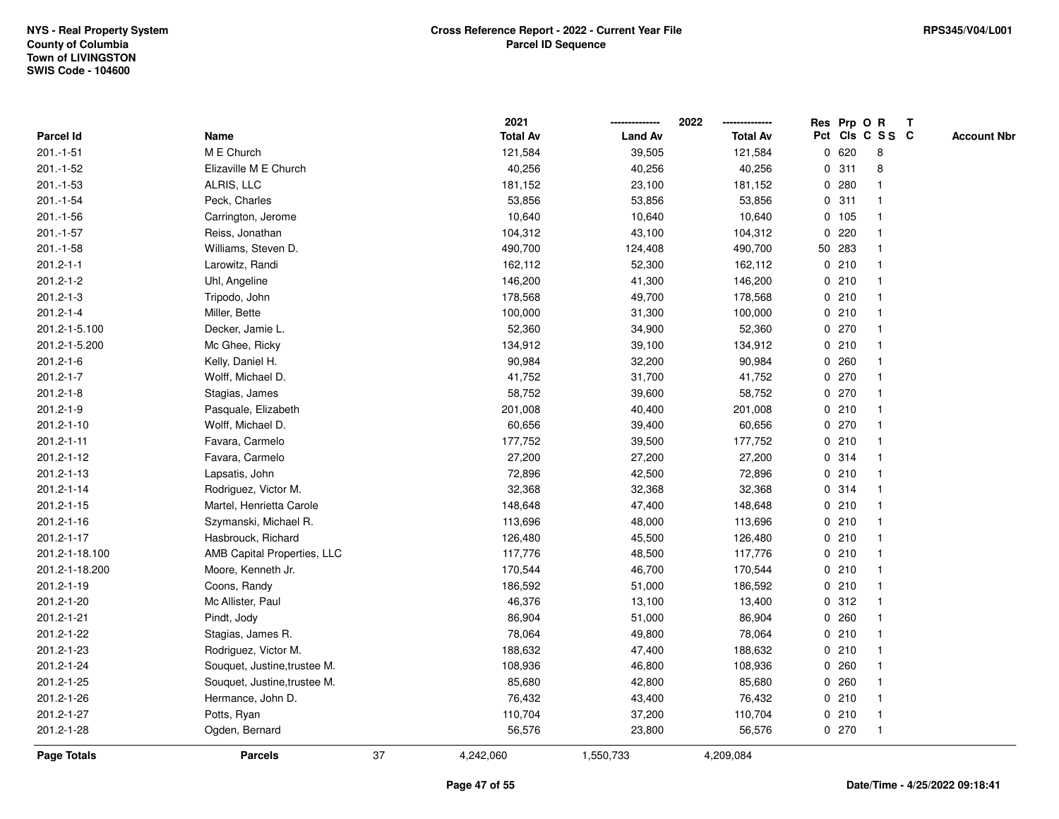|                    |                              |    | 2021            |                | 2022<br>-------------- |             | Res Prp O R |                 | T |                    |
|--------------------|------------------------------|----|-----------------|----------------|------------------------|-------------|-------------|-----------------|---|--------------------|
| <b>Parcel Id</b>   | Name                         |    | <b>Total Av</b> | <b>Land Av</b> | <b>Total Av</b>        |             |             | Pct Cls C S S C |   | <b>Account Nbr</b> |
| $201.-1-51$        | M E Church                   |    | 121,584         | 39,505         | 121,584                | 0           | 620         | 8               |   |                    |
| 201.-1-52          | Elizaville M E Church        |    | 40,256          | 40,256         | 40,256                 |             | 0.311       | 8               |   |                    |
| 201.-1-53          | ALRIS, LLC                   |    | 181,152         | 23,100         | 181,152                | 0           | 280         |                 |   |                    |
| 201.-1-54          | Peck, Charles                |    | 53,856          | 53,856         | 53,856                 |             | 0.311       |                 |   |                    |
| $201.-1-56$        | Carrington, Jerome           |    | 10,640          | 10,640         | 10,640                 |             | 0, 105      | -1              |   |                    |
| $201.-1-57$        | Reiss, Jonathan              |    | 104,312         | 43,100         | 104,312                | $\mathbf 0$ | 220         | $\mathbf{1}$    |   |                    |
| 201.-1-58          | Williams, Steven D.          |    | 490,700         | 124,408        | 490,700                |             | 50 283      |                 |   |                    |
| $201.2 - 1 - 1$    | Larowitz, Randi              |    | 162,112         | 52,300         | 162,112                |             | 0210        |                 |   |                    |
| 201.2-1-2          | Uhl, Angeline                |    | 146,200         | 41,300         | 146,200                |             | 0210        |                 |   |                    |
| $201.2 - 1 - 3$    | Tripodo, John                |    | 178,568         | 49,700         | 178,568                |             | 0210        |                 |   |                    |
| $201.2 - 1 - 4$    | Miller, Bette                |    | 100,000         | 31,300         | 100,000                | 0           | 210         |                 |   |                    |
| 201.2-1-5.100      | Decker, Jamie L.             |    | 52,360          | 34,900         | 52,360                 |             | 0270        | -1              |   |                    |
| 201.2-1-5.200      | Mc Ghee, Ricky               |    | 134,912         | 39,100         | 134,912                |             | 0210        | -1              |   |                    |
| $201.2 - 1 - 6$    | Kelly, Daniel H.             |    | 90,984          | 32,200         | 90,984                 |             | 0.260       |                 |   |                    |
| 201.2-1-7          | Wolff, Michael D.            |    | 41,752          | 31,700         | 41,752                 |             | 0270        |                 |   |                    |
| $201.2 - 1 - 8$    | Stagias, James               |    | 58,752          | 39,600         | 58,752                 |             | 0 270       |                 |   |                    |
| 201.2-1-9          | Pasquale, Elizabeth          |    | 201,008         | 40,400         | 201,008                |             | 0210        |                 |   |                    |
| 201.2-1-10         | Wolff, Michael D.            |    | 60,656          | 39,400         | 60,656                 | 0           | 270         | -1              |   |                    |
| 201.2-1-11         | Favara, Carmelo              |    | 177,752         | 39,500         | 177,752                |             | 0210        | $\mathbf{1}$    |   |                    |
| 201.2-1-12         | Favara, Carmelo              |    | 27,200          | 27,200         | 27,200                 |             | 0 314       |                 |   |                    |
| 201.2-1-13         | Lapsatis, John               |    | 72,896          | 42,500         | 72,896                 |             | 0210        |                 |   |                    |
| 201.2-1-14         | Rodriguez, Victor M.         |    | 32,368          | 32,368         | 32,368                 |             | 0 314       |                 |   |                    |
| 201.2-1-15         | Martel, Henrietta Carole     |    | 148,648         | 47,400         | 148,648                |             | 0210        |                 |   |                    |
| 201.2-1-16         | Szymanski, Michael R.        |    | 113,696         | 48,000         | 113,696                | 0           | 210         |                 |   |                    |
| 201.2-1-17         | Hasbrouck, Richard           |    | 126,480         | 45,500         | 126,480                |             | 0210        | -1              |   |                    |
| 201.2-1-18.100     | AMB Capital Properties, LLC  |    | 117,776         | 48,500         | 117,776                |             | 0210        | -1              |   |                    |
| 201.2-1-18.200     | Moore, Kenneth Jr.           |    | 170,544         | 46,700         | 170,544                |             | 0210        |                 |   |                    |
| 201.2-1-19         | Coons, Randy                 |    | 186,592         | 51,000         | 186,592                |             | 0210        |                 |   |                    |
| 201.2-1-20         | Mc Allister, Paul            |    | 46,376          | 13,100         | 13,400                 |             | 0.312       |                 |   |                    |
| 201.2-1-21         | Pindt, Jody                  |    | 86,904          | 51,000         | 86,904                 | 0           | 260         |                 |   |                    |
| 201.2-1-22         | Stagias, James R.            |    | 78,064          | 49,800         | 78,064                 |             | 0210        | -1              |   |                    |
| 201.2-1-23         | Rodriguez, Victor M.         |    | 188,632         | 47,400         | 188,632                |             | 0210        | $\mathbf{1}$    |   |                    |
| 201.2-1-24         | Souquet, Justine, trustee M. |    | 108,936         | 46,800         | 108,936                |             | 0.260       |                 |   |                    |
| 201.2-1-25         | Souquet, Justine, trustee M. |    | 85,680          | 42,800         | 85,680                 |             | 0.260       |                 |   |                    |
| 201.2-1-26         | Hermance, John D.            |    | 76,432          | 43,400         | 76,432                 |             | 0210        |                 |   |                    |
| 201.2-1-27         | Potts, Ryan                  |    | 110,704         | 37,200         | 110,704                |             | 0210        | $\overline{1}$  |   |                    |
| 201.2-1-28         | Ogden, Bernard               |    | 56,576          | 23,800         | 56,576                 |             | 0 270       | $\overline{1}$  |   |                    |
| <b>Page Totals</b> | <b>Parcels</b>               | 37 | 4,242,060       | 1,550,733      | 4,209,084              |             |             |                 |   |                    |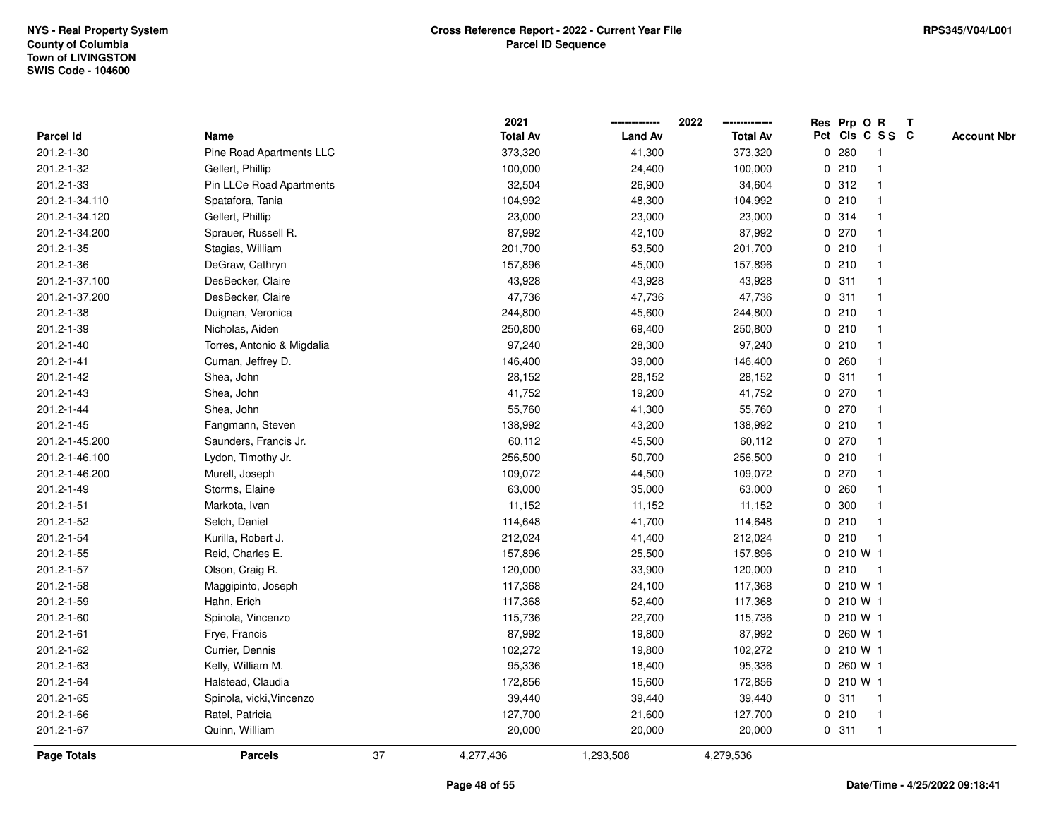|                  |                            |    | 2021            |                | 2022            |             |       | Res Prp O R     | $\mathbf{T}$ |                    |
|------------------|----------------------------|----|-----------------|----------------|-----------------|-------------|-------|-----------------|--------------|--------------------|
| <b>Parcel Id</b> | Name                       |    | <b>Total Av</b> | <b>Land Av</b> | <b>Total Av</b> |             |       | Pct Cls C S S C |              | <b>Account Nbr</b> |
| 201.2-1-30       | Pine Road Apartments LLC   |    | 373,320         | 41,300         | 373,320         |             | 0.280 |                 |              |                    |
| 201.2-1-32       | Gellert, Phillip           |    | 100,000         | 24,400         | 100,000         |             | 0210  |                 |              |                    |
| 201.2-1-33       | Pin LLCe Road Apartments   |    | 32,504          | 26,900         | 34,604          |             | 0.312 |                 |              |                    |
| 201.2-1-34.110   | Spatafora, Tania           |    | 104,992         | 48,300         | 104,992         | 0           | 210   | -1              |              |                    |
| 201.2-1-34.120   | Gellert, Phillip           |    | 23,000          | 23,000         | 23,000          |             | 0 314 | -1              |              |                    |
| 201.2-1-34.200   | Sprauer, Russell R.        |    | 87,992          | 42,100         | 87,992          |             | 0270  |                 |              |                    |
| 201.2-1-35       | Stagias, William           |    | 201,700         | 53,500         | 201,700         |             | 0210  |                 |              |                    |
| 201.2-1-36       | DeGraw, Cathryn            |    | 157,896         | 45,000         | 157,896         |             | 0210  |                 |              |                    |
| 201.2-1-37.100   | DesBecker, Claire          |    | 43,928          | 43,928         | 43,928          |             | 0.311 |                 |              |                    |
| 201.2-1-37.200   | DesBecker, Claire          |    | 47,736          | 47,736         | 47,736          |             | 0.311 |                 |              |                    |
| 201.2-1-38       | Duignan, Veronica          |    | 244,800         | 45,600         | 244,800         |             | 0210  |                 |              |                    |
| 201.2-1-39       | Nicholas, Aiden            |    | 250,800         | 69,400         | 250,800         |             | 0210  | $\mathbf 1$     |              |                    |
| 201.2-1-40       | Torres, Antonio & Migdalia |    | 97,240          | 28,300         | 97,240          |             | 0210  |                 |              |                    |
| 201.2-1-41       | Curnan, Jeffrey D.         |    | 146,400         | 39,000         | 146,400         |             | 0.260 |                 |              |                    |
| 201.2-1-42       | Shea, John                 |    | 28,152          | 28,152         | 28,152          |             | 0.311 |                 |              |                    |
| 201.2-1-43       | Shea, John                 |    | 41,752          | 19,200         | 41,752          |             | 0 270 |                 |              |                    |
| 201.2-1-44       | Shea, John                 |    | 55,760          | 41,300         | 55,760          | 0           | 270   |                 |              |                    |
| 201.2-1-45       | Fangmann, Steven           |    | 138,992         | 43,200         | 138,992         |             | 0210  |                 |              |                    |
| 201.2-1-45.200   | Saunders, Francis Jr.      |    | 60,112          | 45,500         | 60,112          |             | 0.270 |                 |              |                    |
| 201.2-1-46.100   | Lydon, Timothy Jr.         |    | 256,500         | 50,700         | 256,500         |             | 0210  |                 |              |                    |
| 201.2-1-46.200   | Murell, Joseph             |    | 109,072         | 44,500         | 109,072         |             | 0 270 |                 |              |                    |
| 201.2-1-49       | Storms, Elaine             |    | 63,000          | 35,000         | 63,000          |             | 0.260 |                 |              |                    |
| 201.2-1-51       | Markota, Ivan              |    | 11,152          | 11,152         | 11,152          |             | 0 300 |                 |              |                    |
| 201.2-1-52       | Selch, Daniel              |    | 114,648         | 41,700         | 114,648         | 0           | 210   | $\overline{1}$  |              |                    |
| 201.2-1-54       | Kurilla, Robert J.         |    | 212,024         | 41,400         | 212,024         |             | 0210  | $\mathbf 1$     |              |                    |
| 201.2-1-55       | Reid, Charles E.           |    | 157,896         | 25,500         | 157,896         |             |       | 0 210 W 1       |              |                    |
| 201.2-1-57       | Olson, Craig R.            |    | 120,000         | 33,900         | 120,000         |             | 0210  |                 |              |                    |
| 201.2-1-58       | Maggipinto, Joseph         |    | 117,368         | 24,100         | 117,368         |             |       | 0 210 W 1       |              |                    |
| 201.2-1-59       | Hahn, Erich                |    | 117,368         | 52,400         | 117,368         |             |       | 0 210 W 1       |              |                    |
| 201.2-1-60       | Spinola, Vincenzo          |    | 115,736         | 22,700         | 115,736         |             |       | 0 210 W 1       |              |                    |
| 201.2-1-61       | Frye, Francis              |    | 87,992          | 19,800         | 87,992          | $\mathbf 0$ |       | 260 W 1         |              |                    |
| 201.2-1-62       | Currier, Dennis            |    | 102,272         | 19,800         | 102,272         |             |       | 0 210 W 1       |              |                    |
| 201.2-1-63       | Kelly, William M.          |    | 95,336          | 18,400         | 95,336          |             |       | 0 260 W 1       |              |                    |
| 201.2-1-64       | Halstead, Claudia          |    | 172,856         | 15,600         | 172,856         |             |       | 0 210 W 1       |              |                    |
| 201.2-1-65       | Spinola, vicki, Vincenzo   |    | 39,440          | 39,440         | 39,440          |             | 0.311 | -1              |              |                    |
| 201.2-1-66       | Ratel, Patricia            |    | 127,700         | 21,600         | 127,700         |             | 0210  | $\mathbf{1}$    |              |                    |
| 201.2-1-67       | Quinn, William             |    | 20,000          | 20,000         | 20,000          |             | 0.311 | $\mathbf{1}$    |              |                    |
| Page Totals      | <b>Parcels</b>             | 37 | 4,277,436       | 1,293,508      | 4,279,536       |             |       |                 |              |                    |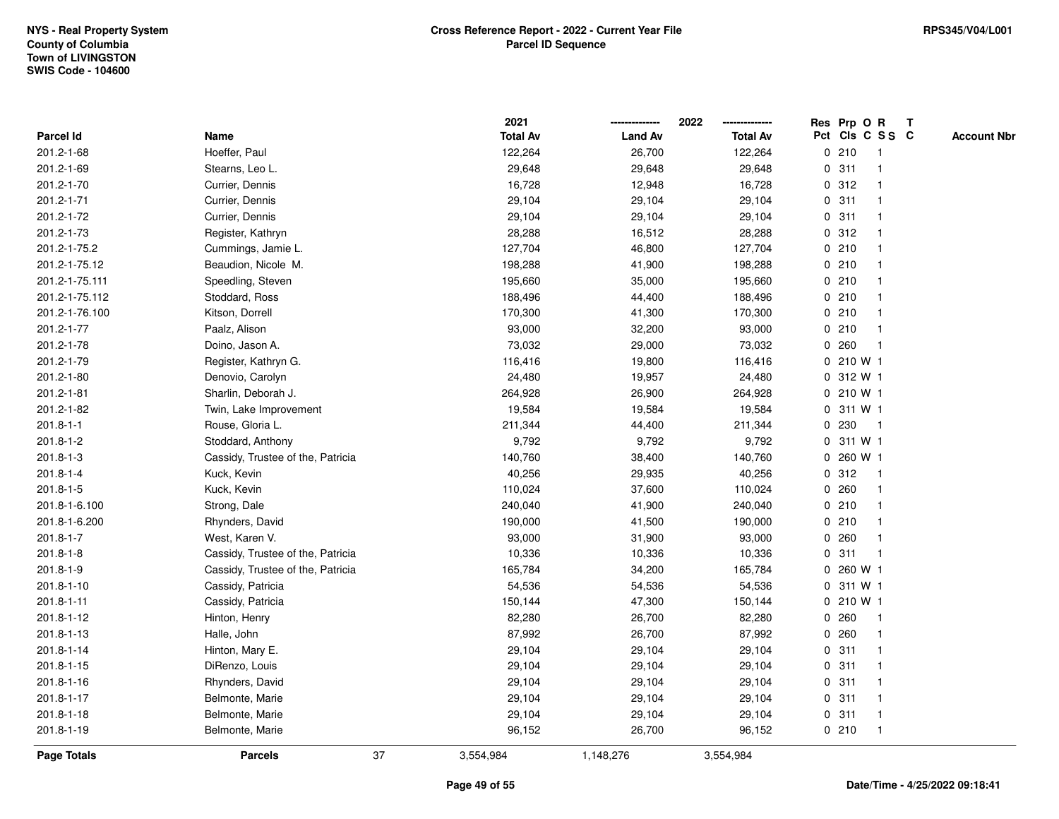|                 |                                   |    | 2021            |                | 2022            | Res Prp O R |           |                 | $\mathbf{T}$ |                    |
|-----------------|-----------------------------------|----|-----------------|----------------|-----------------|-------------|-----------|-----------------|--------------|--------------------|
| Parcel Id       | Name                              |    | <b>Total Av</b> | <b>Land Av</b> | <b>Total Av</b> |             |           | Pct Cls C S S C |              | <b>Account Nbr</b> |
| 201.2-1-68      | Hoeffer, Paul                     |    | 122,264         | 26,700         | 122,264         |             | 0210      |                 |              |                    |
| 201.2-1-69      | Stearns, Leo L.                   |    | 29,648          | 29,648         | 29,648          |             | 0.311     |                 |              |                    |
| 201.2-1-70      | Currier, Dennis                   |    | 16,728          | 12,948         | 16,728          |             | 0.312     | -1              |              |                    |
| 201.2-1-71      | Currier, Dennis                   |    | 29,104          | 29,104         | 29,104          | $\mathbf 0$ | 311       | -1              |              |                    |
| 201.2-1-72      | Currier, Dennis                   |    | 29,104          | 29,104         | 29,104          |             | 0.311     | -1              |              |                    |
| 201.2-1-73      | Register, Kathryn                 |    | 28,288          | 16,512         | 28,288          |             | 0.312     |                 |              |                    |
| 201.2-1-75.2    | Cummings, Jamie L.                |    | 127,704         | 46,800         | 127,704         |             | 0210      |                 |              |                    |
| 201.2-1-75.12   | Beaudion, Nicole M.               |    | 198,288         | 41,900         | 198,288         |             | 0210      |                 |              |                    |
| 201.2-1-75.111  | Speedling, Steven                 |    | 195,660         | 35,000         | 195,660         |             | 0210      |                 |              |                    |
| 201.2-1-75.112  | Stoddard, Ross                    |    | 188,496         | 44,400         | 188,496         |             | 0210      |                 |              |                    |
| 201.2-1-76.100  | Kitson, Dorrell                   |    | 170,300         | 41,300         | 170,300         |             | 0210      | -1              |              |                    |
| 201.2-1-77      | Paalz, Alison                     |    | 93,000          | 32,200         | 93,000          |             | 0210      | $\mathbf{1}$    |              |                    |
| 201.2-1-78      | Doino, Jason A.                   |    | 73,032          | 29,000         | 73,032          |             | 0.260     | -1              |              |                    |
| 201.2-1-79      | Register, Kathryn G.              |    | 116,416         | 19,800         | 116,416         |             | 0 210 W 1 |                 |              |                    |
| 201.2-1-80      | Denovio, Carolyn                  |    | 24,480          | 19,957         | 24,480          |             | 0 312 W 1 |                 |              |                    |
| 201.2-1-81      | Sharlin, Deborah J.               |    | 264,928         | 26,900         | 264,928         |             | 0 210 W 1 |                 |              |                    |
| 201.2-1-82      | Twin, Lake Improvement            |    | 19,584          | 19,584         | 19,584          | 0           | 311 W 1   |                 |              |                    |
| $201.8 - 1 - 1$ | Rouse, Gloria L.                  |    | 211,344         | 44,400         | 211,344         | 0           | 230       | $\mathbf{1}$    |              |                    |
| 201.8-1-2       | Stoddard, Anthony                 |    | 9,792           | 9,792          | 9,792           |             | 0 311 W 1 |                 |              |                    |
| $201.8 - 1 - 3$ | Cassidy, Trustee of the, Patricia |    | 140,760         | 38,400         | 140,760         |             | 0 260 W 1 |                 |              |                    |
| $201.8 - 1 - 4$ | Kuck, Kevin                       |    | 40,256          | 29,935         | 40,256          |             | 0.312     |                 |              |                    |
| 201.8-1-5       | Kuck, Kevin                       |    | 110,024         | 37,600         | 110,024         |             | 0.260     |                 |              |                    |
| 201.8-1-6.100   | Strong, Dale                      |    | 240,040         | 41,900         | 240,040         |             | 0210      |                 |              |                    |
| 201.8-1-6.200   | Rhynders, David                   |    | 190,000         | 41,500         | 190,000         |             | 0210      | $\mathbf{1}$    |              |                    |
| $201.8 - 1 - 7$ | West, Karen V.                    |    | 93,000          | 31,900         | 93,000          | 0           | 260       | -1              |              |                    |
| $201.8 - 1 - 8$ | Cassidy, Trustee of the, Patricia |    | 10,336          | 10,336         | 10,336          |             | 0.311     | $\overline{1}$  |              |                    |
| $201.8 - 1 - 9$ | Cassidy, Trustee of the, Patricia |    | 165,784         | 34,200         | 165,784         |             | 0 260 W 1 |                 |              |                    |
| 201.8-1-10      | Cassidy, Patricia                 |    | 54,536          | 54,536         | 54,536          |             | 0 311 W 1 |                 |              |                    |
| 201.8-1-11      | Cassidy, Patricia                 |    | 150,144         | 47,300         | 150,144         |             | 0 210 W 1 |                 |              |                    |
| 201.8-1-12      | Hinton, Henry                     |    | 82,280          | 26,700         | 82,280          |             | 0260      | -1              |              |                    |
| 201.8-1-13      | Halle, John                       |    | 87,992          | 26,700         | 87,992          |             | 0.260     | $\mathbf{1}$    |              |                    |
| 201.8-1-14      | Hinton, Mary E.                   |    | 29,104          | 29,104         | 29,104          |             | 0.311     | $\mathbf 1$     |              |                    |
| 201.8-1-15      | DiRenzo, Louis                    |    | 29,104          | 29,104         | 29,104          |             | 0.311     |                 |              |                    |
| 201.8-1-16      | Rhynders, David                   |    | 29,104          | 29,104         | 29,104          |             | 0.311     |                 |              |                    |
| 201.8-1-17      | Belmonte, Marie                   |    | 29,104          | 29,104         | 29,104          |             | 0.311     |                 |              |                    |
| 201.8-1-18      | Belmonte, Marie                   |    | 29,104          | 29,104         | 29,104          |             | 0.311     | $\mathbf 1$     |              |                    |
| 201.8-1-19      | Belmonte, Marie                   |    | 96,152          | 26,700         | 96,152          |             | 0210      | $\overline{1}$  |              |                    |
| Page Totals     | <b>Parcels</b>                    | 37 | 3,554,984       | 1,148,276      | 3,554,984       |             |           |                 |              |                    |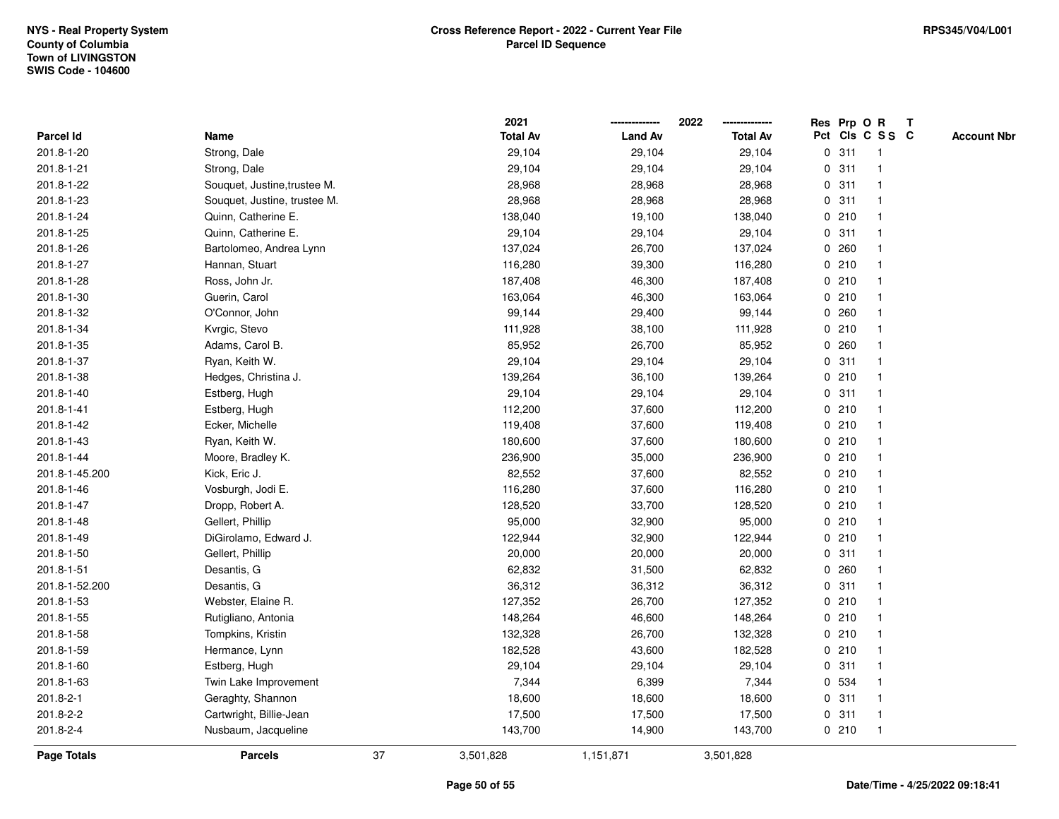|                  |                              |    | 2021            |                | 2022            | Res Prp O R |                 |                | $\mathbf T$ |                    |
|------------------|------------------------------|----|-----------------|----------------|-----------------|-------------|-----------------|----------------|-------------|--------------------|
| <b>Parcel Id</b> | Name                         |    | <b>Total Av</b> | <b>Land Av</b> | <b>Total Av</b> |             | Pct Cls C S S C |                |             | <b>Account Nbr</b> |
| 201.8-1-20       | Strong, Dale                 |    | 29,104          | 29,104         | 29,104          |             | 0.311           | $\mathbf{1}$   |             |                    |
| 201.8-1-21       | Strong, Dale                 |    | 29,104          | 29,104         | 29,104          | $\mathbf 0$ | 311             |                |             |                    |
| 201.8-1-22       | Souquet, Justine, trustee M. |    | 28,968          | 28,968         | 28,968          |             | 0.311           |                |             |                    |
| 201.8-1-23       | Souquet, Justine, trustee M. |    | 28,968          | 28,968         | 28,968          | 0           | 311             | -1             |             |                    |
| 201.8-1-24       | Quinn, Catherine E.          |    | 138,040         | 19,100         | 138,040         |             | 0210            | $\mathbf{1}$   |             |                    |
| 201.8-1-25       | Quinn, Catherine E.          |    | 29,104          | 29,104         | 29,104          |             | 0.311           |                |             |                    |
| 201.8-1-26       | Bartolomeo, Andrea Lynn      |    | 137,024         | 26,700         | 137,024         |             | 0.260           |                |             |                    |
| 201.8-1-27       | Hannan, Stuart               |    | 116,280         | 39,300         | 116,280         |             | 0210            |                |             |                    |
| 201.8-1-28       | Ross, John Jr.               |    | 187,408         | 46,300         | 187,408         |             | 0210            |                |             |                    |
| 201.8-1-30       | Guerin, Carol                |    | 163,064         | 46,300         | 163,064         |             | 0210            |                |             |                    |
| 201.8-1-32       | O'Connor, John               |    | 99,144          | 29,400         | 99,144          |             | 0.260           | $\mathbf{1}$   |             |                    |
| 201.8-1-34       | Kvrgic, Stevo                |    | 111,928         | 38,100         | 111,928         | $\mathbf 0$ | 210             |                |             |                    |
| 201.8-1-35       | Adams, Carol B.              |    | 85,952          | 26,700         | 85,952          |             | 0.260           |                |             |                    |
| 201.8-1-37       | Ryan, Keith W.               |    | 29,104          | 29,104         | 29,104          |             | 0.311           |                |             |                    |
| 201.8-1-38       | Hedges, Christina J.         |    | 139,264         | 36,100         | 139,264         |             | 0210            |                |             |                    |
| 201.8-1-40       | Estberg, Hugh                |    | 29,104          | 29,104         | 29,104          |             | 0.311           |                |             |                    |
| 201.8-1-41       | Estberg, Hugh                |    | 112,200         | 37,600         | 112,200         | 0           | 210             | -1             |             |                    |
| 201.8-1-42       | Ecker, Michelle              |    | 119,408         | 37,600         | 119,408         |             | 0210            | -1             |             |                    |
| 201.8-1-43       | Ryan, Keith W.               |    | 180,600         | 37,600         | 180,600         |             | 0210            |                |             |                    |
| 201.8-1-44       | Moore, Bradley K.            |    | 236,900         | 35,000         | 236,900         |             | 0210            |                |             |                    |
| 201.8-1-45.200   | Kick, Eric J.                |    | 82,552          | 37,600         | 82,552          |             | 0210            |                |             |                    |
| 201.8-1-46       | Vosburgh, Jodi E.            |    | 116,280         | 37,600         | 116,280         |             | 0210            |                |             |                    |
| 201.8-1-47       | Dropp, Robert A.             |    | 128,520         | 33,700         | 128,520         |             | 0210            |                |             |                    |
| 201.8-1-48       | Gellert, Phillip             |    | 95,000          | 32,900         | 95,000          |             | 0210            | $\mathbf 1$    |             |                    |
| 201.8-1-49       | DiGirolamo, Edward J.        |    | 122,944         | 32,900         | 122,944         |             | 0210            |                |             |                    |
| 201.8-1-50       | Gellert, Phillip             |    | 20,000          | 20,000         | 20,000          |             | 0.311           | $\mathbf 1$    |             |                    |
| 201.8-1-51       | Desantis, G                  |    | 62,832          | 31,500         | 62,832          |             | 0.260           |                |             |                    |
| 201.8-1-52.200   | Desantis, G                  |    | 36,312          | 36,312         | 36,312          |             | 0.311           |                |             |                    |
| 201.8-1-53       | Webster, Elaine R.           |    | 127,352         | 26,700         | 127,352         |             | 0210            |                |             |                    |
| 201.8-1-55       | Rutigliano, Antonia          |    | 148,264         | 46,600         | 148,264         |             | 0210            |                |             |                    |
| 201.8-1-58       | Tompkins, Kristin            |    | 132,328         | 26,700         | 132,328         | 0           | 210             | $\mathbf 1$    |             |                    |
| 201.8-1-59       | Hermance, Lynn               |    | 182,528         | 43,600         | 182,528         |             | 0210            | $\mathbf{1}$   |             |                    |
| 201.8-1-60       | Estberg, Hugh                |    | 29,104          | 29,104         | 29,104          |             | 0.311           |                |             |                    |
| 201.8-1-63       | Twin Lake Improvement        |    | 7,344           | 6,399          | 7,344           |             | 0 534           |                |             |                    |
| 201.8-2-1        | Geraghty, Shannon            |    | 18,600          | 18,600         | 18,600          |             | 0.311           |                |             |                    |
| 201.8-2-2        | Cartwright, Billie-Jean      |    | 17,500          | 17,500         | 17,500          |             | 0.311           | $\overline{1}$ |             |                    |
| 201.8-2-4        | Nusbaum, Jacqueline          |    | 143,700         | 14,900         | 143,700         |             | 0210            | $\overline{1}$ |             |                    |
| Page Totals      | <b>Parcels</b>               | 37 | 3,501,828       | 1,151,871      | 3,501,828       |             |                 |                |             |                    |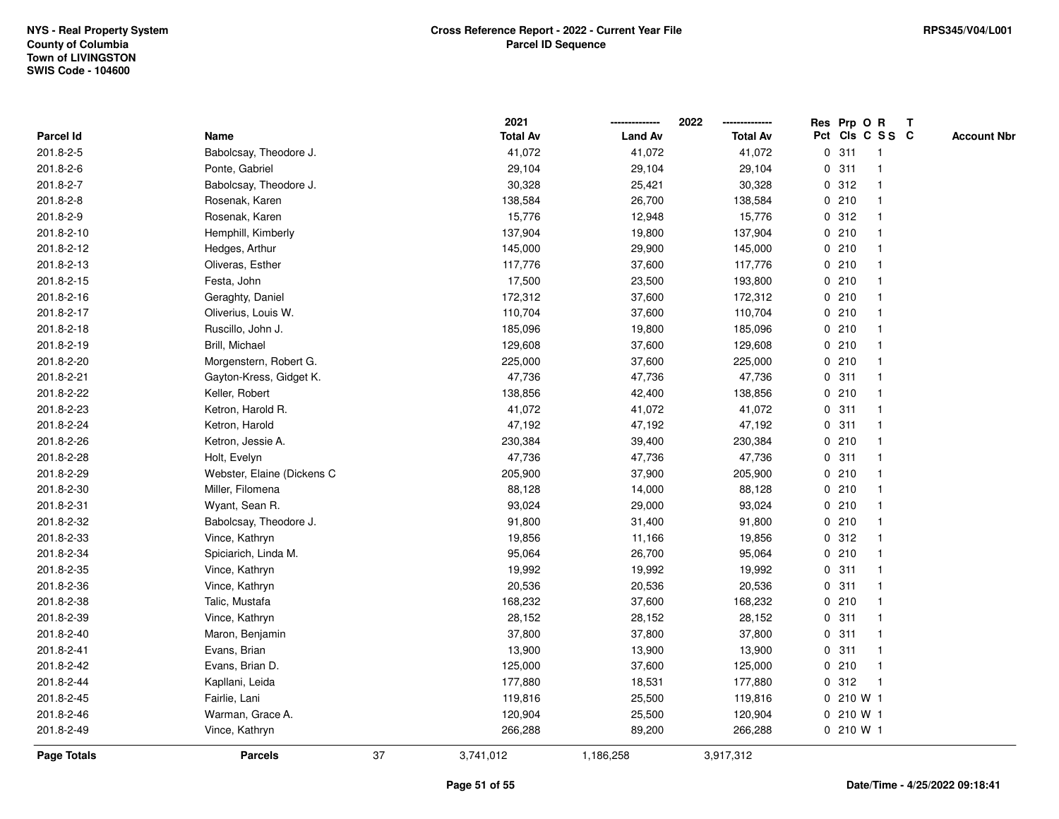|                    |                            |    | 2021            |                | 2022            |   | Res Prp O R |                 | T |                    |
|--------------------|----------------------------|----|-----------------|----------------|-----------------|---|-------------|-----------------|---|--------------------|
| Parcel Id          | Name                       |    | <b>Total Av</b> | <b>Land Av</b> | <b>Total Av</b> |   |             | Pct Cls C S S C |   | <b>Account Nbr</b> |
| 201.8-2-5          | Babolcsay, Theodore J.     |    | 41,072          | 41,072         | 41,072          | 0 | 311         | $\mathbf{1}$    |   |                    |
| 201.8-2-6          | Ponte, Gabriel             |    | 29,104          | 29,104         | 29,104          | 0 | 311         | -1              |   |                    |
| 201.8-2-7          | Babolcsay, Theodore J.     |    | 30,328          | 25,421         | 30,328          |   | 0.312       | $\mathbf{1}$    |   |                    |
| 201.8-2-8          | Rosenak, Karen             |    | 138,584         | 26,700         | 138,584         |   | 0210        |                 |   |                    |
| 201.8-2-9          | Rosenak, Karen             |    | 15,776          | 12,948         | 15,776          |   | 0.312       |                 |   |                    |
| 201.8-2-10         | Hemphill, Kimberly         |    | 137,904         | 19,800         | 137,904         |   | 0210        |                 |   |                    |
| 201.8-2-12         | Hedges, Arthur             |    | 145,000         | 29,900         | 145,000         |   | 0210        |                 |   |                    |
| 201.8-2-13         | Oliveras, Esther           |    | 117,776         | 37,600         | 117,776         |   | 0210        | -1              |   |                    |
| 201.8-2-15         | Festa, John                |    | 17,500          | 23,500         | 193,800         |   | 0210        |                 |   |                    |
| 201.8-2-16         | Geraghty, Daniel           |    | 172,312         | 37,600         | 172,312         |   | 0210        | 1               |   |                    |
| 201.8-2-17         | Oliverius, Louis W.        |    | 110,704         | 37,600         | 110,704         |   | 0210        |                 |   |                    |
| 201.8-2-18         | Ruscillo, John J.          |    | 185,096         | 19,800         | 185,096         |   | 0210        |                 |   |                    |
| 201.8-2-19         | Brill, Michael             |    | 129,608         | 37,600         | 129,608         |   | 0210        |                 |   |                    |
| 201.8-2-20         | Morgenstern, Robert G.     |    | 225,000         | 37,600         | 225,000         |   | 0210        |                 |   |                    |
| 201.8-2-21         | Gayton-Kress, Gidget K.    |    | 47,736          | 47,736         | 47,736          | 0 | 311         | $\mathbf{1}$    |   |                    |
| 201.8-2-22         | Keller, Robert             |    | 138,856         | 42,400         | 138,856         |   | 0210        | -1              |   |                    |
| 201.8-2-23         | Ketron, Harold R.          |    | 41,072          | 41,072         | 41,072          |   | 0.311       | $\mathbf{1}$    |   |                    |
| 201.8-2-24         | Ketron, Harold             |    | 47,192          | 47,192         | 47,192          |   | 0.311       |                 |   |                    |
| 201.8-2-26         | Ketron, Jessie A.          |    | 230,384         | 39,400         | 230,384         |   | 0210        |                 |   |                    |
| 201.8-2-28         | Holt, Evelyn               |    | 47,736          | 47,736         | 47,736          |   | 0.311       |                 |   |                    |
| 201.8-2-29         | Webster, Elaine (Dickens C |    | 205,900         | 37,900         | 205,900         |   | 0210        | $\mathbf 1$     |   |                    |
| 201.8-2-30         | Miller, Filomena           |    | 88,128          | 14,000         | 88,128          |   | 0210        |                 |   |                    |
| 201.8-2-31         | Wyant, Sean R.             |    | 93,024          | 29,000         | 93,024          |   | 0210        | $\mathbf{1}$    |   |                    |
| 201.8-2-32         | Babolcsay, Theodore J.     |    | 91,800          | 31,400         | 91,800          |   | 0210        |                 |   |                    |
| 201.8-2-33         | Vince, Kathryn             |    | 19,856          | 11,166         | 19,856          |   | 0.312       |                 |   |                    |
| 201.8-2-34         | Spiciarich, Linda M.       |    | 95,064          | 26,700         | 95,064          |   | 0210        |                 |   |                    |
| 201.8-2-35         | Vince, Kathryn             |    | 19,992          | 19,992         | 19,992          |   | 0.311       |                 |   |                    |
| 201.8-2-36         | Vince, Kathryn             |    | 20,536          | 20,536         | 20,536          |   | 0.311       |                 |   |                    |
| 201.8-2-38         | Talic, Mustafa             |    | 168,232         | 37,600         | 168,232         |   | 0210        | 1               |   |                    |
| 201.8-2-39         | Vince, Kathryn             |    | 28,152          | 28,152         | 28,152          |   | 0.311       | $\mathbf{1}$    |   |                    |
| 201.8-2-40         | Maron, Benjamin            |    | 37,800          | 37,800         | 37,800          |   | 0.311       | $\mathbf{1}$    |   |                    |
| 201.8-2-41         | Evans, Brian               |    | 13,900          | 13,900         | 13,900          |   | 0.311       |                 |   |                    |
| 201.8-2-42         | Evans, Brian D.            |    | 125,000         | 37,600         | 125,000         |   | 0210        |                 |   |                    |
| 201.8-2-44         | Kapllani, Leida            |    | 177,880         | 18,531         | 177,880         |   | 0.312       |                 |   |                    |
| 201.8-2-45         | Fairlie, Lani              |    | 119,816         | 25,500         | 119,816         |   | 0 210 W 1   |                 |   |                    |
| 201.8-2-46         | Warman, Grace A.           |    | 120,904         | 25,500         | 120,904         |   | 0 210 W 1   |                 |   |                    |
| 201.8-2-49         | Vince, Kathryn             |    | 266,288         | 89,200         | 266,288         |   | 0210W1      |                 |   |                    |
| <b>Page Totals</b> | <b>Parcels</b>             | 37 | 3,741,012       | 1,186,258      | 3,917,312       |   |             |                 |   |                    |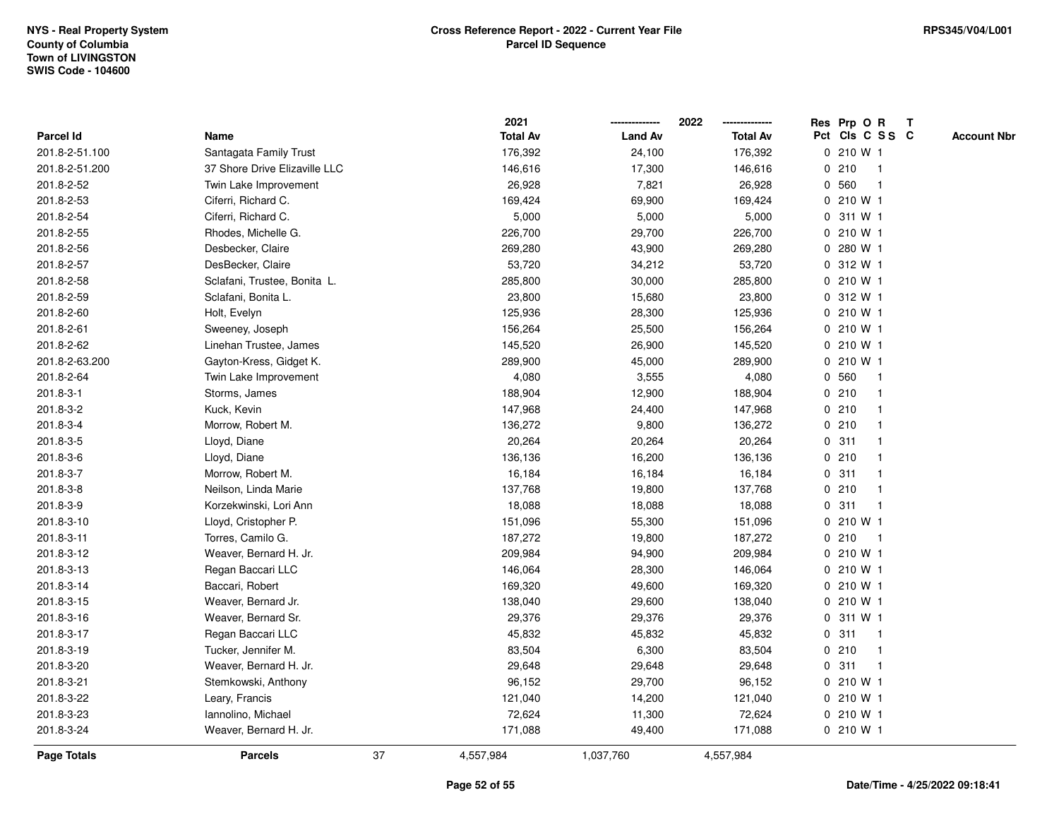|                    |                               |    | 2021            |                | 2022            |   | Res Prp O R     |              | T |                    |
|--------------------|-------------------------------|----|-----------------|----------------|-----------------|---|-----------------|--------------|---|--------------------|
| Parcel Id          | Name                          |    | <b>Total Av</b> | <b>Land Av</b> | <b>Total Av</b> |   | Pct Cls C S S C |              |   | <b>Account Nbr</b> |
| 201.8-2-51.100     | Santagata Family Trust        |    | 176,392         | 24,100         | 176,392         |   | 0 210 W 1       |              |   |                    |
| 201.8-2-51.200     | 37 Shore Drive Elizaville LLC |    | 146,616         | 17,300         | 146,616         |   | 0210            | $\mathbf 1$  |   |                    |
| 201.8-2-52         | Twin Lake Improvement         |    | 26,928          | 7,821          | 26,928          |   | 0 560           |              |   |                    |
| 201.8-2-53         | Ciferri, Richard C.           |    | 169,424         | 69,900         | 169,424         |   | 0 210 W 1       |              |   |                    |
| 201.8-2-54         | Ciferri, Richard C.           |    | 5,000           | 5,000          | 5,000           |   | 0 311 W 1       |              |   |                    |
| 201.8-2-55         | Rhodes, Michelle G.           |    | 226,700         | 29,700         | 226,700         |   | 0 210 W 1       |              |   |                    |
| 201.8-2-56         | Desbecker, Claire             |    | 269,280         | 43,900         | 269,280         | 0 | 280 W 1         |              |   |                    |
| 201.8-2-57         | DesBecker, Claire             |    | 53,720          | 34,212         | 53,720          |   | 0 312 W 1       |              |   |                    |
| 201.8-2-58         | Sclafani, Trustee, Bonita L.  |    | 285,800         | 30,000         | 285,800         |   | 0 210 W 1       |              |   |                    |
| 201.8-2-59         | Sclafani, Bonita L.           |    | 23,800          | 15,680         | 23,800          |   | 0 312 W 1       |              |   |                    |
| 201.8-2-60         | Holt, Evelyn                  |    | 125,936         | 28,300         | 125,936         |   | 0 210 W 1       |              |   |                    |
| 201.8-2-61         | Sweeney, Joseph               |    | 156,264         | 25,500         | 156,264         |   | 0 210 W 1       |              |   |                    |
| 201.8-2-62         | Linehan Trustee, James        |    | 145,520         | 26,900         | 145,520         |   | 0 210 W 1       |              |   |                    |
| 201.8-2-63.200     | Gayton-Kress, Gidget K.       |    | 289,900         | 45,000         | 289,900         |   | 0 210 W 1       |              |   |                    |
| 201.8-2-64         | Twin Lake Improvement         |    | 4,080           | 3,555          | 4,080           |   | 0 560           | $\mathbf{1}$ |   |                    |
| 201.8-3-1          | Storms, James                 |    | 188,904         | 12,900         | 188,904         |   | 0210            |              |   |                    |
| 201.8-3-2          | Kuck, Kevin                   |    | 147,968         | 24,400         | 147,968         |   | 0210            |              |   |                    |
| 201.8-3-4          | Morrow, Robert M.             |    | 136,272         | 9,800          | 136,272         |   | 0210            |              |   |                    |
| 201.8-3-5          | Lloyd, Diane                  |    | 20,264          | 20,264         | 20,264          |   | 0.311           |              |   |                    |
| 201.8-3-6          | Lloyd, Diane                  |    | 136,136         | 16,200         | 136,136         |   | 0210            |              |   |                    |
| 201.8-3-7          | Morrow, Robert M.             |    | 16,184          | 16,184         | 16,184          |   | 0.311           |              |   |                    |
| 201.8-3-8          | Neilson, Linda Marie          |    | 137,768         | 19,800         | 137,768         | 0 | 210             |              |   |                    |
| 201.8-3-9          | Korzekwinski, Lori Ann        |    | 18,088          | 18,088         | 18,088          | 0 | 311             | $\mathbf 1$  |   |                    |
| 201.8-3-10         | Lloyd, Cristopher P.          |    | 151,096         | 55,300         | 151,096         |   | 0 210 W 1       |              |   |                    |
| 201.8-3-11         | Torres, Camilo G.             |    | 187,272         | 19,800         | 187,272         |   | 0210            | $\mathbf 1$  |   |                    |
| 201.8-3-12         | Weaver, Bernard H. Jr.        |    | 209,984         | 94,900         | 209,984         |   | 0 210 W 1       |              |   |                    |
| 201.8-3-13         | Regan Baccari LLC             |    | 146,064         | 28,300         | 146,064         |   | 0 210 W 1       |              |   |                    |
| 201.8-3-14         | Baccari, Robert               |    | 169,320         | 49,600         | 169,320         |   | 0 210 W 1       |              |   |                    |
| 201.8-3-15         | Weaver, Bernard Jr.           |    | 138,040         | 29,600         | 138,040         |   | 0 210 W 1       |              |   |                    |
| 201.8-3-16         | Weaver, Bernard Sr.           |    | 29,376          | 29,376         | 29,376          | 0 | 311 W 1         |              |   |                    |
| 201.8-3-17         | Regan Baccari LLC             |    | 45,832          | 45,832         | 45,832          | 0 | 311             | $\mathbf 1$  |   |                    |
| 201.8-3-19         | Tucker, Jennifer M.           |    | 83,504          | 6,300          | 83,504          |   | 0210            | $\mathbf 1$  |   |                    |
| 201.8-3-20         | Weaver, Bernard H. Jr.        |    | 29,648          | 29,648         | 29,648          |   | 0.311           |              |   |                    |
| 201.8-3-21         | Stemkowski, Anthony           |    | 96,152          | 29,700         | 96,152          |   | 0 210 W 1       |              |   |                    |
| 201.8-3-22         | Leary, Francis                |    | 121,040         | 14,200         | 121,040         |   | 0 210 W 1       |              |   |                    |
| 201.8-3-23         | Iannolino, Michael            |    | 72,624          | 11,300         | 72,624          |   | 0 210 W 1       |              |   |                    |
| 201.8-3-24         | Weaver, Bernard H. Jr.        |    | 171,088         | 49,400         | 171,088         |   | 0 210 W 1       |              |   |                    |
| <b>Page Totals</b> | <b>Parcels</b>                | 37 | 4,557,984       | 1,037,760      | 4,557,984       |   |                 |              |   |                    |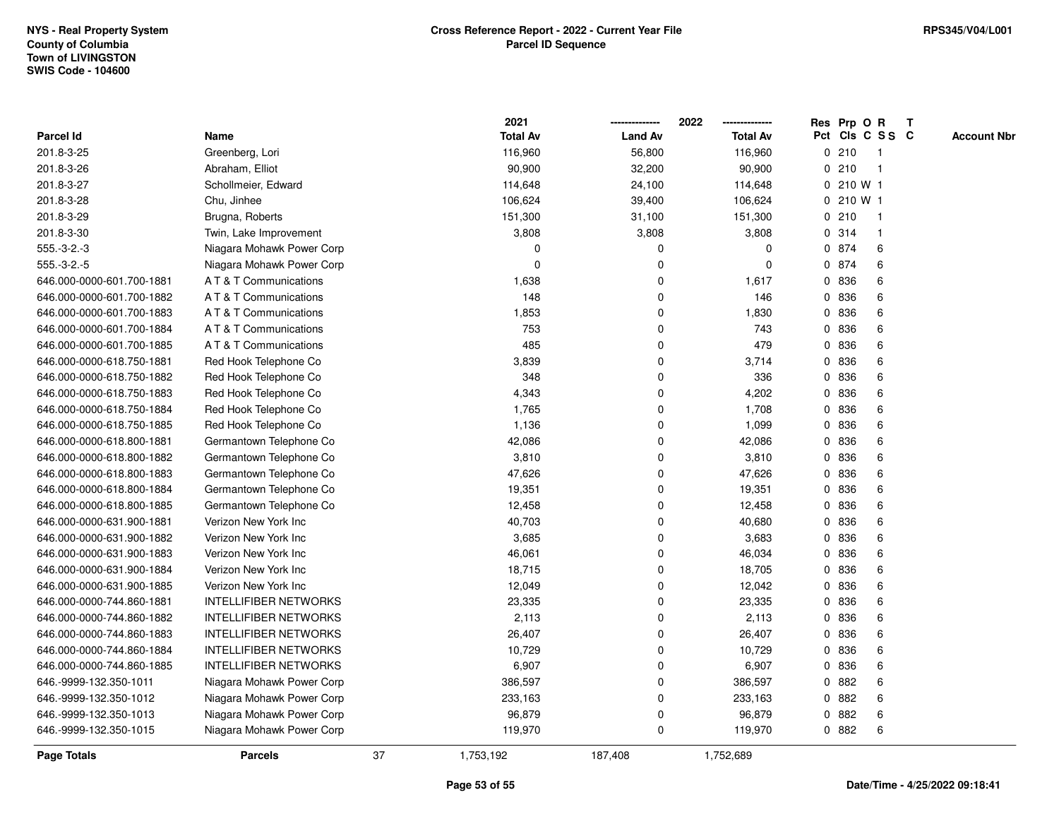|                           |                              |    | 2021            |                | 2022            |              | Res Prp O R |                 | T |                    |
|---------------------------|------------------------------|----|-----------------|----------------|-----------------|--------------|-------------|-----------------|---|--------------------|
| Parcel Id                 | Name                         |    | <b>Total Av</b> | <b>Land Av</b> | <b>Total Av</b> |              |             | Pct Cls C S S C |   | <b>Account Nbr</b> |
| 201.8-3-25                | Greenberg, Lori              |    | 116,960         | 56,800         | 116,960         |              | 0210        | $\mathbf{1}$    |   |                    |
| 201.8-3-26                | Abraham, Elliot              |    | 90,900          | 32,200         | 90,900          | 0            | 210         | $\mathbf{1}$    |   |                    |
| 201.8-3-27                | Schollmeier, Edward          |    | 114,648         | 24,100         | 114,648         |              | 0 210 W 1   |                 |   |                    |
| 201.8-3-28                | Chu, Jinhee                  |    | 106,624         | 39,400         | 106,624         |              | 0210W1      |                 |   |                    |
| 201.8-3-29                | Brugna, Roberts              |    | 151,300         | 31,100         | 151,300         |              | 0210        | -1              |   |                    |
| 201.8-3-30                | Twin, Lake Improvement       |    | 3,808           | 3,808          | 3,808           |              | 0.314       | 1               |   |                    |
| $555.-3-2.-3$             | Niagara Mohawk Power Corp    |    | 0               | $\mathbf 0$    | $\mathbf 0$     |              | 0 874       | 6               |   |                    |
| $555.-3-2.-5$             | Niagara Mohawk Power Corp    |    | 0               | $\mathbf 0$    | 0               |              | 0 874       | 6               |   |                    |
| 646.000-0000-601.700-1881 | A T & T Communications       |    | 1,638           | $\mathbf 0$    | 1,617           |              | 0 836       | 6               |   |                    |
| 646.000-0000-601.700-1882 | A T & T Communications       |    | 148             | $\mathbf 0$    | 146             |              | 0 836       | 6               |   |                    |
| 646.000-0000-601.700-1883 | A T & T Communications       |    | 1,853           | 0              | 1,830           |              | 0 836       | 6               |   |                    |
| 646.000-0000-601.700-1884 | A T & T Communications       |    | 753             | $\mathbf 0$    | 743             |              | 0 836       | 6               |   |                    |
| 646.000-0000-601.700-1885 | A T & T Communications       |    | 485             | $\mathbf 0$    | 479             | $\mathbf{0}$ | 836         | 6               |   |                    |
| 646.000-0000-618.750-1881 | Red Hook Telephone Co        |    | 3,839           | $\mathbf 0$    | 3,714           | 0            | 836         | 6               |   |                    |
| 646.000-0000-618.750-1882 | Red Hook Telephone Co        |    | 348             | $\mathbf 0$    | 336             | 0            | 836         | 6               |   |                    |
| 646.000-0000-618.750-1883 | Red Hook Telephone Co        |    | 4,343           | $\mathbf 0$    | 4,202           | 0            | 836         | 6               |   |                    |
| 646.000-0000-618.750-1884 | Red Hook Telephone Co        |    | 1,765           | $\mathbf 0$    | 1,708           | 0            | 836         | 6               |   |                    |
| 646.000-0000-618.750-1885 | Red Hook Telephone Co        |    | 1,136           | 0              | 1,099           |              | 0 836       | 6               |   |                    |
| 646.000-0000-618.800-1881 | Germantown Telephone Co      |    | 42,086          | $\mathbf 0$    | 42,086          |              | 0 836       | 6               |   |                    |
| 646.000-0000-618.800-1882 | Germantown Telephone Co      |    | 3,810           | $\mathbf 0$    | 3,810           |              | 0 836       | 6               |   |                    |
| 646.000-0000-618.800-1883 | Germantown Telephone Co      |    | 47,626          | $\mathbf 0$    | 47,626          | 0            | 836         | 6               |   |                    |
| 646.000-0000-618.800-1884 | Germantown Telephone Co      |    | 19,351          | $\mathbf 0$    | 19,351          |              | 0 836       | 6               |   |                    |
| 646.000-0000-618.800-1885 | Germantown Telephone Co      |    | 12,458          | $\mathbf 0$    | 12,458          | 0            | 836         | 6               |   |                    |
| 646.000-0000-631.900-1881 | Verizon New York Inc         |    | 40,703          | $\mathbf 0$    | 40,680          | 0            | 836         | 6               |   |                    |
| 646.000-0000-631.900-1882 | Verizon New York Inc         |    | 3,685           | $\mathbf 0$    | 3,683           |              | 0 836       | 6               |   |                    |
| 646.000-0000-631.900-1883 | Verizon New York Inc         |    | 46,061          | $\mathbf 0$    | 46,034          |              | 0 836       | 6               |   |                    |
| 646.000-0000-631.900-1884 | Verizon New York Inc         |    | 18,715          | $\mathbf 0$    | 18,705          |              | 0 836       | 6               |   |                    |
| 646.000-0000-631.900-1885 | Verizon New York Inc         |    | 12,049          | $\mathbf 0$    | 12,042          | 0            | 836         | 6               |   |                    |
| 646.000-0000-744.860-1881 | <b>INTELLIFIBER NETWORKS</b> |    | 23,335          | $\mathbf 0$    | 23,335          |              | 0 836       | 6               |   |                    |
| 646.000-0000-744.860-1882 | <b>INTELLIFIBER NETWORKS</b> |    | 2,113           | $\mathbf 0$    | 2,113           | 0            | 836         | 6               |   |                    |
| 646.000-0000-744.860-1883 | <b>INTELLIFIBER NETWORKS</b> |    | 26,407          | $\mathbf 0$    | 26,407          | $\mathbf{0}$ | 836         | 6               |   |                    |
| 646.000-0000-744.860-1884 | <b>INTELLIFIBER NETWORKS</b> |    | 10,729          | 0              | 10,729          |              | 0 836       | 6               |   |                    |
| 646.000-0000-744.860-1885 | <b>INTELLIFIBER NETWORKS</b> |    | 6,907           | $\mathbf 0$    | 6,907           |              | 0 836       | 6               |   |                    |
| 646.-9999-132.350-1011    | Niagara Mohawk Power Corp    |    | 386,597         | $\mathbf 0$    | 386,597         |              | 0 882       | 6               |   |                    |
| 646.-9999-132.350-1012    | Niagara Mohawk Power Corp    |    | 233,163         | $\mathbf 0$    | 233,163         |              | 0882        | 6               |   |                    |
| 646.-9999-132.350-1013    | Niagara Mohawk Power Corp    |    | 96,879          | $\mathbf 0$    | 96,879          | 0            | 882         | 6               |   |                    |
| 646.-9999-132.350-1015    | Niagara Mohawk Power Corp    |    | 119,970         | $\mathbf 0$    | 119,970         |              | 0 882       | 6               |   |                    |
| <b>Page Totals</b>        | <b>Parcels</b>               | 37 | 1,753,192       | 187,408        | 1,752,689       |              |             |                 |   |                    |

**Date/Time - 4/25/2022 09:18:41**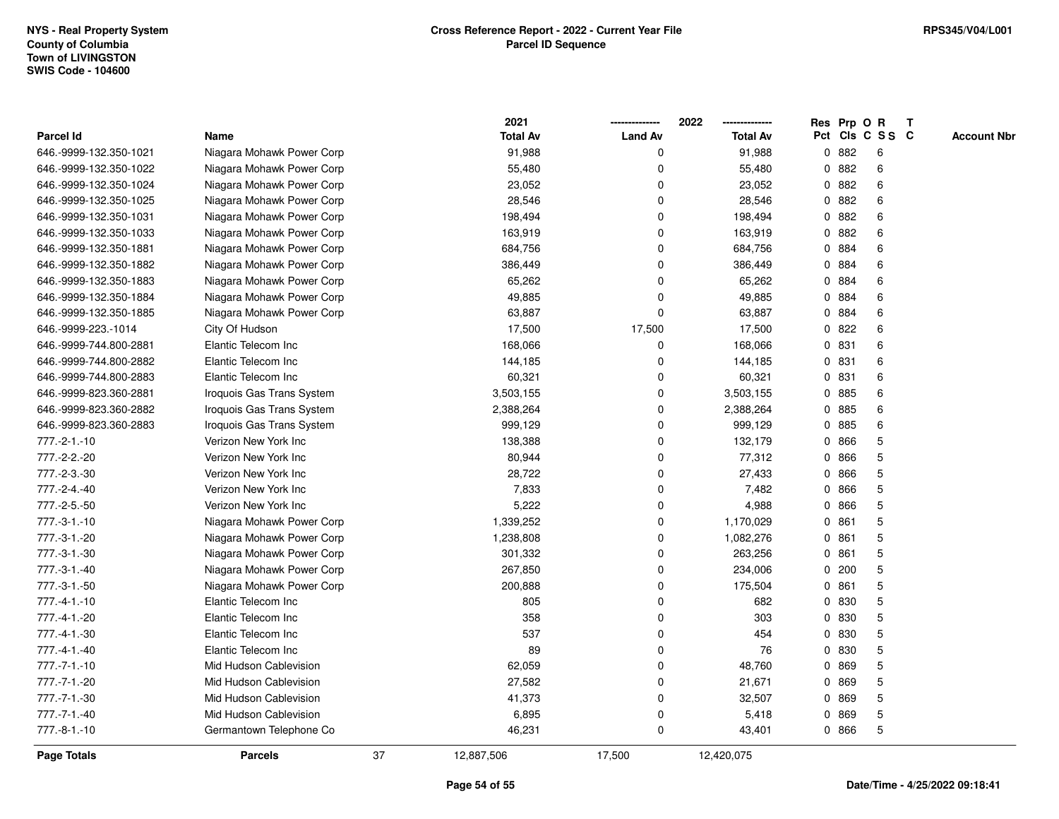|                        |                           |    | 2021            |                | 2022            |              |       | Res Prp O R     | T |                    |
|------------------------|---------------------------|----|-----------------|----------------|-----------------|--------------|-------|-----------------|---|--------------------|
| Parcel Id              | Name                      |    | <b>Total Av</b> | <b>Land Av</b> | <b>Total Av</b> |              |       | Pct Cls C S S C |   | <b>Account Nbr</b> |
| 646.-9999-132.350-1021 | Niagara Mohawk Power Corp |    | 91,988          | 0              | 91,988          | 0            | 882   | 6               |   |                    |
| 646.-9999-132.350-1022 | Niagara Mohawk Power Corp |    | 55,480          | 0              | 55,480          | 0            | 882   | 6               |   |                    |
| 646.-9999-132.350-1024 | Niagara Mohawk Power Corp |    | 23,052          | $\Omega$       | 23,052          |              | 0.882 | 6               |   |                    |
| 646.-9999-132.350-1025 | Niagara Mohawk Power Corp |    | 28,546          | 0              | 28,546          |              | 0.882 | 6               |   |                    |
| 646.-9999-132.350-1031 | Niagara Mohawk Power Corp |    | 198,494         | 0              | 198,494         |              | 0.882 | 6               |   |                    |
| 646.-9999-132.350-1033 | Niagara Mohawk Power Corp |    | 163,919         | 0              | 163,919         |              | 0.882 | 6               |   |                    |
| 646.-9999-132.350-1881 | Niagara Mohawk Power Corp |    | 684,756         | 0              | 684,756         |              | 0 884 | 6               |   |                    |
| 646.-9999-132.350-1882 | Niagara Mohawk Power Corp |    | 386,449         | 0              | 386,449         | 0            | 884   | 6               |   |                    |
| 646.-9999-132.350-1883 | Niagara Mohawk Power Corp |    | 65,262          | 0              | 65,262          | 0            | 884   | 6               |   |                    |
| 646.-9999-132.350-1884 | Niagara Mohawk Power Corp |    | 49,885          | 0              | 49,885          |              | 0 884 | 6               |   |                    |
| 646.-9999-132.350-1885 | Niagara Mohawk Power Corp |    | 63,887          | 0              | 63,887          |              | 0 884 | 6               |   |                    |
| 646.-9999-223.-1014    | City Of Hudson            |    | 17,500          | 17,500         | 17,500          |              | 0822  | 6               |   |                    |
| 646.-9999-744.800-2881 | Elantic Telecom Inc       |    | 168,066         | 0              | 168,066         |              | 0 831 | 6               |   |                    |
| 646.-9999-744.800-2882 | Elantic Telecom Inc       |    | 144,185         | 0              | 144,185         |              | 0 831 | 6               |   |                    |
| 646.-9999-744.800-2883 | Elantic Telecom Inc       |    | 60,321          | 0              | 60,321          | 0            | 831   | 6               |   |                    |
| 646.-9999-823.360-2881 | Iroquois Gas Trans System |    | 3,503,155       | 0              | 3,503,155       | 0            | 885   | 6               |   |                    |
| 646.-9999-823.360-2882 | Iroquois Gas Trans System |    | 2,388,264       | 0              | 2,388,264       | 0            | 885   | 6               |   |                    |
| 646.-9999-823.360-2883 | Iroquois Gas Trans System |    | 999,129         | 0              | 999,129         |              | 0 885 | 6               |   |                    |
| 777.-2-1.-10           | Verizon New York Inc      |    | 138,388         | 0              | 132,179         | 0            | 866   | 5               |   |                    |
| 777.-2-2.-20           | Verizon New York Inc      |    | 80,944          | 0              | 77,312          | 0            | 866   | 5               |   |                    |
| 777.-2-3.-30           | Verizon New York Inc      |    | 28,722          | 0              | 27,433          | 0            | 866   | 5               |   |                    |
| 777.-2-4.-40           | Verizon New York Inc      |    | 7,833           | 0              | 7,482           | 0            | 866   | 5               |   |                    |
| 777.-2-5.-50           | Verizon New York Inc      |    | 5,222           | 0              | 4,988           | 0            | 866   | 5               |   |                    |
| $777.-3-1.-10$         | Niagara Mohawk Power Corp |    | 1,339,252       | 0              | 1,170,029       | $\mathbf{0}$ | 861   | 5               |   |                    |
| 777.-3-1.-20           | Niagara Mohawk Power Corp |    | 1,238,808       | 0              | 1,082,276       |              | 0861  | 5               |   |                    |
| 777.-3-1.-30           | Niagara Mohawk Power Corp |    | 301,332         | 0              | 263,256         |              | 0861  | 5               |   |                    |
| 777.-3-1.-40           | Niagara Mohawk Power Corp |    | 267,850         | 0              | 234,006         | 0            | 200   | 5               |   |                    |
| 777.-3-1.-50           | Niagara Mohawk Power Corp |    | 200,888         | 0              | 175,504         |              | 0861  | 5               |   |                    |
| $777. -4 - 1. -10$     | Elantic Telecom Inc       |    | 805             | 0              | 682             | 0            | 830   | 5               |   |                    |
| 777.-4-1.-20           | Elantic Telecom Inc       |    | 358             | 0              | 303             | 0            | 830   | 5               |   |                    |
| 777.-4-1.-30           | Elantic Telecom Inc       |    | 537             | 0              | 454             | 0            | 830   | 5               |   |                    |
| 777.-4-1.-40           | Elantic Telecom Inc       |    | 89              | 0              | 76              |              | 0 830 | 5               |   |                    |
| $777. - 7 - 1. - 10$   | Mid Hudson Cablevision    |    | 62,059          | 0              | 48,760          | 0            | 869   | 5               |   |                    |
| 777.-7-1.-20           | Mid Hudson Cablevision    |    | 27,582          | $\Omega$       | 21,671          | 0            | 869   | 5               |   |                    |
| 777.-7-1.-30           | Mid Hudson Cablevision    |    | 41,373          | 0              | 32,507          | 0            | 869   | 5               |   |                    |
| 777.-7-1.-40           | Mid Hudson Cablevision    |    | 6,895           | 0              | 5,418           | 0            | 869   | 5               |   |                    |
| 777.-8-1.-10           | Germantown Telephone Co   |    | 46,231          | 0              | 43,401          |              | 0 866 | 5               |   |                    |
| Page Totals            | <b>Parcels</b>            | 37 | 12,887,506      | 17,500         | 12,420,075      |              |       |                 |   |                    |